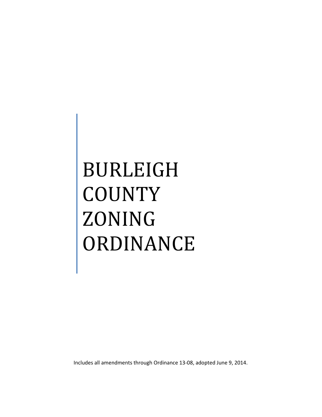# BURLEIGH **COUNTY** ZONING ORDINANCE

Includes all amendments through Ordinance 13-08, adopted June 9, 2014.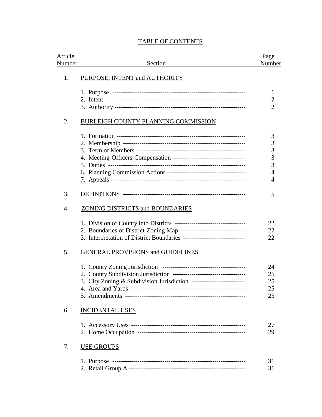| Article<br>Number | Section                                                                   | Page<br>Number |
|-------------------|---------------------------------------------------------------------------|----------------|
| 1.                | PURPOSE, INTENT and AUTHORITY                                             |                |
|                   |                                                                           | 1              |
|                   |                                                                           | $\overline{2}$ |
|                   |                                                                           | $\overline{2}$ |
| 2.                | <b>BURLEIGH COUNTY PLANNING COMMISSION</b>                                |                |
|                   |                                                                           | 3              |
|                   |                                                                           | 3              |
|                   |                                                                           | 3              |
|                   | 4. Meeting-Officers-Compensation -----------------------------------      | 3              |
|                   |                                                                           | 3              |
|                   |                                                                           | $\overline{4}$ |
|                   |                                                                           | 4              |
| 3.                |                                                                           | 5              |
| 4.                | <b>ZONING DISTRICTS and BOUNDARIES</b>                                    |                |
|                   |                                                                           | 22             |
|                   | 2. Boundaries of District-Zoning Map --------------------------------     | 22             |
|                   | 3. Interpretation of District Boundaries -------------------------------- | 22             |
| 5.                | <b>GENERAL PROVISIONS and GUIDELINES</b>                                  |                |
|                   |                                                                           | 24             |
|                   |                                                                           | 25             |
|                   | 3. City Zoning & Subdivision Jurisdiction --------------------------      | 25             |
|                   |                                                                           | 25             |
|                   |                                                                           | 25             |
| 6.                | <b>INCIDENTAL USES</b>                                                    |                |
|                   |                                                                           | 27             |
|                   |                                                                           | 29             |
| 7.                | <b>USE GROUPS</b>                                                         |                |
|                   |                                                                           | 31             |
|                   |                                                                           | 31             |

# TABLE OF CONTENTS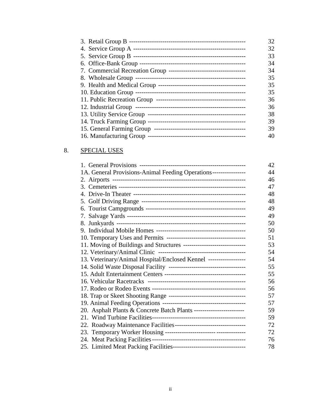| 32 |
|----|
| 32 |
| 33 |
| 34 |
| 34 |
| 35 |
| 35 |
| 35 |
| 36 |
| 36 |
| 38 |
| 39 |
| 39 |
| 40 |
|    |

# 8. SPECIAL USES

|                                                                       | 42 |
|-----------------------------------------------------------------------|----|
| 1A. General Provisions-Animal Feeding Operations----------------      | 44 |
|                                                                       | 46 |
|                                                                       | 47 |
|                                                                       | 48 |
|                                                                       | 48 |
|                                                                       | 49 |
|                                                                       | 49 |
|                                                                       | 50 |
|                                                                       | 50 |
|                                                                       | 51 |
| 11. Moving of Buildings and Structures ------------------------------ | 53 |
|                                                                       | 54 |
| 13. Veterinary/Animal Hospital/Enclosed Kennel ------------------     | 54 |
|                                                                       | 55 |
|                                                                       | 55 |
|                                                                       | 56 |
|                                                                       | 56 |
|                                                                       | 57 |
|                                                                       | 57 |
| 20. Asphalt Plants & Concrete Batch Plants ------------------------   | 59 |
|                                                                       | 59 |
| 22. Roadway Maintenance Facilities----------------------------------  | 72 |
|                                                                       | 72 |
|                                                                       | 76 |
|                                                                       | 78 |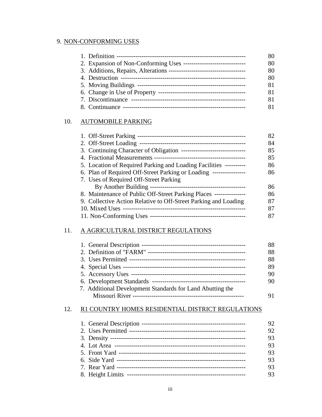# 9. NON-CONFORMING USES

| 80 |
|----|
| 80 |
| 80 |
| 80 |
| 81 |
| 81 |
| 81 |
|    |

# 10. AUTOMOBILE PARKING

|                                                                     | 82 |
|---------------------------------------------------------------------|----|
|                                                                     | 84 |
|                                                                     | 85 |
|                                                                     | 85 |
| 5. Location of Required Parking and Loading Facilities ----------   | 86 |
| 6. Plan of Required Off-Street Parking or Loading ----------------  | 86 |
| 7. Uses of Required Off-Street Parking                              |    |
|                                                                     | 86 |
| 8. Maintenance of Public Off-Street Parking Places ---------------- | 86 |
| 9. Collective Action Relative to Off-Street Parking and Loading     | 87 |
|                                                                     | 87 |
|                                                                     | 87 |

# 11. A AGRICULTURAL DISTRICT REGULATIONS

|                                                           | 88 |
|-----------------------------------------------------------|----|
|                                                           | 88 |
|                                                           | 88 |
|                                                           | 89 |
|                                                           | 90 |
|                                                           | 90 |
| 7. Additional Development Standards for Land Abutting the |    |
|                                                           | 91 |
|                                                           |    |

# 12. R1 COUNTRY HOMES RESIDENTIAL DISTRICT REGULATIONS

|  | 92 |
|--|----|
|  | 92 |
|  | 93 |
|  | 93 |
|  | 93 |
|  | 93 |
|  | 93 |
|  | 93 |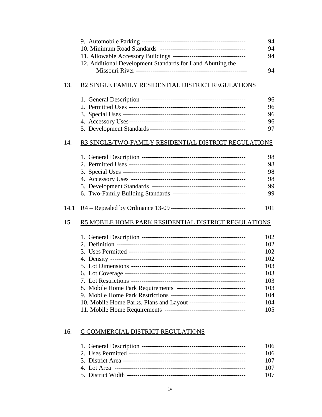|      |                                                                      | 94  |
|------|----------------------------------------------------------------------|-----|
|      |                                                                      | 94  |
|      |                                                                      | 94  |
|      | 12. Additional Development Standards for Land Abutting the           |     |
|      |                                                                      | 94  |
|      |                                                                      |     |
| 13.  | R2 SINGLE FAMILY RESIDENTIAL DISTRICT REGULATIONS                    |     |
|      |                                                                      | 96  |
|      |                                                                      | 96  |
|      |                                                                      | 96  |
|      |                                                                      | 96  |
|      |                                                                      | 97  |
| 14.  | R3 SINGLE/TWO-FAMILY RESIDENTIAL DISTRICT REGULATIONS                |     |
|      |                                                                      | 98  |
|      |                                                                      | 98  |
|      |                                                                      | 98  |
|      |                                                                      | 98  |
|      |                                                                      | 99  |
|      | 6. Two-Family Building Standards ----------------------------------- | 99  |
| 14.1 |                                                                      | 101 |
| 15.  | R5 MOBILE HOME PARK RESIDENTIAL DISTRICT REGULATIONS                 |     |
|      |                                                                      | 102 |
|      |                                                                      | 102 |
|      |                                                                      | 102 |
|      |                                                                      | 102 |
|      |                                                                      | 103 |
|      |                                                                      | 103 |
|      |                                                                      | 103 |
|      | 8. Mobile Home Park Requirements ----------------------------------  | 103 |
|      |                                                                      | 104 |
|      | 10. Mobile Home Parks, Plans and Layout ---------------------------- | 104 |
|      |                                                                      | 105 |
|      |                                                                      |     |
| 16.  | C COMMERCIAL DISTRICT REGULATIONS                                    |     |
|      |                                                                      | 106 |

|  | ,,,,, |
|--|-------|
|  | 106   |
|  | 107   |
|  | 107   |
|  | 107   |
|  |       |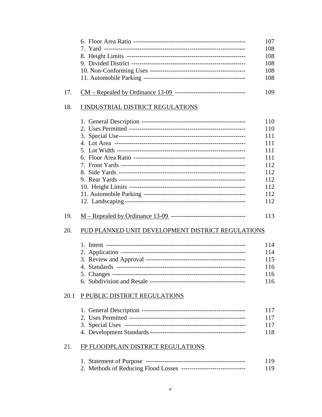|      |                                                                     | 107<br>108<br>108<br>108<br>108<br>108                                           |
|------|---------------------------------------------------------------------|----------------------------------------------------------------------------------|
| 17.  |                                                                     | 109                                                                              |
| 18.  | I INDUSTRIAL DISTRICT REGULATIONS                                   |                                                                                  |
|      |                                                                     | 110<br>110<br>111<br>111<br>111<br>111<br>112<br>112<br>112<br>112<br>112<br>112 |
| 19.  |                                                                     | 113                                                                              |
| 20.  | PUD PLANNED UNIT DEVELOPMENT DISTRICT REGULATIONS                   |                                                                                  |
|      |                                                                     | 114<br>114<br>115<br>116<br>116<br>116                                           |
| 20.1 | P PUBLIC DISTRICT REGULATIONS                                       | 117<br>117                                                                       |
|      |                                                                     | 117<br>118                                                                       |
| 21.  | FP FLOODPLAIN DISTRICT REGULATIONS                                  |                                                                                  |
|      | 2. Methods of Reducing Flood Losses ------------------------------- | 119<br>119                                                                       |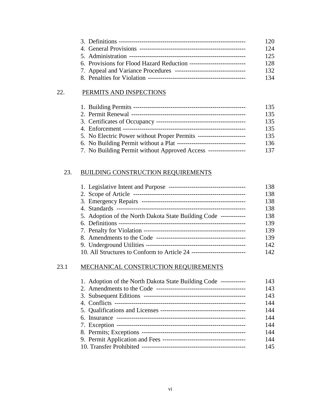| 120. |
|------|
| 124  |
| 125  |
| 12.8 |
| 132  |
| 134  |

# 22. PERMITS AND INSPECTIONS

|                                                                      | 135 |
|----------------------------------------------------------------------|-----|
|                                                                      | 135 |
|                                                                      | 135 |
|                                                                      | 135 |
| 5. No Electric Power without Proper Permits ------------------------ | 135 |
|                                                                      | 136 |
| 7. No Building Permit without Approved Access ------------------     | 137 |

# 23. BUILDING CONSTRUCTION REQUIREMENTS

|                                                                  | 138 |
|------------------------------------------------------------------|-----|
| 2. Scope of Article                                              | 138 |
|                                                                  | 138 |
|                                                                  | 138 |
| 5. Adoption of the North Dakota State Building Code ------------ | 138 |
|                                                                  | 139 |
|                                                                  | 139 |
|                                                                  | 139 |
| 9. Underground Utilities -                                       | 142 |
|                                                                  | 142 |

# 23.1 MECHANICAL CONSTRUCTION REQUIREMENTS

| 1. Adoption of the North Dakota State Building Code ------------ | 143 |
|------------------------------------------------------------------|-----|
|                                                                  | 143 |
|                                                                  | 143 |
|                                                                  | 144 |
|                                                                  | 144 |
|                                                                  | 144 |
|                                                                  | 144 |
|                                                                  | 144 |
|                                                                  | 144 |
|                                                                  | 145 |
|                                                                  |     |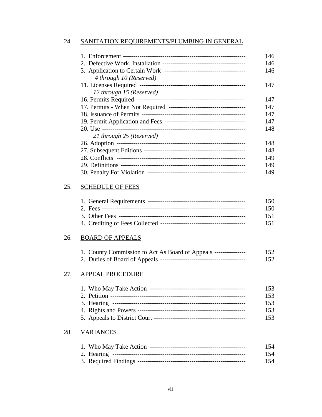# 24. SANITATION REQUIREMENTS/PLUMBING IN GENERAL

|                          | 146 |
|--------------------------|-----|
|                          | 146 |
|                          | 146 |
| 4 through 10 (Reserved)  |     |
|                          | 147 |
| 12 through 15 (Reserved) |     |
|                          | 147 |
|                          | 147 |
|                          | 147 |
|                          | 147 |
|                          | 148 |
| 21 through 25 (Reserved) |     |
|                          | 148 |
|                          | 148 |
|                          | 149 |
|                          | 149 |
|                          | 149 |

# 25. SCHEDULE OF FEES

|  | 150 |
|--|-----|
|  | 150 |
|  | 151 |
|  | 151 |

# 26. BOARD OF APPEALS

| 1. County Commission to Act As Board of Appeals --------------- | 152 |
|-----------------------------------------------------------------|-----|
|                                                                 | 152 |

# 27. APPEAL PROCEDURE

|  | 153. |
|--|------|
|  | 153  |
|  | 153  |
|  | 153  |
|  | 153  |

# 28. VARIANCES

|  | 154 |
|--|-----|
|  | 154 |
|  | 154 |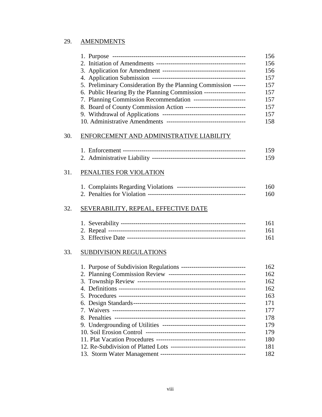# 29. AMENDMENTS

|     |                                                                      | 156 |
|-----|----------------------------------------------------------------------|-----|
|     |                                                                      | 156 |
|     |                                                                      | 156 |
|     |                                                                      | 157 |
|     | 5. Preliminary Consideration By the Planning Commission ------       | 157 |
|     | 6. Public Hearing By the Planning Commission ---------------------   | 157 |
|     | 7. Planning Commission Recommendation --------------------------     | 157 |
|     | 8. Board of County Commission Action ------------------------------- | 157 |
|     |                                                                      | 157 |
|     |                                                                      | 158 |
| 30. | ENFORCEMENT AND ADMINISTRATIVE LIABILITY                             |     |
|     |                                                                      | 159 |
|     |                                                                      | 159 |
| 31. | PENALTIES FOR VIOLATION                                              |     |
|     |                                                                      |     |
|     | 1. Complaints Regarding Violations --------------------------------- | 160 |
|     |                                                                      | 160 |
| 32. | SEVERABILITY, REPEAL, EFFECTIVE DATE                                 |     |
|     |                                                                      | 161 |
|     |                                                                      | 161 |
|     |                                                                      | 161 |
| 33. | <b>SUBDIVISION REGULATIONS</b>                                       |     |
|     |                                                                      | 162 |
|     |                                                                      | 162 |
|     |                                                                      | 162 |
|     | 4. Definitions -------                                               | 162 |
|     |                                                                      | 163 |
|     |                                                                      | 171 |
|     |                                                                      | 177 |
|     |                                                                      | 178 |
|     |                                                                      | 179 |
|     |                                                                      | 179 |
|     |                                                                      | 180 |
|     |                                                                      | 181 |
|     |                                                                      | 182 |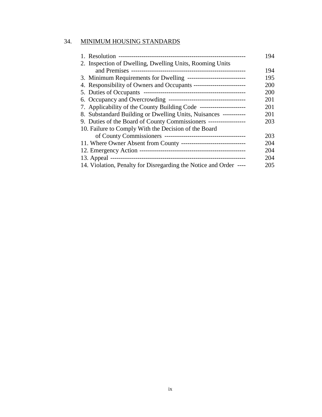# 34. MINIMUM HOUSING STANDARDS

|                                                                    | 194 |
|--------------------------------------------------------------------|-----|
| 2. Inspection of Dwelling, Dwelling Units, Rooming Units           |     |
|                                                                    | 194 |
| 3. Minimum Requirements for Dwelling ----------------------------- | 195 |
|                                                                    | 200 |
|                                                                    | 200 |
|                                                                    | 201 |
|                                                                    | 201 |
| 8. Substandard Building or Dwelling Units, Nuisances -----------   | 201 |
| 9. Duties of the Board of County Commissioners ------------------  | 203 |
| 10. Failure to Comply With the Decision of the Board               |     |
|                                                                    | 203 |
|                                                                    | 204 |
|                                                                    | 204 |
|                                                                    | 204 |
| 14. Violation, Penalty for Disregarding the Notice and Order ----  | 205 |
|                                                                    |     |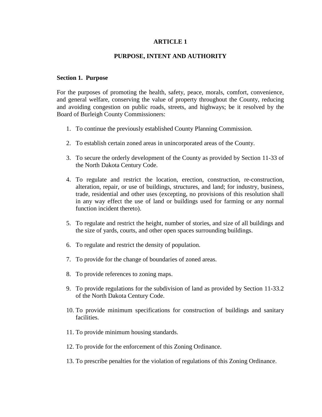# **ARTICLE 1**

# **PURPOSE, INTENT AND AUTHORITY**

#### **Section 1. Purpose**

For the purposes of promoting the health, safety, peace, morals, comfort, convenience, and general welfare, conserving the value of property throughout the County, reducing and avoiding congestion on public roads, streets, and highways; be it resolved by the Board of Burleigh County Commissioners:

- 1. To continue the previously established County Planning Commission.
- 2. To establish certain zoned areas in unincorporated areas of the County.
- 3. To secure the orderly development of the County as provided by Section 11-33 of the North Dakota Century Code.
- 4. To regulate and restrict the location, erection, construction, re-construction, alteration, repair, or use of buildings, structures, and land; for industry, business, trade, residential and other uses (excepting, no provisions of this resolution shall in any way effect the use of land or buildings used for farming or any normal function incident thereto).
- 5. To regulate and restrict the height, number of stories, and size of all buildings and the size of yards, courts, and other open spaces surrounding buildings.
- 6. To regulate and restrict the density of population.
- 7. To provide for the change of boundaries of zoned areas.
- 8. To provide references to zoning maps.
- 9. To provide regulations for the subdivision of land as provided by Section 11-33.2 of the North Dakota Century Code.
- 10. To provide minimum specifications for construction of buildings and sanitary facilities.
- 11. To provide minimum housing standards.
- 12. To provide for the enforcement of this Zoning Ordinance.
- 13. To prescribe penalties for the violation of regulations of this Zoning Ordinance.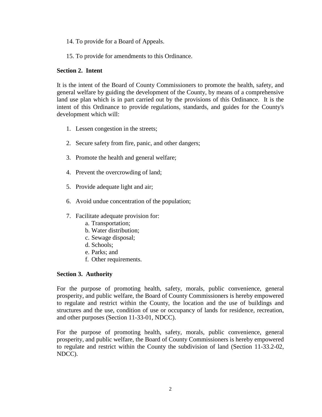14. To provide for a Board of Appeals.

15. To provide for amendments to this Ordinance.

## **Section 2. Intent**

It is the intent of the Board of County Commissioners to promote the health, safety, and general welfare by guiding the development of the County, by means of a comprehensive land use plan which is in part carried out by the provisions of this Ordinance. It is the intent of this Ordinance to provide regulations, standards, and guides for the County's development which will:

- 1. Lessen congestion in the streets;
- 2. Secure safety from fire, panic, and other dangers;
- 3. Promote the health and general welfare;
- 4. Prevent the overcrowding of land;
- 5. Provide adequate light and air;
- 6. Avoid undue concentration of the population;
- 7. Facilitate adequate provision for:
	- a. Transportation;
	- b. Water distribution;
	- c. Sewage disposal;
	- d. Schools;
	- e. Parks; and
	- f. Other requirements.

# **Section 3. Authority**

For the purpose of promoting health, safety, morals, public convenience, general prosperity, and public welfare, the Board of County Commissioners is hereby empowered to regulate and restrict within the County, the location and the use of buildings and structures and the use, condition of use or occupancy of lands for residence, recreation, and other purposes (Section 11-33-01, NDCC).

For the purpose of promoting health, safety, morals, public convenience, general prosperity, and public welfare, the Board of County Commissioners is hereby empowered to regulate and restrict within the County the subdivision of land (Section 11-33.2-02, NDCC).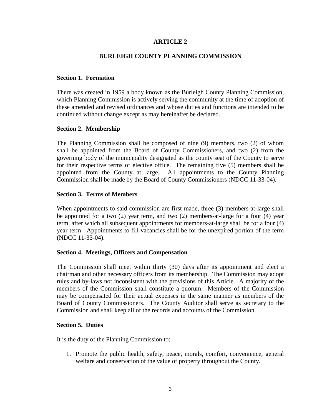# **ARTICLE 2**

## **BURLEIGH COUNTY PLANNING COMMISSION**

#### **Section 1. Formation**

There was created in 1959 a body known as the Burleigh County Planning Commission, which Planning Commission is actively serving the community at the time of adoption of these amended and revised ordinances and whose duties and functions are intended to be continued without change except as may hereinafter be declared.

#### **Section 2. Membership**

The Planning Commission shall be composed of nine (9) members, two (2) of whom shall be appointed from the Board of County Commissioners, and two (2) from the governing body of the municipality designated as the county seat of the County to serve for their respective terms of elective office. The remaining five (5) members shall be appointed from the County at large. All appointments to the County Planning Commission shall be made by the Board of County Commissioners (NDCC 11-33-04).

## **Section 3. Terms of Members**

When appointments to said commission are first made, three (3) members-at-large shall be appointed for a two (2) year term, and two (2) members-at-large for a four (4) year term, after which all subsequent appointments for members-at-large shall be for a four (4) year term. Appointments to fill vacancies shall be for the unexpired portion of the term (NDCC 11-33-04).

#### **Section 4. Meetings, Officers and Compensation**

The Commission shall meet within thirty (30) days after its appointment and elect a chairman and other necessary officers from its membership. The Commission may adopt rules and by-laws not inconsistent with the provisions of this Article. A majority of the members of the Commission shall constitute a quorum. Members of the Commission may be compensated for their actual expenses in the same manner as members of the Board of County Commissioners. The County Auditor shall serve as secretary to the Commission and shall keep all of the records and accounts of the Commission.

#### **Section 5. Duties**

It is the duty of the Planning Commission to:

1. Promote the public health, safety, peace, morals, comfort, convenience, general welfare and conservation of the value of property throughout the County.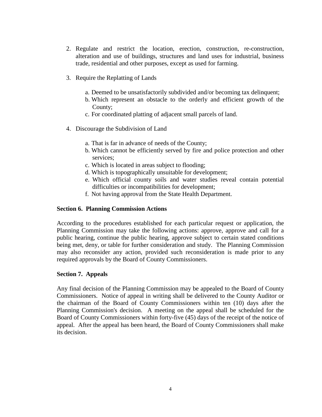- 2. Regulate and restrict the location, erection, construction, re-construction, alteration and use of buildings, structures and land uses for industrial, business trade, residential and other purposes, except as used for farming.
- 3. Require the Replatting of Lands
	- a. Deemed to be unsatisfactorily subdivided and/or becoming tax delinquent;
	- b. Which represent an obstacle to the orderly and efficient growth of the County;
	- c. For coordinated platting of adjacent small parcels of land.
- 4. Discourage the Subdivision of Land
	- a. That is far in advance of needs of the County;
	- b. Which cannot be efficiently served by fire and police protection and other services;
	- c. Which is located in areas subject to flooding;
	- d. Which is topographically unsuitable for development;
	- e. Which official county soils and water studies reveal contain potential difficulties or incompatibilities for development;
	- f. Not having approval from the State Health Department.

# **Section 6. Planning Commission Actions**

According to the procedures established for each particular request or application, the Planning Commission may take the following actions: approve, approve and call for a public hearing, continue the public hearing, approve subject to certain stated conditions being met, deny, or table for further consideration and study. The Planning Commission may also reconsider any action, provided such reconsideration is made prior to any required approvals by the Board of County Commissioners.

# **Section 7. Appeals**

Any final decision of the Planning Commission may be appealed to the Board of County Commissioners. Notice of appeal in writing shall be delivered to the County Auditor or the chairman of the Board of County Commissioners within ten (10) days after the Planning Commission's decision. A meeting on the appeal shall be scheduled for the Board of County Commissioners within forty-five (45) days of the receipt of the notice of appeal. After the appeal has been heard, the Board of County Commissioners shall make its decision.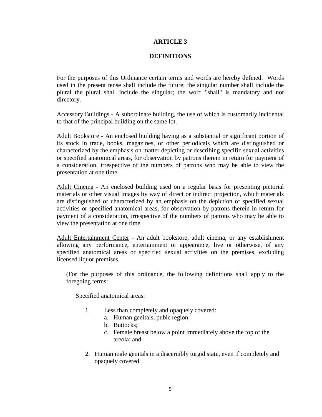# **ARTICLE 3**

## **DEFINITIONS**

For the purposes of this Ordinance certain terms and words are hereby defined. Words used in the present tense shall include the future; the singular number shall include the plural the plural shall include the singular; the word "shall" is mandatory and not directory.

Accessory Buildings - A subordinate building, the use of which is customarily incidental to that of the principal building on the same lot.

Adult Bookstore - An enclosed building having as a substantial or significant portion of its stock in trade, books, magazines, or other periodicals which are distinguished or characterized by the emphasis on matter depicting or describing specific sexual activities or specified anatomical areas, for observation by patrons therein in return for payment of a consideration, irrespective of the numbers of patrons who may be able to view the presentation at one time.

Adult Cinema - An enclosed building used on a regular basis for presenting pictorial materials or other visual images by way of direct or indirect projection, which materials are distinguished or characterized by an emphasis on the depiction of specified sexual activities or specified anatomical areas, for observation by patrons therein in return for payment of a consideration, irrespective of the numbers of patrons who may be able to view the presentation at one time.

Adult Entertainment Center - An adult bookstore, adult cinema, or any establishment allowing any performance, entertainment or appearance, live or otherwise, of any specified anatomical areas or specified sexual activities on the premises, excluding licensed liquor premises.

(For the purposes of this ordinance, the following definitions shall apply to the foregoing terms:

Specified anatomical areas:

- 1. Less than completely and opaquely covered:
	- a. Human genitals, pubic region;
	- b. Buttocks;
	- c. Female breast below a point immediately above the top of the areola; and
- 2. Human male genitals in a discernibly turgid state, even if completely and opaquely covered.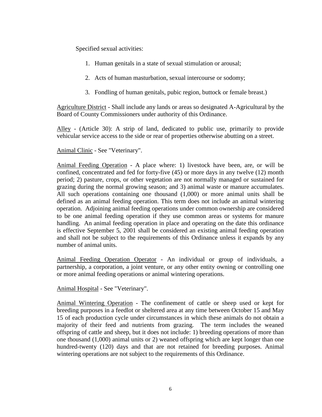Specified sexual activities:

- 1. Human genitals in a state of sexual stimulation or arousal;
- 2. Acts of human masturbation, sexual intercourse or sodomy;
- 3. Fondling of human genitals, pubic region, buttock or female breast.)

Agriculture District - Shall include any lands or areas so designated A-Agricultural by the Board of County Commissioners under authority of this Ordinance.

Alley - (Article 30): A strip of land, dedicated to public use, primarily to provide vehicular service access to the side or rear of properties otherwise abutting on a street.

# Animal Clinic - See "Veterinary".

Animal Feeding Operation - A place where: 1) livestock have been, are, or will be confined, concentrated and fed for forty-five (45) or more days in any twelve (12) month period; 2) pasture, crops, or other vegetation are not normally managed or sustained for grazing during the normal growing season; and 3) animal waste or manure accumulates. All such operations containing one thousand (1,000) or more animal units shall be defined as an animal feeding operation. This term does not include an animal wintering operation. Adjoining animal feeding operations under common ownership are considered to be one animal feeding operation if they use common areas or systems for manure handling. An animal feeding operation in place and operating on the date this ordinance is effective September 5, 2001 shall be considered an existing animal feeding operation and shall not be subject to the requirements of this Ordinance unless it expands by any number of animal units.

Animal Feeding Operation Operator - An individual or group of individuals, a partnership, a corporation, a joint venture, or any other entity owning or controlling one or more animal feeding operations or animal wintering operations.

Animal Hospital - See "Veterinary".

Animal Wintering Operation - The confinement of cattle or sheep used or kept for breeding purposes in a feedlot or sheltered area at any time between October 15 and May 15 of each production cycle under circumstances in which these animals do not obtain a majority of their feed and nutrients from grazing. The term includes the weaned offspring of cattle and sheep, but it does not include: 1) breeding operations of more than one thousand (1,000) animal units or 2) weaned offspring which are kept longer than one hundred-twenty (120) days and that are not retained for breeding purposes. Animal wintering operations are not subject to the requirements of this Ordinance.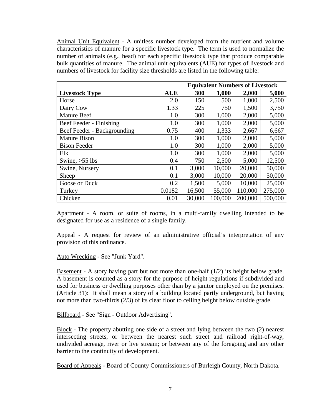Animal Unit Equivalent - A unitless number developed from the nutrient and volume characteristics of manure for a specific livestock type. The term is used to normalize the number of animals (e.g., head) for each specific livestock type that produce comparable bulk quantities of manure. The animal unit equivalents (AUE) for types of livestock and numbers of livestock for facility size thresholds are listed in the following table:

|                             |            |        |         | <b>Equivalent Numbers of Livestock</b> |         |
|-----------------------------|------------|--------|---------|----------------------------------------|---------|
| <b>Livestock Type</b>       | <b>AUE</b> | 300    | 1,000   | 2,000                                  | 5,000   |
| Horse                       | 2.0        | 150    | 500     | 1,000                                  | 2,500   |
| Dairy Cow                   | 1.33       | 225    | 750     | 1,500                                  | 3,750   |
| <b>Mature Beef</b>          | 1.0        | 300    | 1,000   | 2,000                                  | 5,000   |
| Beef Feeder - Finishing     | 1.0        | 300    | 1,000   | 2,000                                  | 5,000   |
| Beef Feeder - Backgrounding | 0.75       | 400    | 1,333   | 2,667                                  | 6,667   |
| <b>Mature Bison</b>         | 1.0        | 300    | 1,000   | 2,000                                  | 5,000   |
| <b>Bison Feeder</b>         | 1.0        | 300    | 1,000   | 2,000                                  | 5,000   |
| Elk                         | 1.0        | 300    | 1,000   | 2,000                                  | 5,000   |
| Swine, $>55$ lbs            | 0.4        | 750    | 2,500   | 5,000                                  | 12,500  |
| Swine, Nursery              | 0.1        | 3,000  | 10,000  | 20,000                                 | 50,000  |
| Sheep                       | 0.1        | 3,000  | 10,000  | 20,000                                 | 50,000  |
| Goose or Duck               | 0.2        | 1,500  | 5,000   | 10,000                                 | 25,000  |
| Turkey                      | 0.0182     | 16,500 | 55,000  | 110,000                                | 275,000 |
| Chicken                     | 0.01       | 30,000 | 100,000 | 200,000                                | 500,000 |

Apartment - A room, or suite of rooms, in a multi-family dwelling intended to be designated for use as a residence of a single family.

Appeal - A request for review of an administrative official's interpretation of any provision of this ordinance.

Auto Wrecking - See "Junk Yard".

Basement - A story having part but not more than one-half  $(1/2)$  its height below grade. A basement is counted as a story for the purpose of height regulations if subdivided and used for business or dwelling purposes other than by a janitor employed on the premises. (Article 31): It shall mean a story of a building located partly underground, but having not more than two-thirds (2/3) of its clear floor to ceiling height below outside grade.

Billboard - See "Sign - Outdoor Advertising".

Block - The property abutting one side of a street and lying between the two (2) nearest intersecting streets, or between the nearest such street and railroad right-of-way, undivided acreage, river or live stream; or between any of the foregoing and any other barrier to the continuity of development.

Board of Appeals - Board of County Commissioners of Burleigh County, North Dakota.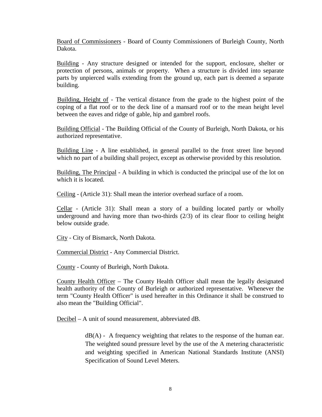Board of Commissioners - Board of County Commissioners of Burleigh County, North Dakota.

Building - Any structure designed or intended for the support, enclosure, shelter or protection of persons, animals or property. When a structure is divided into separate parts by unpierced walls extending from the ground up, each part is deemed a separate building.

Building, Height of - The vertical distance from the grade to the highest point of the coping of a flat roof or to the deck line of a mansard roof or to the mean height level between the eaves and ridge of gable, hip and gambrel roofs.

Building Official - The Building Official of the County of Burleigh, North Dakota, or his authorized representative.

Building Line - A line established, in general parallel to the front street line beyond which no part of a building shall project, except as otherwise provided by this resolution.

Building, The Principal - A building in which is conducted the principal use of the lot on which it is located.

Ceiling - (Article 31): Shall mean the interior overhead surface of a room.

Cellar - (Article 31): Shall mean a story of a building located partly or wholly underground and having more than two-thirds (2/3) of its clear floor to ceiling height below outside grade.

City - City of Bismarck, North Dakota.

Commercial District - Any Commercial District.

County - County of Burleigh, North Dakota.

County Health Officer – The County Health Officer shall mean the legally designated health authority of the County of Burleigh or authorized representative. Whenever the term "County Health Officer" is used hereafter in this Ordinance it shall be construed to also mean the "Building Official".

Decibel – A unit of sound measurement, abbreviated dB.

 $dB(A)$  - A frequency weighting that relates to the response of the human ear. The weighted sound pressure level by the use of the A metering characteristic and weighting specified in American National Standards Institute (ANSI) Specification of Sound Level Meters.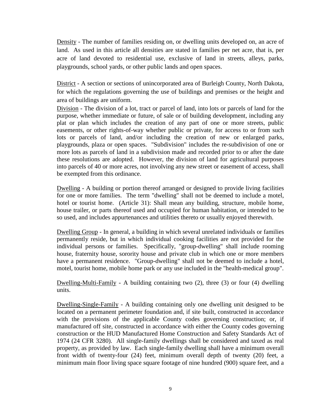Density - The number of families residing on, or dwelling units developed on, an acre of land. As used in this article all densities are stated in families per net acre, that is, per acre of land devoted to residential use, exclusive of land in streets, alleys, parks, playgrounds, school yards, or other public lands and open spaces.

District - A section or sections of unincorporated area of Burleigh County, North Dakota, for which the regulations governing the use of buildings and premises or the height and area of buildings are uniform.

Division - The division of a lot, tract or parcel of land, into lots or parcels of land for the purpose, whether immediate or future, of sale or of building development, including any plat or plan which includes the creation of any part of one or more streets, public easements, or other rights-of-way whether public or private, for access to or from such lots or parcels of land, and/or including the creation of new or enlarged parks, playgrounds, plaza or open spaces. "Subdivision" includes the re-subdivision of one or more lots as parcels of land in a subdivision made and recorded prior to or after the date these resolutions are adopted. However, the division of land for agricultural purposes into parcels of 40 or more acres, not involving any new street or easement of access, shall be exempted from this ordinance.

Dwelling - A building or portion thereof arranged or designed to provide living facilities for one or more families. The term "dwelling" shall not be deemed to include a motel, hotel or tourist home. (Article 31): Shall mean any building, structure, mobile home, house trailer, or parts thereof used and occupied for human habitation, or intended to be so used, and includes appurtenances and utilities thereto or usually enjoyed therewith.

Dwelling Group - In general, a building in which several unrelated individuals or families permanently reside, but in which individual cooking facilities are not provided for the individual persons or families. Specifically, "group-dwelling" shall include rooming house, fraternity house, sorority house and private club in which one or more members have a permanent residence. "Group-dwelling" shall not be deemed to include a hotel, motel, tourist home, mobile home park or any use included in the "health-medical group".

Dwelling-Multi-Family - A building containing two (2), three (3) or four (4) dwelling units.

Dwelling-Single-Family - A building containing only one dwelling unit designed to be located on a permanent perimeter foundation and, if site built, constructed in accordance with the provisions of the applicable County codes governing construction; or, if manufactured off site, constructed in accordance with either the County codes governing construction or the HUD Manufactured Home Construction and Safety Standards Act of 1974 (24 CFR 3280). All single-family dwellings shall be considered and taxed as real property, as provided by law. Each single-family dwelling shall have a minimum overall front width of twenty-four (24) feet, minimum overall depth of twenty (20) feet, a minimum main floor living space square footage of nine hundred (900) square feet, and a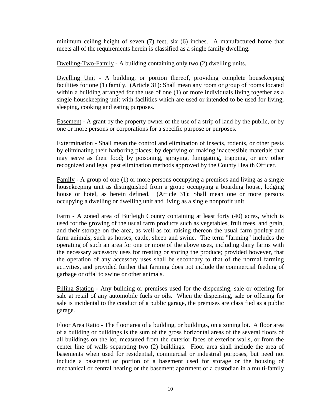minimum ceiling height of seven (7) feet, six (6) inches. A manufactured home that meets all of the requirements herein is classified as a single family dwelling.

Dwelling-Two-Family - A building containing only two (2) dwelling units.

Dwelling Unit - A building, or portion thereof, providing complete housekeeping facilities for one (1) family. (Article 31): Shall mean any room or group of rooms located within a building arranged for the use of one (1) or more individuals living together as a single housekeeping unit with facilities which are used or intended to be used for living, sleeping, cooking and eating purposes.

Easement - A grant by the property owner of the use of a strip of land by the public, or by one or more persons or corporations for a specific purpose or purposes.

Extermination - Shall mean the control and elimination of insects, rodents, or other pests by eliminating their harboring places; by depriving or making inaccessible materials that may serve as their food; by poisoning, spraying, fumigating, trapping, or any other recognized and legal pest elimination methods approved by the County Health Officer.

 $Family - A group of one (1) or more persons occupying a premises and living as a single$ </u> housekeeping unit as distinguished from a group occupying a boarding house, lodging house or hotel, as herein defined. (Article 31): Shall mean one or more persons occupying a dwelling or dwelling unit and living as a single nonprofit unit.

Farm - A zoned area of Burleigh County containing at least forty (40) acres, which is used for the growing of the usual farm products such as vegetables, fruit trees, and grain, and their storage on the area, as well as for raising thereon the usual farm poultry and farm animals, such as horses, cattle, sheep and swine. The term "farming" includes the operating of such an area for one or more of the above uses, including dairy farms with the necessary accessory uses for treating or storing the produce; provided however, that the operation of any accessory uses shall be secondary to that of the normal farming activities, and provided further that farming does not include the commercial feeding of garbage or offal to swine or other animals.

Filling Station - Any building or premises used for the dispensing, sale or offering for sale at retail of any automobile fuels or oils. When the dispensing, sale or offering for sale is incidental to the conduct of a public garage, the premises are classified as a public garage.

Floor Area Ratio - The floor area of a building, or buildings, on a zoning lot. A floor area of a building or buildings is the sum of the gross horizontal areas of the several floors of all buildings on the lot, measured from the exterior faces of exterior walls, or from the center line of walls separating two (2) buildings. Floor area shall include the area of basements when used for residential, commercial or industrial purposes, but need not include a basement or portion of a basement used for storage or the housing of mechanical or central heating or the basement apartment of a custodian in a multi-family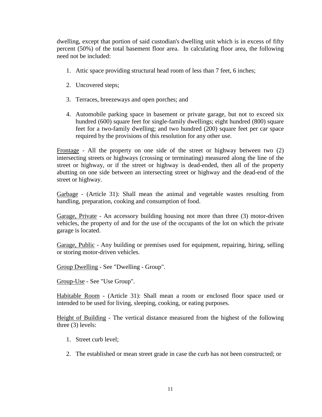dwelling, except that portion of said custodian's dwelling unit which is in excess of fifty percent (50%) of the total basement floor area. In calculating floor area, the following need not be included:

- 1. Attic space providing structural head room of less than 7 feet, 6 inches;
- 2. Uncovered steps;
- 3. Terraces, breezeways and open porches; and
- 4. Automobile parking space in basement or private garage, but not to exceed six hundred (600) square feet for single-family dwellings; eight hundred (800) square feet for a two-family dwelling; and two hundred (200) square feet per car space required by the provisions of this resolution for any other use.

Frontage - All the property on one side of the street or highway between two (2) intersecting streets or highways (crossing or terminating) measured along the line of the street or highway, or if the street or highway is dead-ended, then all of the property abutting on one side between an intersecting street or highway and the dead-end of the street or highway.

Garbage - (Article 31): Shall mean the animal and vegetable wastes resulting from handling, preparation, cooking and consumption of food.

Garage, Private - An accessory building housing not more than three (3) motor-driven vehicles, the property of and for the use of the occupants of the lot on which the private garage is located.

Garage, Public - Any building or premises used for equipment, repairing, hiring, selling or storing motor-driven vehicles.

Group Dwelling - See "Dwelling - Group".

Group-Use - See "Use Group".

Habitable Room - (Article 31): Shall mean a room or enclosed floor space used or intended to be used for living, sleeping, cooking, or eating purposes.

Height of Building - The vertical distance measured from the highest of the following three (3) levels:

- 1. Street curb level;
- 2. The established or mean street grade in case the curb has not been constructed; or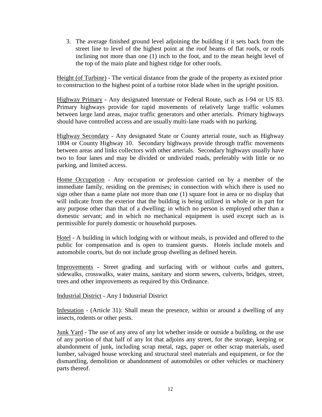3. The average finished ground level adjoining the building if it sets back from the street line to level of the highest point at the roof beams of flat roofs, or roofs inclining not more than one (1) inch to the foot, and to the mean height level of the top of the main plate and highest ridge for other roofs.

Height (of Turbine) - The vertical distance from the grade of the property as existed prior to construction to the highest point of a turbine rotor blade when in the upright position.

Highway Primary - Any designated Interstate or Federal Route, such as I-94 or US 83. Primary highways provide for rapid movements of relatively large traffic volumes between large land areas, major traffic generators and other arterials. Primary highways should have controlled access and are usually multi-lane roads with no parking.

Highway Secondary - Any designated State or County arterial route, such as Highway 1804 or County Highway 10. Secondary highways provide through traffic movements between areas and links collectors with other arterials. Secondary highways usually have two to four lanes and may be divided or undivided roads, preferably with little or no parking, and limited access.

Home Occupation - Any occupation or profession carried on by a member of the immediate family, residing on the premises; in connection with which there is used no sign other than a name plate not more than one (1) square foot in area or no display that will indicate from the exterior that the building is being utilized in whole or in part for any purpose other than that of a dwelling; in which no person is employed other than a domestic servant; and in which no mechanical equipment is used except such as is permissible for purely domestic or household purposes.

Hotel - A building in which lodging with or without meals, is provided and offered to the public for compensation and is open to transient guests. Hotels include motels and automobile courts, but do not include group dwelling as defined herein.

Improvements - Street grading and surfacing with or without curbs and gutters, sidewalks, crosswalks, water mains, sanitary and storm sewers, culverts, bridges, street, trees and other improvements as required by this Ordinance.

Industrial District - Any I Industrial District

Infestation - (Article 31): Shall mean the presence, within or around a dwelling of any insects, rodents or other pests.

Junk Yard - The use of any area of any lot whether inside or outside a building, or the use of any portion of that half of any lot that adjoins any street, for the storage, keeping or abandonment of junk, including scrap metal, rags, paper or other scrap materials, used lumber, salvaged house wrecking and structural steel materials and equipment, or for the dismantling, demolition or abandonment of automobiles or other vehicles or machinery parts thereof.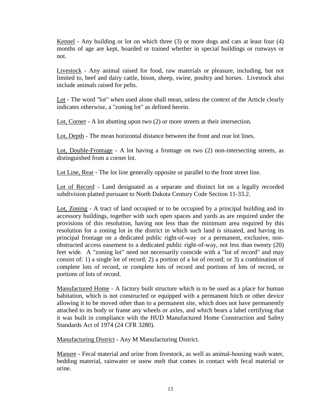Kennel - Any building or lot on which three (3) or more dogs and cats at least four (4) months of age are kept, boarded or trained whether in special buildings or runways or not.

Livestock - Any animal raised for food, raw materials or pleasure, including, but not limited to, beef and dairy cattle, bison, sheep, swine, poultry and horses. Livestock also include animals raised for pelts.

Lot - The word "lot" when used alone shall mean, unless the context of the Article clearly indicates otherwise, a "zoning lot" as defined herein.

Lot, Corner - A lot abutting upon two (2) or more streets at their intersection.

Lot, Depth - The mean horizontal distance between the front and rear lot lines.

Lot, Double-Frontage - A lot having a frontage on two (2) non-intersecting streets, as distinguished from a corner lot.

Lot Line, Rear - The lot line generally opposite or parallel to the front street line.

Lot of Record - Land designated as a separate and distinct lot on a legally recorded subdivision platted pursuant to North Dakota Century Code Section 11-33.2.

Lot, Zoning - A tract of land occupied or to be occupied by a principal building and its accessory buildings, together with such open spaces and yards as are required under the provisions of this resolution, having not less than the minimum area required by this resolution for a zoning lot in the district in which such land is situated, and having its principal frontage on a dedicated public right-of-way or a permanent, exclusive, nonobstructed access easement to a dedicated public right-of-way, not less than twenty (20) feet wide. A "zoning lot" need not necessarily coincide with a "lot of record" and may consist of: 1) a single lot of record; 2) a portion of a lot of record; or 3) a combination of complete lots of record, or complete lots of record and portions of lots of record, or portions of lots of record.

Manufactured Home - A factory built structure which is to be used as a place for human habitation, which is not constructed or equipped with a permanent hitch or other device allowing it to be moved other than to a permanent site, which does not have permanently attached to its body or frame any wheels or axles, and which bears a label certifying that it was built in compliance with the HUD Manufactured Home Construction and Safety Standards Act of 1974 (24 CFR 3280).

Manufacturing District - Any M Manufacturing District.

Manure - Fecal material and urine from livestock, as well as animal-housing wash water, bedding material, rainwater or snow melt that comes in contact with fecal material or urine.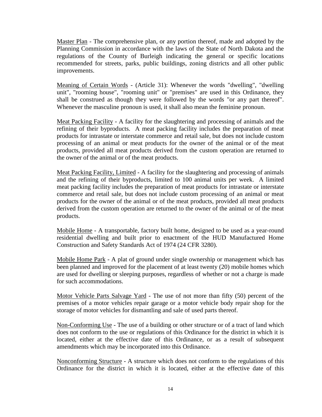Master Plan - The comprehensive plan, or any portion thereof, made and adopted by the Planning Commission in accordance with the laws of the State of North Dakota and the regulations of the County of Burleigh indicating the general or specific locations recommended for streets, parks, public buildings, zoning districts and all other public improvements.

Meaning of Certain Words - (Article 31): Whenever the words "dwelling", "dwelling unit", "rooming house", "rooming unit" or "premises" are used in this Ordinance, they shall be construed as though they were followed by the words "or any part thereof". Whenever the masculine pronoun is used, it shall also mean the feminine pronoun.

Meat Packing Facility - A facility for the slaughtering and processing of animals and the refining of their byproducts. A meat packing facility includes the preparation of meat products for intrastate or interstate commerce and retail sale, but does not include custom processing of an animal or meat products for the owner of the animal or of the meat products, provided all meat products derived from the custom operation are returned to the owner of the animal or of the meat products.

Meat Packing Facility, Limited - A facility for the slaughtering and processing of animals and the refining of their byproducts, limited to 100 animal units per week. A limited meat packing facility includes the preparation of meat products for intrastate or interstate commerce and retail sale, but does not include custom processing of an animal or meat products for the owner of the animal or of the meat products, provided all meat products derived from the custom operation are returned to the owner of the animal or of the meat products.

Mobile Home - A transportable, factory built home, designed to be used as a year-round residential dwelling and built prior to enactment of the HUD Manufactured Home Construction and Safety Standards Act of 1974 (24 CFR 3280).

Mobile Home Park - A plat of ground under single ownership or management which has been planned and improved for the placement of at least twenty (20) mobile homes which are used for dwelling or sleeping purposes, regardless of whether or not a charge is made for such accommodations.

Motor Vehicle Parts Salvage Yard - The use of not more than fifty (50) percent of the premises of a motor vehicles repair garage or a motor vehicle body repair shop for the storage of motor vehicles for dismantling and sale of used parts thereof.

Non-Conforming Use - The use of a building or other structure or of a tract of land which does not conform to the use or regulations of this Ordinance for the district in which it is located, either at the effective date of this Ordinance, or as a result of subsequent amendments which may be incorporated into this Ordinance.

Nonconforming Structure - A structure which does not conform to the regulations of this Ordinance for the district in which it is located, either at the effective date of this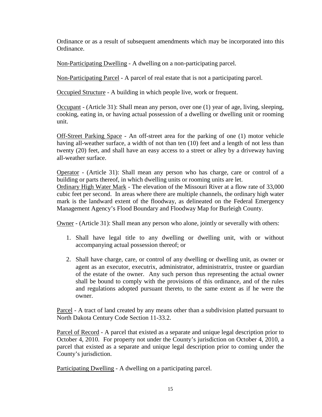Ordinance or as a result of subsequent amendments which may be incorporated into this Ordinance.

Non-Participating Dwelling - A dwelling on a non-participating parcel.

Non-Participating Parcel - A parcel of real estate that is not a participating parcel.

Occupied Structure - A building in which people live, work or frequent.

Occupant - (Article 31): Shall mean any person, over one (1) year of age, living, sleeping, cooking, eating in, or having actual possession of a dwelling or dwelling unit or rooming unit.

Off-Street Parking Space - An off-street area for the parking of one (1) motor vehicle having all-weather surface, a width of not than ten (10) feet and a length of not less than twenty (20) feet, and shall have an easy access to a street or alley by a driveway having all-weather surface.

Operator - (Article 31): Shall mean any person who has charge, care or control of a building or parts thereof, in which dwelling units or rooming units are let.

Ordinary High Water Mark - The elevation of the Missouri River at a flow rate of 33,000 cubic feet per second. In areas where there are multiple channels, the ordinary high water mark is the landward extent of the floodway, as delineated on the Federal Emergency Management Agency's Flood Boundary and Floodway Map for Burleigh County.

Owner - (Article 31): Shall mean any person who alone, jointly or severally with others:

- 1. Shall have legal title to any dwelling or dwelling unit, with or without accompanying actual possession thereof; or
- 2. Shall have charge, care, or control of any dwelling or dwelling unit, as owner or agent as an executor, executrix, administrator, administratrix, trustee or guardian of the estate of the owner. Any such person thus representing the actual owner shall be bound to comply with the provisions of this ordinance, and of the rules and regulations adopted pursuant thereto, to the same extent as if he were the owner.

Parcel - A tract of land created by any means other than a subdivision platted pursuant to North Dakota Century Code Section 11-33.2.

Parcel of Record - A parcel that existed as a separate and unique legal description prior to October 4, 2010. For property not under the County's jurisdiction on October 4, 2010, a parcel that existed as a separate and unique legal description prior to coming under the County's jurisdiction.

Participating Dwelling - A dwelling on a participating parcel.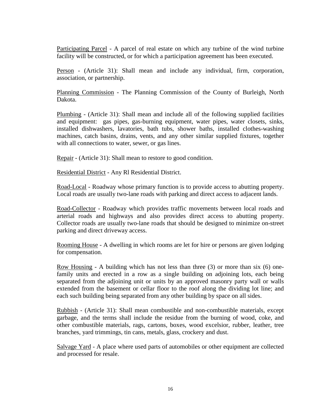Participating Parcel - A parcel of real estate on which any turbine of the wind turbine facility will be constructed, or for which a participation agreement has been executed.

Person - (Article 31): Shall mean and include any individual, firm, corporation, association, or partnership.

Planning Commission - The Planning Commission of the County of Burleigh, North Dakota.

Plumbing - (Article 31): Shall mean and include all of the following supplied facilities and equipment: gas pipes, gas-burning equipment, water pipes, water closets, sinks, installed dishwashers, lavatories, bath tubs, shower baths, installed clothes-washing machines, catch basins, drains, vents, and any other similar supplied fixtures, together with all connections to water, sewer, or gas lines.

Repair - (Article 31): Shall mean to restore to good condition.

Residential District - Any Rl Residential District.

Road-Local - Roadway whose primary function is to provide access to abutting property. Local roads are usually two-lane roads with parking and direct access to adjacent lands.

Road-Collector - Roadway which provides traffic movements between local roads and arterial roads and highways and also provides direct access to abutting property. Collector roads are usually two-lane roads that should be designed to minimize on-street parking and direct driveway access.

Rooming House - A dwelling in which rooms are let for hire or persons are given lodging for compensation.

Row Housing - A building which has not less than three (3) or more than six (6) onefamily units and erected in a row as a single building on adjoining lots, each being separated from the adjoining unit or units by an approved masonry party wall or walls extended from the basement or cellar floor to the roof along the dividing lot line; and each such building being separated from any other building by space on all sides.

Rubbish - (Article 31): Shall mean combustible and non-combustible materials, except garbage, and the terms shall include the residue from the burning of wood, coke, and other combustible materials, rags, cartons, boxes, wood excelsior, rubber, leather, tree branches, yard trimmings, tin cans, metals, glass, crockery and dust.

Salvage Yard - A place where used parts of automobiles or other equipment are collected and processed for resale.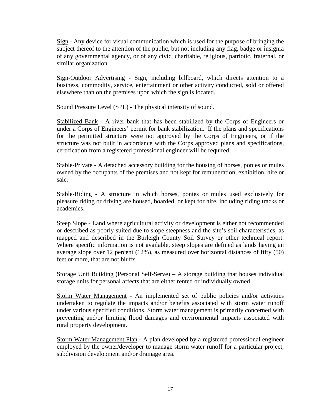Sign - Any device for visual communication which is used for the purpose of bringing the subject thereof to the attention of the public, but not including any flag, badge or insignia of any governmental agency, or of any civic, charitable, religious, patriotic, fraternal, or similar organization.

Sign-Outdoor Advertising - Sign, including billboard, which directs attention to a business, commodity, service, entertainment or other activity conducted, sold or offered elsewhere than on the premises upon which the sign is located.

Sound Pressure Level (SPL) - The physical intensity of sound.

Stabilized Bank - A river bank that has been stabilized by the Corps of Engineers or under a Corps of Engineers' permit for bank stabilization. If the plans and specifications for the permitted structure were not approved by the Corps of Engineers, or if the structure was not built in accordance with the Corps approved plans and specifications, certification from a registered professional engineer will be required.

Stable-Private - A detached accessory building for the housing of horses, ponies or mules owned by the occupants of the premises and not kept for remuneration, exhibition, hire or sale.

Stable-Riding - A structure in which horses, ponies or mules used exclusively for pleasure riding or driving are housed, boarded, or kept for hire, including riding tracks or academies.

Steep Slope - Land where agricultural activity or development is either not recommended or described as poorly suited due to slope steepness and the site's soil characteristics, as mapped and described in the Burleigh County Soil Survey or other technical report. Where specific information is not available, steep slopes are defined as lands having an average slope over 12 percent (12%), as measured over horizontal distances of fifty (50) feet or more, that are not bluffs.

Storage Unit Building (Personal Self-Serve) – A storage building that houses individual storage units for personal affects that are either rented or individually owned.

Storm Water Management - An implemented set of public policies and/or activities undertaken to regulate the impacts and/or benefits associated with storm water runoff under various specified conditions. Storm water management is primarily concerned with preventing and/or limiting flood damages and environmental impacts associated with rural property development.

Storm Water Management Plan - A plan developed by a registered professional engineer employed by the owner/developer to manage storm water runoff for a particular project, subdivision development and/or drainage area.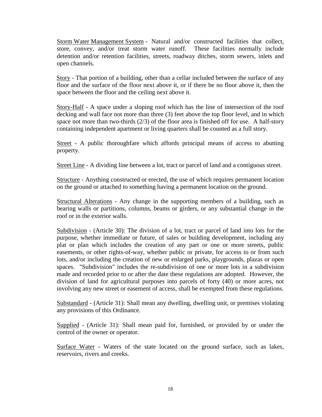Storm Water Management System - Natural and/or constructed facilities that collect, store, convey, and/or treat storm water runoff. These facilities normally include detention and/or retention facilities, streets, roadway ditches, storm sewers, inlets and open channels.

Story - That portion of a building, other than a cellar included between the surface of any floor and the surface of the floor next above it, or if there be no floor above it, then the space between the floor and the ceiling next above it.

Story-Half - A space under a sloping roof which has the line of intersection of the roof decking and wall face not more than three (3) feet above the top floor level, and in which space not more than two-thirds (2/3) of the floor area is finished off for use. A half-story containing independent apartment or living quarters shall be counted as a full story.

Street - A public thoroughfare which affords principal means of access to abutting property.

Street Line - A dividing line between a lot, tract or parcel of land and a contiguous street.

Structure - Anything constructed or erected, the use of which requires permanent location on the ground or attached to something having a permanent location on the ground.

Structural Alterations - Any change in the supporting members of a building, such as bearing walls or partitions, columns, beams or girders, or any substantial change in the roof or in the exterior walls.

Subdivision - (Article 30): The division of a lot, tract or parcel of land into lots for the purpose, whether immediate or future, of sales or building development, including any plat or plan which includes the creation of any part or one or more streets, public easements, or other rights-of-way, whether public or private, for access to or from such lots, and/or including the creation of new or enlarged parks, playgrounds, plazas or open spaces. "Subdivision" includes the re-subdivision of one or more lots in a subdivision made and recorded prior to or after the date these regulations are adopted. However, the division of land for agricultural purposes into parcels of forty (40) or more acres, not involving any new street or easement of access, shall be exempted from these regulations.

Substandard - (Article 31): Shall mean any dwelling, dwelling unit, or premises violating any provisions of this Ordinance.

Supplied - (Article 31): Shall mean paid for, furnished, or provided by or under the control of the owner or operator.

Surface Water - Waters of the state located on the ground surface, such as lakes, reservoirs, rivers and creeks.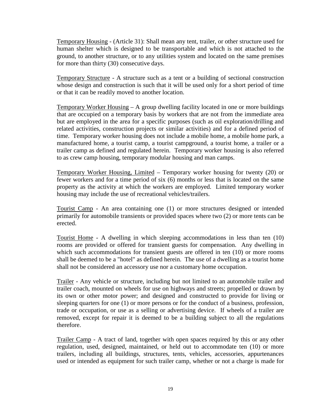Temporary Housing - (Article 31): Shall mean any tent, trailer, or other structure used for human shelter which is designed to be transportable and which is not attached to the ground, to another structure, or to any utilities system and located on the same premises for more than thirty (30) consecutive days.

Temporary Structure - A structure such as a tent or a building of sectional construction whose design and construction is such that it will be used only for a short period of time or that it can be readily moved to another location.

Temporary Worker Housing – A group dwelling facility located in one or more buildings that are occupied on a temporary basis by workers that are not from the immediate area but are employed in the area for a specific purposes (such as oil exploration/drilling and related activities, construction projects or similar activities) and for a defined period of time. Temporary worker housing does not include a mobile home, a mobile home park, a manufactured home, a tourist camp, a tourist campground, a tourist home, a trailer or a trailer camp as defined and regulated herein. Temporary worker housing is also referred to as crew camp housing, temporary modular housing and man camps.

Temporary Worker Housing, Limited – Temporary worker housing for twenty (20) or fewer workers and for a time period of six (6) months or less that is located on the same property as the activity at which the workers are employed. Limited temporary worker housing may include the use of recreational vehicles/trailers.

Tourist Camp - An area containing one (1) or more structures designed or intended primarily for automobile transients or provided spaces where two (2) or more tents can be erected.

Tourist Home - A dwelling in which sleeping accommodations in less than ten (10) rooms are provided or offered for transient guests for compensation. Any dwelling in which such accommodations for transient guests are offered in ten (10) or more rooms shall be deemed to be a "hotel" as defined herein. The use of a dwelling as a tourist home shall not be considered an accessory use nor a customary home occupation.

Trailer - Any vehicle or structure, including but not limited to an automobile trailer and trailer coach, mounted on wheels for use on highways and streets; propelled or drawn by its own or other motor power; and designed and constructed to provide for living or sleeping quarters for one (1) or more persons or for the conduct of a business, profession, trade or occupation, or use as a selling or advertising device. If wheels of a trailer are removed, except for repair it is deemed to be a building subject to all the regulations therefore.

Trailer Camp - A tract of land, together with open spaces required by this or any other regulation, used, designed, maintained, or held out to accommodate ten (10) or more trailers, including all buildings, structures, tents, vehicles, accessories, appurtenances used or intended as equipment for such trailer camp, whether or not a charge is made for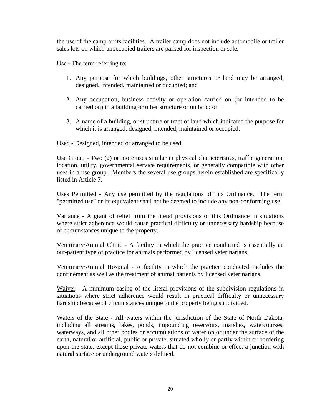the use of the camp or its facilities. A trailer camp does not include automobile or trailer sales lots on which unoccupied trailers are parked for inspection or sale.

Use - The term referring to:

- 1. Any purpose for which buildings, other structures or land may be arranged, designed, intended, maintained or occupied; and
- 2. Any occupation, business activity or operation carried on (or intended to be carried on) in a building or other structure or on land; or
- 3. A name of a building, or structure or tract of land which indicated the purpose for which it is arranged, designed, intended, maintained or occupied.

Used - Designed, intended or arranged to be used.

Use Group - Two (2) or more uses similar in physical characteristics, traffic generation, location, utility, governmental service requirements, or generally compatible with other uses in a use group. Members the several use groups herein established are specifically listed in Article 7.

Uses Permitted - Any use permitted by the regulations of this Ordinance. The term "permitted use" or its equivalent shall not be deemed to include any non-conforming use.

Variance - A grant of relief from the literal provisions of this Ordinance in situations where strict adherence would cause practical difficulty or unnecessary hardship because of circumstances unique to the property.

Veterinary/Animal Clinic - A facility in which the practice conducted is essentially an out-patient type of practice for animals performed by licensed veterinarians.

Veterinary/Animal Hospital - A facility in which the practice conducted includes the confinement as well as the treatment of animal patients by licensed veterinarians.

Waiver - A minimum easing of the literal provisions of the subdivision regulations in situations where strict adherence would result in practical difficulty or unnecessary hardship because of circumstances unique to the property being subdivided.

Waters of the State - All waters within the jurisdiction of the State of North Dakota, including all streams, lakes, ponds, impounding reservoirs, marshes, watercourses, waterways, and all other bodies or accumulations of water on or under the surface of the earth, natural or artificial, public or private, situated wholly or partly within or bordering upon the state, except those private waters that do not combine or effect a junction with natural surface or underground waters defined.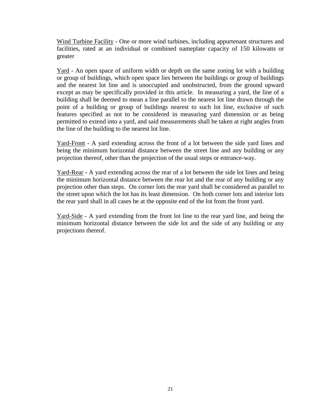Wind Turbine Facility - One or more wind turbines, including appurtenant structures and facilities, rated at an individual or combined nameplate capacity of 150 kilowatts or greater

Yard - An open space of uniform width or depth on the same zoning lot with a building or group of buildings, which open space lies between the buildings or group of buildings and the nearest lot line and is unoccupied and unobstructed, from the ground upward except as may be specifically provided in this article. In measuring a yard, the line of a building shall be deemed to mean a line parallel to the nearest lot line drawn through the point of a building or group of buildings nearest to such lot line, exclusive of such features specified as not to be considered in measuring yard dimension or as being permitted to extend into a yard, and said measurements shall be taken at right angles from the line of the building to the nearest lot line.

Yard-Front - A yard extending across the front of a lot between the side yard lines and being the minimum horizontal distance between the street line and any building or any projection thereof, other than the projection of the usual steps or entrance-way.

Yard-Rear - A yard extending across the rear of a lot between the side lot lines and being the minimum horizontal distance between the rear lot and the rear of any building or any projection other than steps. On corner lots the rear yard shall be considered as parallel to the street upon which the lot has its least dimension. On both corner lots and interior lots the rear yard shall in all cases be at the opposite end of the lot from the front yard.

Yard-Side - A yard extending from the front lot line to the rear yard line, and being the minimum horizontal distance between the side lot and the side of any building or any projections thereof.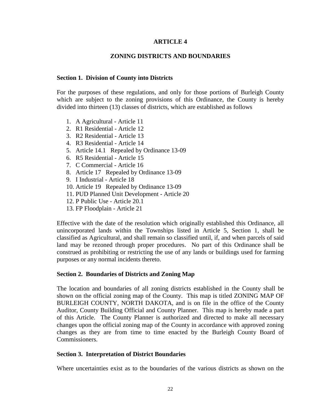## **ARTICLE 4**

## **ZONING DISTRICTS AND BOUNDARIES**

#### **Section 1. Division of County into Districts**

For the purposes of these regulations, and only for those portions of Burleigh County which are subject to the zoning provisions of this Ordinance, the County is hereby divided into thirteen (13) classes of districts, which are established as follows

- 1. A Agricultural Article 11
- 2. R1 Residential Article 12
- 3. R2 Residential Article 13
- 4. R3 Residential Article 14
- 5. Article 14.1 Repealed by Ordinance 13-09
- 6. R5 Residential Article 15
- 7. C Commercial Article 16
- 8. Article 17 Repealed by Ordinance 13-09
- 9. I Industrial Article 18
- 10. Article 19 Repealed by Ordinance 13-09
- 11. PUD Planned Unit Development Article 20
- 12. P Public Use Article 20.1
- 13. FP Floodplain Article 21

Effective with the date of the resolution which originally established this Ordinance, all unincorporated lands within the Townships listed in Article 5, Section 1, shall be classified as Agricultural, and shall remain so classified until, if, and when parcels of said land may be rezoned through proper procedures. No part of this Ordinance shall be construed as prohibiting or restricting the use of any lands or buildings used for farming purposes or any normal incidents thereto.

#### **Section 2. Boundaries of Districts and Zoning Map**

The location and boundaries of all zoning districts established in the County shall be shown on the official zoning map of the County. This map is titled ZONING MAP OF BURLEIGH COUNTY, NORTH DAKOTA, and is on file in the office of the County Auditor, County Building Official and County Planner. This map is hereby made a part of this Article. The County Planner is authorized and directed to make all necessary changes upon the official zoning map of the County in accordance with approved zoning changes as they are from time to time enacted by the Burleigh County Board of Commissioners.

#### **Section 3. Interpretation of District Boundaries**

Where uncertainties exist as to the boundaries of the various districts as shown on the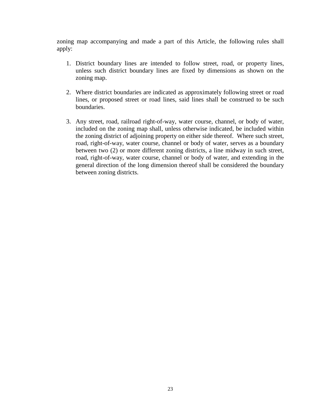zoning map accompanying and made a part of this Article, the following rules shall apply:

- 1. District boundary lines are intended to follow street, road, or property lines, unless such district boundary lines are fixed by dimensions as shown on the zoning map.
- 2. Where district boundaries are indicated as approximately following street or road lines, or proposed street or road lines, said lines shall be construed to be such boundaries.
- 3. Any street, road, railroad right-of-way, water course, channel, or body of water, included on the zoning map shall, unless otherwise indicated, be included within the zoning district of adjoining property on either side thereof. Where such street, road, right-of-way, water course, channel or body of water, serves as a boundary between two (2) or more different zoning districts, a line midway in such street, road, right-of-way, water course, channel or body of water, and extending in the general direction of the long dimension thereof shall be considered the boundary between zoning districts.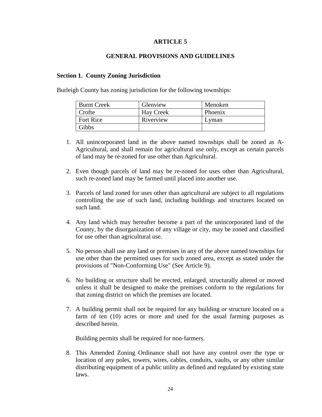## **ARTICLE 5**

## **GENERAL PROVISIONS AND GUIDELINES**

#### **Section 1. County Zoning Jurisdiction**

Burleigh County has zoning jurisdiction for the following townships:

| <b>Burnt Creek</b> | Glenview         | Menoken |
|--------------------|------------------|---------|
| Crofte             | <b>Hay Creek</b> | Phoenix |
| <b>Fort Rice</b>   | Riverview        | Lyman   |
| Gibbs              |                  |         |

- 1. All unincorporated land in the above named townships shall be zoned as A-Agricultural, and shall remain for agricultural use only, except as certain parcels of land may be re-zoned for use other than Agricultural.
- 2. Even though parcels of land may be re-zoned for uses other than Agricultural, such re-zoned land may be farmed until placed into another use.
- 3. Parcels of land zoned for uses other than agricultural are subject to all regulations controlling the use of such land, including buildings and structures located on such land.
- 4. Any land which may hereafter become a part of the unincorporated land of the County, by the disorganization of any village or city, may be zoned and classified for use other than agricultural use.
- 5. No person shall use any land or premises in any of the above named townships for use other than the permitted uses for such zoned area, except as stated under the provisions of "Non-Conforming Use" (See Article 9).
- 6. No building or structure shall be erected, enlarged, structurally altered or moved unless it shall be designed to make the premises conform to the regulations for that zoning district on which the premises are located.
- 7. A building permit shall not be required for any building or structure located on a farm of ten (10) acres or more and used for the usual farming purposes as described herein.

Building permits shall be required for non-farmers.

8. This Amended Zoning Ordinance shall not have any control over the type or location of any poles, towers, wires, cables, conduits, vaults, or any other similar distributing equipment of a public utility as defined and regulated by existing state laws.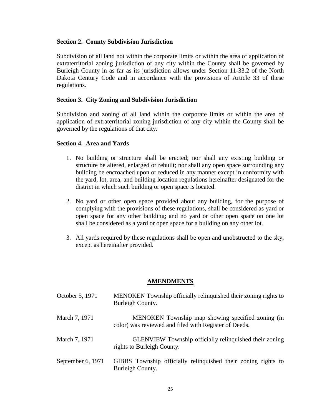## **Section 2. County Subdivision Jurisdiction**

Subdivision of all land not within the corporate limits or within the area of application of extraterritorial zoning jurisdiction of any city within the County shall be governed by Burleigh County in as far as its jurisdiction allows under Section 11-33.2 of the North Dakota Century Code and in accordance with the provisions of Article 33 of these regulations.

## **Section 3. City Zoning and Subdivision Jurisdiction**

Subdivision and zoning of all land within the corporate limits or within the area of application of extraterritorial zoning jurisdiction of any city within the County shall be governed by the regulations of that city.

## **Section 4. Area and Yards**

- 1. No building or structure shall be erected; nor shall any existing building or structure be altered, enlarged or rebuilt; nor shall any open space surrounding any building be encroached upon or reduced in any manner except in conformity with the yard, lot, area, and building location regulations hereinafter designated for the district in which such building or open space is located.
- 2. No yard or other open space provided about any building, for the purpose of complying with the provisions of these regulations, shall be considered as yard or open space for any other building; and no yard or other open space on one lot shall be considered as a yard or open space for a building on any other lot.
- 3. All yards required by these regulations shall be open and unobstructed to the sky, except as hereinafter provided.

# **AMENDMENTS**

| October 5, 1971   | MENOKEN Township officially relinquished their zoning rights to<br>Burleigh County.                        |
|-------------------|------------------------------------------------------------------------------------------------------------|
| March 7, 1971     | MENOKEN Township map showing specified zoning (in<br>color) was reviewed and filed with Register of Deeds. |
| March 7, 1971     | <b>GLENVIEW</b> Township officially relinquished their zoning<br>rights to Burleigh County.                |
| September 6, 1971 | GIBBS Township officially relinquished their zoning rights to<br>Burleigh County.                          |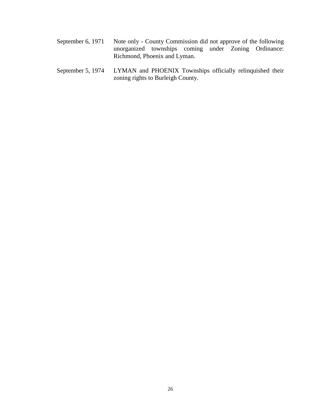- September 6, 1971 Note only County Commission did not approve of the following unorganized townships coming under Zoning Ordinance: Richmond, Phoenix and Lyman.
- September 5, 1974 LYMAN and PHOENIX Townships officially relinquished their zoning rights to Burleigh County.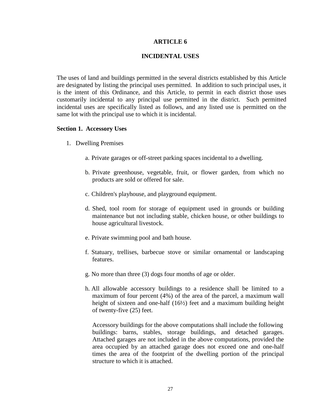#### **ARTICLE 6**

#### **INCIDENTAL USES**

The uses of land and buildings permitted in the several districts established by this Article are designated by listing the principal uses permitted. In addition to such principal uses, it is the intent of this Ordinance, and this Article, to permit in each district those uses customarily incidental to any principal use permitted in the district. Such permitted incidental uses are specifically listed as follows, and any listed use is permitted on the same lot with the principal use to which it is incidental.

#### **Section 1. Accessory Uses**

- 1. Dwelling Premises
	- a. Private garages or off-street parking spaces incidental to a dwelling.
	- b. Private greenhouse, vegetable, fruit, or flower garden, from which no products are sold or offered for sale.
	- c. Children's playhouse, and playground equipment.
	- d. Shed, tool room for storage of equipment used in grounds or building maintenance but not including stable, chicken house, or other buildings to house agricultural livestock.
	- e. Private swimming pool and bath house.
	- f. Statuary, trellises, barbecue stove or similar ornamental or landscaping features.
	- g. No more than three (3) dogs four months of age or older.
	- h. All allowable accessory buildings to a residence shall be limited to a maximum of four percent (4%) of the area of the parcel, a maximum wall height of sixteen and one-half (16½) feet and a maximum building height of twenty-five (25) feet.

Accessory buildings for the above computations shall include the following buildings: barns, stables, storage buildings, and detached garages. Attached garages are not included in the above computations, provided the area occupied by an attached garage does not exceed one and one-half times the area of the footprint of the dwelling portion of the principal structure to which it is attached.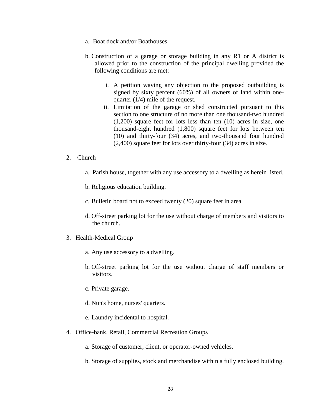- a. Boat dock and/or Boathouses.
- b. Construction of a garage or storage building in any R1 or A district is allowed prior to the construction of the principal dwelling provided the following conditions are met:
	- i. A petition waving any objection to the proposed outbuilding is signed by sixty percent (60%) of all owners of land within onequarter (1/4) mile of the request.
	- ii. Limitation of the garage or shed constructed pursuant to this section to one structure of no more than one thousand-two hundred (1,200) square feet for lots less than ten (10) acres in size, one thousand-eight hundred (1,800) square feet for lots between ten (10) and thirty-four (34) acres, and two-thousand four hundred (2,400) square feet for lots over thirty-four (34) acres in size.
- 2. Church
	- a. Parish house, together with any use accessory to a dwelling as herein listed.
	- b. Religious education building.
	- c. Bulletin board not to exceed twenty (20) square feet in area.
	- d. Off-street parking lot for the use without charge of members and visitors to the church.
- 3. Health-Medical Group
	- a. Any use accessory to a dwelling.
	- b. Off-street parking lot for the use without charge of staff members or visitors.
	- c. Private garage.
	- d. Nun's home, nurses' quarters.
	- e. Laundry incidental to hospital.
- 4. Office-bank, Retail, Commercial Recreation Groups
	- a. Storage of customer, client, or operator-owned vehicles.
	- b. Storage of supplies, stock and merchandise within a fully enclosed building.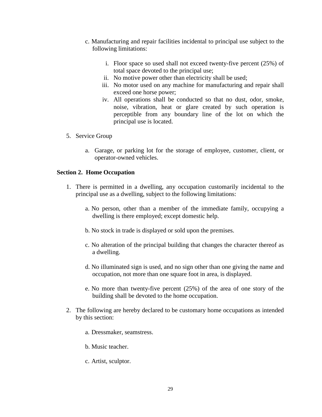- c. Manufacturing and repair facilities incidental to principal use subject to the following limitations:
	- i. Floor space so used shall not exceed twenty-five percent (25%) of total space devoted to the principal use;
	- ii. No motive power other than electricity shall be used;
	- iii. No motor used on any machine for manufacturing and repair shall exceed one horse power;
	- iv. All operations shall be conducted so that no dust, odor, smoke, noise, vibration, heat or glare created by such operation is perceptible from any boundary line of the lot on which the principal use is located.
- 5. Service Group
	- a. Garage, or parking lot for the storage of employee, customer, client, or operator-owned vehicles.

#### **Section 2. Home Occupation**

- 1. There is permitted in a dwelling, any occupation customarily incidental to the principal use as a dwelling, subject to the following limitations:
	- a. No person, other than a member of the immediate family, occupying a dwelling is there employed; except domestic help.
	- b. No stock in trade is displayed or sold upon the premises.
	- c. No alteration of the principal building that changes the character thereof as a dwelling.
	- d. No illuminated sign is used, and no sign other than one giving the name and occupation, not more than one square foot in area, is displayed.
	- e. No more than twenty-five percent (25%) of the area of one story of the building shall be devoted to the home occupation.
- 2. The following are hereby declared to be customary home occupations as intended by this section:
	- a. Dressmaker, seamstress.
	- b. Music teacher.
	- c. Artist, sculptor.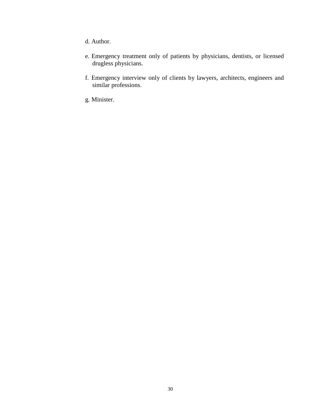- d. Author.
- e. Emergency treatment only of patients by physicians, dentists, or licensed drugless physicians.
- f. Emergency interview only of clients by lawyers, architects, engineers and similar professions.
- g. Minister.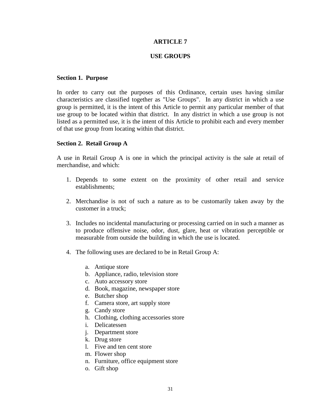# **ARTICLE 7**

#### **USE GROUPS**

#### **Section 1. Purpose**

In order to carry out the purposes of this Ordinance, certain uses having similar characteristics are classified together as "Use Groups". In any district in which a use group is permitted, it is the intent of this Article to permit any particular member of that use group to be located within that district. In any district in which a use group is not listed as a permitted use, it is the intent of this Article to prohibit each and every member of that use group from locating within that district.

#### **Section 2. Retail Group A**

A use in Retail Group A is one in which the principal activity is the sale at retail of merchandise, and which:

- 1. Depends to some extent on the proximity of other retail and service establishments;
- 2. Merchandise is not of such a nature as to be customarily taken away by the customer in a truck;
- 3. Includes no incidental manufacturing or processing carried on in such a manner as to produce offensive noise, odor, dust, glare, heat or vibration perceptible or measurable from outside the building in which the use is located.
- 4. The following uses are declared to be in Retail Group A:
	- a. Antique store
	- b. Appliance, radio, television store
	- c. Auto accessory store
	- d. Book, magazine, newspaper store
	- e. Butcher shop
	- f. Camera store, art supply store
	- g. Candy store
	- h. Clothing, clothing accessories store
	- i. Delicatessen
	- j. Department store
	- k. Drug store
	- l. Five and ten cent store
	- m. Flower shop
	- n. Furniture, office equipment store
	- o. Gift shop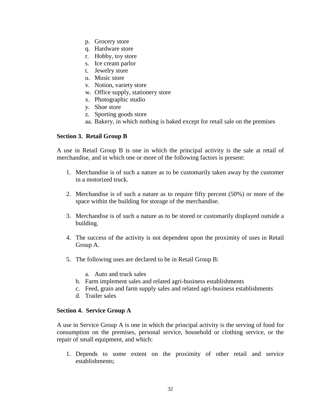- p. Grocery store
- q. Hardware store
- r. Hobby, toy store
- s. Ice cream parlor
- t. Jewelry store
- u. Music store
- v. Notion, variety store
- w. Office supply, stationery store
- x. Photographic studio
- y. Shoe store
- z. Sporting goods store
- aa. Bakery, in which nothing is baked except for retail sale on the premises

# **Section 3. Retail Group B**

A use in Retail Group B is one in which the principal activity is the sale at retail of merchandise, and in which one or more of the following factors is present:

- 1. Merchandise is of such a nature as to be customarily taken away by the customer in a motorized truck.
- 2. Merchandise is of such a nature as to require fifty percent (50%) or more of the space within the building for storage of the merchandise.
- 3. Merchandise is of such a nature as to be stored or customarily displayed outside a building.
- 4. The success of the activity is not dependent upon the proximity of uses in Retail Group A.
- 5. The following uses are declared to be in Retail Group B:
	- a. Auto and truck sales
	- b. Farm implement sales and related agri-business establishments
	- c. Feed, grain and farm supply sales and related agri-business establishments
	- d. Trailer sales

# **Section 4. Service Group A**

A use in Service Group A is one in which the principal activity is the serving of food for consumption on the premises, personal service, household or clothing service, or the repair of small equipment, and which:

1. Depends to some extent on the proximity of other retail and service establishments;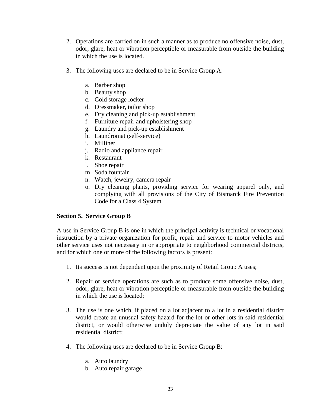- 2. Operations are carried on in such a manner as to produce no offensive noise, dust, odor, glare, heat or vibration perceptible or measurable from outside the building in which the use is located.
- 3. The following uses are declared to be in Service Group A:
	- a. Barber shop
	- b. Beauty shop
	- c. Cold storage locker
	- d. Dressmaker, tailor shop
	- e. Dry cleaning and pick-up establishment
	- f. Furniture repair and upholstering shop
	- g. Laundry and pick-up establishment
	- h. Laundromat (self-service)
	- i. Milliner
	- j. Radio and appliance repair
	- k. Restaurant
	- l. Shoe repair
	- m. Soda fountain
	- n. Watch, jewelry, camera repair
	- o. Dry cleaning plants, providing service for wearing apparel only, and complying with all provisions of the City of Bismarck Fire Prevention Code for a Class 4 System

# **Section 5. Service Group B**

A use in Service Group B is one in which the principal activity is technical or vocational instruction by a private organization for profit, repair and service to motor vehicles and other service uses not necessary in or appropriate to neighborhood commercial districts, and for which one or more of the following factors is present:

- 1. Its success is not dependent upon the proximity of Retail Group A uses;
- 2. Repair or service operations are such as to produce some offensive noise, dust, odor, glare, heat or vibration perceptible or measurable from outside the building in which the use is located;
- 3. The use is one which, if placed on a lot adjacent to a lot in a residential district would create an unusual safety hazard for the lot or other lots in said residential district, or would otherwise unduly depreciate the value of any lot in said residential district;
- 4. The following uses are declared to be in Service Group B:
	- a. Auto laundry
	- b. Auto repair garage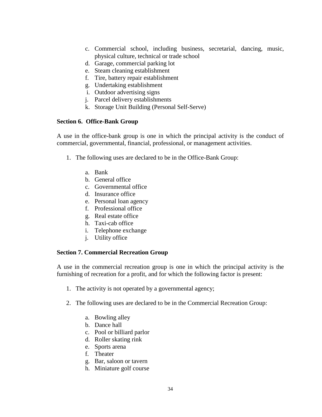- c. Commercial school, including business, secretarial, dancing, music, physical culture, technical or trade school
- d. Garage, commercial parking lot
- e. Steam cleaning establishment
- f. Tire, battery repair establishment
- g. Undertaking establishment
- i. Outdoor advertising signs
- j. Parcel delivery establishments
- k. Storage Unit Building (Personal Self-Serve)

# **Section 6. Office-Bank Group**

A use in the office-bank group is one in which the principal activity is the conduct of commercial, governmental, financial, professional, or management activities.

- 1. The following uses are declared to be in the Office-Bank Group:
	- a. Bank
	- b. General office
	- c. Governmental office
	- d. Insurance office
	- e. Personal loan agency
	- f. Professional office
	- g. Real estate office
	- h. Taxi-cab office
	- i. Telephone exchange
	- j. Utility office

# **Section 7. Commercial Recreation Group**

A use in the commercial recreation group is one in which the principal activity is the furnishing of recreation for a profit, and for which the following factor is present:

- 1. The activity is not operated by a governmental agency;
- 2. The following uses are declared to be in the Commercial Recreation Group:
	- a. Bowling alley
	- b. Dance hall
	- c. Pool or billiard parlor
	- d. Roller skating rink
	- e. Sports arena
	- f. Theater
	- g. Bar, saloon or tavern
	- h. Miniature golf course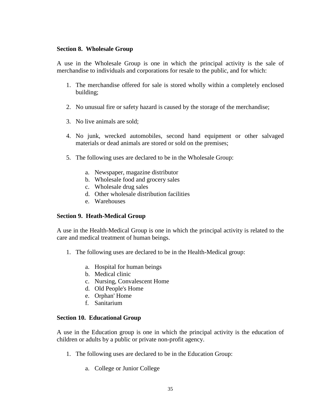#### **Section 8. Wholesale Group**

A use in the Wholesale Group is one in which the principal activity is the sale of merchandise to individuals and corporations for resale to the public, and for which:

- 1. The merchandise offered for sale is stored wholly within a completely enclosed building;
- 2. No unusual fire or safety hazard is caused by the storage of the merchandise;
- 3. No live animals are sold;
- 4. No junk, wrecked automobiles, second hand equipment or other salvaged materials or dead animals are stored or sold on the premises;
- 5. The following uses are declared to be in the Wholesale Group:
	- a. Newspaper, magazine distributor
	- b. Wholesale food and grocery sales
	- c. Wholesale drug sales
	- d. Other wholesale distribution facilities
	- e. Warehouses

# **Section 9. Heath-Medical Group**

A use in the Health-Medical Group is one in which the principal activity is related to the care and medical treatment of human beings.

- 1. The following uses are declared to be in the Health-Medical group:
	- a. Hospital for human beings
	- b. Medical clinic
	- c. Nursing, Convalescent Home
	- d. Old People's Home
	- e. Orphan' Home
	- f. Sanitarium

# **Section 10. Educational Group**

A use in the Education group is one in which the principal activity is the education of children or adults by a public or private non-profit agency.

- 1. The following uses are declared to be in the Education Group:
	- a. College or Junior College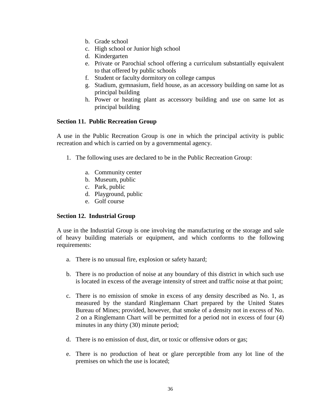- b. Grade school
- c. High school or Junior high school
- d. Kindergarten
- e. Private or Parochial school offering a curriculum substantially equivalent to that offered by public schools
- f. Student or faculty dormitory on college campus
- g. Stadium, gymnasium, field house, as an accessory building on same lot as principal building
- h. Power or heating plant as accessory building and use on same lot as principal building

# **Section 11. Public Recreation Group**

A use in the Public Recreation Group is one in which the principal activity is public recreation and which is carried on by a governmental agency.

- 1. The following uses are declared to be in the Public Recreation Group:
	- a. Community center
	- b. Museum, public
	- c. Park, public
	- d. Playground, public
	- e. Golf course

# **Section 12. Industrial Group**

A use in the Industrial Group is one involving the manufacturing or the storage and sale of heavy building materials or equipment, and which conforms to the following requirements:

- a. There is no unusual fire, explosion or safety hazard;
- b. There is no production of noise at any boundary of this district in which such use is located in excess of the average intensity of street and traffic noise at that point;
- c. There is no emission of smoke in excess of any density described as No. 1, as measured by the standard Ringlemann Chart prepared by the United States Bureau of Mines; provided, however, that smoke of a density not in excess of No. 2 on a Ringlemann Chart will be permitted for a period not in excess of four (4) minutes in any thirty (30) minute period;
- d. There is no emission of dust, dirt, or toxic or offensive odors or gas;
- e. There is no production of heat or glare perceptible from any lot line of the premises on which the use is located;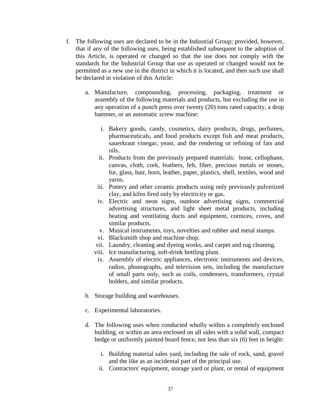- f. The following uses are declared to be in the Industrial Group; provided, however, that if any of the following uses, being established subsequent to the adoption of this Article, is operated or changed so that the use does not comply with the standards for the Industrial Group that use as operated or changed would not be permitted as a new use in the district in which it is located, and then such use shall be declared in violation of this Article:
	- a. Manufacture, compounding, processing, packaging, treatment or assembly of the following materials and products, but excluding the use in any operation of a punch press over twenty (20) tons rated capacity, a drop hammer, or an automatic screw machine:
		- i. Bakery goods, candy, cosmetics, dairy products, drugs, perfumes, pharmaceuticals, and food products except fish and meat products, sauerkraut vinegar, yeast, and the rendering or refining of fats and oils.
		- ii. Products from the previously prepared materials: bone, cellophane, canvas, cloth, cork, feathers, felt, fiber, precious metals or stones, fur, glass, hair, horn, leather, paper, plastics, shell, textiles, wood and yarns.
		- iii. Pottery and other ceramic products using only previously pulverized clay, and kilns fired only by electricity or gas.
		- iv. Electric and neon signs, outdoor advertising signs, commercial advertising structures, and light sheet metal products, including heating and ventilating ducts and equipment, cornices, coves, and similar products.
		- v. Musical instruments, toys, novelties and rubber and metal stamps.
		- vi. Blacksmith shop and machine shop.
		- vii. Laundry, cleaning and dyeing works, and carpet and rug cleaning.
		- viii. Ice manufacturing, soft-drink bottling plant.
		- ix. Assembly of electric appliances, electronic instruments and devices, radios, phonographs, and television sets, including the manufacture of small parts only, such as coils, condensers, transformers, crystal holders, and similar products.
	- b. Storage building and warehouses.
	- c. Experimental laboratories.
	- d. The following uses when conducted wholly within a completely enclosed building, or within an area enclosed on all sides with a solid wall, compact hedge or uniformly painted board fence, not less than six (6) feet in height:
		- i. Building material sales yard, including the sale of rock, sand, gravel and the like as an incidental part of the principal use.
		- ii. Contractors' equipment, storage yard or plant, or rental of equipment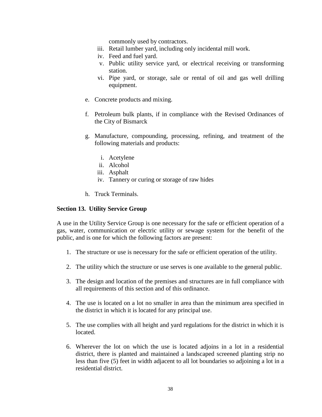commonly used by contractors.

- iii. Retail lumber yard, including only incidental mill work.
- iv. Feed and fuel yard.
- v. Public utility service yard, or electrical receiving or transforming station.
- vi. Pipe yard, or storage, sale or rental of oil and gas well drilling equipment.
- e. Concrete products and mixing.
- f. Petroleum bulk plants, if in compliance with the Revised Ordinances of the City of Bismarck
- g. Manufacture, compounding, processing, refining, and treatment of the following materials and products:
	- i. Acetylene
	- ii. Alcohol
	- iii. Asphalt
	- iv. Tannery or curing or storage of raw hides
- h. Truck Terminals.

#### **Section 13. Utility Service Group**

A use in the Utility Service Group is one necessary for the safe or efficient operation of a gas, water, communication or electric utility or sewage system for the benefit of the public, and is one for which the following factors are present:

- 1. The structure or use is necessary for the safe or efficient operation of the utility.
- 2. The utility which the structure or use serves is one available to the general public.
- 3. The design and location of the premises and structures are in full compliance with all requirements of this section and of this ordinance.
- 4. The use is located on a lot no smaller in area than the minimum area specified in the district in which it is located for any principal use.
- 5. The use complies with all height and yard regulations for the district in which it is located.
- 6. Wherever the lot on which the use is located adjoins in a lot in a residential district, there is planted and maintained a landscaped screened planting strip no less than five (5) feet in width adjacent to all lot boundaries so adjoining a lot in a residential district.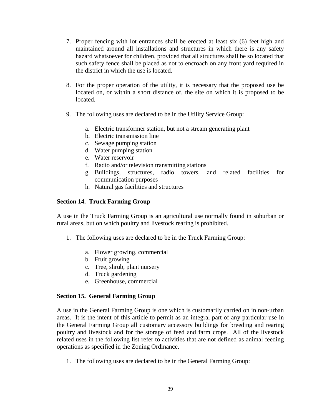- 7. Proper fencing with lot entrances shall be erected at least six (6) feet high and maintained around all installations and structures in which there is any safety hazard whatsoever for children, provided that all structures shall be so located that such safety fence shall be placed as not to encroach on any front yard required in the district in which the use is located.
- 8. For the proper operation of the utility, it is necessary that the proposed use be located on, or within a short distance of, the site on which it is proposed to be located.
- 9. The following uses are declared to be in the Utility Service Group:
	- a. Electric transformer station, but not a stream generating plant
	- b. Electric transmission line
	- c. Sewage pumping station
	- d. Water pumping station
	- e. Water reservoir
	- f. Radio and/or television transmitting stations
	- g. Buildings, structures, radio towers, and related facilities for communication purposes
	- h. Natural gas facilities and structures

# **Section 14. Truck Farming Group**

A use in the Truck Farming Group is an agricultural use normally found in suburban or rural areas, but on which poultry and livestock rearing is prohibited.

- 1. The following uses are declared to be in the Truck Farming Group:
	- a. Flower growing, commercial
	- b. Fruit growing
	- c. Tree, shrub, plant nursery
	- d. Truck gardening
	- e. Greenhouse, commercial

# **Section 15. General Farming Group**

A use in the General Farming Group is one which is customarily carried on in non-urban areas. It is the intent of this article to permit as an integral part of any particular use in the General Farming Group all customary accessory buildings for breeding and rearing poultry and livestock and for the storage of feed and farm crops. All of the livestock related uses in the following list refer to activities that are not defined as animal feeding operations as specified in the Zoning Ordinance.

1. The following uses are declared to be in the General Farming Group: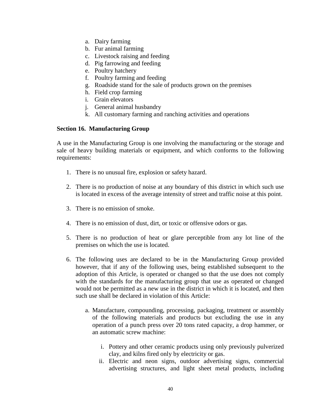- a. Dairy farming
- b. Fur animal farming
- c. Livestock raising and feeding
- d. Pig farrowing and feeding
- e. Poultry hatchery
- f. Poultry farming and feeding
- g. Roadside stand for the sale of products grown on the premises
- h. Field crop farming
- i. Grain elevators
- j. General animal husbandry
- k. All customary farming and ranching activities and operations

# **Section 16. Manufacturing Group**

A use in the Manufacturing Group is one involving the manufacturing or the storage and sale of heavy building materials or equipment, and which conforms to the following requirements:

- 1. There is no unusual fire, explosion or safety hazard.
- 2. There is no production of noise at any boundary of this district in which such use is located in excess of the average intensity of street and traffic noise at this point.
- 3. There is no emission of smoke.
- 4. There is no emission of dust, dirt, or toxic or offensive odors or gas.
- 5. There is no production of heat or glare perceptible from any lot line of the premises on which the use is located.
- 6. The following uses are declared to be in the Manufacturing Group provided however, that if any of the following uses, being established subsequent to the adoption of this Article, is operated or changed so that the use does not comply with the standards for the manufacturing group that use as operated or changed would not be permitted as a new use in the district in which it is located, and then such use shall be declared in violation of this Article:
	- a. Manufacture, compounding, processing, packaging, treatment or assembly of the following materials and products but excluding the use in any operation of a punch press over 20 tons rated capacity, a drop hammer, or an automatic screw machine:
		- i. Pottery and other ceramic products using only previously pulverized clay, and kilns fired only by electricity or gas.
		- ii. Electric and neon signs, outdoor advertising signs, commercial advertising structures, and light sheet metal products, including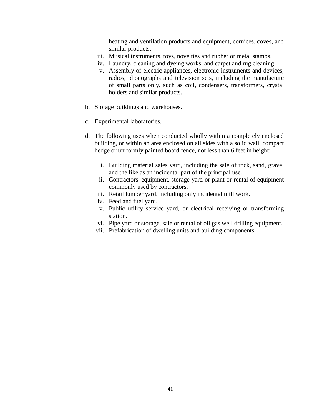heating and ventilation products and equipment, cornices, coves, and similar products.

- iii. Musical instruments, toys, novelties and rubber or metal stamps.
- iv. Laundry, cleaning and dyeing works, and carpet and rug cleaning.
- v. Assembly of electric appliances, electronic instruments and devices, radios, phonographs and television sets, including the manufacture of small parts only, such as coil, condensers, transformers, crystal holders and similar products.
- b. Storage buildings and warehouses.
- c. Experimental laboratories.
- d. The following uses when conducted wholly within a completely enclosed building, or within an area enclosed on all sides with a solid wall, compact hedge or uniformly painted board fence, not less than 6 feet in height:
	- i. Building material sales yard, including the sale of rock, sand, gravel and the like as an incidental part of the principal use.
	- ii. Contractors' equipment, storage yard or plant or rental of equipment commonly used by contractors.
	- iii. Retail lumber yard, including only incidental mill work.
	- iv. Feed and fuel yard.
	- v. Public utility service yard, or electrical receiving or transforming station.
	- vi. Pipe yard or storage, sale or rental of oil gas well drilling equipment.
	- vii. Prefabrication of dwelling units and building components.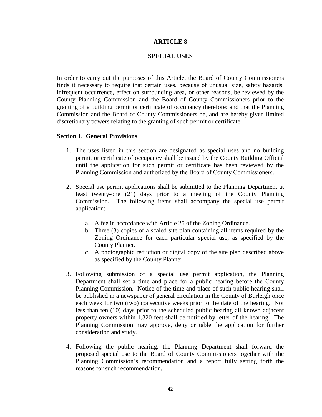#### **ARTICLE 8**

#### **SPECIAL USES**

In order to carry out the purposes of this Article, the Board of County Commissioners finds it necessary to require that certain uses, because of unusual size, safety hazards, infrequent occurrence, effect on surrounding area, or other reasons, be reviewed by the County Planning Commission and the Board of County Commissioners prior to the granting of a building permit or certificate of occupancy therefore; and that the Planning Commission and the Board of County Commissioners be, and are hereby given limited discretionary powers relating to the granting of such permit or certificate.

#### **Section 1. General Provisions**

- 1. The uses listed in this section are designated as special uses and no building permit or certificate of occupancy shall be issued by the County Building Official until the application for such permit or certificate has been reviewed by the Planning Commission and authorized by the Board of County Commissioners.
- 2. Special use permit applications shall be submitted to the Planning Department at least twenty-one (21) days prior to a meeting of the County Planning Commission. The following items shall accompany the special use permit application:
	- a. A fee in accordance with Article 25 of the Zoning Ordinance.
	- b. Three (3) copies of a scaled site plan containing all items required by the Zoning Ordinance for each particular special use, as specified by the County Planner.
	- c. A photographic reduction or digital copy of the site plan described above as specified by the County Planner.
- 3. Following submission of a special use permit application, the Planning Department shall set a time and place for a public hearing before the County Planning Commission. Notice of the time and place of such public hearing shall be published in a newspaper of general circulation in the County of Burleigh once each week for two (two) consecutive weeks prior to the date of the hearing. Not less than ten (10) days prior to the scheduled public hearing all known adjacent property owners within 1,320 feet shall be notified by letter of the hearing. The Planning Commission may approve, deny or table the application for further consideration and study.
- 4. Following the public hearing, the Planning Department shall forward the proposed special use to the Board of County Commissioners together with the Planning Commission's recommendation and a report fully setting forth the reasons for such recommendation.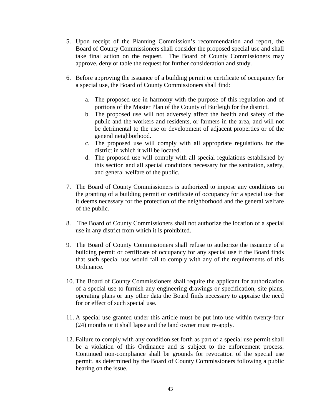- 5. Upon receipt of the Planning Commission's recommendation and report, the Board of County Commissioners shall consider the proposed special use and shall take final action on the request. The Board of County Commissioners may approve, deny or table the request for further consideration and study.
- 6. Before approving the issuance of a building permit or certificate of occupancy for a special use, the Board of County Commissioners shall find:
	- a. The proposed use in harmony with the purpose of this regulation and of portions of the Master Plan of the County of Burleigh for the district.
	- b. The proposed use will not adversely affect the health and safety of the public and the workers and residents, or farmers in the area, and will not be detrimental to the use or development of adjacent properties or of the general neighborhood.
	- c. The proposed use will comply with all appropriate regulations for the district in which it will be located.
	- d. The proposed use will comply with all special regulations established by this section and all special conditions necessary for the sanitation, safety, and general welfare of the public.
- 7. The Board of County Commissioners is authorized to impose any conditions on the granting of a building permit or certificate of occupancy for a special use that it deems necessary for the protection of the neighborhood and the general welfare of the public.
- 8. The Board of County Commissioners shall not authorize the location of a special use in any district from which it is prohibited.
- 9. The Board of County Commissioners shall refuse to authorize the issuance of a building permit or certificate of occupancy for any special use if the Board finds that such special use would fail to comply with any of the requirements of this Ordinance.
- 10. The Board of County Commissioners shall require the applicant for authorization of a special use to furnish any engineering drawings or specification, site plans, operating plans or any other data the Board finds necessary to appraise the need for or effect of such special use.
- 11. A special use granted under this article must be put into use within twenty-four (24) months or it shall lapse and the land owner must re-apply.
- 12. Failure to comply with any condition set forth as part of a special use permit shall be a violation of this Ordinance and is subject to the enforcement process. Continued non-compliance shall be grounds for revocation of the special use permit, as determined by the Board of County Commissioners following a public hearing on the issue.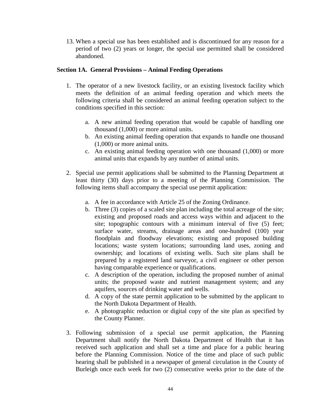13. When a special use has been established and is discontinued for any reason for a period of two (2) years or longer, the special use permitted shall be considered abandoned.

# **Section 1A. General Provisions – Animal Feeding Operations**

- 1. The operator of a new livestock facility, or an existing livestock facility which meets the definition of an animal feeding operation and which meets the following criteria shall be considered an animal feeding operation subject to the conditions specified in this section:
	- a. A new animal feeding operation that would be capable of handling one thousand (1,000) or more animal units.
	- b. An existing animal feeding operation that expands to handle one thousand (1,000) or more animal units.
	- c. An existing animal feeding operation with one thousand (1,000) or more animal units that expands by any number of animal units.
- 2. Special use permit applications shall be submitted to the Planning Department at least thirty (30) days prior to a meeting of the Planning Commission. The following items shall accompany the special use permit application:
	- a. A fee in accordance with Article 25 of the Zoning Ordinance.
	- b. Three (3) copies of a scaled site plan including the total acreage of the site; existing and proposed roads and access ways within and adjacent to the site; topographic contours with a minimum interval of five (5) feet; surface water, streams, drainage areas and one-hundred (100) year floodplain and floodway elevations; existing and proposed building locations; waste system locations; surrounding land uses, zoning and ownership; and locations of existing wells. Such site plans shall be prepared by a registered land surveyor, a civil engineer or other person having comparable experience or qualifications.
	- c. A description of the operation, including the proposed number of animal units; the proposed waste and nutrient management system; and any aquifers, sources of drinking water and wells.
	- d. A copy of the state permit application to be submitted by the applicant to the North Dakota Department of Health.
	- e. A photographic reduction or digital copy of the site plan as specified by the County Planner.
- 3. Following submission of a special use permit application, the Planning Department shall notify the North Dakota Department of Health that it has received such application and shall set a time and place for a public hearing before the Planning Commission. Notice of the time and place of such public hearing shall be published in a newspaper of general circulation in the County of Burleigh once each week for two (2) consecutive weeks prior to the date of the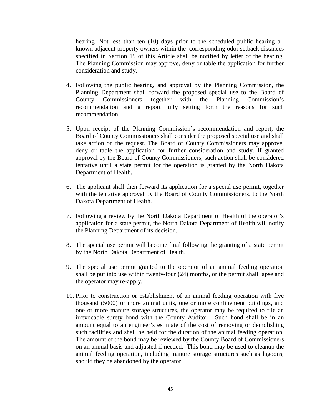hearing. Not less than ten (10) days prior to the scheduled public hearing all known adjacent property owners within the corresponding odor setback distances specified in Section 19 of this Article shall be notified by letter of the hearing. The Planning Commission may approve, deny or table the application for further consideration and study.

- 4. Following the public hearing, and approval by the Planning Commission, the Planning Department shall forward the proposed special use to the Board of County Commissioners together with the Planning Commission's recommendation and a report fully setting forth the reasons for such recommendation.
- 5. Upon receipt of the Planning Commission's recommendation and report, the Board of County Commissioners shall consider the proposed special use and shall take action on the request. The Board of County Commissioners may approve, deny or table the application for further consideration and study. If granted approval by the Board of County Commissioners, such action shall be considered tentative until a state permit for the operation is granted by the North Dakota Department of Health.
- 6. The applicant shall then forward its application for a special use permit, together with the tentative approval by the Board of County Commissioners, to the North Dakota Department of Health.
- 7. Following a review by the North Dakota Department of Health of the operator's application for a state permit, the North Dakota Department of Health will notify the Planning Department of its decision.
- 8. The special use permit will become final following the granting of a state permit by the North Dakota Department of Health.
- 9. The special use permit granted to the operator of an animal feeding operation shall be put into use within twenty-four (24) months, or the permit shall lapse and the operator may re-apply.
- 10. Prior to construction or establishment of an animal feeding operation with five thousand (5000) or more animal units, one or more confinement buildings, and one or more manure storage structures, the operator may be required to file an irrevocable surety bond with the County Auditor. Such bond shall be in an amount equal to an engineer's estimate of the cost of removing or demolishing such facilities and shall be held for the duration of the animal feeding operation. The amount of the bond may be reviewed by the County Board of Commissioners on an annual basis and adjusted if needed. This bond may be used to cleanup the animal feeding operation, including manure storage structures such as lagoons, should they be abandoned by the operator.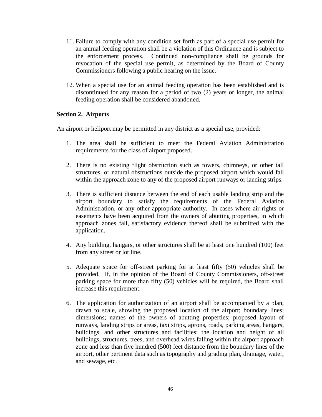- 11. Failure to comply with any condition set forth as part of a special use permit for an animal feeding operation shall be a violation of this Ordinance and is subject to the enforcement process. Continued non-compliance shall be grounds for revocation of the special use permit, as determined by the Board of County Commissioners following a public hearing on the issue.
- 12. When a special use for an animal feeding operation has been established and is discontinued for any reason for a period of two (2) years or longer, the animal feeding operation shall be considered abandoned.

# **Section 2. Airports**

An airport or heliport may be permitted in any district as a special use, provided:

- 1. The area shall be sufficient to meet the Federal Aviation Administration requirements for the class of airport proposed.
- 2. There is no existing flight obstruction such as towers, chimneys, or other tall structures, or natural obstructions outside the proposed airport which would fall within the approach zone to any of the proposed airport runways or landing strips.
- 3. There is sufficient distance between the end of each usable landing strip and the airport boundary to satisfy the requirements of the Federal Aviation Administration, or any other appropriate authority. In cases where air rights or easements have been acquired from the owners of abutting properties, in which approach zones fall, satisfactory evidence thereof shall be submitted with the application.
- 4. Any building, hangars, or other structures shall be at least one hundred (100) feet from any street or lot line.
- 5. Adequate space for off-street parking for at least fifty (50) vehicles shall be provided. If, in the opinion of the Board of County Commissioners, off-street parking space for more than fifty (50) vehicles will be required, the Board shall increase this requirement.
- 6. The application for authorization of an airport shall be accompanied by a plan, drawn to scale, showing the proposed location of the airport; boundary lines; dimensions; names of the owners of abutting properties; proposed layout of runways, landing strips or areas, taxi strips, aprons, roads, parking areas, hangars, buildings, and other structures and facilities; the location and height of all buildings, structures, trees, and overhead wires falling within the airport approach zone and less than five hundred (500) feet distance from the boundary lines of the airport, other pertinent data such as topography and grading plan, drainage, water, and sewage, etc.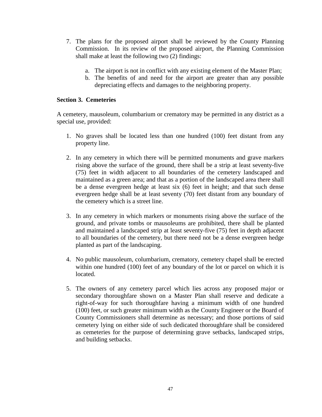- 7. The plans for the proposed airport shall be reviewed by the County Planning Commission. In its review of the proposed airport, the Planning Commission shall make at least the following two (2) findings:
	- a. The airport is not in conflict with any existing element of the Master Plan;
	- b. The benefits of and need for the airport are greater than any possible depreciating effects and damages to the neighboring property.

# **Section 3. Cemeteries**

A cemetery, mausoleum, columbarium or crematory may be permitted in any district as a special use, provided:

- 1. No graves shall be located less than one hundred (100) feet distant from any property line.
- 2. In any cemetery in which there will be permitted monuments and grave markers rising above the surface of the ground, there shall be a strip at least seventy-five (75) feet in width adjacent to all boundaries of the cemetery landscaped and maintained as a green area; and that as a portion of the landscaped area there shall be a dense evergreen hedge at least six (6) feet in height; and that such dense evergreen hedge shall be at least seventy (70) feet distant from any boundary of the cemetery which is a street line.
- 3. In any cemetery in which markers or monuments rising above the surface of the ground, and private tombs or mausoleums are prohibited, there shall be planted and maintained a landscaped strip at least seventy-five (75) feet in depth adjacent to all boundaries of the cemetery, but there need not be a dense evergreen hedge planted as part of the landscaping.
- 4. No public mausoleum, columbarium, crematory, cemetery chapel shall be erected within one hundred (100) feet of any boundary of the lot or parcel on which it is located.
- 5. The owners of any cemetery parcel which lies across any proposed major or secondary thoroughfare shown on a Master Plan shall reserve and dedicate a right-of-way for such thoroughfare having a minimum width of one hundred (100) feet, or such greater minimum width as the County Engineer or the Board of County Commissioners shall determine as necessary; and those portions of said cemetery lying on either side of such dedicated thoroughfare shall be considered as cemeteries for the purpose of determining grave setbacks, landscaped strips, and building setbacks.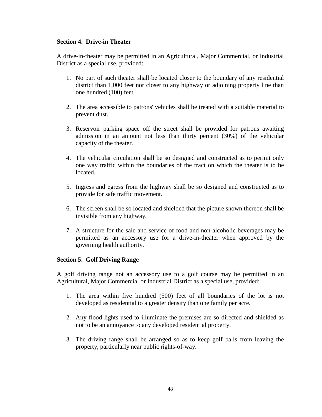# **Section 4. Drive-in Theater**

A drive-in-theater may be permitted in an Agricultural, Major Commercial, or Industrial District as a special use, provided:

- 1. No part of such theater shall be located closer to the boundary of any residential district than 1,000 feet nor closer to any highway or adjoining property line than one hundred (100) feet.
- 2. The area accessible to patrons' vehicles shall be treated with a suitable material to prevent dust.
- 3. Reservoir parking space off the street shall be provided for patrons awaiting admission in an amount not less than thirty percent (30%) of the vehicular capacity of the theater.
- 4. The vehicular circulation shall be so designed and constructed as to permit only one way traffic within the boundaries of the tract on which the theater is to be located.
- 5. Ingress and egress from the highway shall be so designed and constructed as to provide for safe traffic movement.
- 6. The screen shall be so located and shielded that the picture shown thereon shall be invisible from any highway.
- 7. A structure for the sale and service of food and non-alcoholic beverages may be permitted as an accessory use for a drive-in-theater when approved by the governing health authority.

# **Section 5. Golf Driving Range**

A golf driving range not an accessory use to a golf course may be permitted in an Agricultural, Major Commercial or Industrial District as a special use, provided:

- 1. The area within five hundred (500) feet of all boundaries of the lot is not developed as residential to a greater density than one family per acre.
- 2. Any flood lights used to illuminate the premises are so directed and shielded as not to be an annoyance to any developed residential property.
- 3. The driving range shall be arranged so as to keep golf balls from leaving the property, particularly near public rights-of-way.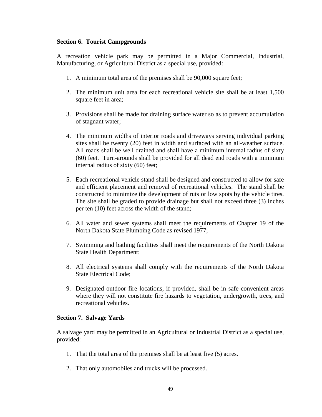# **Section 6. Tourist Campgrounds**

A recreation vehicle park may be permitted in a Major Commercial, Industrial, Manufacturing, or Agricultural District as a special use, provided:

- 1. A minimum total area of the premises shall be 90,000 square feet;
- 2. The minimum unit area for each recreational vehicle site shall be at least 1,500 square feet in area;
- 3. Provisions shall be made for draining surface water so as to prevent accumulation of stagnant water;
- 4. The minimum widths of interior roads and driveways serving individual parking sites shall be twenty (20) feet in width and surfaced with an all-weather surface. All roads shall be well drained and shall have a minimum internal radius of sixty (60) feet. Turn-arounds shall be provided for all dead end roads with a minimum internal radius of sixty (60) feet;
- 5. Each recreational vehicle stand shall be designed and constructed to allow for safe and efficient placement and removal of recreational vehicles. The stand shall be constructed to minimize the development of ruts or low spots by the vehicle tires. The site shall be graded to provide drainage but shall not exceed three (3) inches per ten (10) feet across the width of the stand;
- 6. All water and sewer systems shall meet the requirements of Chapter 19 of the North Dakota State Plumbing Code as revised 1977;
- 7. Swimming and bathing facilities shall meet the requirements of the North Dakota State Health Department;
- 8. All electrical systems shall comply with the requirements of the North Dakota State Electrical Code;
- 9. Designated outdoor fire locations, if provided, shall be in safe convenient areas where they will not constitute fire hazards to vegetation, undergrowth, trees, and recreational vehicles.

# **Section 7. Salvage Yards**

A salvage yard may be permitted in an Agricultural or Industrial District as a special use, provided:

- 1. That the total area of the premises shall be at least five (5) acres.
- 2. That only automobiles and trucks will be processed.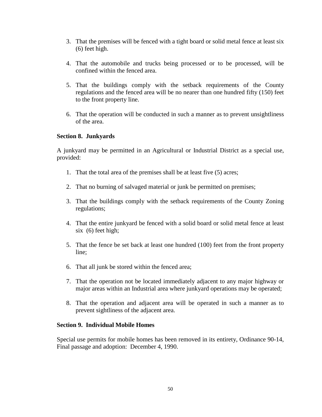- 3. That the premises will be fenced with a tight board or solid metal fence at least six (6) feet high.
- 4. That the automobile and trucks being processed or to be processed, will be confined within the fenced area.
- 5. That the buildings comply with the setback requirements of the County regulations and the fenced area will be no nearer than one hundred fifty (150) feet to the front property line.
- 6. That the operation will be conducted in such a manner as to prevent unsightliness of the area.

# **Section 8. Junkyards**

A junkyard may be permitted in an Agricultural or Industrial District as a special use, provided:

- 1. That the total area of the premises shall be at least five (5) acres;
- 2. That no burning of salvaged material or junk be permitted on premises;
- 3. That the buildings comply with the setback requirements of the County Zoning regulations;
- 4. That the entire junkyard be fenced with a solid board or solid metal fence at least six (6) feet high;
- 5. That the fence be set back at least one hundred (100) feet from the front property line;
- 6. That all junk be stored within the fenced area;
- 7. That the operation not be located immediately adjacent to any major highway or major areas within an Industrial area where junkyard operations may be operated;
- 8. That the operation and adjacent area will be operated in such a manner as to prevent sightliness of the adjacent area.

#### **Section 9. Individual Mobile Homes**

Special use permits for mobile homes has been removed in its entirety, Ordinance 90-14, Final passage and adoption: December 4, 1990.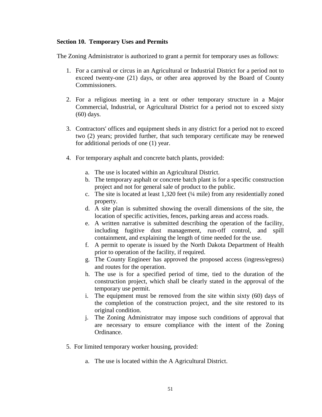#### **Section 10. Temporary Uses and Permits**

The Zoning Administrator is authorized to grant a permit for temporary uses as follows:

- 1. For a carnival or circus in an Agricultural or Industrial District for a period not to exceed twenty-one (21) days, or other area approved by the Board of County Commissioners.
- 2. For a religious meeting in a tent or other temporary structure in a Major Commercial, Industrial, or Agricultural District for a period not to exceed sixty (60) days.
- 3. Contractors' offices and equipment sheds in any district for a period not to exceed two (2) years; provided further, that such temporary certificate may be renewed for additional periods of one (1) year.
- 4. For temporary asphalt and concrete batch plants, provided:
	- a. The use is located within an Agricultural District.
	- b. The temporary asphalt or concrete batch plant is for a specific construction project and not for general sale of product to the public.
	- c. The site is located at least 1,320 feet (¼ mile) from any residentially zoned property.
	- d. A site plan is submitted showing the overall dimensions of the site, the location of specific activities, fences, parking areas and access roads.
	- e. A written narrative is submitted describing the operation of the facility, including fugitive dust management, run-off control, and spill containment, and explaining the length of time needed for the use.
	- f. A permit to operate is issued by the North Dakota Department of Health prior to operation of the facility, if required.
	- g. The County Engineer has approved the proposed access (ingress/egress) and routes for the operation.
	- h. The use is for a specified period of time, tied to the duration of the construction project, which shall be clearly stated in the approval of the temporary use permit.
	- i. The equipment must be removed from the site within sixty (60) days of the completion of the construction project, and the site restored to its original condition.
	- j. The Zoning Administrator may impose such conditions of approval that are necessary to ensure compliance with the intent of the Zoning Ordinance.
- 5. For limited temporary worker housing, provided:
	- a. The use is located within the A Agricultural District.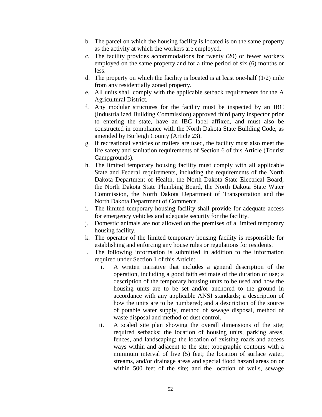- b. The parcel on which the housing facility is located is on the same property as the activity at which the workers are employed.
- c. The facility provides accommodations for twenty (20) or fewer workers employed on the same property and for a time period of six (6) months or less.
- d. The property on which the facility is located is at least one-half (1/2) mile from any residentially zoned property.
- e. All units shall comply with the applicable setback requirements for the A Agricultural District.
- f. Any modular structures for the facility must be inspected by an IBC (Industrialized Building Commission) approved third party inspector prior to entering the state, have an IBC label affixed, and must also be constructed in compliance with the North Dakota State Building Code, as amended by Burleigh County (Article 23).
- g. If recreational vehicles or trailers are used, the facility must also meet the life safety and sanitation requirements of Section 6 of this Article (Tourist Campgrounds).
- h. The limited temporary housing facility must comply with all applicable State and Federal requirements, including the requirements of the North Dakota Department of Health, the North Dakota State Electrical Board, the North Dakota State Plumbing Board, the North Dakota State Water Commission, the North Dakota Department of Transportation and the North Dakota Department of Commerce.
- i. The limited temporary housing facility shall provide for adequate access for emergency vehicles and adequate security for the facility.
- j. Domestic animals are not allowed on the premises of a limited temporary housing facility.
- k. The operator of the limited temporary housing facility is responsible for establishing and enforcing any house rules or regulations for residents.
- l. The following information is submitted in addition to the information required under Section 1 of this Article:
	- i. A written narrative that includes a general description of the operation, including a good faith estimate of the duration of use; a description of the temporary housing units to be used and how the housing units are to be set and/or anchored to the ground in accordance with any applicable ANSI standards; a description of how the units are to be numbered; and a description of the source of potable water supply, method of sewage disposal, method of waste disposal and method of dust control.
	- ii. A scaled site plan showing the overall dimensions of the site; required setbacks; the location of housing units, parking areas, fences, and landscaping; the location of existing roads and access ways within and adjacent to the site; topographic contours with a minimum interval of five (5) feet; the location of surface water, streams, and/or drainage areas and special flood hazard areas on or within 500 feet of the site; and the location of wells, sewage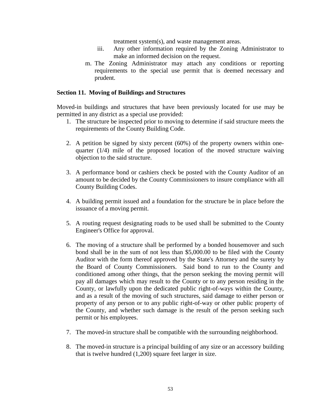treatment system(s), and waste management areas.

- iii. Any other information required by the Zoning Administrator to make an informed decision on the request.
- m. The Zoning Administrator may attach any conditions or reporting requirements to the special use permit that is deemed necessary and prudent.

#### **Section 11. Moving of Buildings and Structures**

Moved-in buildings and structures that have been previously located for use may be permitted in any district as a special use provided:

- 1. The structure be inspected prior to moving to determine if said structure meets the requirements of the County Building Code.
- 2. A petition be signed by sixty percent (60%) of the property owners within onequarter (1/4) mile of the proposed location of the moved structure waiving objection to the said structure.
- 3. A performance bond or cashiers check be posted with the County Auditor of an amount to be decided by the County Commissioners to insure compliance with all County Building Codes.
- 4. A building permit issued and a foundation for the structure be in place before the issuance of a moving permit.
- 5. A routing request designating roads to be used shall be submitted to the County Engineer's Office for approval.
- 6. The moving of a structure shall be performed by a bonded housemover and such bond shall be in the sum of not less than \$5,000.00 to be filed with the County Auditor with the form thereof approved by the State's Attorney and the surety by the Board of County Commissioners. Said bond to run to the County and conditioned among other things, that the person seeking the moving permit will pay all damages which may result to the County or to any person residing in the County, or lawfully upon the dedicated public right-of-ways within the County, and as a result of the moving of such structures, said damage to either person or property of any person or to any public right-of-way or other public property of the County, and whether such damage is the result of the person seeking such permit or his employees.
- 7. The moved-in structure shall be compatible with the surrounding neighborhood.
- 8. The moved-in structure is a principal building of any size or an accessory building that is twelve hundred (1,200) square feet larger in size.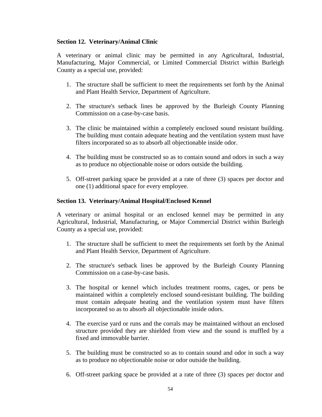# **Section 12. Veterinary/Animal Clinic**

A veterinary or animal clinic may be permitted in any Agricultural, Industrial, Manufacturing, Major Commercial, or Limited Commercial District within Burleigh County as a special use, provided:

- 1. The structure shall be sufficient to meet the requirements set forth by the Animal and Plant Health Service, Department of Agriculture.
- 2. The structure's setback lines be approved by the Burleigh County Planning Commission on a case-by-case basis.
- 3. The clinic be maintained within a completely enclosed sound resistant building. The building must contain adequate heating and the ventilation system must have filters incorporated so as to absorb all objectionable inside odor.
- 4. The building must be constructed so as to contain sound and odors in such a way as to produce no objectionable noise or odors outside the building.
- 5. Off-street parking space be provided at a rate of three (3) spaces per doctor and one (1) additional space for every employee.

# **Section 13. Veterinary/Animal Hospital/Enclosed Kennel**

A veterinary or animal hospital or an enclosed kennel may be permitted in any Agricultural, Industrial, Manufacturing, or Major Commercial District within Burleigh County as a special use, provided:

- 1. The structure shall be sufficient to meet the requirements set forth by the Animal and Plant Health Service, Department of Agriculture.
- 2. The structure's setback lines be approved by the Burleigh County Planning Commission on a case-by-case basis.
- 3. The hospital or kennel which includes treatment rooms, cages, or pens be maintained within a completely enclosed sound-resistant building. The building must contain adequate heating and the ventilation system must have filters incorporated so as to absorb all objectionable inside odors.
- 4. The exercise yard or runs and the corrals may be maintained without an enclosed structure provided they are shielded from view and the sound is muffled by a fixed and immovable barrier.
- 5. The building must be constructed so as to contain sound and odor in such a way as to produce no objectionable noise or odor outside the building.
- 6. Off-street parking space be provided at a rate of three (3) spaces per doctor and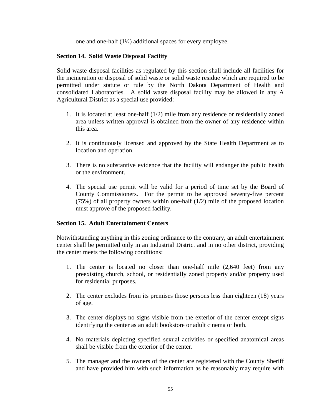one and one-half (1½) additional spaces for every employee.

# **Section 14. Solid Waste Disposal Facility**

Solid waste disposal facilities as regulated by this section shall include all facilities for the incineration or disposal of solid waste or solid waste residue which are required to be permitted under statute or rule by the North Dakota Department of Health and consolidated Laboratories. A solid waste disposal facility may be allowed in any A Agricultural District as a special use provided:

- 1. It is located at least one-half (1/2) mile from any residence or residentially zoned area unless written approval is obtained from the owner of any residence within this area.
- 2. It is continuously licensed and approved by the State Health Department as to location and operation.
- 3. There is no substantive evidence that the facility will endanger the public health or the environment.
- 4. The special use permit will be valid for a period of time set by the Board of County Commissioners. For the permit to be approved seventy-five percent (75%) of all property owners within one-half (1/2) mile of the proposed location must approve of the proposed facility.

# **Section 15. Adult Entertainment Centers**

Notwithstanding anything in this zoning ordinance to the contrary, an adult entertainment center shall be permitted only in an Industrial District and in no other district, providing the center meets the following conditions:

- 1. The center is located no closer than one-half mile (2,640 feet) from any preexisting church, school, or residentially zoned property and/or property used for residential purposes.
- 2. The center excludes from its premises those persons less than eighteen (18) years of age.
- 3. The center displays no signs visible from the exterior of the center except signs identifying the center as an adult bookstore or adult cinema or both.
- 4. No materials depicting specified sexual activities or specified anatomical areas shall be visible from the exterior of the center.
- 5. The manager and the owners of the center are registered with the County Sheriff and have provided him with such information as he reasonably may require with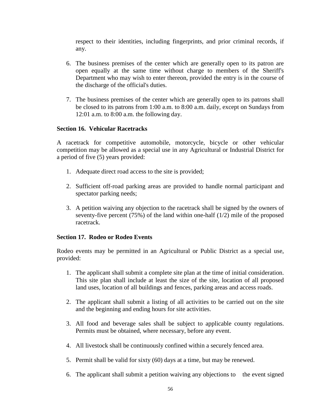respect to their identities, including fingerprints, and prior criminal records, if any.

- 6. The business premises of the center which are generally open to its patron are open equally at the same time without charge to members of the Sheriff's Department who may wish to enter thereon, provided the entry is in the course of the discharge of the official's duties.
- 7. The business premises of the center which are generally open to its patrons shall be closed to its patrons from 1:00 a.m. to 8:00 a.m. daily, except on Sundays from 12:01 a.m. to 8:00 a.m. the following day.

# **Section 16. Vehicular Racetracks**

A racetrack for competitive automobile, motorcycle, bicycle or other vehicular competition may be allowed as a special use in any Agricultural or Industrial District for a period of five (5) years provided:

- 1. Adequate direct road access to the site is provided;
- 2. Sufficient off-road parking areas are provided to handle normal participant and spectator parking needs;
- 3. A petition waiving any objection to the racetrack shall be signed by the owners of seventy-five percent  $(75%)$  of the land within one-half  $(1/2)$  mile of the proposed racetrack.

# **Section 17. Rodeo or Rodeo Events**

Rodeo events may be permitted in an Agricultural or Public District as a special use, provided:

- 1. The applicant shall submit a complete site plan at the time of initial consideration. This site plan shall include at least the size of the site, location of all proposed land uses, location of all buildings and fences, parking areas and access roads.
- 2. The applicant shall submit a listing of all activities to be carried out on the site and the beginning and ending hours for site activities.
- 3. All food and beverage sales shall be subject to applicable county regulations. Permits must be obtained, where necessary, before any event.
- 4. All livestock shall be continuously confined within a securely fenced area.
- 5. Permit shall be valid for sixty (60) days at a time, but may be renewed.
- 6. The applicant shall submit a petition waiving any objections to the event signed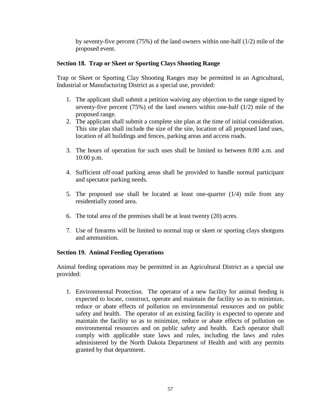by seventy-five percent (75%) of the land owners within one-half (1/2) mile of the proposed event.

# **Section 18. Trap or Skeet or Sporting Clays Shooting Range**

Trap or Skeet or Sporting Clay Shooting Ranges may be permitted in an Agricultural, Industrial or Manufacturing District as a special use, provided:

- 1. The applicant shall submit a petition waiving any objection to the range signed by seventy-five percent (75%) of the land owners within one-half (1/2) mile of the proposed range.
- 2. The applicant shall submit a complete site plan at the time of initial consideration. This site plan shall include the size of the site, location of all proposed land uses, location of all buildings and fences, parking areas and access roads.
- 3. The hours of operation for such uses shall be limited to between 8:00 a.m. and 10:00 p.m.
- 4. Sufficient off-road parking areas shall be provided to handle normal participant and spectator parking needs.
- 5. The proposed use shall be located at least one-quarter (1/4) mile from any residentially zoned area.
- 6. The total area of the premises shall be at least twenty (20) acres.
- 7. Use of firearms will be limited to normal trap or skeet or sporting clays shotguns and ammunition.

# **Section 19. Animal Feeding Operations**

Animal feeding operations may be permitted in an Agricultural District as a special use provided:

1. Environmental Protection. The operator of a new facility for animal feeding is expected to locate, construct, operate and maintain the facility so as to minimize, reduce or abate effects of pollution on environmental resources and on public safety and health. The operator of an existing facility is expected to operate and maintain the facility so as to minimize, reduce or abate effects of pollution on environmental resources and on public safety and health. Each operator shall comply with applicable state laws and rules, including the laws and rules administered by the North Dakota Department of Health and with any permits granted by that department.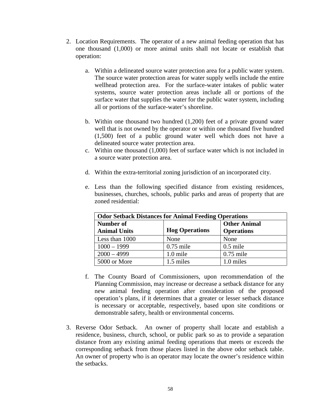- 2. Location Requirements. The operator of a new animal feeding operation that has one thousand (1,000) or more animal units shall not locate or establish that operation:
	- a. Within a delineated source water protection area for a public water system. The source water protection areas for water supply wells include the entire wellhead protection area. For the surface-water intakes of public water systems, source water protection areas include all or portions of the surface water that supplies the water for the public water system, including all or portions of the surface-water's shoreline.
	- b. Within one thousand two hundred (1,200) feet of a private ground water well that is not owned by the operator or within one thousand five hundred (1,500) feet of a public ground water well which does not have a delineated source water protection area.
	- c. Within one thousand (1,000) feet of surface water which is not included in a source water protection area.
	- d. Within the extra-territorial zoning jurisdiction of an incorporated city.
	- e. Less than the following specified distance from existing residences, businesses, churches, schools, public parks and areas of property that are zoned residential:

| <b>Odor Setback Distances for Animal Feeding Operations</b> |                       |                                          |
|-------------------------------------------------------------|-----------------------|------------------------------------------|
| Number of<br><b>Animal Units</b>                            | <b>Hog Operations</b> | <b>Other Animal</b><br><b>Operations</b> |
| Less than 1000                                              | None                  | None                                     |
| $1000 - 1999$                                               | $0.75$ mile           | $0.5$ mile                               |
| $2000 - 4999$                                               | 1.0 mile              | $0.75$ mile                              |
| 5000 or More                                                | 1.5 miles             | 1.0 miles                                |

- f. The County Board of Commissioners, upon recommendation of the Planning Commission, may increase or decrease a setback distance for any new animal feeding operation after consideration of the proposed operation's plans, if it determines that a greater or lesser setback distance is necessary or acceptable, respectively, based upon site conditions or demonstrable safety, health or environmental concerns.
- 3. Reverse Odor Setback. An owner of property shall locate and establish a residence, business, church, school, or public park so as to provide a separation distance from any existing animal feeding operations that meets or exceeds the corresponding setback from those places listed in the above odor setback table. An owner of property who is an operator may locate the owner's residence within the setbacks.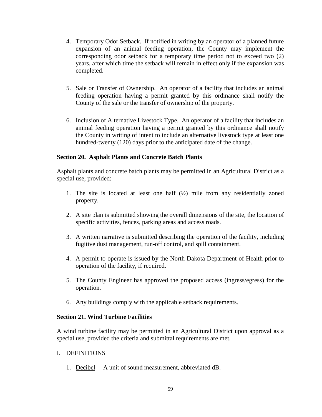- 4. Temporary Odor Setback. If notified in writing by an operator of a planned future expansion of an animal feeding operation, the County may implement the corresponding odor setback for a temporary time period not to exceed two (2) years, after which time the setback will remain in effect only if the expansion was completed.
- 5. Sale or Transfer of Ownership. An operator of a facility that includes an animal feeding operation having a permit granted by this ordinance shall notify the County of the sale or the transfer of ownership of the property.
- 6. Inclusion of Alternative Livestock Type. An operator of a facility that includes an animal feeding operation having a permit granted by this ordinance shall notify the County in writing of intent to include an alternative livestock type at least one hundred-twenty (120) days prior to the anticipated date of the change.

# **Section 20. Asphalt Plants and Concrete Batch Plants**

Asphalt plants and concrete batch plants may be permitted in an Agricultural District as a special use, provided:

- 1. The site is located at least one half (½) mile from any residentially zoned property.
- 2. A site plan is submitted showing the overall dimensions of the site, the location of specific activities, fences, parking areas and access roads.
- 3. A written narrative is submitted describing the operation of the facility, including fugitive dust management, run-off control, and spill containment.
- 4. A permit to operate is issued by the North Dakota Department of Health prior to operation of the facility, if required.
- 5. The County Engineer has approved the proposed access (ingress/egress) for the operation.
- 6. Any buildings comply with the applicable setback requirements.

# **Section 21. Wind Turbine Facilities**

A wind turbine facility may be permitted in an Agricultural District upon approval as a special use, provided the criteria and submittal requirements are met.

# I. DEFINITIONS

1. Decibel – A unit of sound measurement, abbreviated dB.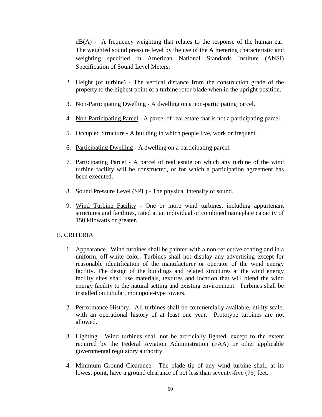$dB(A)$  - A frequency weighting that relates to the response of the human ear. The weighted sound pressure level by the use of the A metering characteristic and weighting specified in American National Standards Institute (ANSI) Specification of Sound Level Meters.

- 2. Height (of turbine) The vertical distance from the construction grade of the property to the highest point of a turbine rotor blade when in the upright position.
- 3. Non-Participating Dwelling A dwelling on a non-participating parcel.
- 4. Non-Participating Parcel A parcel of real estate that is not a participating parcel.
- 5. Occupied Structure A building in which people live, work or frequent.
- 6. Participating Dwelling A dwelling on a participating parcel.
- 7. Participating Parcel A parcel of real estate on which any turbine of the wind turbine facility will be constructed, or for which a participation agreement has been executed.
- 8. Sound Pressure Level (SPL) The physical intensity of sound.
- 9. Wind Turbine Facility One or more wind turbines, including appurtenant structures and facilities, rated at an individual or combined nameplate capacity of 150 kilowatts or greater.

# II. CRITERIA

- 1. Appearance. Wind turbines shall be painted with a non-reflective coating and in a uniform, off-white color. Turbines shall not display any advertising except for reasonable identification of the manufacturer or operator of the wind energy facility. The design of the buildings and related structures at the wind energy facility sites shall use materials, textures and location that will blend the wind energy facility to the natural setting and existing environment. Turbines shall be installed on tubular, monopole-type towers.
- 2. Performance History. All turbines shall be commercially available, utility scale, with an operational history of at least one year. Prototype turbines are not allowed.
- 3. Lighting. Wind turbines shall not be artificially lighted, except to the extent required by the Federal Aviation Administration (FAA) or other applicable governmental regulatory authority.
- 4. Minimum Ground Clearance. The blade tip of any wind turbine shall, at its lowest point, have a ground clearance of not less than seventy-five (75) feet.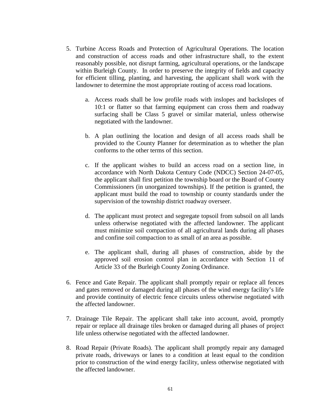- 5. Turbine Access Roads and Protection of Agricultural Operations. The location and construction of access roads and other infrastructure shall, to the extent reasonably possible, not disrupt farming, agricultural operations, or the landscape within Burleigh County. In order to preserve the integrity of fields and capacity for efficient tilling, planting, and harvesting, the applicant shall work with the landowner to determine the most appropriate routing of access road locations.
	- a. Access roads shall be low profile roads with inslopes and backslopes of 10:1 or flatter so that farming equipment can cross them and roadway surfacing shall be Class 5 gravel or similar material, unless otherwise negotiated with the landowner.
	- b. A plan outlining the location and design of all access roads shall be provided to the County Planner for determination as to whether the plan conforms to the other terms of this section.
	- c. If the applicant wishes to build an access road on a section line, in accordance with North Dakota Century Code (NDCC) Section 24-07-05, the applicant shall first petition the township board or the Board of County Commissioners (in unorganized townships). If the petition is granted, the applicant must build the road to township or county standards under the supervision of the township district roadway overseer.
	- d. The applicant must protect and segregate topsoil from subsoil on all lands unless otherwise negotiated with the affected landowner. The applicant must minimize soil compaction of all agricultural lands during all phases and confine soil compaction to as small of an area as possible.
	- e. The applicant shall, during all phases of construction, abide by the approved soil erosion control plan in accordance with Section 11 of Article 33 of the Burleigh County Zoning Ordinance.
- 6. Fence and Gate Repair. The applicant shall promptly repair or replace all fences and gates removed or damaged during all phases of the wind energy facility's life and provide continuity of electric fence circuits unless otherwise negotiated with the affected landowner.
- 7. Drainage Tile Repair. The applicant shall take into account, avoid, promptly repair or replace all drainage tiles broken or damaged during all phases of project life unless otherwise negotiated with the affected landowner.
- 8. Road Repair (Private Roads). The applicant shall promptly repair any damaged private roads, driveways or lanes to a condition at least equal to the condition prior to construction of the wind energy facility, unless otherwise negotiated with the affected landowner.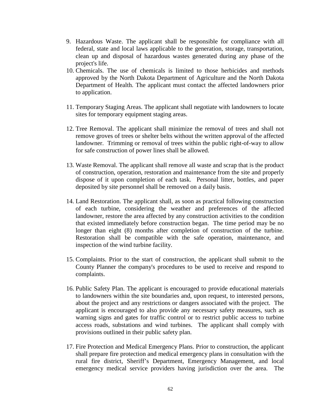- 9. Hazardous Waste. The applicant shall be responsible for compliance with all federal, state and local laws applicable to the generation, storage, transportation, clean up and disposal of hazardous wastes generated during any phase of the project's life.
- 10. Chemicals. The use of chemicals is limited to those herbicides and methods approved by the North Dakota Department of Agriculture and the North Dakota Department of Health. The applicant must contact the affected landowners prior to application.
- 11. Temporary Staging Areas. The applicant shall negotiate with landowners to locate sites for temporary equipment staging areas.
- 12. Tree Removal. The applicant shall minimize the removal of trees and shall not remove groves of trees or shelter belts without the written approval of the affected landowner. Trimming or removal of trees within the public right-of-way to allow for safe construction of power lines shall be allowed.
- 13. Waste Removal. The applicant shall remove all waste and scrap that is the product of construction, operation, restoration and maintenance from the site and properly dispose of it upon completion of each task. Personal litter, bottles, and paper deposited by site personnel shall be removed on a daily basis.
- 14. Land Restoration. The applicant shall, as soon as practical following construction of each turbine, considering the weather and preferences of the affected landowner, restore the area affected by any construction activities to the condition that existed immediately before construction began. The time period may be no longer than eight (8) months after completion of construction of the turbine. Restoration shall be compatible with the safe operation, maintenance, and inspection of the wind turbine facility.
- 15. Complaints. Prior to the start of construction, the applicant shall submit to the County Planner the company's procedures to be used to receive and respond to complaints.
- 16. Public Safety Plan. The applicant is encouraged to provide educational materials to landowners within the site boundaries and, upon request, to interested persons, about the project and any restrictions or dangers associated with the project. The applicant is encouraged to also provide any necessary safety measures, such as warning signs and gates for traffic control or to restrict public access to turbine access roads, substations and wind turbines. The applicant shall comply with provisions outlined in their public safety plan.
- 17. Fire Protection and Medical Emergency Plans. Prior to construction, the applicant shall prepare fire protection and medical emergency plans in consultation with the rural fire district, Sheriff's Department, Emergency Management, and local emergency medical service providers having jurisdiction over the area. The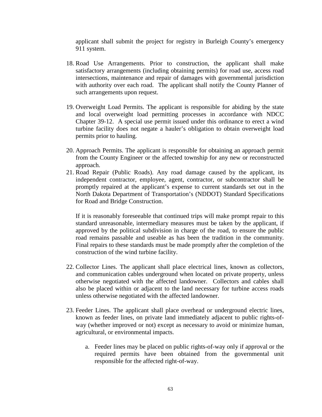applicant shall submit the project for registry in Burleigh County's emergency 911 system.

- 18. Road Use Arrangements. Prior to construction, the applicant shall make satisfactory arrangements (including obtaining permits) for road use, access road intersections, maintenance and repair of damages with governmental jurisdiction with authority over each road. The applicant shall notify the County Planner of such arrangements upon request.
- 19. Overweight Load Permits. The applicant is responsible for abiding by the state and local overweight load permitting processes in accordance with NDCC Chapter 39-12. A special use permit issued under this ordinance to erect a wind turbine facility does not negate a hauler's obligation to obtain overweight load permits prior to hauling.
- 20. Approach Permits. The applicant is responsible for obtaining an approach permit from the County Engineer or the affected township for any new or reconstructed approach.
- 21. Road Repair (Public Roads). Any road damage caused by the applicant, its independent contractor, employee, agent, contractor, or subcontractor shall be promptly repaired at the applicant's expense to current standards set out in the North Dakota Department of Transportation's (NDDOT) Standard Specifications for Road and Bridge Construction.

If it is reasonably foreseeable that continued trips will make prompt repair to this standard unreasonable, intermediary measures must be taken by the applicant, if approved by the political subdivision in charge of the road, to ensure the public road remains passable and useable as has been the tradition in the community. Final repairs to these standards must be made promptly after the completion of the construction of the wind turbine facility.

- 22. Collector Lines. The applicant shall place electrical lines, known as collectors, and communication cables underground when located on private property, unless otherwise negotiated with the affected landowner. Collectors and cables shall also be placed within or adjacent to the land necessary for turbine access roads unless otherwise negotiated with the affected landowner.
- 23. Feeder Lines. The applicant shall place overhead or underground electric lines, known as feeder lines, on private land immediately adjacent to public rights-ofway (whether improved or not) except as necessary to avoid or minimize human, agricultural, or environmental impacts.
	- a. Feeder lines may be placed on public rights-of-way only if approval or the required permits have been obtained from the governmental unit responsible for the affected right-of-way.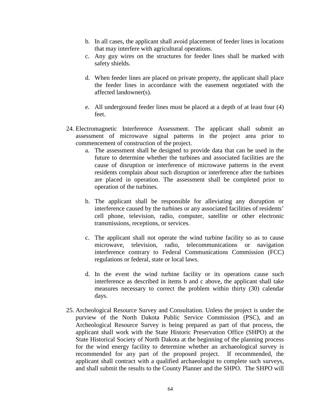- b. In all cases, the applicant shall avoid placement of feeder lines in locations that may interfere with agricultural operations.
- c. Any guy wires on the structures for feeder lines shall be marked with safety shields.
- d. When feeder lines are placed on private property, the applicant shall place the feeder lines in accordance with the easement negotiated with the affected landowner(s).
- e. All underground feeder lines must be placed at a depth of at least four (4) feet.
- 24. Electromagnetic Interference Assessment. The applicant shall submit an assessment of microwave signal patterns in the project area prior to commencement of construction of the project.
	- a. The assessment shall be designed to provide data that can be used in the future to determine whether the turbines and associated facilities are the cause of disruption or interference of microwave patterns in the event residents complain about such disruption or interference after the turbines are placed in operation. The assessment shall be completed prior to operation of the turbines.
	- b. The applicant shall be responsible for alleviating any disruption or interference caused by the turbines or any associated facilities of residents' cell phone, television, radio, computer, satellite or other electronic transmissions, receptions, or services.
	- c. The applicant shall not operate the wind turbine facility so as to cause microwave, television, radio, telecommunications or navigation interference contrary to Federal Communications Commission (FCC) regulations or federal, state or local laws.
	- d. In the event the wind turbine facility or its operations cause such interference as described in items b and c above, the applicant shall take measures necessary to correct the problem within thirty (30) calendar days.
- 25. Archeological Resource Survey and Consultation. Unless the project is under the purview of the North Dakota Public Service Commission (PSC), and an Archeological Resource Survey is being prepared as part of that process, the applicant shall work with the State Historic Preservation Office (SHPO) at the State Historical Society of North Dakota at the beginning of the planning process for the wind energy facility to determine whether an archaeological survey is recommended for any part of the proposed project. If recommended, the applicant shall contract with a qualified archaeologist to complete such surveys, and shall submit the results to the County Planner and the SHPO. The SHPO will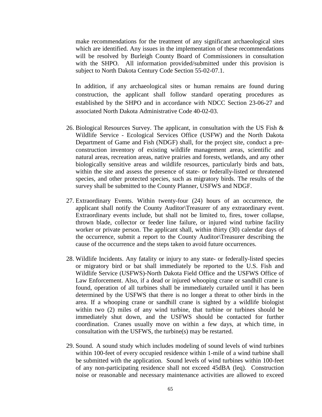make recommendations for the treatment of any significant archaeological sites which are identified. Any issues in the implementation of these recommendations will be resolved by Burleigh County Board of Commissioners in consultation with the SHPO. All information provided/submitted under this provision is subject to North Dakota Century Code Section 55-02-07.1.

In addition, if any archaeological sites or human remains are found during construction, the applicant shall follow standard operating procedures as established by the SHPO and in accordance with NDCC Section 23-06-27 and associated North Dakota Administrative Code 40-02-03.

- 26. Biological Resources Survey. The applicant, in consultation with the US Fish & Wildlife Service - Ecological Services Office (USFW) and the North Dakota Department of Game and Fish (NDGF) shall, for the project site, conduct a preconstruction inventory of existing wildlife management areas, scientific and natural areas, recreation areas, native prairies and forests, wetlands, and any other biologically sensitive areas and wildlife resources, particularly birds and bats, within the site and assess the presence of state- or federally-listed or threatened species, and other protected species, such as migratory birds. The results of the survey shall be submitted to the County Planner, USFWS and NDGF.
- 27. Extraordinary Events. Within twenty-four (24) hours of an occurrence, the applicant shall notify the County Auditor\Treasurer of any extraordinary event. Extraordinary events include, but shall not be limited to, fires, tower collapse, thrown blade, collector or feeder line failure, or injured wind turbine facility worker or private person. The applicant shall, within thirty (30) calendar days of the occurrence, submit a report to the County Auditor\Treasurer describing the cause of the occurrence and the steps taken to avoid future occurrences.
- 28. Wildlife Incidents. Any fatality or injury to any state- or federally-listed species or migratory bird or bat shall immediately be reported to the U.S. Fish and Wildlife Service (USFWS)-North Dakota Field Office and the USFWS Office of Law Enforcement. Also, if a dead or injured whooping crane or sandhill crane is found, operation of all turbines shall be immediately curtailed until it has been determined by the USFWS that there is no longer a threat to other birds in the area. If a whooping crane or sandhill crane is sighted by a wildlife biologist within two (2) miles of any wind turbine, that turbine or turbines should be immediately shut down, and the USFWS should be contacted for further coordination. Cranes usually move on within a few days, at which time, in consultation with the USFWS, the turbine(s) may be restarted.
- 29. Sound. A sound study which includes modeling of sound levels of wind turbines within 100-feet of every occupied residence within 1-mile of a wind turbine shall be submitted with the application. Sound levels of wind turbines within 100-feet of any non-participating residence shall not exceed 45dBA (leq). Construction noise or reasonable and necessary maintenance activities are allowed to exceed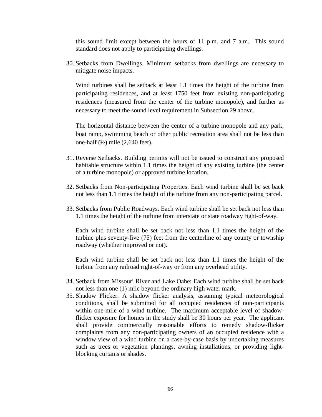this sound limit except between the hours of 11 p.m. and 7 a.m. This sound standard does not apply to participating dwellings.

30. Setbacks from Dwellings. Minimum setbacks from dwellings are necessary to mitigate noise impacts.

Wind turbines shall be setback at least 1.1 times the height of the turbine from participating residences, and at least 1750 feet from existing non-participating residences (measured from the center of the turbine monopole), and further as necessary to meet the sound level requirement in Subsection 29 above.

The horizontal distance between the center of a turbine monopole and any park, boat ramp, swimming beach or other public recreation area shall not be less than one-half  $(\frac{1}{2})$  mile  $(2,640$  feet).

- 31. Reverse Setbacks. Building permits will not be issued to construct any proposed habitable structure within 1.1 times the height of any existing turbine (the center of a turbine monopole) or approved turbine location.
- 32. Setbacks from Non-participating Properties. Each wind turbine shall be set back not less than 1.1 times the height of the turbine from any non-participating parcel.
- 33. Setbacks from Public Roadways. Each wind turbine shall be set back not less than 1.1 times the height of the turbine from interstate or state roadway right-of-way.

Each wind turbine shall be set back not less than 1.1 times the height of the turbine plus seventy-five (75) feet from the centerline of any county or township roadway (whether improved or not).

Each wind turbine shall be set back not less than 1.1 times the height of the turbine from any railroad right-of-way or from any overhead utility.

- 34. Setback from Missouri River and Lake Oahe: Each wind turbine shall be set back not less than one (1) mile beyond the ordinary high water mark.
- 35. Shadow Flicker. A shadow flicker analysis, assuming typical meteorological conditions, shall be submitted for all occupied residences of non-participants within one-mile of a wind turbine. The maximum acceptable level of shadowflicker exposure for homes in the study shall be 30 hours per year. The applicant shall provide commercially reasonable efforts to remedy shadow-flicker complaints from any non-participating owners of an occupied residence with a window view of a wind turbine on a case-by-case basis by undertaking measures such as trees or vegetation plantings, awning installations, or providing lightblocking curtains or shades.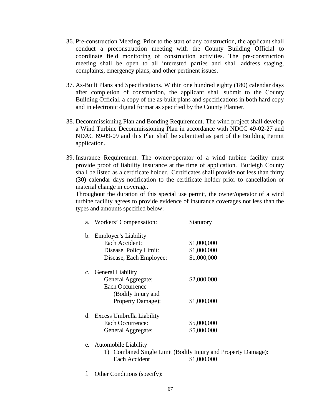- 36. Pre-construction Meeting. Prior to the start of any construction, the applicant shall conduct a preconstruction meeting with the County Building Official to coordinate field monitoring of construction activities. The pre-construction meeting shall be open to all interested parties and shall address staging, complaints, emergency plans, and other pertinent issues.
- 37. As-Built Plans and Specifications. Within one hundred eighty (180) calendar days after completion of construction, the applicant shall submit to the County Building Official, a copy of the as-built plans and specifications in both hard copy and in electronic digital format as specified by the County Planner.
- 38. Decommissioning Plan and Bonding Requirement. The wind project shall develop a Wind Turbine Decommissioning Plan in accordance with NDCC 49-02-27 and NDAC 69-09-09 and this Plan shall be submitted as part of the Building Permit application.
- 39. Insurance Requirement. The owner/operator of a wind turbine facility must provide proof of liability insurance at the time of application. Burleigh County shall be listed as a certificate holder. Certificates shall provide not less than thirty (30) calendar days notification to the certificate holder prior to cancellation or material change in coverage.

Throughout the duration of this special use permit, the owner/operator of a wind turbine facility agrees to provide evidence of insurance coverages not less than the types and amounts specified below:

| a. | Workers' Compensation:       | <b>Statutory</b>                                              |
|----|------------------------------|---------------------------------------------------------------|
| b. | Employer's Liability         |                                                               |
|    | Each Accident:               | \$1,000,000                                                   |
|    | Disease, Policy Limit:       | \$1,000,000                                                   |
|    | Disease, Each Employee:      | \$1,000,000                                                   |
|    | c. General Liability         |                                                               |
|    | General Aggregate:           | \$2,000,000                                                   |
|    | <b>Each Occurrence</b>       |                                                               |
|    | (Bodily Injury and           |                                                               |
|    | <b>Property Damage:</b>      | \$1,000,000                                                   |
|    | d. Excess Umbrella Liability |                                                               |
|    | Each Occurrence:             | \$5,000,000                                                   |
|    | General Aggregate:           | \$5,000,000                                                   |
| e. | <b>Automobile Liability</b>  |                                                               |
|    |                              | 1) Combined Single Limit (Bodily Injury and Property Damage): |
|    | Each Accident                | \$1,000,000                                                   |

f. Other Conditions (specify):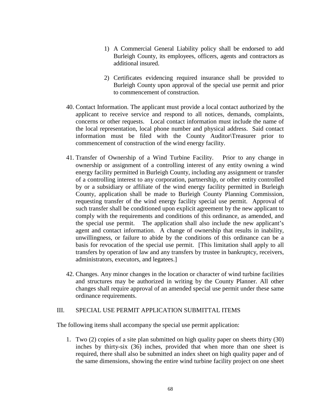- 1) A Commercial General Liability policy shall be endorsed to add Burleigh County, its employees, officers, agents and contractors as additional insured.
- 2) Certificates evidencing required insurance shall be provided to Burleigh County upon approval of the special use permit and prior to commencement of construction.
- 40. Contact Information. The applicant must provide a local contact authorized by the applicant to receive service and respond to all notices, demands, complaints, concerns or other requests. Local contact information must include the name of the local representation, local phone number and physical address. Said contact information must be filed with the County Auditor\Treasurer prior to commencement of construction of the wind energy facility.
- 41. Transfer of Ownership of a Wind Turbine Facility. Prior to any change in ownership or assignment of a controlling interest of any entity owning a wind energy facility permitted in Burleigh County, including any assignment or transfer of a controlling interest to any corporation, partnership, or other entity controlled by or a subsidiary or affiliate of the wind energy facility permitted in Burleigh County, application shall be made to Burleigh County Planning Commission, requesting transfer of the wind energy facility special use permit. Approval of such transfer shall be conditioned upon explicit agreement by the new applicant to comply with the requirements and conditions of this ordinance, as amended, and the special use permit. The application shall also include the new applicant's agent and contact information. A change of ownership that results in inability, unwillingness, or failure to abide by the conditions of this ordinance can be a basis for revocation of the special use permit. [This limitation shall apply to all transfers by operation of law and any transfers by trustee in bankruptcy, receivers, administrators, executors, and legatees.]
- 42. Changes. Any minor changes in the location or character of wind turbine facilities and structures may be authorized in writing by the County Planner. All other changes shall require approval of an amended special use permit under these same ordinance requirements.

## III. SPECIAL USE PERMIT APPLICATION SUBMITTAL ITEMS

The following items shall accompany the special use permit application:

1. Two (2) copies of a site plan submitted on high quality paper on sheets thirty (30) inches by thirty-six (36) inches, provided that when more than one sheet is required, there shall also be submitted an index sheet on high quality paper and of the same dimensions, showing the entire wind turbine facility project on one sheet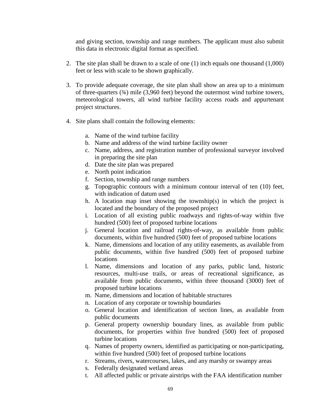and giving section, township and range numbers. The applicant must also submit this data in electronic digital format as specified.

- 2. The site plan shall be drawn to a scale of one (1) inch equals one thousand (1,000) feet or less with scale to be shown graphically.
- 3. To provide adequate coverage, the site plan shall show an area up to a minimum of three-quarters (¾) mile (3,960 feet) beyond the outermost wind turbine towers, meteorological towers, all wind turbine facility access roads and appurtenant project structures.
- 4. Site plans shall contain the following elements:
	- a. Name of the wind turbine facility
	- b. Name and address of the wind turbine facility owner
	- c. Name, address, and registration number of professional surveyor involved in preparing the site plan
	- d. Date the site plan was prepared
	- e. North point indication
	- f. Section, township and range numbers
	- g. Topographic contours with a minimum contour interval of ten (10) feet, with indication of datum used
	- h. A location map inset showing the township(s) in which the project is located and the boundary of the proposed project
	- i. Location of all existing public roadways and rights-of-way within five hundred (500) feet of proposed turbine locations
	- j. General location and railroad rights-of-way, as available from public documents, within five hundred (500) feet of proposed turbine locations
	- k. Name, dimensions and location of any utility easements, as available from public documents, within five hundred (500) feet of proposed turbine locations
	- l. Name, dimensions and location of any parks, public land, historic resources, multi-use trails, or areas of recreational significance, as available from public documents, within three thousand (3000) feet of proposed turbine locations
	- m. Name, dimensions and location of habitable structures
	- n. Location of any corporate or township boundaries
	- o. General location and identification of section lines, as available from public documents
	- p. General property ownership boundary lines, as available from public documents, for properties within five hundred (500) feet of proposed turbine locations
	- q. Names of property owners, identified as participating or non-participating, within five hundred (500) feet of proposed turbine locations
	- r. Streams, rivers, watercourses, lakes, and any marshy or swampy areas
	- s. Federally designated wetland areas
	- t. All affected public or private airstrips with the FAA identification number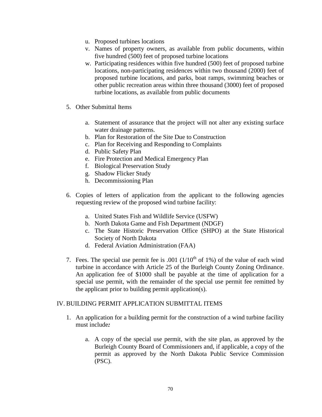- u. Proposed turbines locations
- v. Names of property owners, as available from public documents, within five hundred (500) feet of proposed turbine locations
- w. Participating residences within five hundred (500) feet of proposed turbine locations, non-participating residences within two thousand (2000) feet of proposed turbine locations, and parks, boat ramps, swimming beaches or other public recreation areas within three thousand (3000) feet of proposed turbine locations, as available from public documents
- 5. Other Submittal Items
	- a. Statement of assurance that the project will not alter any existing surface water drainage patterns.
	- b. Plan for Restoration of the Site Due to Construction
	- c. Plan for Receiving and Responding to Complaints
	- d. Public Safety Plan
	- e. Fire Protection and Medical Emergency Plan
	- f. Biological Preservation Study
	- g. Shadow Flicker Study
	- h. Decommissioning Plan
- 6. Copies of letters of application from the applicant to the following agencies requesting review of the proposed wind turbine facility:
	- a. United States Fish and Wildlife Service (USFW)
	- b. North Dakota Game and Fish Department (NDGF)
	- c. The State Historic Preservation Office (SHPO) at the State Historical Society of North Dakota
	- d. Federal Aviation Administration (FAA)
- 7. Fees. The special use permit fee is  $.001$  (1/10<sup>th</sup> of 1%) of the value of each wind turbine in accordance with Article 25 of the Burleigh County Zoning Ordinance. An application fee of \$1000 shall be payable at the time of application for a special use permit, with the remainder of the special use permit fee remitted by the applicant prior to building permit application(s).

#### IV. BUILDING PERMIT APPLICATION SUBMITTAL ITEMS

- 1. An application for a building permit for the construction of a wind turbine facility must include*:*
	- a. A copy of the special use permit, with the site plan, as approved by the Burleigh County Board of Commissioners and, if applicable, a copy of the permit as approved by the North Dakota Public Service Commission (PSC).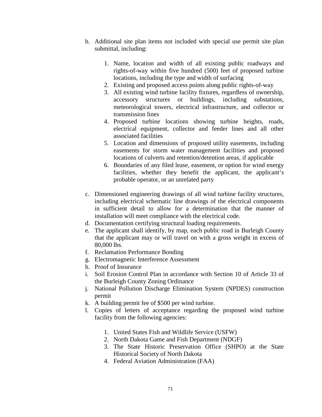- b. Additional site plan items not included with special use permit site plan submittal, including:
	- 1. Name, location and width of all existing public roadways and rights-of-way within five hundred (500) feet of proposed turbine locations, including the type and width of surfacing
	- 2. Existing and proposed access points along public rights-of-way
	- 3. All existing wind turbine facility fixtures, regardless of ownership, accessory structures or buildings, including substations, meteorological towers, electrical infrastructure, and collector or transmission lines
	- 4. Proposed turbine locations showing turbine heights, roads, electrical equipment, collector and feeder lines and all other associated facilities
	- 5. Location and dimensions of proposed utility easements, including easements for storm water management facilities and proposed locations of culverts and retention/detention areas, if applicable
	- 6. Boundaries of any filed lease, easement, or option for wind energy facilities, whether they benefit the applicant, the applicant's probable operator, or an unrelated party
- c. Dimensioned engineering drawings of all wind turbine facility structures, including electrical schematic line drawings of the electrical components in sufficient detail to allow for a determination that the manner of installation will meet compliance with the electrical code.
- d. Documentation certifying structural loading requirements.
- e. The applicant shall identify, by map, each public road in Burleigh County that the applicant may or will travel on with a gross weight in excess of 80,000 lbs.
- f. Reclamation Performance Bonding
- g. Electromagnetic Interference Assessment
- h. Proof of Insurance
- i. Soil Erosion Control Plan in accordance with Section 10 of Article 33 of the Burleigh County Zoning Ordinance
- j. National Pollution Discharge Elimination System (NPDES) construction permit
- k. A building permit fee of \$500 per wind turbine.
- l. Copies of letters of acceptance regarding the proposed wind turbine facility from the following agencies:
	- 1. United States Fish and Wildlife Service (USFW)
	- 2. North Dakota Game and Fish Department (NDGF)
	- 3. The State Historic Preservation Office (SHPO) at the State Historical Society of North Dakota
	- 4. Federal Aviation Administration (FAA)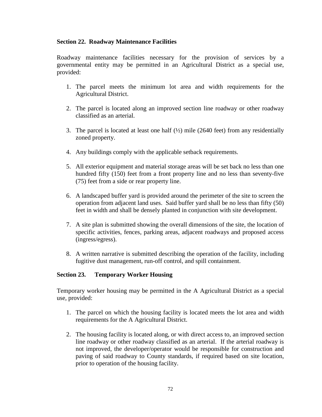## **Section 22. Roadway Maintenance Facilities**

Roadway maintenance facilities necessary for the provision of services by a governmental entity may be permitted in an Agricultural District as a special use, provided:

- 1. The parcel meets the minimum lot area and width requirements for the Agricultural District.
- 2. The parcel is located along an improved section line roadway or other roadway classified as an arterial.
- 3. The parcel is located at least one half  $(\frac{1}{2})$  mile (2640 feet) from any residentially zoned property.
- 4. Any buildings comply with the applicable setback requirements.
- 5. All exterior equipment and material storage areas will be set back no less than one hundred fifty (150) feet from a front property line and no less than seventy-five (75) feet from a side or rear property line.
- 6. A landscaped buffer yard is provided around the perimeter of the site to screen the operation from adjacent land uses. Said buffer yard shall be no less than fifty (50) feet in width and shall be densely planted in conjunction with site development.
- 7. A site plan is submitted showing the overall dimensions of the site, the location of specific activities, fences, parking areas, adjacent roadways and proposed access (ingress/egress).
- 8. A written narrative is submitted describing the operation of the facility, including fugitive dust management, run-off control, and spill containment.

## **Section 23. Temporary Worker Housing**

Temporary worker housing may be permitted in the A Agricultural District as a special use, provided:

- 1. The parcel on which the housing facility is located meets the lot area and width requirements for the A Agricultural District.
- 2. The housing facility is located along, or with direct access to, an improved section line roadway or other roadway classified as an arterial. If the arterial roadway is not improved, the developer/operator would be responsible for construction and paving of said roadway to County standards, if required based on site location, prior to operation of the housing facility.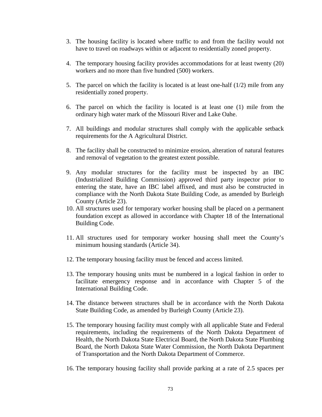- 3. The housing facility is located where traffic to and from the facility would not have to travel on roadways within or adjacent to residentially zoned property.
- 4. The temporary housing facility provides accommodations for at least twenty (20) workers and no more than five hundred (500) workers.
- 5. The parcel on which the facility is located is at least one-half (1/2) mile from any residentially zoned property.
- 6. The parcel on which the facility is located is at least one (1) mile from the ordinary high water mark of the Missouri River and Lake Oahe.
- 7. All buildings and modular structures shall comply with the applicable setback requirements for the A Agricultural District.
- 8. The facility shall be constructed to minimize erosion, alteration of natural features and removal of vegetation to the greatest extent possible.
- 9. Any modular structures for the facility must be inspected by an IBC (Industrialized Building Commission) approved third party inspector prior to entering the state, have an IBC label affixed, and must also be constructed in compliance with the North Dakota State Building Code, as amended by Burleigh County (Article 23).
- 10. All structures used for temporary worker housing shall be placed on a permanent foundation except as allowed in accordance with Chapter 18 of the International Building Code.
- 11. All structures used for temporary worker housing shall meet the County's minimum housing standards (Article 34).
- 12. The temporary housing facility must be fenced and access limited.
- 13. The temporary housing units must be numbered in a logical fashion in order to facilitate emergency response and in accordance with Chapter 5 of the International Building Code.
- 14. The distance between structures shall be in accordance with the North Dakota State Building Code, as amended by Burleigh County (Article 23).
- 15. The temporary housing facility must comply with all applicable State and Federal requirements, including the requirements of the North Dakota Department of Health, the North Dakota State Electrical Board, the North Dakota State Plumbing Board, the North Dakota State Water Commission, the North Dakota Department of Transportation and the North Dakota Department of Commerce.
- 16. The temporary housing facility shall provide parking at a rate of 2.5 spaces per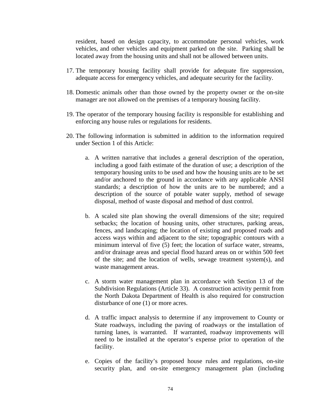resident, based on design capacity, to accommodate personal vehicles, work vehicles, and other vehicles and equipment parked on the site. Parking shall be located away from the housing units and shall not be allowed between units.

- 17. The temporary housing facility shall provide for adequate fire suppression, adequate access for emergency vehicles, and adequate security for the facility.
- 18. Domestic animals other than those owned by the property owner or the on-site manager are not allowed on the premises of a temporary housing facility.
- 19. The operator of the temporary housing facility is responsible for establishing and enforcing any house rules or regulations for residents.
- 20. The following information is submitted in addition to the information required under Section 1 of this Article:
	- a. A written narrative that includes a general description of the operation, including a good faith estimate of the duration of use; a description of the temporary housing units to be used and how the housing units are to be set and/or anchored to the ground in accordance with any applicable ANSI standards; a description of how the units are to be numbered; and a description of the source of potable water supply, method of sewage disposal, method of waste disposal and method of dust control.
	- b. A scaled site plan showing the overall dimensions of the site; required setbacks; the location of housing units, other structures, parking areas, fences, and landscaping; the location of existing and proposed roads and access ways within and adjacent to the site; topographic contours with a minimum interval of five (5) feet; the location of surface water, streams, and/or drainage areas and special flood hazard areas on or within 500 feet of the site; and the location of wells, sewage treatment system(s), and waste management areas.
	- c. A storm water management plan in accordance with Section 13 of the Subdivision Regulations (Article 33). A construction activity permit from the North Dakota Department of Health is also required for construction disturbance of one (1) or more acres.
	- d. A traffic impact analysis to determine if any improvement to County or State roadways, including the paving of roadways or the installation of turning lanes, is warranted. If warranted, roadway improvements will need to be installed at the operator's expense prior to operation of the facility.
	- e. Copies of the facility's proposed house rules and regulations, on-site security plan, and on-site emergency management plan (including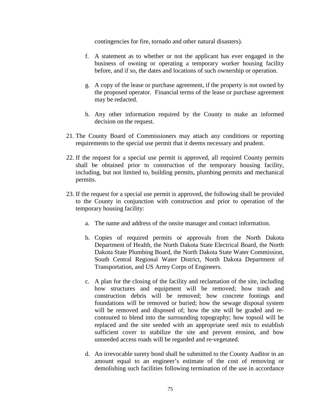contingencies for fire, tornado and other natural disasters).

- f. A statement as to whether or not the applicant has ever engaged in the business of owning or operating a temporary worker housing facility before, and if so, the dates and locations of such ownership or operation.
- g. A copy of the lease or purchase agreement, if the property is not owned by the proposed operator. Financial terms of the lease or purchase agreement may be redacted.
- h. Any other information required by the County to make an informed decision on the request.
- 21. The County Board of Commissioners may attach any conditions or reporting requirements to the special use permit that it deems necessary and prudent.
- 22. If the request for a special use permit is approved, all required County permits shall be obtained prior to construction of the temporary housing facility, including, but not limited to, building permits, plumbing permits and mechanical permits.
- 23. If the request for a special use permit is approved, the following shall be provided to the County in conjunction with construction and prior to operation of the temporary housing facility:
	- a. The name and address of the onsite manager and contact information.
	- b. Copies of required permits or approvals from the North Dakota Department of Health, the North Dakota State Electrical Board, the North Dakota State Plumbing Board, the North Dakota State Water Commission, South Central Regional Water District, North Dakota Department of Transportation, and US Army Corps of Engineers.
	- c. A plan for the closing of the facility and reclamation of the site, including how structures and equipment will be removed; how trash and construction debris will be removed; how concrete footings and foundations will be removed or buried; how the sewage disposal system will be removed and disposed of; how the site will be graded and recontoured to blend into the surrounding topography; how topsoil will be replaced and the site seeded with an appropriate seed mix to establish sufficient cover to stabilize the site and prevent erosion, and how unneeded access roads will be regarded and re-vegetated.
	- d. An irrevocable surety bond shall be submitted to the County Auditor in an amount equal to an engineer's estimate of the cost of removing or demolishing such facilities following termination of the use in accordance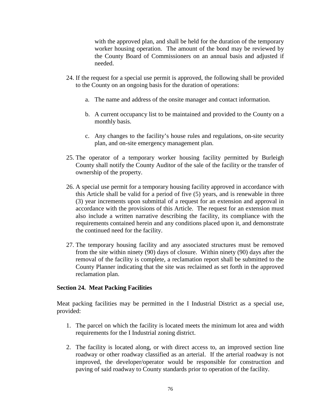with the approved plan, and shall be held for the duration of the temporary worker housing operation. The amount of the bond may be reviewed by the County Board of Commissioners on an annual basis and adjusted if needed.

- 24. If the request for a special use permit is approved, the following shall be provided to the County on an ongoing basis for the duration of operations:
	- a. The name and address of the onsite manager and contact information.
	- b. A current occupancy list to be maintained and provided to the County on a monthly basis.
	- c. Any changes to the facility's house rules and regulations, on-site security plan, and on-site emergency management plan.
- 25. The operator of a temporary worker housing facility permitted by Burleigh County shall notify the County Auditor of the sale of the facility or the transfer of ownership of the property.
- 26. A special use permit for a temporary housing facility approved in accordance with this Article shall be valid for a period of five (5) years, and is renewable in three (3) year increments upon submittal of a request for an extension and approval in accordance with the provisions of this Article. The request for an extension must also include a written narrative describing the facility, its compliance with the requirements contained herein and any conditions placed upon it, and demonstrate the continued need for the facility.
- 27. The temporary housing facility and any associated structures must be removed from the site within ninety (90) days of closure. Within ninety (90) days after the removal of the facility is complete, a reclamation report shall be submitted to the County Planner indicating that the site was reclaimed as set forth in the approved reclamation plan.

## **Section 24. Meat Packing Facilities**

Meat packing facilities may be permitted in the I Industrial District as a special use, provided:

- 1. The parcel on which the facility is located meets the minimum lot area and width requirements for the I Industrial zoning district.
- 2. The facility is located along, or with direct access to, an improved section line roadway or other roadway classified as an arterial. If the arterial roadway is not improved, the developer/operator would be responsible for construction and paving of said roadway to County standards prior to operation of the facility.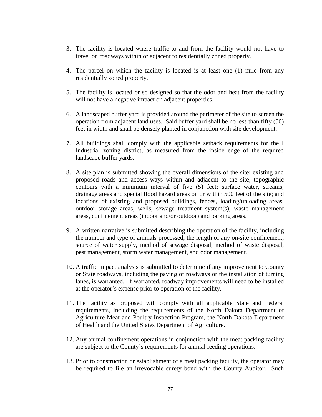- 3. The facility is located where traffic to and from the facility would not have to travel on roadways within or adjacent to residentially zoned property.
- 4. The parcel on which the facility is located is at least one (1) mile from any residentially zoned property.
- 5. The facility is located or so designed so that the odor and heat from the facility will not have a negative impact on adjacent properties.
- 6. A landscaped buffer yard is provided around the perimeter of the site to screen the operation from adjacent land uses. Said buffer yard shall be no less than fifty (50) feet in width and shall be densely planted in conjunction with site development.
- 7. All buildings shall comply with the applicable setback requirements for the I Industrial zoning district, as measured from the inside edge of the required landscape buffer yards.
- 8. A site plan is submitted showing the overall dimensions of the site; existing and proposed roads and access ways within and adjacent to the site; topographic contours with a minimum interval of five (5) feet; surface water, streams, drainage areas and special flood hazard areas on or within 500 feet of the site; and locations of existing and proposed buildings, fences, loading/unloading areas, outdoor storage areas, wells, sewage treatment system(s), waste management areas, confinement areas (indoor and/or outdoor) and parking areas.
- 9. A written narrative is submitted describing the operation of the facility, including the number and type of animals processed, the length of any on-site confinement, source of water supply, method of sewage disposal, method of waste disposal, pest management, storm water management, and odor management.
- 10. A traffic impact analysis is submitted to determine if any improvement to County or State roadways, including the paving of roadways or the installation of turning lanes, is warranted. If warranted, roadway improvements will need to be installed at the operator's expense prior to operation of the facility.
- 11. The facility as proposed will comply with all applicable State and Federal requirements, including the requirements of the North Dakota Department of Agriculture Meat and Poultry Inspection Program, the North Dakota Department of Health and the United States Department of Agriculture.
- 12. Any animal confinement operations in conjunction with the meat packing facility are subject to the County's requirements for animal feeding operations.
- 13. Prior to construction or establishment of a meat packing facility, the operator may be required to file an irrevocable surety bond with the County Auditor. Such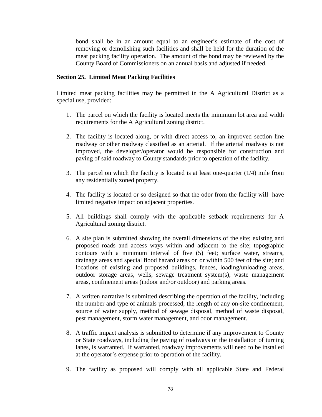bond shall be in an amount equal to an engineer's estimate of the cost of removing or demolishing such facilities and shall be held for the duration of the meat packing facility operation. The amount of the bond may be reviewed by the County Board of Commissioners on an annual basis and adjusted if needed.

## **Section 25. Limited Meat Packing Facilities**

Limited meat packing facilities may be permitted in the A Agricultural District as a special use, provided:

- 1. The parcel on which the facility is located meets the minimum lot area and width requirements for the A Agricultural zoning district.
- 2. The facility is located along, or with direct access to, an improved section line roadway or other roadway classified as an arterial. If the arterial roadway is not improved, the developer/operator would be responsible for construction and paving of said roadway to County standards prior to operation of the facility.
- 3. The parcel on which the facility is located is at least one-quarter (1/4) mile from any residentially zoned property.
- 4. The facility is located or so designed so that the odor from the facility will have limited negative impact on adjacent properties.
- 5. All buildings shall comply with the applicable setback requirements for A Agricultural zoning district.
- 6. A site plan is submitted showing the overall dimensions of the site; existing and proposed roads and access ways within and adjacent to the site; topographic contours with a minimum interval of five (5) feet; surface water, streams, drainage areas and special flood hazard areas on or within 500 feet of the site; and locations of existing and proposed buildings, fences, loading/unloading areas, outdoor storage areas, wells, sewage treatment system(s), waste management areas, confinement areas (indoor and/or outdoor) and parking areas.
- 7. A written narrative is submitted describing the operation of the facility, including the number and type of animals processed, the length of any on-site confinement, source of water supply, method of sewage disposal, method of waste disposal, pest management, storm water management, and odor management.
- 8. A traffic impact analysis is submitted to determine if any improvement to County or State roadways, including the paving of roadways or the installation of turning lanes, is warranted. If warranted, roadway improvements will need to be installed at the operator's expense prior to operation of the facility.
- 9. The facility as proposed will comply with all applicable State and Federal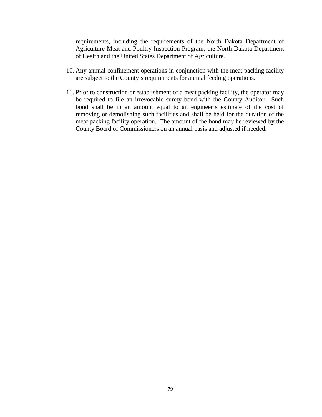requirements, including the requirements of the North Dakota Department of Agriculture Meat and Poultry Inspection Program, the North Dakota Department of Health and the United States Department of Agriculture.

- 10. Any animal confinement operations in conjunction with the meat packing facility are subject to the County's requirements for animal feeding operations.
- 11. Prior to construction or establishment of a meat packing facility, the operator may be required to file an irrevocable surety bond with the County Auditor. Such bond shall be in an amount equal to an engineer's estimate of the cost of removing or demolishing such facilities and shall be held for the duration of the meat packing facility operation. The amount of the bond may be reviewed by the County Board of Commissioners on an annual basis and adjusted if needed.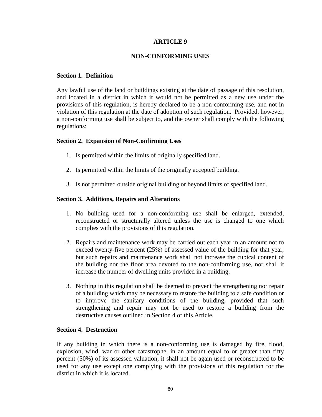## **ARTICLE 9**

## **NON-CONFORMING USES**

### **Section 1. Definition**

Any lawful use of the land or buildings existing at the date of passage of this resolution, and located in a district in which it would not be permitted as a new use under the provisions of this regulation, is hereby declared to be a non-conforming use, and not in violation of this regulation at the date of adoption of such regulation. Provided, however, a non-conforming use shall be subject to, and the owner shall comply with the following regulations:

## **Section 2. Expansion of Non-Confirming Uses**

- 1. Is permitted within the limits of originally specified land.
- 2. Is permitted within the limits of the originally accepted building.
- 3. Is not permitted outside original building or beyond limits of specified land.

## **Section 3. Additions, Repairs and Alterations**

- 1. No building used for a non-conforming use shall be enlarged, extended, reconstructed or structurally altered unless the use is changed to one which complies with the provisions of this regulation.
- 2. Repairs and maintenance work may be carried out each year in an amount not to exceed twenty-five percent (25%) of assessed value of the building for that year, but such repairs and maintenance work shall not increase the cubical content of the building nor the floor area devoted to the non-conforming use, nor shall it increase the number of dwelling units provided in a building.
- 3. Nothing in this regulation shall be deemed to prevent the strengthening nor repair of a building which may be necessary to restore the building to a safe condition or to improve the sanitary conditions of the building, provided that such strengthening and repair may not be used to restore a building from the destructive causes outlined in Section 4 of this Article.

#### **Section 4. Destruction**

If any building in which there is a non-conforming use is damaged by fire, flood, explosion, wind, war or other catastrophe, in an amount equal to or greater than fifty percent (50%) of its assessed valuation, it shall not be again used or reconstructed to be used for any use except one complying with the provisions of this regulation for the district in which it is located.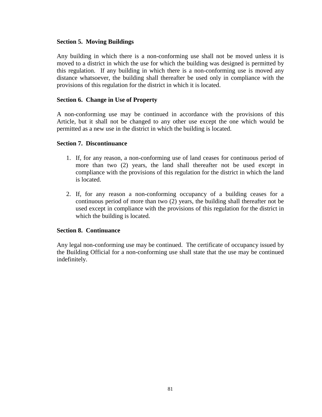## **Section 5. Moving Buildings**

Any building in which there is a non-conforming use shall not be moved unless it is moved to a district in which the use for which the building was designed is permitted by this regulation. If any building in which there is a non-conforming use is moved any distance whatsoever, the building shall thereafter be used only in compliance with the provisions of this regulation for the district in which it is located.

### **Section 6. Change in Use of Property**

A non-conforming use may be continued in accordance with the provisions of this Article, but it shall not be changed to any other use except the one which would be permitted as a new use in the district in which the building is located.

### **Section 7. Discontinuance**

- 1. If, for any reason, a non-conforming use of land ceases for continuous period of more than two (2) years, the land shall thereafter not be used except in compliance with the provisions of this regulation for the district in which the land is located.
- 2. If, for any reason a non-conforming occupancy of a building ceases for a continuous period of more than two (2) years, the building shall thereafter not be used except in compliance with the provisions of this regulation for the district in which the building is located.

## **Section 8. Continuance**

Any legal non-conforming use may be continued. The certificate of occupancy issued by the Building Official for a non-conforming use shall state that the use may be continued indefinitely.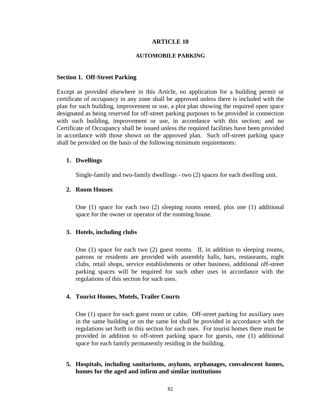### **ARTICLE 10**

#### **AUTOMOBILE PARKING**

#### **Section 1. Off-Street Parking**

Except as provided elsewhere in this Article, no application for a building permit or certificate of occupancy in any zone shall be approved unless there is included with the plan for such building, improvement or use, a plot plan showing the required open space designated as being reserved for off-street parking purposes to be provided in connection with such building, improvement or use, in accordance with this section; and no Certificate of Occupancy shall be issued unless the required facilities have been provided in accordance with those shown on the approved plan. Such off-street parking space shall be provided on the basis of the following minimum requirements:

#### **1. Dwellings**

Single-family and two-family dwellings - two (2) spaces for each dwelling unit.

#### **2. Room Houses**

One (1) space for each two (2) sleeping rooms rented, plus one (1) additional space for the owner or operator of the rooming house.

#### **3. Hotels, including clubs**

One (1) space for each two (2) guest rooms. If, in addition to sleeping rooms, patrons or residents are provided with assembly halls, bars, restaurants, night clubs, retail shops, service establishments or other business, additional off-street parking spaces will be required for such other uses in accordance with the regulations of this section for such uses.

#### **4. Tourist Homes, Motels, Trailer Courts**

One (1) space for each guest room or cabin. Off-street parking for auxiliary uses in the same building or on the same lot shall be provided in accordance with the regulations set forth in this section for such uses. For tourist homes there must be provided in addition to off-street parking space for guests, one (1) additional space for each family permanently residing in the building.

**5. Hospitals, including sanitariums, asylums, orphanages, convalescent homes, homes for the aged and infirm and similar institutions**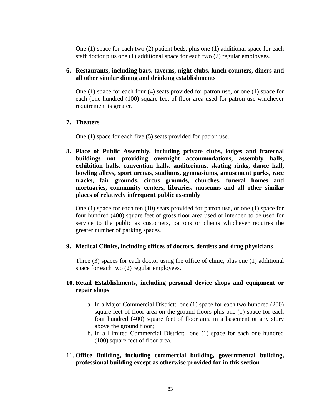One (1) space for each two (2) patient beds, plus one (1) additional space for each staff doctor plus one (1) additional space for each two (2) regular employees.

# **6. Restaurants, including bars, taverns, night clubs, lunch counters, diners and all other similar dining and drinking establishments**

One (1) space for each four (4) seats provided for patron use, or one (1) space for each (one hundred (100) square feet of floor area used for patron use whichever requirement is greater.

## **7. Theaters**

One (1) space for each five (5) seats provided for patron use.

**8. Place of Public Assembly, including private clubs, lodges and fraternal buildings not providing overnight accommodations, assembly halls, exhibition halls, convention halls, auditoriums, skating rinks, dance hall, bowling alleys, sport arenas, stadiums, gymnasiums, amusement parks, race tracks, fair grounds, circus grounds, churches, funeral homes and mortuaries, community centers, libraries, museums and all other similar places of relatively infrequent public assembly**

One (1) space for each ten (10) seats provided for patron use, or one (1) space for four hundred (400) square feet of gross floor area used or intended to be used for service to the public as customers, patrons or clients whichever requires the greater number of parking spaces.

#### **9. Medical Clinics, including offices of doctors, dentists and drug physicians**

Three (3) spaces for each doctor using the office of clinic, plus one (1) additional space for each two (2) regular employees.

# **10. Retail Establishments, including personal device shops and equipment or repair shops**

- a. In a Major Commercial District: one (1) space for each two hundred (200) square feet of floor area on the ground floors plus one (1) space for each four hundred (400) square feet of floor area in a basement or any story above the ground floor;
- b. In a Limited Commercial District: one (1) space for each one hundred (100) square feet of floor area.
- 11. **Office Building, including commercial building, governmental building, professional building except as otherwise provided for in this section**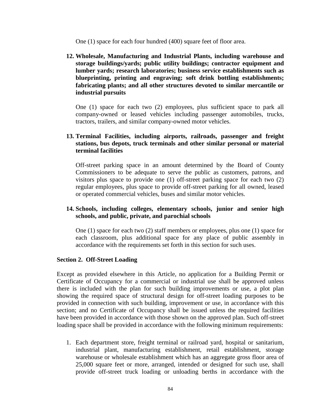One (1) space for each four hundred (400) square feet of floor area.

**12. Wholesale, Manufacturing and Industrial Plants, including warehouse and storage buildings/yards; public utility buildings; contractor equipment and lumber yards; research laboratories; business service establishments such as blueprinting, printing and engraving; soft drink bottling establishments; fabricating plants; and all other structures devoted to similar mercantile or industrial pursuits**

One (1) space for each two (2) employees, plus sufficient space to park all company-owned or leased vehicles including passenger automobiles, trucks, tractors, trailers, and similar company-owned motor vehicles.

# **13. Terminal Facilities, including airports, railroads, passenger and freight stations, bus depots, truck terminals and other similar personal or material terminal facilities**

Off-street parking space in an amount determined by the Board of County Commissioners to be adequate to serve the public as customers, patrons, and visitors plus space to provide one (1) off-street parking space for each two (2) regular employees, plus space to provide off-street parking for all owned, leased or operated commercial vehicles, buses and similar motor vehicles.

## **14. Schools, including colleges, elementary schools, junior and senior high schools, and public, private, and parochial schools**

One (1) space for each two (2) staff members or employees, plus one (1) space for each classroom, plus additional space for any place of public assembly in accordance with the requirements set forth in this section for such uses.

#### **Section 2. Off-Street Loading**

Except as provided elsewhere in this Article, no application for a Building Permit or Certificate of Occupancy for a commercial or industrial use shall be approved unless there is included with the plan for such building improvements or use, a plot plan showing the required space of structural design for off-street loading purposes to be provided in connection with such building, improvement or use, in accordance with this section; and no Certificate of Occupancy shall be issued unless the required facilities have been provided in accordance with those shown on the approved plan. Such off-street loading space shall be provided in accordance with the following minimum requirements:

1. Each department store, freight terminal or railroad yard, hospital or sanitarium, industrial plant, manufacturing establishment, retail establishment, storage warehouse or wholesale establishment which has an aggregate gross floor area of 25,000 square feet or more, arranged, intended or designed for such use, shall provide off-street truck loading or unloading berths in accordance with the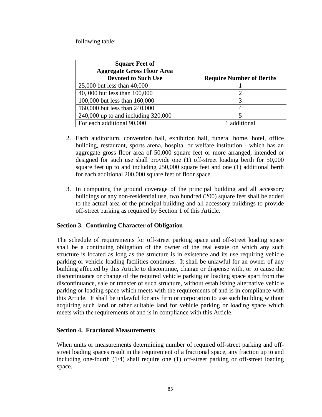following table:

| <b>Square Feet of</b><br><b>Aggregate Gross Floor Area</b><br><b>Devoted to Such Use</b> | <b>Require Number of Berths</b> |
|------------------------------------------------------------------------------------------|---------------------------------|
| 25,000 but less than 40,000                                                              |                                 |
| 40, 000 but less than 100,000                                                            |                                 |
| 100,000 but less than 160,000                                                            |                                 |
| 160,000 but less than 240,000                                                            |                                 |
| 240,000 up to and including 320,000                                                      |                                 |
| For each additional 90,000                                                               | 1 additional                    |

- 2. Each auditorium, convention hall, exhibition hall, funeral home, hotel, office building, restaurant, sports arena, hospital or welfare institution - which has an aggregate gross floor area of 50,000 square feet or more arranged, intended or designed for such use shall provide one (1) off-street loading berth for 50,000 square feet up to and including 250,000 square feet and one (1) additional berth for each additional 200,000 square feet of floor space.
- 3. In computing the ground coverage of the principal building and all accessory buildings or any non-residential use, two hundred (200) square feet shall be added to the actual area of the principal building and all accessory buildings to provide off-street parking as required by Section 1 of this Article.

## **Section 3. Continuing Character of Obligation**

The schedule of requirements for off-street parking space and off-street loading space shall be a continuing obligation of the owner of the real estate on which any such structure is located as long as the structure is in existence and its use requiring vehicle parking or vehicle loading facilities continues. It shall be unlawful for an owner of any building affected by this Article to discontinue, change or dispense with, or to cause the discontinuance or change of the required vehicle parking or loading space apart from the discontinuance, sale or transfer of such structure, without establishing alternative vehicle parking or loading space which meets with the requirements of and is in compliance with this Article. It shall be unlawful for any firm or corporation to use such building without acquiring such land or other suitable land for vehicle parking or loading space which meets with the requirements of and is in compliance with this Article.

## **Section 4. Fractional Measurements**

When units or measurements determining number of required off-street parking and offstreet loading spaces result in the requirement of a fractional space, any fraction up to and including one-fourth (1/4) shall require one (1) off-street parking or off-street loading space.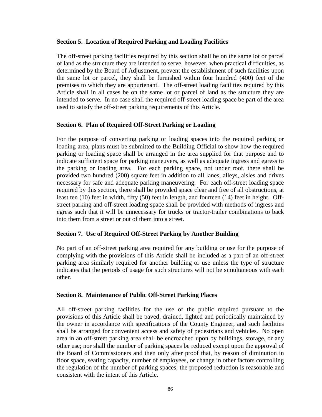### **Section 5. Location of Required Parking and Loading Facilities**

The off-street parking facilities required by this section shall be on the same lot or parcel of land as the structure they are intended to serve, however, when practical difficulties, as determined by the Board of Adjustment, prevent the establishment of such facilities upon the same lot or parcel, they shall be furnished within four hundred (400) feet of the premises to which they are appurtenant. The off-street loading facilities required by this Article shall in all cases be on the same lot or parcel of land as the structure they are intended to serve. In no case shall the required off-street loading space be part of the area used to satisfy the off-street parking requirements of this Article.

## **Section 6. Plan of Required Off-Street Parking or Loading**

For the purpose of converting parking or loading spaces into the required parking or loading area, plans must be submitted to the Building Official to show how the required parking or loading space shall be arranged in the area supplied for that purpose and to indicate sufficient space for parking maneuvers, as well as adequate ingress and egress to the parking or loading area. For each parking space, not under roof, there shall be provided two hundred (200) square feet in addition to all lanes, alleys, aisles and drives necessary for safe and adequate parking maneuvering. For each off-street loading space required by this section, there shall be provided space clear and free of all obstructions, at least ten (10) feet in width, fifty (50) feet in length, and fourteen (14) feet in height. Offstreet parking and off-street loading space shall be provided with methods of ingress and egress such that it will be unnecessary for trucks or tractor-trailer combinations to back into them from a street or out of them into a street.

## **Section 7. Use of Required Off-Street Parking by Another Building**

No part of an off-street parking area required for any building or use for the purpose of complying with the provisions of this Article shall be included as a part of an off-street parking area similarly required for another building or use unless the type of structure indicates that the periods of usage for such structures will not be simultaneous with each other.

#### **Section 8. Maintenance of Public Off-Street Parking Places**

All off-street parking facilities for the use of the public required pursuant to the provisions of this Article shall be paved, drained, lighted and periodically maintained by the owner in accordance with specifications of the County Engineer, and such facilities shall be arranged for convenient access and safety of pedestrians and vehicles. No open area in an off-street parking area shall be encroached upon by buildings, storage, or any other use; nor shall the number of parking spaces be reduced except upon the approval of the Board of Commissioners and then only after proof that, by reason of diminution in floor space, seating capacity, number of employees, or change in other factors controlling the regulation of the number of parking spaces, the proposed reduction is reasonable and consistent with the intent of this Article.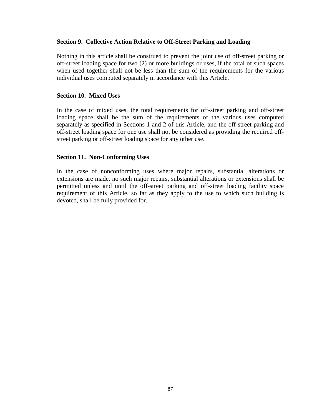### **Section 9. Collective Action Relative to Off-Street Parking and Loading**

Nothing in this article shall be construed to prevent the joint use of off-street parking or off-street loading space for two (2) or more buildings or uses, if the total of such spaces when used together shall not be less than the sum of the requirements for the various individual uses computed separately in accordance with this Article.

### **Section 10. Mixed Uses**

In the case of mixed uses, the total requirements for off-street parking and off-street loading space shall be the sum of the requirements of the various uses computed separately as specified in Sections 1 and 2 of this Article, and the off-street parking and off-street loading space for one use shall not be considered as providing the required offstreet parking or off-street loading space for any other use.

### **Section 11. Non-Conforming Uses**

In the case of nonconforming uses where major repairs, substantial alterations or extensions are made, no such major repairs, substantial alterations or extensions shall be permitted unless and until the off-street parking and off-street loading facility space requirement of this Article, so far as they apply to the use to which such building is devoted, shall be fully provided for.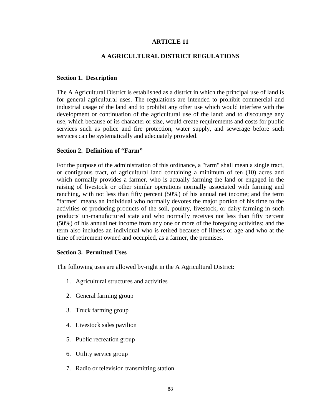## **ARTICLE 11**

### **A AGRICULTURAL DISTRICT REGULATIONS**

#### **Section 1. Description**

The A Agricultural District is established as a district in which the principal use of land is for general agricultural uses. The regulations are intended to prohibit commercial and industrial usage of the land and to prohibit any other use which would interfere with the development or continuation of the agricultural use of the land; and to discourage any use, which because of its character or size, would create requirements and costs for public services such as police and fire protection, water supply, and sewerage before such services can be systematically and adequately provided.

#### **Section 2. Definition of "Farm"**

For the purpose of the administration of this ordinance, a "farm" shall mean a single tract, or contiguous tract, of agricultural land containing a minimum of ten (10) acres and which normally provides a farmer, who is actually farming the land or engaged in the raising of livestock or other similar operations normally associated with farming and ranching, with not less than fifty percent (50%) of his annual net income; and the term "farmer" means an individual who normally devotes the major portion of his time to the activities of producing products of the soil, poultry, livestock, or dairy farming in such products' un-manufactured state and who normally receives not less than fifty percent (50%) of his annual net income from any one or more of the foregoing activities; and the term also includes an individual who is retired because of illness or age and who at the time of retirement owned and occupied, as a farmer, the premises.

## **Section 3. Permitted Uses**

The following uses are allowed by-right in the A Agricultural District:

- 1. Agricultural structures and activities
- 2. General farming group
- 3. Truck farming group
- 4. Livestock sales pavilion
- 5. Public recreation group
- 6. Utility service group
- 7. Radio or television transmitting station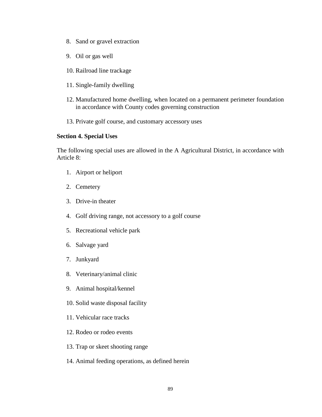- 8. Sand or gravel extraction
- 9. Oil or gas well
- 10. Railroad line trackage
- 11. Single-family dwelling
- 12. Manufactured home dwelling, when located on a permanent perimeter foundation in accordance with County codes governing construction
- 13. Private golf course, and customary accessory uses

#### **Section 4. Special Uses**

The following special uses are allowed in the A Agricultural District, in accordance with Article 8:

- 1. Airport or heliport
- 2. Cemetery
- 3. Drive-in theater
- 4. Golf driving range, not accessory to a golf course
- 5. Recreational vehicle park
- 6. Salvage yard
- 7. Junkyard
- 8. Veterinary/animal clinic
- 9. Animal hospital/kennel
- 10. Solid waste disposal facility
- 11. Vehicular race tracks
- 12. Rodeo or rodeo events
- 13. Trap or skeet shooting range
- 14. Animal feeding operations, as defined herein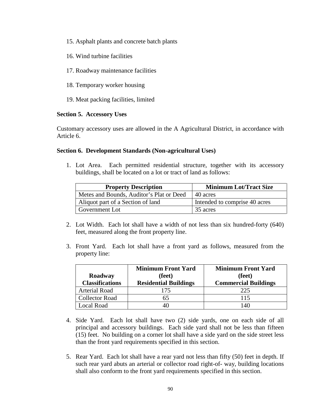- 15. Asphalt plants and concrete batch plants
- 16. Wind turbine facilities
- 17. Roadway maintenance facilities
- 18. Temporary worker housing
- 19. Meat packing facilities, limited

## **Section 5. Accessory Uses**

Customary accessory uses are allowed in the A Agricultural District, in accordance with Article 6.

### **Section 6. Development Standards (Non-agricultural Uses)**

1. Lot Area. Each permitted residential structure, together with its accessory buildings, shall be located on a lot or tract of land as follows:

| <b>Property Description</b>              | <b>Minimum Lot/Tract Size</b> |
|------------------------------------------|-------------------------------|
| Metes and Bounds, Auditor's Plat or Deed | 40 acres                      |
| Aliquot part of a Section of land        | Intended to comprise 40 acres |
| Government Lot                           | 35 acres                      |

- 2. Lot Width. Each lot shall have a width of not less than six hundred-forty (640) feet, measured along the front property line.
- 3. Front Yard. Each lot shall have a front yard as follows, measured from the property line:

|                        | <b>Minimum Front Yard</b>    | <b>Minimum Front Yard</b>   |
|------------------------|------------------------------|-----------------------------|
| Roadway                | (feet)                       | (feet)                      |
| <b>Classifications</b> | <b>Residential Buildings</b> | <b>Commercial Buildings</b> |
| <b>Arterial Road</b>   | 175                          | 225                         |
| <b>Collector Road</b>  | 65                           | 115                         |
| Local Road             |                              | 140                         |

- 4. Side Yard. Each lot shall have two (2) side yards, one on each side of all principal and accessory buildings. Each side yard shall not be less than fifteen (15) feet. No building on a corner lot shall have a side yard on the side street less than the front yard requirements specified in this section.
- 5. Rear Yard. Each lot shall have a rear yard not less than fifty (50) feet in depth. If such rear yard abuts an arterial or collector road right-of- way, building locations shall also conform to the front yard requirements specified in this section.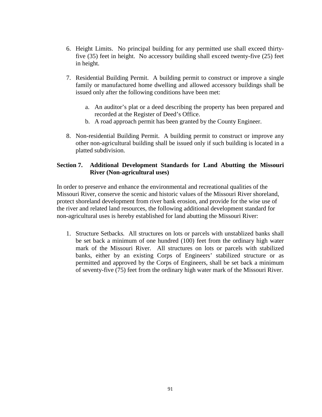- 6. Height Limits. No principal building for any permitted use shall exceed thirtyfive (35) feet in height. No accessory building shall exceed twenty-five (25) feet in height.
- 7. Residential Building Permit. A building permit to construct or improve a single family or manufactured home dwelling and allowed accessory buildings shall be issued only after the following conditions have been met:
	- a. An auditor's plat or a deed describing the property has been prepared and recorded at the Register of Deed's Office.
	- b. A road approach permit has been granted by the County Engineer.
- 8. Non-residential Building Permit. A building permit to construct or improve any other non-agricultural building shall be issued only if such building is located in a platted subdivision.

# **Section 7. Additional Development Standards for Land Abutting the Missouri River (Non-agricultural uses)**

In order to preserve and enhance the environmental and recreational qualities of the Missouri River, conserve the scenic and historic values of the Missouri River shoreland, protect shoreland development from river bank erosion, and provide for the wise use of the river and related land resources, the following additional development standard for non-agricultural uses is hereby established for land abutting the Missouri River:

1. Structure Setbacks*.* All structures on lots or parcels with unstablized banks shall be set back a minimum of one hundred (100) feet from the ordinary high water mark of the Missouri River. All structures on lots or parcels with stabilized banks, either by an existing Corps of Engineers' stabilized structure or as permitted and approved by the Corps of Engineers, shall be set back a minimum of seventy-five (75) feet from the ordinary high water mark of the Missouri River.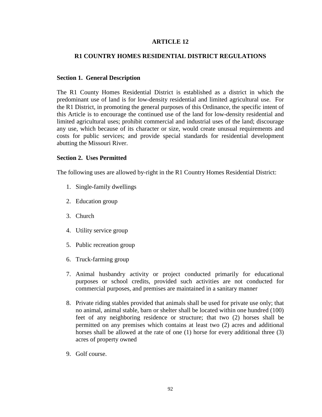## **ARTICLE 12**

### **R1 COUNTRY HOMES RESIDENTIAL DISTRICT REGULATIONS**

#### **Section 1. General Description**

The R1 County Homes Residential District is established as a district in which the predominant use of land is for low-density residential and limited agricultural use. For the R1 District, in promoting the general purposes of this Ordinance, the specific intent of this Article is to encourage the continued use of the land for low-density residential and limited agricultural uses; prohibit commercial and industrial uses of the land; discourage any use, which because of its character or size, would create unusual requirements and costs for public services; and provide special standards for residential development abutting the Missouri River.

#### **Section 2. Uses Permitted**

The following uses are allowed by-right in the R1 Country Homes Residential District:

- 1. Single-family dwellings
- 2. Education group
- 3. Church
- 4. Utility service group
- 5. Public recreation group
- 6. Truck-farming group
- 7. Animal husbandry activity or project conducted primarily for educational purposes or school credits, provided such activities are not conducted for commercial purposes, and premises are maintained in a sanitary manner
- 8. Private riding stables provided that animals shall be used for private use only; that no animal, animal stable, barn or shelter shall be located within one hundred (100) feet of any neighboring residence or structure; that two (2) horses shall be permitted on any premises which contains at least two (2) acres and additional horses shall be allowed at the rate of one (1) horse for every additional three (3) acres of property owned
- 9. Golf course.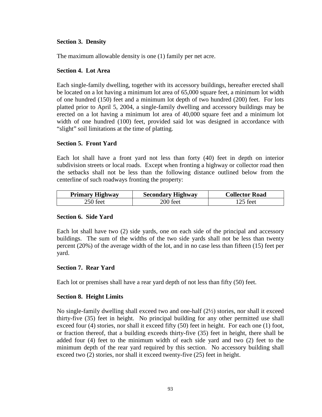### **Section 3. Density**

The maximum allowable density is one (1) family per net acre.

### **Section 4. Lot Area**

Each single-family dwelling, together with its accessory buildings, hereafter erected shall be located on a lot having a minimum lot area of 65,000 square feet, a minimum lot width of one hundred (150) feet and a minimum lot depth of two hundred (200) feet. For lots platted prior to April 5, 2004, a single-family dwelling and accessory buildings may be erected on a lot having a minimum lot area of 40,000 square feet and a minimum lot width of one hundred (100) feet, provided said lot was designed in accordance with "slight" soil limitations at the time of platting.

### **Section 5. Front Yard**

Each lot shall have a front yard not less than forty (40) feet in depth on interior subdivision streets or local roads. Except when fronting a highway or collector road then the setbacks shall not be less than the following distance outlined below from the centerline of such roadways fronting the property:

| <b>Primary Highway</b> | <b>Secondary Highway</b> | <b>Collector Road</b> |
|------------------------|--------------------------|-----------------------|
| 250 feet               | 200 feet                 | 125 feet              |

#### **Section 6. Side Yard**

Each lot shall have two (2) side yards, one on each side of the principal and accessory buildings. The sum of the widths of the two side yards shall not be less than twenty percent (20%) of the average width of the lot, and in no case less than fifteen (15) feet per yard.

## **Section 7. Rear Yard**

Each lot or premises shall have a rear yard depth of not less than fifty (50) feet.

#### **Section 8. Height Limits**

No single-family dwelling shall exceed two and one-half (2½) stories, nor shall it exceed thirty-five (35) feet in height. No principal building for any other permitted use shall exceed four (4) stories, nor shall it exceed fifty (50) feet in height. For each one (1) foot, or fraction thereof, that a building exceeds thirty-five (35) feet in height, there shall be added four (4) feet to the minimum width of each side yard and two (2) feet to the minimum depth of the rear yard required by this section. No accessory building shall exceed two (2) stories, nor shall it exceed twenty-five (25) feet in height.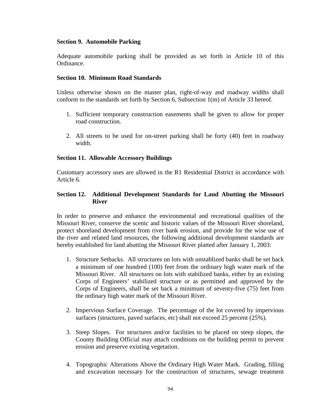### **Section 9. Automobile Parking**

Adequate automobile parking shall be provided as set forth in Article 10 of this Ordinance.

### **Section 10. Minimum Road Standards**

Unless otherwise shown on the master plan, right-of-way and roadway widths shall conform to the standards set forth by Section 6, Subsection 1(m) of Article 33 hereof.

- 1. Sufficient temporary construction easements shall be given to allow for proper road construction.
- 2. All streets to be used for on-street parking shall be forty (40) feet in roadway width.

## **Section 11. Allowable Accessory Buildings**

Customary accessory uses are allowed in the R1 Residential District in accordance with Article 6.

# **Section 12. Additional Development Standards for Land Abutting the Missouri River**

In order to preserve and enhance the environmental and recreational qualities of the Missouri River, conserve the scenic and historic values of the Missouri River shoreland, protect shoreland development from river bank erosion, and provide for the wise use of the river and related land resources, the following additional development standards are hereby established for land abutting the Missouri River platted after January 1, 2003:

- 1. Structure Setbacks*.* All structures on lots with unstablized banks shall be set back a minimum of one hundred (100) feet from the ordinary high water mark of the Missouri River. All structures on lots with stabilized banks, either by an existing Corps of Engineers' stabilized structure or as permitted and approved by the Corps of Engineers, shall be set back a minimum of seventy-five (75) feet from the ordinary high water mark of the Missouri River.
- 2. Impervious Surface Coverage*.* The percentage of the lot covered by impervious surfaces (structures, paved surfaces, etc) shall not exceed 25 percent (25%).
- 3. Steep Slopes. For structures and/or facilities to be placed on steep slopes, the County Building Official may attach conditions on the building permit to prevent erosion and preserve existing vegetation.
- 4. Topographic Alterations Above the Ordinary High Water Mark*.* Grading, filling and excavation necessary for the construction of structures, sewage treatment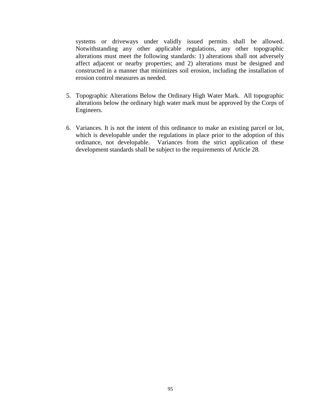systems or driveways under validly issued permits shall be allowed. Notwithstanding any other applicable regulations, any other topographic alterations must meet the following standards: 1) alterations shall not adversely affect adjacent or nearby properties; and 2) alterations must be designed and constructed in a manner that minimizes soil erosion, including the installation of erosion control measures as needed.

- 5. Topographic Alterations Below the Ordinary High Water Mark*.* All topographic alterations below the ordinary high water mark must be approved by the Corps of Engineers.
- 6. Variances*.* It is not the intent of this ordinance to make an existing parcel or lot, which is developable under the regulations in place prior to the adoption of this ordinance, not developable. Variances from the strict application of these development standards shall be subject to the requirements of Article 28.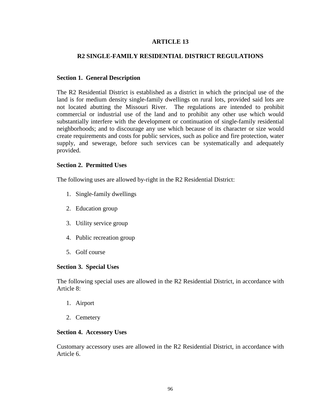# **ARTICLE 13**

# **R2 SINGLE-FAMILY RESIDENTIAL DISTRICT REGULATIONS**

### **Section 1. General Description**

The R2 Residential District is established as a district in which the principal use of the land is for medium density single-family dwellings on rural lots, provided said lots are not located abutting the Missouri River. The regulations are intended to prohibit commercial or industrial use of the land and to prohibit any other use which would substantially interfere with the development or continuation of single-family residential neighborhoods; and to discourage any use which because of its character or size would create requirements and costs for public services, such as police and fire protection, water supply, and sewerage, before such services can be systematically and adequately provided.

### **Section 2. Permitted Uses**

The following uses are allowed by-right in the R2 Residential District:

- 1. Single-family dwellings
- 2. Education group
- 3. Utility service group
- 4. Public recreation group
- 5. Golf course

## **Section 3. Special Uses**

The following special uses are allowed in the R2 Residential District, in accordance with Article 8:

- 1. Airport
- 2. Cemetery

#### **Section 4. Accessory Uses**

Customary accessory uses are allowed in the R2 Residential District, in accordance with Article 6.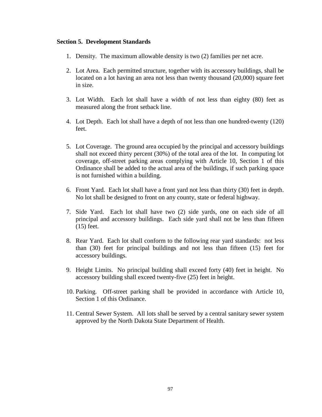#### **Section 5. Development Standards**

- 1. Density. The maximum allowable density is two (2) families per net acre.
- 2. Lot Area. Each permitted structure, together with its accessory buildings, shall be located on a lot having an area not less than twenty thousand (20,000) square feet in size.
- 3. Lot Width. Each lot shall have a width of not less than eighty (80) feet as measured along the front setback line.
- 4. Lot Depth. Each lot shall have a depth of not less than one hundred-twenty (120) feet.
- 5. Lot Coverage. The ground area occupied by the principal and accessory buildings shall not exceed thirty percent (30%) of the total area of the lot. In computing lot coverage, off-street parking areas complying with Article 10, Section 1 of this Ordinance shall be added to the actual area of the buildings, if such parking space is not furnished within a building.
- 6. Front Yard. Each lot shall have a front yard not less than thirty (30) feet in depth. No lot shall be designed to front on any county, state or federal highway.
- 7. Side Yard. Each lot shall have two (2) side yards, one on each side of all principal and accessory buildings. Each side yard shall not be less than fifteen (15) feet.
- 8. Rear Yard. Each lot shall conform to the following rear yard standards: not less than (30) feet for principal buildings and not less than fifteen (15) feet for accessory buildings.
- 9. Height Limits. No principal building shall exceed forty (40) feet in height. No accessory building shall exceed twenty-five (25) feet in height.
- 10. Parking. Off-street parking shall be provided in accordance with Article 10, Section 1 of this Ordinance.
- 11. Central Sewer System. All lots shall be served by a central sanitary sewer system approved by the North Dakota State Department of Health.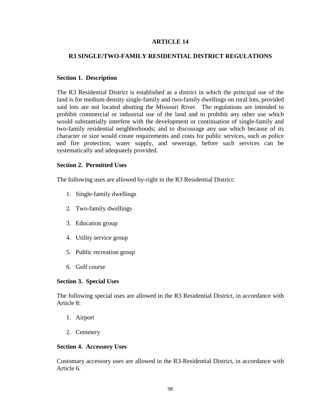# **ARTICLE 14**

# **R3 SINGLE/TWO-FAMILY RESIDENTIAL DISTRICT REGULATIONS**

### **Section 1. Description**

The R3 Residential District is established as a district in which the principal use of the land is for medium density single-family and two-family dwellings on rural lots, provided said lots are not located abutting the Missouri River. The regulations are intended to prohibit commercial or industrial use of the land and to prohibit any other use which would substantially interfere with the development or continuation of single-family and two-family residential neighborhoods; and to discourage any use which because of its character or size would create requirements and costs for public services, such as police and fire protection, water supply, and sewerage, before such services can be systematically and adequately provided.

## **Section 2. Permitted Uses**

The following uses are allowed by-right in the R3 Residential District:

- 1. Single-family dwellings
- 2. Two-family dwellings
- 3. Education group
- 4. Utility service group
- 5. Public recreation group
- 6. Golf course

## **Section 3. Special Uses**

The following special uses are allowed in the R3 Residential District, in accordance with Article 8:

- 1. Airport
- 2. Cemetery

#### **Section 4. Accessory Uses**

Customary accessory uses are allowed in the R3-Residential District, in accordance with Article 6.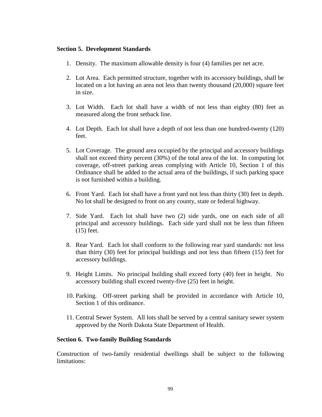#### **Section 5. Development Standards**

- 1. Density. The maximum allowable density is four (4) families per net acre.
- 2. Lot Area. Each permitted structure, together with its accessory buildings, shall be located on a lot having an area not less than twenty thousand (20,000) square feet in size.
- 3. Lot Width. Each lot shall have a width of not less than eighty (80) feet as measured along the front setback line.
- 4. Lot Depth. Each lot shall have a depth of not less than one hundred-twenty (120) feet.
- 5. Lot Coverage. The ground area occupied by the principal and accessory buildings shall not exceed thirty percent (30%) of the total area of the lot. In computing lot coverage, off-street parking areas complying with Article 10, Section 1 of this Ordinance shall be added to the actual area of the buildings, if such parking space is not furnished within a building.
- 6. Front Yard. Each lot shall have a front yard not less than thirty (30) feet in depth. No lot shall be designed to front on any county, state or federal highway.
- 7. Side Yard. Each lot shall have two (2) side yards, one on each side of all principal and accessory buildings. Each side yard shall not be less than fifteen (15) feet.
- 8. Rear Yard. Each lot shall conform to the following rear yard standards: not less than thirty (30) feet for principal buildings and not less than fifteen (15) feet for accessory buildings.
- 9. Height Limits. No principal building shall exceed forty (40) feet in height. No accessory building shall exceed twenty-five (25) feet in height.
- 10. Parking. Off-street parking shall be provided in accordance with Article 10, Section 1 of this ordinance.
- 11. Central Sewer System. All lots shall be served by a central sanitary sewer system approved by the North Dakota State Department of Health.

#### **Section 6. Two-family Building Standards**

Construction of two-family residential dwellings shall be subject to the following limitations: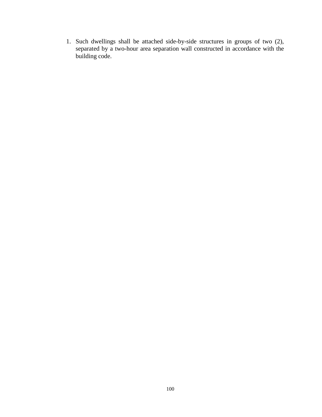1. Such dwellings shall be attached side-by-side structures in groups of two (2), separated by a two-hour area separation wall constructed in accordance with the building code.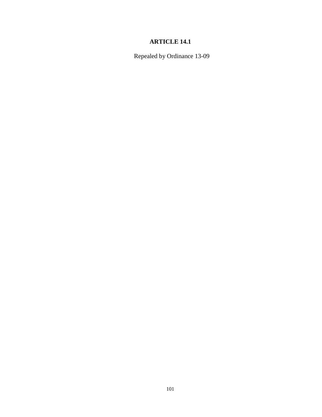# **ARTICLE 14.1**

Repealed by Ordinance 13-09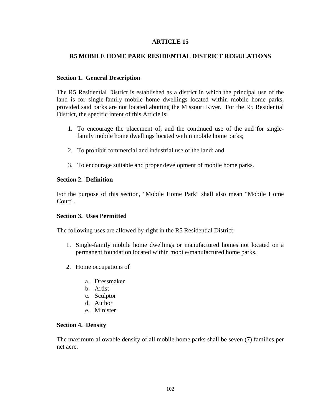## **R5 MOBILE HOME PARK RESIDENTIAL DISTRICT REGULATIONS**

#### **Section 1. General Description**

The R5 Residential District is established as a district in which the principal use of the land is for single-family mobile home dwellings located within mobile home parks, provided said parks are not located abutting the Missouri River. For the R5 Residential District, the specific intent of this Article is:

- 1. To encourage the placement of, and the continued use of the and for singlefamily mobile home dwellings located within mobile home parks;
- 2. To prohibit commercial and industrial use of the land; and
- 3. To encourage suitable and proper development of mobile home parks.

#### **Section 2. Definition**

For the purpose of this section, "Mobile Home Park" shall also mean "Mobile Home Court".

## **Section 3. Uses Permitted**

The following uses are allowed by-right in the R5 Residential District:

- 1. Single-family mobile home dwellings or manufactured homes not located on a permanent foundation located within mobile/manufactured home parks.
- 2. Home occupations of
	- a. Dressmaker
	- b. Artist
	- c. Sculptor
	- d. Author
	- e. Minister

#### **Section 4. Density**

The maximum allowable density of all mobile home parks shall be seven (7) families per net acre.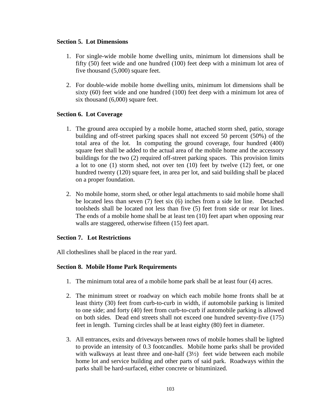#### **Section 5. Lot Dimensions**

- 1. For single-wide mobile home dwelling units, minimum lot dimensions shall be fifty (50) feet wide and one hundred (100) feet deep with a minimum lot area of five thousand (5,000) square feet.
- 2. For double-wide mobile home dwelling units, minimum lot dimensions shall be sixty (60) feet wide and one hundred (100) feet deep with a minimum lot area of six thousand (6,000) square feet.

# **Section 6. Lot Coverage**

- 1. The ground area occupied by a mobile home, attached storm shed, patio, storage building and off-street parking spaces shall not exceed 50 percent (50%) of the total area of the lot. In computing the ground coverage, four hundred (400) square feet shall be added to the actual area of the mobile home and the accessory buildings for the two (2) required off-street parking spaces. This provision limits a lot to one (1) storm shed, not over ten (10) feet by twelve (12) feet, or one hundred twenty (120) square feet, in area per lot, and said building shall be placed on a proper foundation.
- 2. No mobile home, storm shed, or other legal attachments to said mobile home shall be located less than seven (7) feet six (6) inches from a side lot line. Detached toolsheds shall be located not less than five (5) feet from side or rear lot lines. The ends of a mobile home shall be at least ten (10) feet apart when opposing rear walls are staggered, otherwise fifteen (15) feet apart.

# **Section 7. Lot Restrictions**

All clotheslines shall be placed in the rear yard.

## **Section 8. Mobile Home Park Requirements**

- 1. The minimum total area of a mobile home park shall be at least four (4) acres.
- 2. The minimum street or roadway on which each mobile home fronts shall be at least thirty (30) feet from curb-to-curb in width, if automobile parking is limited to one side; and forty (40) feet from curb-to-curb if automobile parking is allowed on both sides. Dead end streets shall not exceed one hundred seventy-five (175) feet in length. Turning circles shall be at least eighty (80) feet in diameter.
- 3. All entrances, exits and driveways between rows of mobile homes shall be lighted to provide an intensity of 0.3 footcandles. Mobile home parks shall be provided with walkways at least three and one-half  $(3\frac{1}{2})$  feet wide between each mobile home lot and service building and other parts of said park. Roadways within the parks shall be hard-surfaced, either concrete or bituminized.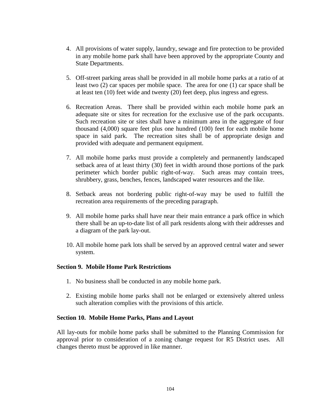- 4. All provisions of water supply, laundry, sewage and fire protection to be provided in any mobile home park shall have been approved by the appropriate County and State Departments.
- 5. Off-street parking areas shall be provided in all mobile home parks at a ratio of at least two (2) car spaces per mobile space. The area for one (1) car space shall be at least ten (10) feet wide and twenty (20) feet deep, plus ingress and egress.
- 6. Recreation Areas. There shall be provided within each mobile home park an adequate site or sites for recreation for the exclusive use of the park occupants. Such recreation site or sites shall have a minimum area in the aggregate of four thousand (4,000) square feet plus one hundred (100) feet for each mobile home space in said park. The recreation sites shall be of appropriate design and provided with adequate and permanent equipment.
- 7. All mobile home parks must provide a completely and permanently landscaped setback area of at least thirty (30) feet in width around those portions of the park perimeter which border public right-of-way. Such areas may contain trees, shrubbery, grass, benches, fences, landscaped water resources and the like.
- 8. Setback areas not bordering public right-of-way may be used to fulfill the recreation area requirements of the preceding paragraph.
- 9. All mobile home parks shall have near their main entrance a park office in which there shall be an up-to-date list of all park residents along with their addresses and a diagram of the park lay-out.
- 10. All mobile home park lots shall be served by an approved central water and sewer system.

#### **Section 9. Mobile Home Park Restrictions**

- 1. No business shall be conducted in any mobile home park.
- 2. Existing mobile home parks shall not be enlarged or extensively altered unless such alteration complies with the provisions of this article.

#### **Section 10. Mobile Home Parks, Plans and Layout**

All lay-outs for mobile home parks shall be submitted to the Planning Commission for approval prior to consideration of a zoning change request for R5 District uses. All changes thereto must be approved in like manner.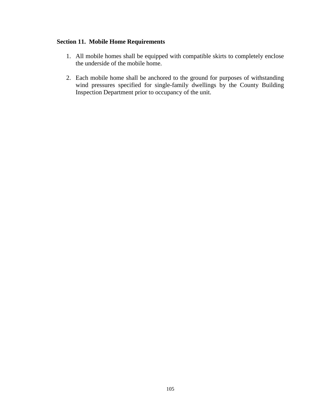# **Section 11. Mobile Home Requirements**

- 1. All mobile homes shall be equipped with compatible skirts to completely enclose the underside of the mobile home.
- 2. Each mobile home shall be anchored to the ground for purposes of withstanding wind pressures specified for single-family dwellings by the County Building Inspection Department prior to occupancy of the unit.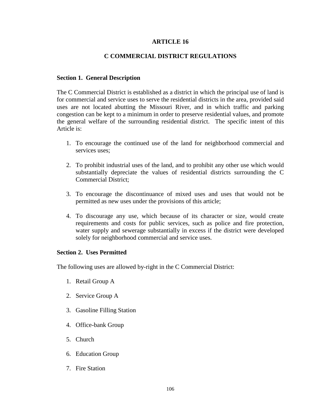# **C COMMERCIAL DISTRICT REGULATIONS**

#### **Section 1. General Description**

The C Commercial District is established as a district in which the principal use of land is for commercial and service uses to serve the residential districts in the area, provided said uses are not located abutting the Missouri River, and in which traffic and parking congestion can be kept to a minimum in order to preserve residential values, and promote the general welfare of the surrounding residential district. The specific intent of this Article is:

- 1. To encourage the continued use of the land for neighborhood commercial and services uses;
- 2. To prohibit industrial uses of the land, and to prohibit any other use which would substantially depreciate the values of residential districts surrounding the C Commercial District;
- 3. To encourage the discontinuance of mixed uses and uses that would not be permitted as new uses under the provisions of this article;
- 4. To discourage any use, which because of its character or size, would create requirements and costs for public services, such as police and fire protection, water supply and sewerage substantially in excess if the district were developed solely for neighborhood commercial and service uses.

#### **Section 2. Uses Permitted**

The following uses are allowed by-right in the C Commercial District:

- 1. Retail Group A
- 2. Service Group A
- 3. Gasoline Filling Station
- 4. Office-bank Group
- 5. Church
- 6. Education Group
- 7. Fire Station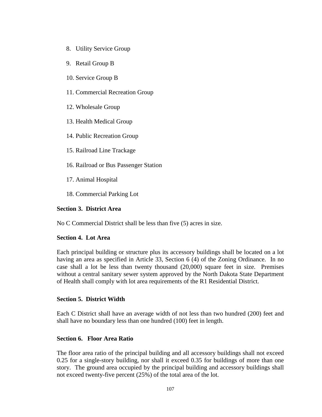- 8. Utility Service Group
- 9. Retail Group B
- 10. Service Group B
- 11. Commercial Recreation Group
- 12. Wholesale Group
- 13. Health Medical Group
- 14. Public Recreation Group
- 15. Railroad Line Trackage
- 16. Railroad or Bus Passenger Station
- 17. Animal Hospital
- 18. Commercial Parking Lot

## **Section 3. District Area**

No C Commercial District shall be less than five (5) acres in size.

## **Section 4. Lot Area**

Each principal building or structure plus its accessory buildings shall be located on a lot having an area as specified in Article 33, Section 6 (4) of the Zoning Ordinance. In no case shall a lot be less than twenty thousand (20,000) square feet in size. Premises without a central sanitary sewer system approved by the North Dakota State Department of Health shall comply with lot area requirements of the R1 Residential District.

## **Section 5. District Width**

Each C District shall have an average width of not less than two hundred (200) feet and shall have no boundary less than one hundred (100) feet in length.

## **Section 6. Floor Area Ratio**

The floor area ratio of the principal building and all accessory buildings shall not exceed 0.25 for a single-story building, nor shall it exceed 0.35 for buildings of more than one story. The ground area occupied by the principal building and accessory buildings shall not exceed twenty-five percent (25%) of the total area of the lot.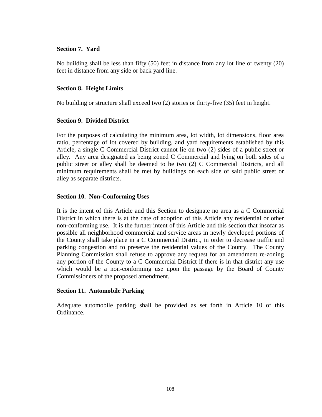#### **Section 7. Yard**

No building shall be less than fifty (50) feet in distance from any lot line or twenty (20) feet in distance from any side or back yard line.

## **Section 8. Height Limits**

No building or structure shall exceed two (2) stories or thirty-five (35) feet in height.

#### **Section 9. Divided District**

For the purposes of calculating the minimum area, lot width, lot dimensions, floor area ratio, percentage of lot covered by building, and yard requirements established by this Article, a single C Commercial District cannot lie on two (2) sides of a public street or alley. Any area designated as being zoned C Commercial and lying on both sides of a public street or alley shall be deemed to be two (2) C Commercial Districts, and all minimum requirements shall be met by buildings on each side of said public street or alley as separate districts.

#### **Section 10. Non-Conforming Uses**

It is the intent of this Article and this Section to designate no area as a C Commercial District in which there is at the date of adoption of this Article any residential or other non-conforming use. It is the further intent of this Article and this section that insofar as possible all neighborhood commercial and service areas in newly developed portions of the County shall take place in a C Commercial District, in order to decrease traffic and parking congestion and to preserve the residential values of the County. The County Planning Commission shall refuse to approve any request for an amendment re-zoning any portion of the County to a C Commercial District if there is in that district any use which would be a non-conforming use upon the passage by the Board of County Commissioners of the proposed amendment.

#### **Section 11. Automobile Parking**

Adequate automobile parking shall be provided as set forth in Article 10 of this Ordinance.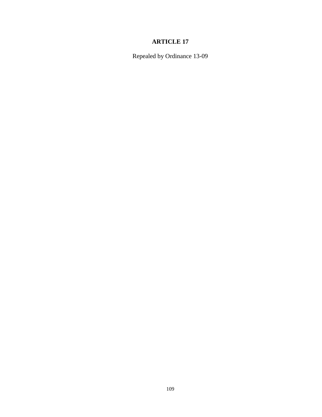Repealed by Ordinance 13-09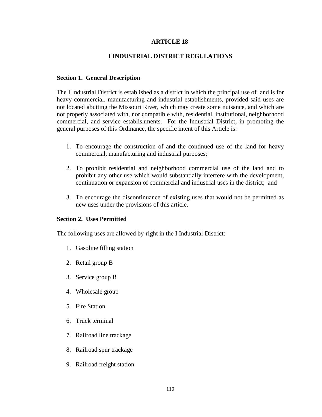## **I INDUSTRIAL DISTRICT REGULATIONS**

#### **Section 1. General Description**

The I Industrial District is established as a district in which the principal use of land is for heavy commercial, manufacturing and industrial establishments, provided said uses are not located abutting the Missouri River, which may create some nuisance, and which are not properly associated with, nor compatible with, residential, institutional, neighborhood commercial, and service establishments. For the Industrial District, in promoting the general purposes of this Ordinance, the specific intent of this Article is:

- 1. To encourage the construction of and the continued use of the land for heavy commercial, manufacturing and industrial purposes;
- 2. To prohibit residential and neighborhood commercial use of the land and to prohibit any other use which would substantially interfere with the development, continuation or expansion of commercial and industrial uses in the district; and
- 3. To encourage the discontinuance of existing uses that would not be permitted as new uses under the provisions of this article.

#### **Section 2. Uses Permitted**

The following uses are allowed by-right in the I Industrial District:

- 1. Gasoline filling station
- 2. Retail group B
- 3. Service group B
- 4. Wholesale group
- 5. Fire Station
- 6. Truck terminal
- 7. Railroad line trackage
- 8. Railroad spur trackage
- 9. Railroad freight station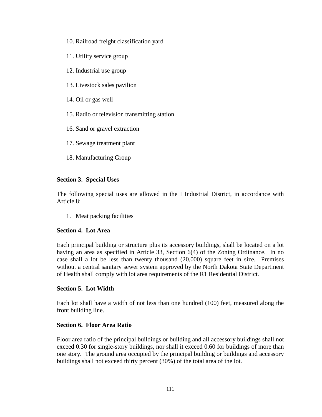- 10. Railroad freight classification yard
- 11. Utility service group
- 12. Industrial use group
- 13. Livestock sales pavilion
- 14. Oil or gas well
- 15. Radio or television transmitting station
- 16. Sand or gravel extraction
- 17. Sewage treatment plant
- 18. Manufacturing Group

## **Section 3. Special Uses**

The following special uses are allowed in the I Industrial District, in accordance with Article 8:

1. Meat packing facilities

## **Section 4. Lot Area**

Each principal building or structure plus its accessory buildings, shall be located on a lot having an area as specified in Article 33, Section 6(4) of the Zoning Ordinance. In no case shall a lot be less than twenty thousand (20,000) square feet in size. Premises without a central sanitary sewer system approved by the North Dakota State Department of Health shall comply with lot area requirements of the R1 Residential District.

## **Section 5. Lot Width**

Each lot shall have a width of not less than one hundred (100) feet, measured along the front building line.

## **Section 6. Floor Area Ratio**

Floor area ratio of the principal buildings or building and all accessory buildings shall not exceed 0.30 for single-story buildings, nor shall it exceed 0.60 for buildings of more than one story. The ground area occupied by the principal building or buildings and accessory buildings shall not exceed thirty percent (30%) of the total area of the lot.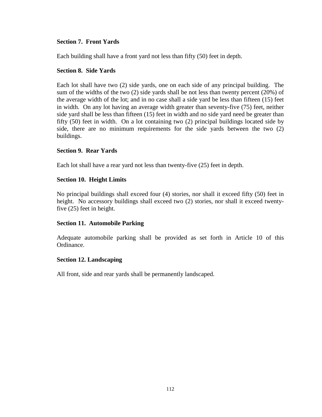# **Section 7. Front Yards**

Each building shall have a front yard not less than fifty (50) feet in depth.

## **Section 8. Side Yards**

Each lot shall have two (2) side yards, one on each side of any principal building. The sum of the widths of the two (2) side yards shall be not less than twenty percent (20%) of the average width of the lot; and in no case shall a side yard be less than fifteen (15) feet in width. On any lot having an average width greater than seventy-five (75) feet, neither side yard shall be less than fifteen (15) feet in width and no side yard need be greater than fifty (50) feet in width. On a lot containing two (2) principal buildings located side by side, there are no minimum requirements for the side yards between the two (2) buildings.

## **Section 9. Rear Yards**

Each lot shall have a rear yard not less than twenty-five (25) feet in depth.

# **Section 10. Height Limits**

No principal buildings shall exceed four (4) stories, nor shall it exceed fifty (50) feet in height. No accessory buildings shall exceed two (2) stories, nor shall it exceed twentyfive (25) feet in height.

## **Section 11. Automobile Parking**

Adequate automobile parking shall be provided as set forth in Article 10 of this Ordinance.

## **Section 12. Landscaping**

All front, side and rear yards shall be permanently landscaped.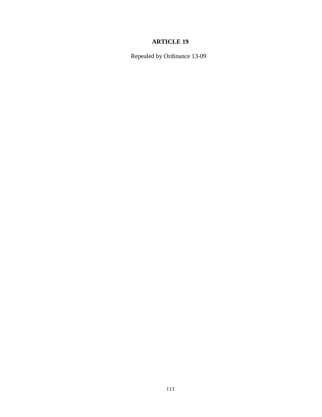Repealed by Ordinance 13-09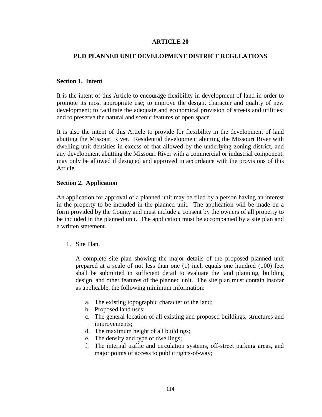## **PUD PLANNED UNIT DEVELOPMENT DISTRICT REGULATIONS**

#### **Section 1. Intent**

It is the intent of this Article to encourage flexibility in development of land in order to promote its most appropriate use; to improve the design, character and quality of new development; to facilitate the adequate and economical provision of streets and utilities; and to preserve the natural and scenic features of open space.

It is also the intent of this Article to provide for flexibility in the development of land abutting the Missouri River. Residential development abutting the Missouri River with dwelling unit densities in excess of that allowed by the underlying zoning district, and any development abutting the Missouri River with a commercial or industrial component, may only be allowed if designed and approved in accordance with the provisions of this Article.

#### **Section 2. Application**

An application for approval of a planned unit may be filed by a person having an interest in the property to be included in the planned unit. The application will be made on a form provided by the County and must include a consent by the owners of all property to be included in the planned unit. The application must be accompanied by a site plan and a written statement.

1. Site Plan.

A complete site plan showing the major details of the proposed planned unit prepared at a scale of not less than one (1) inch equals one hundred (100) feet shall be submitted in sufficient detail to evaluate the land planning, building design, and other features of the planned unit. The site plan must contain insofar as applicable, the following minimum information:

- a. The existing topographic character of the land;
- b. Proposed land uses;
- c. The general location of all existing and proposed buildings, structures and improvements;
- d. The maximum height of all buildings;
- e. The density and type of dwellings;
- f. The internal traffic and circulation systems, off-street parking areas, and major points of access to public rights-of-way;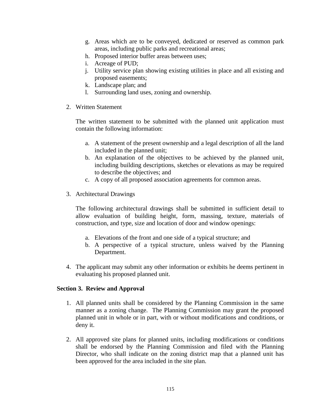- g. Areas which are to be conveyed, dedicated or reserved as common park areas, including public parks and recreational areas;
- h. Proposed interior buffer areas between uses;
- i. Acreage of PUD;
- j. Utility service plan showing existing utilities in place and all existing and proposed easements;
- k. Landscape plan; and
- l. Surrounding land uses, zoning and ownership.
- 2. Written Statement

The written statement to be submitted with the planned unit application must contain the following information:

- a. A statement of the present ownership and a legal description of all the land included in the planned unit;
- b. An explanation of the objectives to be achieved by the planned unit, including building descriptions, sketches or elevations as may be required to describe the objectives; and
- c. A copy of all proposed association agreements for common areas.
- 3. Architectural Drawings

The following architectural drawings shall be submitted in sufficient detail to allow evaluation of building height, form, massing, texture, materials of construction, and type, size and location of door and window openings:

- a. Elevations of the front and one side of a typical structure; and
- b. A perspective of a typical structure, unless waived by the Planning Department.
- 4. The applicant may submit any other information or exhibits he deems pertinent in evaluating his proposed planned unit.

## **Section 3. Review and Approval**

- 1. All planned units shall be considered by the Planning Commission in the same manner as a zoning change. The Planning Commission may grant the proposed planned unit in whole or in part, with or without modifications and conditions, or deny it.
- 2. All approved site plans for planned units, including modifications or conditions shall be endorsed by the Planning Commission and filed with the Planning Director, who shall indicate on the zoning district map that a planned unit has been approved for the area included in the site plan.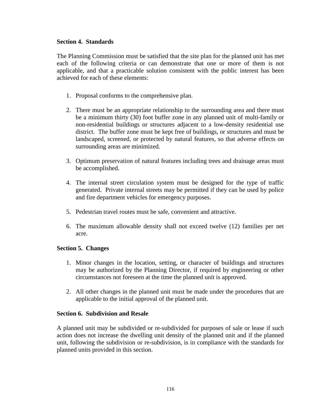#### **Section 4. Standards**

The Planning Commission must be satisfied that the site plan for the planned unit has met each of the following criteria or can demonstrate that one or more of them is not applicable, and that a practicable solution consistent with the public interest has been achieved for each of these elements:

- 1. Proposal conforms to the comprehensive plan.
- 2. There must be an appropriate relationship to the surrounding area and there must be a minimum thirty (30) foot buffer zone in any planned unit of multi-family or non-residential buildings or structures adjacent to a low-density residential use district. The buffer zone must be kept free of buildings, or structures and must be landscaped, screened, or protected by natural features, so that adverse effects on surrounding areas are minimized.
- 3. Optimum preservation of natural features including trees and drainage areas must be accomplished.
- 4. The internal street circulation system must be designed for the type of traffic generated. Private internal streets may be permitted if they can be used by police and fire department vehicles for emergency purposes.
- 5. Pedestrian travel routes must be safe, convenient and attractive.
- 6. The maximum allowable density shall not exceed twelve (12) families per net acre.

## **Section 5. Changes**

- 1. Minor changes in the location, setting, or character of buildings and structures may be authorized by the Planning Director, if required by engineering or other circumstances not foreseen at the time the planned unit is approved.
- 2. All other changes in the planned unit must be made under the procedures that are applicable to the initial approval of the planned unit.

## **Section 6. Subdivision and Resale**

A planned unit may be subdivided or re-subdivided for purposes of sale or lease if such action does not increase the dwelling unit density of the planned unit and if the planned unit, following the subdivision or re-subdivision, is in compliance with the standards for planned units provided in this section.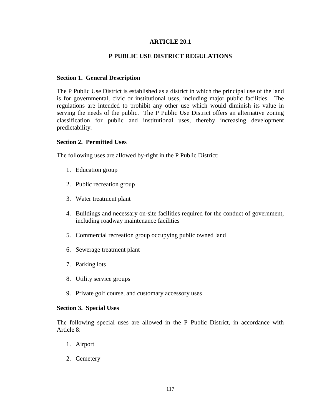## **ARTICLE 20.1**

## **P PUBLIC USE DISTRICT REGULATIONS**

#### **Section 1. General Description**

The P Public Use District is established as a district in which the principal use of the land is for governmental, civic or institutional uses, including major public facilities. The regulations are intended to prohibit any other use which would diminish its value in serving the needs of the public. The P Public Use District offers an alternative zoning classification for public and institutional uses, thereby increasing development predictability.

#### **Section 2. Permitted Uses**

The following uses are allowed by-right in the P Public District:

- 1. Education group
- 2. Public recreation group
- 3. Water treatment plant
- 4. Buildings and necessary on-site facilities required for the conduct of government, including roadway maintenance facilities
- 5. Commercial recreation group occupying public owned land
- 6. Sewerage treatment plant
- 7. Parking lots
- 8. Utility service groups
- 9. Private golf course, and customary accessory uses

#### **Section 3. Special Uses**

The following special uses are allowed in the P Public District, in accordance with Article 8:

- 1. Airport
- 2. Cemetery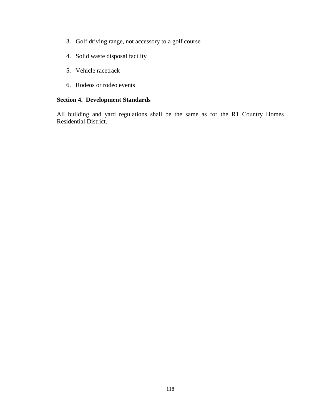- 3. Golf driving range, not accessory to a golf course
- 4. Solid waste disposal facility
- 5. Vehicle racetrack
- 6. Rodeos or rodeo events

# **Section 4. Development Standards**

All building and yard regulations shall be the same as for the R1 Country Homes Residential District.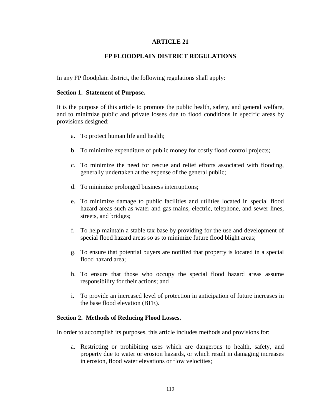# **FP FLOODPLAIN DISTRICT REGULATIONS**

In any FP floodplain district, the following regulations shall apply:

#### **Section 1. Statement of Purpose.**

It is the purpose of this article to promote the public health, safety, and general welfare, and to minimize public and private losses due to flood conditions in specific areas by provisions designed:

- a. To protect human life and health;
- b. To minimize expenditure of public money for costly flood control projects;
- c. To minimize the need for rescue and relief efforts associated with flooding, generally undertaken at the expense of the general public;
- d. To minimize prolonged business interruptions;
- e. To minimize damage to public facilities and utilities located in special flood hazard areas such as water and gas mains, electric, telephone, and sewer lines, streets, and bridges;
- f. To help maintain a stable tax base by providing for the use and development of special flood hazard areas so as to minimize future flood blight areas;
- g. To ensure that potential buyers are notified that property is located in a special flood hazard area;
- h. To ensure that those who occupy the special flood hazard areas assume responsibility for their actions; and
- i. To provide an increased level of protection in anticipation of future increases in the base flood elevation (BFE).

#### **Section 2. Methods of Reducing Flood Losses.**

In order to accomplish its purposes, this article includes methods and provisions for:

a. Restricting or prohibiting uses which are dangerous to health, safety, and property due to water or erosion hazards, or which result in damaging increases in erosion, flood water elevations or flow velocities;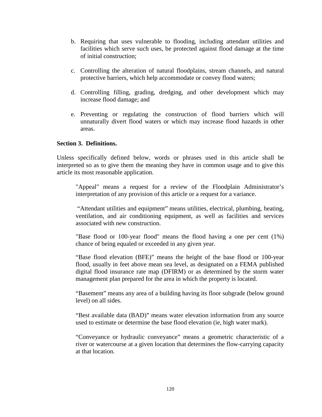- b. Requiring that uses vulnerable to flooding, including attendant utilities and facilities which serve such uses, be protected against flood damage at the time of initial construction;
- c. Controlling the alteration of natural floodplains, stream channels, and natural protective barriers, which help accommodate or convey flood waters;
- d. Controlling filling, grading, dredging, and other development which may increase flood damage; and
- e. Preventing or regulating the construction of flood barriers which will unnaturally divert flood waters or which may increase flood hazards in other areas.

# **Section 3. Definitions.**

Unless specifically defined below, words or phrases used in this article shall be interpreted so as to give them the meaning they have in common usage and to give this article its most reasonable application.

"Appeal" means a request for a review of the Floodplain Administrator's interpretation of any provision of this article or a request for a variance.

"Attendant utilities and equipment" means utilities, electrical, plumbing, heating, ventilation, and air conditioning equipment, as well as facilities and services associated with new construction.

"Base flood or 100-year flood" means the flood having a one per cent (1%) chance of being equaled or exceeded in any given year.

"Base flood elevation (BFE)" means the height of the base flood or 100-year flood, usually in feet above mean sea level, as designated on a FEMA published digital flood insurance rate map (DFIRM) or as determined by the storm water management plan prepared for the area in which the property is located.

"Basement" means any area of a building having its floor subgrade (below ground level) on all sides.

"Best available data (BAD)" means water elevation information from any source used to estimate or determine the base flood elevation (ie, high water mark).

"Conveyance or hydraulic conveyance" means a geometric characteristic of a river or watercourse at a given location that determines the flow-carrying capacity at that location.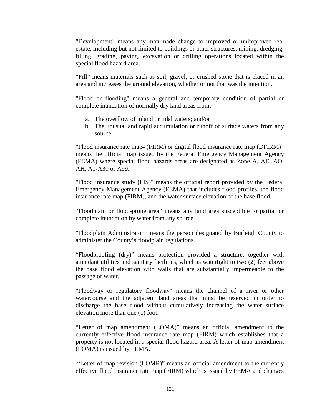"Development" means any man-made change to improved or unimproved real estate, including but not limited to buildings or other structures, mining, dredging, filling, grading, paving, excavation or drilling operations located within the special flood hazard area.

"Fill" means materials such as soil, gravel, or crushed stone that is placed in an area and increases the ground elevation, whether or not that was the intention.

"Flood or flooding" means a general and temporary condition of partial or complete inundation of normally dry land areas from:

- a. The overflow of inland or tidal waters; and/or
- b. The unusual and rapid accumulation or runoff of surface waters from any source.

"Flood insurance rate map" (FIRM) or digital flood insurance rate map (DFIRM)" means the official map issued by the Federal Emergency Management Agency (FEMA) where special flood hazards areas are designated as Zone A, AE, AO, AH, A1-A30 or A99.

"Flood insurance study (FIS)" means the official report provided by the Federal Emergency Management Agency (FEMA) that includes flood profiles, the flood insurance rate map (FIRM), and the water surface elevation of the base flood.

"Floodplain or flood-prone area" means any land area susceptible to partial or complete inundation by water from any source.

"Floodplain Administrator" means the person designated by Burleigh County to administer the County's floodplain regulations.

"Floodproofing (dry)" means protection provided a structure, together with attendant utilities and sanitary facilities, which is watertight to two (2) feet above the base flood elevation with walls that are substantially impermeable to the passage of water.

"Floodway or regulatory floodway" means the channel of a river or other watercourse and the adjacent land areas that must be reserved in order to discharge the base flood without cumulatively increasing the water surface elevation more than one (1) foot.

"Letter of map amendment (LOMA)" means an official amendment to the currently effective flood insurance rate map (FIRM) which establishes that a property is not located in a special flood hazard area. A letter of map amendment (LOMA) is issued by FEMA.

"Letter of map revision (LOMR)" means an official amendment to the currently effective flood insurance rate map (FIRM) which is issued by FEMA and changes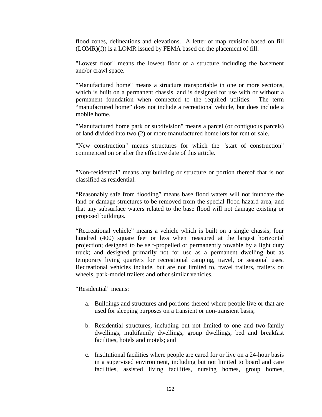flood zones, delineations and elevations. A letter of map revision based on fill (LOMR)(f)) is a LOMR issued by FEMA based on the placement of fill.

"Lowest floor" means the lowest floor of a structure including the basement and/or crawl space.

"Manufactured home" means a structure transportable in one or more sections, which is built on a permanent chassis, and is designed for use with or without a permanent foundation when connected to the required utilities. The term "manufactured home" does not include a recreational vehicle, but does include a mobile home.

"Manufactured home park or subdivision" means a parcel (or contiguous parcels) of land divided into two (2) or more manufactured home lots for rent or sale.

"New construction" means structures for which the "start of construction" commenced on or after the effective date of this article.

"Non-residential" means any building or structure or portion thereof that is not classified as residential.

"Reasonably safe from flooding" means base flood waters will not inundate the land or damage structures to be removed from the special flood hazard area, and that any subsurface waters related to the base flood will not damage existing or proposed buildings.

"Recreational vehicle" means a vehicle which is built on a single chassis; four hundred (400) square feet or less when measured at the largest horizontal projection; designed to be self-propelled or permanently towable by a light duty truck; and designed primarily not for use as a permanent dwelling but as temporary living quarters for recreational camping, travel, or seasonal uses. Recreational vehicles include, but are not limited to, travel trailers, trailers on wheels, park-model trailers and other similar vehicles.

"Residential" means:

- a. Buildings and structures and portions thereof where people live or that are used for sleeping purposes on a transient or non-transient basis;
- b. Residential structures, including but not limited to one and two-family dwellings, multifamily dwellings, group dwellings, bed and breakfast facilities, hotels and motels; and
- c. Institutional facilities where people are cared for or live on a 24-hour basis in a supervised environment, including but not limited to board and care facilities, assisted living facilities, nursing homes, group homes,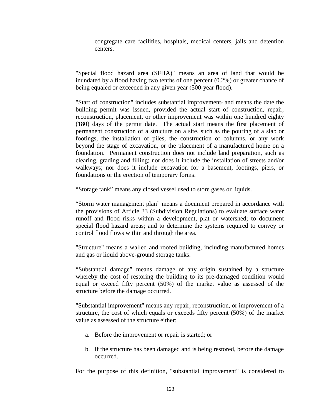congregate care facilities, hospitals, medical centers, jails and detention centers.

"Special flood hazard area (SFHA)" means an area of land that would be inundated by a flood having two tenths of one percent (0.2%) or greater chance of being equaled or exceeded in any given year (500-year flood).

"Start of construction" includes substantial improvement, and means the date the building permit was issued, provided the actual start of construction, repair, reconstruction, placement, or other improvement was within one hundred eighty (180) days of the permit date. The actual start means the first placement of permanent construction of a structure on a site, such as the pouring of a slab or footings, the installation of piles, the construction of columns, or any work beyond the stage of excavation, or the placement of a manufactured home on a foundation. Permanent construction does not include land preparation, such as clearing, grading and filling; nor does it include the installation of streets and/or walkways; nor does it include excavation for a basement, footings, piers, or foundations or the erection of temporary forms.

"Storage tank" means any closed vessel used to store gases or liquids.

"Storm water management plan" means a document prepared in accordance with the provisions of Article 33 (Subdivision Regulations) to evaluate surface water runoff and flood risks within a development, plat or watershed; to document special flood hazard areas; and to determine the systems required to convey or control flood flows within and through the area.

"Structure" means a walled and roofed building, including manufactured homes and gas or liquid above-ground storage tanks.

"Substantial damage" means damage of any origin sustained by a structure whereby the cost of restoring the building to its pre-damaged condition would equal or exceed fifty percent (50%) of the market value as assessed of the structure before the damage occurred.

"Substantial improvement" means any repair, reconstruction, or improvement of a structure, the cost of which equals or exceeds fifty percent (50%) of the market value as assessed of the structure either:

- a. Before the improvement or repair is started; or
- b. If the structure has been damaged and is being restored, before the damage occurred.

For the purpose of this definition, "substantial improvement" is considered to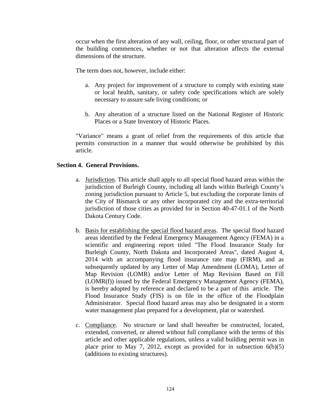occur when the first alteration of any wall, ceiling, floor, or other structural part of the building commences, whether or not that alteration affects the external dimensions of the structure.

The term does not, however, include either:

- a. Any project for improvement of a structure to comply with existing state or local health, sanitary, or safety code specifications which are solely necessary to assure safe living conditions; or
- b. Any alteration of a structure listed on the National Register of Historic Places or a State Inventory of Historic Places.

"Variance" means a grant of relief from the requirements of this article that permits construction in a manner that would otherwise be prohibited by this article.

# **Section 4. General Provisions.**

- a. Jurisdiction. This article shall apply to all special flood hazard areas within the jurisdiction of Burleigh County, including all lands within Burleigh County's zoning jurisdiction pursuant to Article 5, but excluding the corporate limits of the City of Bismarck or any other incorporated city and the extra-territorial jurisdiction of those cities as provided for in Section 40-47-01.1 of the North Dakota Century Code.
- b. Basis for establishing the special flood hazard areas. The special flood hazard areas identified by the Federal Emergency Management Agency (FEMA) in a scientific and engineering report titled "The Flood Insurance Study for Burleigh County, North Dakota and Incorporated Areas", dated August 4, 2014 with an accompanying flood insurance rate map (FIRM), and as subsequently updated by any Letter of Map Amendment (LOMA), Letter of Map Revision (LOMR) and/or Letter of Map Revision Based on Fill (LOMR(f)) issued by the Federal Emergency Management Agency (FEMA), is hereby adopted by reference and declared to be a part of this article. The Flood Insurance Study (FIS) is on file in the office of the Floodplain Administrator. Special flood hazard areas may also be designated in a storm water management plan prepared for a development, plat or watershed.
- c. Compliance. No structure or land shall hereafter be constructed, located, extended, converted, or altered without full compliance with the terms of this article and other applicable regulations, unless a valid building permit was in place prior to May 7, 2012, except as provided for in subsection 6(b)(5) (additions to existing structures).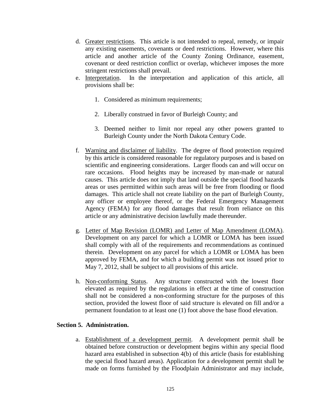- d. Greater restrictions. This article is not intended to repeal, remedy, or impair any existing easements, covenants or deed restrictions. However, where this article and another article of the County Zoning Ordinance, easement, covenant or deed restriction conflict or overlap, whichever imposes the more stringent restrictions shall prevail.
- e. Interpretation. In the interpretation and application of this article, all provisions shall be:
	- 1. Considered as minimum requirements;
	- 2. Liberally construed in favor of Burleigh County; and
	- 3. Deemed neither to limit nor repeal any other powers granted to Burleigh County under the North Dakota Century Code.
- f. Warning and disclaimer of liability. The degree of flood protection required by this article is considered reasonable for regulatory purposes and is based on scientific and engineering considerations. Larger floods can and will occur on rare occasions. Flood heights may be increased by man-made or natural causes. This article does not imply that land outside the special flood hazards areas or uses permitted within such areas will be free from flooding or flood damages. This article shall not create liability on the part of Burleigh County, any officer or employee thereof, or the Federal Emergency Management Agency (FEMA) for any flood damages that result from reliance on this article or any administrative decision lawfully made thereunder.
- g. Letter of Map Revision (LOMR) and Letter of Map Amendment (LOMA). Development on any parcel for which a LOMR or LOMA has been issued shall comply with all of the requirements and recommendations as continued therein. Development on any parcel for which a LOMR or LOMA has been approved by FEMA, and for which a building permit was not issued prior to May 7, 2012, shall be subject to all provisions of this article.
- h. Non-conforming Status. Any structure constructed with the lowest floor elevated as required by the regulations in effect at the time of construction shall not be considered a non-conforming structure for the purposes of this section, provided the lowest floor of said structure is elevated on fill and/or a permanent foundation to at least one (1) foot above the base flood elevation.

# **Section 5. Administration.**

a. Establishment of a development permit. A development permit shall be obtained before construction or development begins within any special flood hazard area established in subsection 4(b) of this article (basis for establishing the special flood hazard areas). Application for a development permit shall be made on forms furnished by the Floodplain Administrator and may include,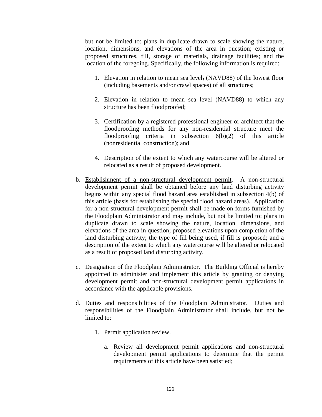but not be limited to: plans in duplicate drawn to scale showing the nature, location, dimensions, and elevations of the area in question; existing or proposed structures, fill, storage of materials, drainage facilities; and the location of the foregoing. Specifically, the following information is required:

- 1. Elevation in relation to mean sea level, (NAVD88) of the lowest floor (including basements and/or crawl spaces) of all structures;
- 2. Elevation in relation to mean sea level (NAVD88) to which any structure has been floodproofed;
- 3. Certification by a registered professional engineer or architect that the floodproofing methods for any non-residential structure meet the floodproofing criteria in subsection 6(b)(2) of this article (nonresidential construction); and
- 4. Description of the extent to which any watercourse will be altered or relocated as a result of proposed development.
- b. Establishment of a non-structural development permit. A non-structural development permit shall be obtained before any land disturbing activity begins within any special flood hazard area established in subsection 4(b) of this article (basis for establishing the special flood hazard areas). Application for a non-structural development permit shall be made on forms furnished by the Floodplain Administrator and may include, but not be limited to: plans in duplicate drawn to scale showing the nature, location, dimensions, and elevations of the area in question; proposed elevations upon completion of the land disturbing activity; the type of fill being used, if fill is proposed; and a description of the extent to which any watercourse will be altered or relocated as a result of proposed land disturbing activity.
- c. Designation of the Floodplain Administrator. The Building Official is hereby appointed to administer and implement this article by granting or denying development permit and non-structural development permit applications in accordance with the applicable provisions.
- d. Duties and responsibilities of the Floodplain Administrator. Duties and responsibilities of the Floodplain Administrator shall include, but not be limited to:
	- 1. Permit application review.
		- a. Review all development permit applications and non-structural development permit applications to determine that the permit requirements of this article have been satisfied;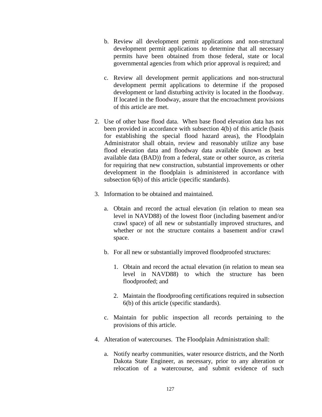- b. Review all development permit applications and non-structural development permit applications to determine that all necessary permits have been obtained from those federal, state or local governmental agencies from which prior approval is required; and
- c. Review all development permit applications and non-structural development permit applications to determine if the proposed development or land disturbing activity is located in the floodway. If located in the floodway, assure that the encroachment provisions of this article are met.
- 2. Use of other base flood data. When base flood elevation data has not been provided in accordance with subsection 4(b) of this article (basis for establishing the special flood hazard areas), the Floodplain Administrator shall obtain, review and reasonably utilize any base flood elevation data and floodway data available (known as best available data (BAD)) from a federal, state or other source, as criteria for requiring that new construction, substantial improvements or other development in the floodplain is administered in accordance with subsection 6(b) of this article (specific standards).
- 3. Information to be obtained and maintained.
	- a. Obtain and record the actual elevation (in relation to mean sea level in NAVD88) of the lowest floor (including basement and/or crawl space) of all new or substantially improved structures, and whether or not the structure contains a basement and/or crawl space.
	- b. For all new or substantially improved floodproofed structures:
		- 1. Obtain and record the actual elevation (in relation to mean sea level in NAVD88) to which the structure has been floodproofed; and
		- 2. Maintain the floodproofing certifications required in subsection 6(b) of this article (specific standards).
	- c. Maintain for public inspection all records pertaining to the provisions of this article.
- 4. Alteration of watercourses. The Floodplain Administration shall:
	- a. Notify nearby communities, water resource districts, and the North Dakota State Engineer, as necessary, prior to any alteration or relocation of a watercourse, and submit evidence of such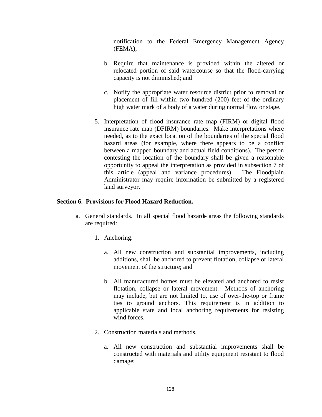notification to the Federal Emergency Management Agency (FEMA);

- b. Require that maintenance is provided within the altered or relocated portion of said watercourse so that the flood-carrying capacity is not diminished; and
- c. Notify the appropriate water resource district prior to removal or placement of fill within two hundred (200) feet of the ordinary high water mark of a body of a water during normal flow or stage.
- 5. Interpretation of flood insurance rate map (FIRM) or digital flood insurance rate map (DFIRM) boundaries. Make interpretations where needed, as to the exact location of the boundaries of the special flood hazard areas (for example, where there appears to be a conflict between a mapped boundary and actual field conditions). The person contesting the location of the boundary shall be given a reasonable opportunity to appeal the interpretation as provided in subsection 7 of this article (appeal and variance procedures). The Floodplain Administrator may require information be submitted by a registered land surveyor.

# **Section 6. Provisions for Flood Hazard Reduction.**

- a. General standards. In all special flood hazards areas the following standards are required:
	- 1. Anchoring.
		- a. All new construction and substantial improvements, including additions, shall be anchored to prevent flotation, collapse or lateral movement of the structure; and
		- b. All manufactured homes must be elevated and anchored to resist flotation, collapse or lateral movement. Methods of anchoring may include, but are not limited to, use of over-the-top or frame ties to ground anchors. This requirement is in addition to applicable state and local anchoring requirements for resisting wind forces.
	- 2. Construction materials and methods.
		- a. All new construction and substantial improvements shall be constructed with materials and utility equipment resistant to flood damage;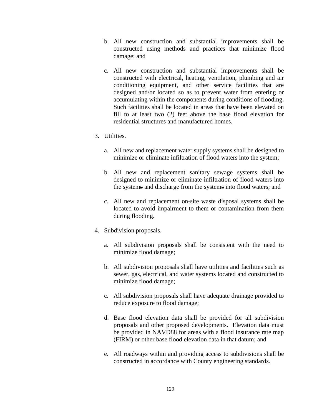- b. All new construction and substantial improvements shall be constructed using methods and practices that minimize flood damage; and
- c. All new construction and substantial improvements shall be constructed with electrical, heating, ventilation, plumbing and air conditioning equipment, and other service facilities that are designed and/or located so as to prevent water from entering or accumulating within the components during conditions of flooding. Such facilities shall be located in areas that have been elevated on fill to at least two (2) feet above the base flood elevation for residential structures and manufactured homes.
- 3. Utilities.
	- a. All new and replacement water supply systems shall be designed to minimize or eliminate infiltration of flood waters into the system;
	- b. All new and replacement sanitary sewage systems shall be designed to minimize or eliminate infiltration of flood waters into the systems and discharge from the systems into flood waters; and
	- c. All new and replacement on-site waste disposal systems shall be located to avoid impairment to them or contamination from them during flooding.
- 4. Subdivision proposals.
	- a. All subdivision proposals shall be consistent with the need to minimize flood damage;
	- b. All subdivision proposals shall have utilities and facilities such as sewer, gas, electrical, and water systems located and constructed to minimize flood damage;
	- c. All subdivision proposals shall have adequate drainage provided to reduce exposure to flood damage;
	- d. Base flood elevation data shall be provided for all subdivision proposals and other proposed developments. Elevation data must be provided in NAVD88 for areas with a flood insurance rate map (FIRM) or other base flood elevation data in that datum; and
	- e. All roadways within and providing access to subdivisions shall be constructed in accordance with County engineering standards.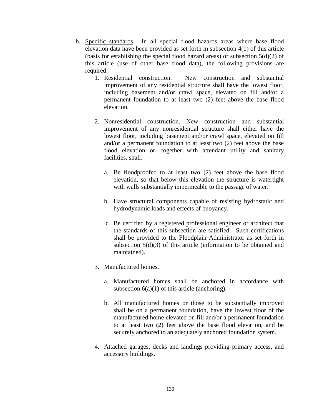- b. Specific standards. In all special flood hazards areas where base flood elevation data have been provided as set forth in subsection 4(b) of this article (basis for establishing the special flood hazard areas) or subsection  $5(d)(2)$  of this article (use of other base flood data), the following provisions are required:
	- 1. Residential construction. New construction and substantial improvement of any residential structure shall have the lowest floor, including basement and/or crawl space, elevated on fill and/or a permanent foundation to at least two (2) feet above the base flood elevation.
	- 2. Nonresidential construction. New construction and substantial improvement of any nonresidential structure shall either have the lowest floor, including basement and/or crawl space, elevated on fill and/or a permanent foundation to at least two (2) feet above the base flood elevation or, together with attendant utility and sanitary facilities, shall:
		- a. Be floodproofed to at least two (2) feet above the base flood elevation, so that below this elevation the structure is watertight with walls substantially impermeable to the passage of water.
		- b. Have structural components capable of resisting hydrostatic and hydrodynamic loads and effects of buoyancy.
		- c. Be certified by a registered professional engineer or architect that the standards of this subsection are satisfied. Such certifications shall be provided to the Floodplain Administrator as set forth in subsection 5(d)(3) of this article (information to be obtained and maintained).
	- 3. Manufactured homes.
		- a. Manufactured homes shall be anchored in accordance with subsection  $6(a)(1)$  of this article (anchoring).
		- b. All manufactured homes or those to be substantially improved shall be on a permanent foundation, have the lowest floor of the manufactured home elevated on fill and/or a permanent foundation to at least two (2) feet above the base flood elevation, and be securely anchored to an adequately anchored foundation system.
	- 4. Attached garages, decks and landings providing primary access, and accessory buildings.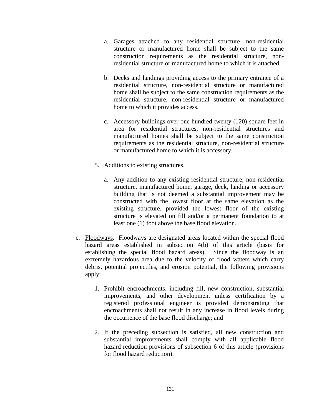- a. Garages attached to any residential structure, non-residential structure or manufactured home shall be subject to the same construction requirements as the residential structure, nonresidential structure or manufactured home to which it is attached.
- b. Decks and landings providing access to the primary entrance of a residential structure, non-residential structure or manufactured home shall be subject to the same construction requirements as the residential structure, non-residential structure or manufactured home to which it provides access.
- c. Accessory buildings over one hundred twenty (120) square feet in area for residential structures, non-residential structures and manufactured homes shall be subject to the same construction requirements as the residential structure, non-residential structure or manufactured home to which it is accessory.
- 5. Additions to existing structures.
	- a. Any addition to any existing residential structure, non-residential structure, manufactured home, garage, deck, landing or accessory building that is not deemed a substantial improvement may be constructed with the lowest floor at the same elevation as the existing structure, provided the lowest floor of the existing structure is elevated on fill and/or a permanent foundation to at least one (1) foot above the base flood elevation.
- c. Floodways. Floodways are designated areas located within the special flood hazard areas established in subsection 4(b) of this article (basis for establishing the special flood hazard areas). Since the floodway is an extremely hazardous area due to the velocity of flood waters which carry debris, potential projectiles, and erosion potential, the following provisions apply:
	- 1. Prohibit encroachments, including fill, new construction, substantial improvements, and other development unless certification by a registered professional engineer is provided demonstrating that encroachments shall not result in any increase in flood levels during the occurrence of the base flood discharge; and
	- 2. If the preceding subsection is satisfied, all new construction and substantial improvements shall comply with all applicable flood hazard reduction provisions of subsection 6 of this article (provisions for flood hazard reduction).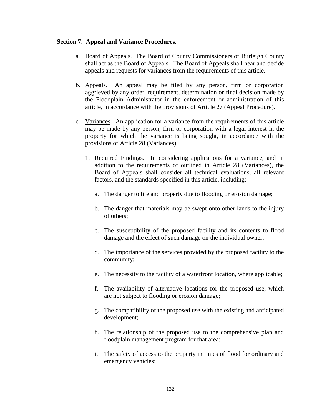#### **Section 7. Appeal and Variance Procedures.**

- a. Board of Appeals. The Board of County Commissioners of Burleigh County shall act as the Board of Appeals. The Board of Appeals shall hear and decide appeals and requests for variances from the requirements of this article.
- b. Appeals. An appeal may be filed by any person, firm or corporation aggrieved by any order, requirement, determination or final decision made by the Floodplain Administrator in the enforcement or administration of this article, in accordance with the provisions of Article 27 (Appeal Procedure).
- c. Variances. An application for a variance from the requirements of this article may be made by any person, firm or corporation with a legal interest in the property for which the variance is being sought, in accordance with the provisions of Article 28 (Variances).
	- 1. Required Findings. In considering applications for a variance, and in addition to the requirements of outlined in Article 28 (Variances), the Board of Appeals shall consider all technical evaluations, all relevant factors, and the standards specified in this article, including:
		- a. The danger to life and property due to flooding or erosion damage;
		- b. The danger that materials may be swept onto other lands to the injury of others;
		- c. The susceptibility of the proposed facility and its contents to flood damage and the effect of such damage on the individual owner;
		- d. The importance of the services provided by the proposed facility to the community;
		- e. The necessity to the facility of a waterfront location, where applicable;
		- f. The availability of alternative locations for the proposed use, which are not subject to flooding or erosion damage;
		- g. The compatibility of the proposed use with the existing and anticipated development;
		- h. The relationship of the proposed use to the comprehensive plan and floodplain management program for that area;
		- i. The safety of access to the property in times of flood for ordinary and emergency vehicles;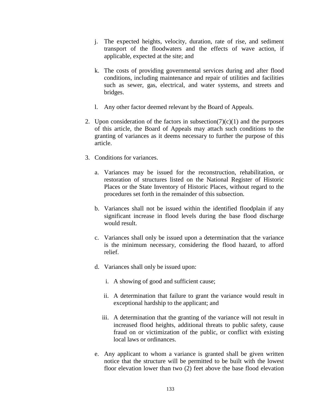- j. The expected heights, velocity, duration, rate of rise, and sediment transport of the floodwaters and the effects of wave action, if applicable, expected at the site; and
- k. The costs of providing governmental services during and after flood conditions, including maintenance and repair of utilities and facilities such as sewer, gas, electrical, and water systems, and streets and bridges.
- l. Any other factor deemed relevant by the Board of Appeals.
- 2. Upon consideration of the factors in subsection( $7)(c)(1)$  and the purposes of this article, the Board of Appeals may attach such conditions to the granting of variances as it deems necessary to further the purpose of this article.
- 3. Conditions for variances.
	- a. Variances may be issued for the reconstruction, rehabilitation, or restoration of structures listed on the National Register of Historic Places or the State Inventory of Historic Places, without regard to the procedures set forth in the remainder of this subsection.
	- b. Variances shall not be issued within the identified floodplain if any significant increase in flood levels during the base flood discharge would result.
	- c. Variances shall only be issued upon a determination that the variance is the minimum necessary, considering the flood hazard, to afford relief.
	- d. Variances shall only be issued upon:
		- i. A showing of good and sufficient cause;
		- ii. A determination that failure to grant the variance would result in exceptional hardship to the applicant; and
		- iii. A determination that the granting of the variance will not result in increased flood heights, additional threats to public safety, cause fraud on or victimization of the public, or conflict with existing local laws or ordinances.
	- e. Any applicant to whom a variance is granted shall be given written notice that the structure will be permitted to be built with the lowest floor elevation lower than two  $(2)$  feet above the base flood elevation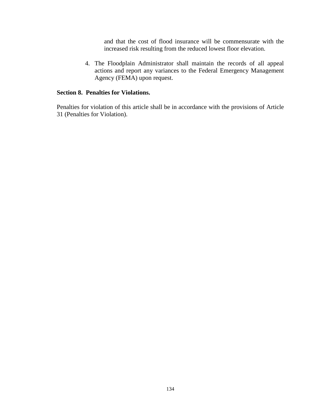and that the cost of flood insurance will be commensurate with the increased risk resulting from the reduced lowest floor elevation.

4. The Floodplain Administrator shall maintain the records of all appeal actions and report any variances to the Federal Emergency Management Agency (FEMA) upon request.

#### **Section 8. Penalties for Violations.**

Penalties for violation of this article shall be in accordance with the provisions of Article 31 (Penalties for Violation).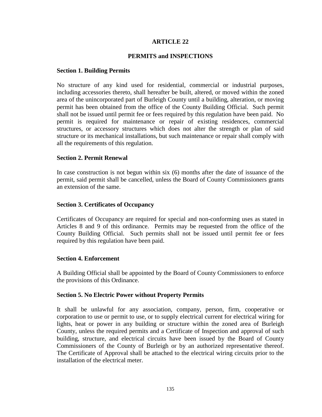#### **PERMITS and INSPECTIONS**

#### **Section 1. Building Permits**

No structure of any kind used for residential, commercial or industrial purposes, including accessories thereto, shall hereafter be built, altered, or moved within the zoned area of the unincorporated part of Burleigh County until a building, alteration, or moving permit has been obtained from the office of the County Building Official. Such permit shall not be issued until permit fee or fees required by this regulation have been paid. No permit is required for maintenance or repair of existing residences, commercial structures, or accessory structures which does not alter the strength or plan of said structure or its mechanical installations, but such maintenance or repair shall comply with all the requirements of this regulation.

#### **Section 2. Permit Renewal**

In case construction is not begun within six (6) months after the date of issuance of the permit, said permit shall be cancelled, unless the Board of County Commissioners grants an extension of the same.

#### **Section 3. Certificates of Occupancy**

Certificates of Occupancy are required for special and non-conforming uses as stated in Articles 8 and 9 of this ordinance. Permits may be requested from the office of the County Building Official. Such permits shall not be issued until permit fee or fees required by this regulation have been paid.

#### **Section 4. Enforcement**

A Building Official shall be appointed by the Board of County Commissioners to enforce the provisions of this Ordinance.

#### **Section 5. No Electric Power without Property Permits**

It shall be unlawful for any association, company, person, firm, cooperative or corporation to use or permit to use, or to supply electrical current for electrical wiring for lights, heat or power in any building or structure within the zoned area of Burleigh County, unless the required permits and a Certificate of Inspection and approval of such building, structure, and electrical circuits have been issued by the Board of County Commissioners of the County of Burleigh or by an authorized representative thereof. The Certificate of Approval shall be attached to the electrical wiring circuits prior to the installation of the electrical meter.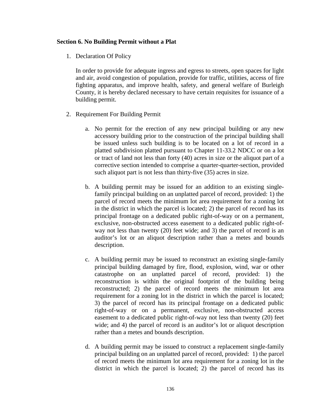#### **Section 6. No Building Permit without a Plat**

1. Declaration Of Policy

In order to provide for adequate ingress and egress to streets, open spaces for light and air, avoid congestion of population, provide for traffic, utilities, access of fire fighting apparatus, and improve health, safety, and general welfare of Burleigh County, it is hereby declared necessary to have certain requisites for issuance of a building permit.

- 2. Requirement For Building Permit
	- a. No permit for the erection of any new principal building or any new accessory building prior to the construction of the principal building shall be issued unless such building is to be located on a lot of record in a platted subdivision platted pursuant to Chapter 11-33.2 NDCC or on a lot or tract of land not less than forty (40) acres in size or the aliquot part of a corrective section intended to comprise a quarter-quarter-section, provided such aliquot part is not less than thirty-five (35) acres in size.
	- b. A building permit may be issued for an addition to an existing singlefamily principal building on an unplatted parcel of record, provided: 1) the parcel of record meets the minimum lot area requirement for a zoning lot in the district in which the parcel is located; 2) the parcel of record has its principal frontage on a dedicated public right-of-way or on a permanent, exclusive, non-obstructed access easement to a dedicated public right-ofway not less than twenty (20) feet wide; and 3) the parcel of record is an auditor's lot or an aliquot description rather than a metes and bounds description.
	- c. A building permit may be issued to reconstruct an existing single-family principal building damaged by fire, flood, explosion, wind, war or other catastrophe on an unplatted parcel of record, provided: 1) the reconstruction is within the original footprint of the building being reconstructed; 2) the parcel of record meets the minimum lot area requirement for a zoning lot in the district in which the parcel is located; 3) the parcel of record has its principal frontage on a dedicated public right-of-way or on a permanent, exclusive, non-obstructed access easement to a dedicated public right-of-way not less than twenty (20) feet wide; and 4) the parcel of record is an auditor's lot or aliquot description rather than a metes and bounds description.
	- d. A building permit may be issued to construct a replacement single-family principal building on an unplatted parcel of record, provided: 1) the parcel of record meets the minimum lot area requirement for a zoning lot in the district in which the parcel is located; 2) the parcel of record has its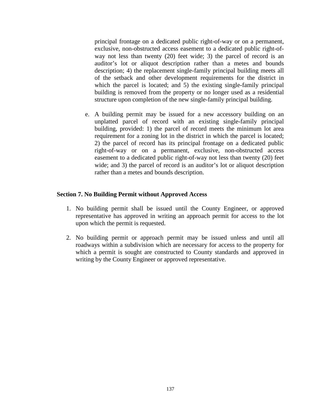principal frontage on a dedicated public right-of-way or on a permanent, exclusive, non-obstructed access easement to a dedicated public right-ofway not less than twenty (20) feet wide; 3) the parcel of record is an auditor's lot or aliquot description rather than a metes and bounds description; 4) the replacement single-family principal building meets all of the setback and other development requirements for the district in which the parcel is located; and 5) the existing single-family principal building is removed from the property or no longer used as a residential structure upon completion of the new single-family principal building.

e. A building permit may be issued for a new accessory building on an unplatted parcel of record with an existing single-family principal building, provided: 1) the parcel of record meets the minimum lot area requirement for a zoning lot in the district in which the parcel is located; 2) the parcel of record has its principal frontage on a dedicated public right-of-way or on a permanent, exclusive, non-obstructed access easement to a dedicated public right-of-way not less than twenty (20) feet wide; and 3) the parcel of record is an auditor's lot or aliquot description rather than a metes and bounds description.

#### **Section 7. No Building Permit without Approved Access**

- 1. No building permit shall be issued until the County Engineer, or approved representative has approved in writing an approach permit for access to the lot upon which the permit is requested.
- 2. No building permit or approach permit may be issued unless and until all roadways within a subdivision which are necessary for access to the property for which a permit is sought are constructed to County standards and approved in writing by the County Engineer or approved representative.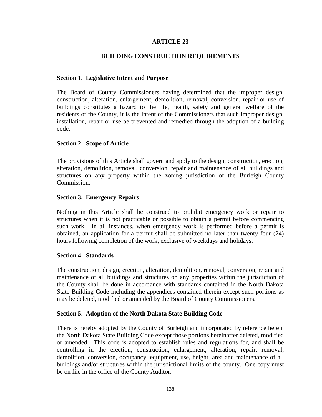## **BUILDING CONSTRUCTION REQUIREMENTS**

#### **Section 1. Legislative Intent and Purpose**

The Board of County Commissioners having determined that the improper design, construction, alteration, enlargement, demolition, removal, conversion, repair or use of buildings constitutes a hazard to the life, health, safety and general welfare of the residents of the County, it is the intent of the Commissioners that such improper design, installation, repair or use be prevented and remedied through the adoption of a building code.

#### **Section 2. Scope of Article**

The provisions of this Article shall govern and apply to the design, construction, erection, alteration, demolition, removal, conversion, repair and maintenance of all buildings and structures on any property within the zoning jurisdiction of the Burleigh County Commission.

#### **Section 3. Emergency Repairs**

Nothing in this Article shall be construed to prohibit emergency work or repair to structures when it is not practicable or possible to obtain a permit before commencing such work. In all instances, when emergency work is performed before a permit is obtained, an application for a permit shall be submitted no later than twenty four (24) hours following completion of the work, exclusive of weekdays and holidays.

#### **Section 4. Standards**

The construction, design, erection, alteration, demolition, removal, conversion, repair and maintenance of all buildings and structures on any properties within the jurisdiction of the County shall be done in accordance with standards contained in the North Dakota State Building Code including the appendices contained therein except such portions as may be deleted, modified or amended by the Board of County Commissioners.

#### **Section 5. Adoption of the North Dakota State Building Code**

There is hereby adopted by the County of Burleigh and incorporated by reference herein the North Dakota State Building Code except those portions hereinafter deleted, modified or amended. This code is adopted to establish rules and regulations for, and shall be controlling in the erection, construction, enlargement, alteration, repair, removal, demolition, conversion, occupancy, equipment, use, height, area and maintenance of all buildings and/or structures within the jurisdictional limits of the county. One copy must be on file in the office of the County Auditor.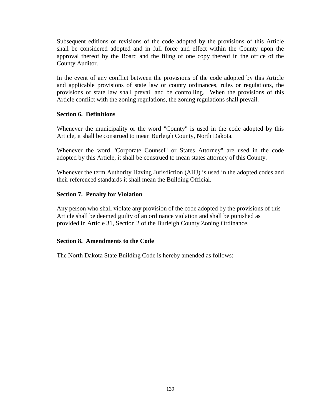Subsequent editions or revisions of the code adopted by the provisions of this Article shall be considered adopted and in full force and effect within the County upon the approval thereof by the Board and the filing of one copy thereof in the office of the County Auditor.

In the event of any conflict between the provisions of the code adopted by this Article and applicable provisions of state law or county ordinances, rules or regulations, the provisions of state law shall prevail and be controlling. When the provisions of this Article conflict with the zoning regulations, the zoning regulations shall prevail.

#### **Section 6. Definitions**

Whenever the municipality or the word "County" is used in the code adopted by this Article, it shall be construed to mean Burleigh County, North Dakota.

Whenever the word "Corporate Counsel" or States Attorney" are used in the code adopted by this Article, it shall be construed to mean states attorney of this County.

Whenever the term Authority Having Jurisdiction (AHJ) is used in the adopted codes and their referenced standards it shall mean the Building Official.

### **Section 7. Penalty for Violation**

Any person who shall violate any provision of the code adopted by the provisions of this Article shall be deemed guilty of an ordinance violation and shall be punished as provided in Article 31, Section 2 of the Burleigh County Zoning Ordinance.

### **Section 8. Amendments to the Code**

The North Dakota State Building Code is hereby amended as follows: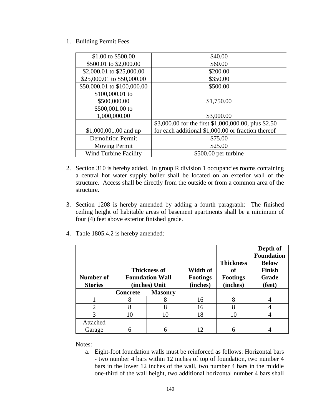1. Building Permit Fees

| \$1.00 to \$500.00           | \$40.00                                              |
|------------------------------|------------------------------------------------------|
| \$500.01 to \$2,000.00       | \$60.00                                              |
| \$2,000.01 to \$25,000.00    | \$200.00                                             |
| \$25,000.01 to \$50,000.00   | \$350.00                                             |
| \$50,000.01 to \$100,000.00  | \$500.00                                             |
| \$100,000.01 to              |                                                      |
| \$500,000.00                 | \$1,750.00                                           |
| \$500,001.00 to              |                                                      |
| 1,000,000.00                 | \$3,000.00                                           |
|                              | \$3,000.00 for the first \$1,000,000.00, plus \$2.50 |
| \$1,000,001.00 and up        | for each additional \$1,000.00 or fraction thereof   |
| <b>Demolition Permit</b>     | \$75.00                                              |
| <b>Moving Permit</b>         | \$25.00                                              |
| <b>Wind Turbine Facility</b> | \$500.00 per turbine                                 |

- 2. Section 310 is hereby added. In group R division 1 occupancies rooms containing a central hot water supply boiler shall be located on an exterior wall of the structure. Access shall be directly from the outside or from a common area of the structure.
- 3. Section 1208 is hereby amended by adding a fourth paragraph: The finished ceiling height of habitable areas of basement apartments shall be a minimum of four (4) feet above exterior finished grade.
- 4. Table 1805.4.2 is hereby amended:

| <b>Number of</b><br><b>Stories</b> | <b>Thickness of</b><br><b>Foundation Wall</b><br>(inches) Unit |                | Width of<br><b>Footings</b><br>(inches) | <b>Thickness</b><br>of<br><b>Footings</b><br>(inches) | Depth of<br><b>Foundation</b><br><b>Below</b><br><b>Finish</b><br>Grade<br>(feet) |
|------------------------------------|----------------------------------------------------------------|----------------|-----------------------------------------|-------------------------------------------------------|-----------------------------------------------------------------------------------|
|                                    | <b>Concrete</b>                                                | <b>Masonry</b> |                                         |                                                       |                                                                                   |
|                                    | 8                                                              |                | 16                                      | 8                                                     |                                                                                   |
| $\overline{2}$                     |                                                                |                | 16                                      |                                                       |                                                                                   |
| 3                                  | 10                                                             | 10             | 18                                      | 10                                                    |                                                                                   |
| Attached                           |                                                                |                |                                         |                                                       |                                                                                   |
| Garage                             |                                                                |                | 12                                      |                                                       |                                                                                   |

Notes:

a. Eight-foot foundation walls must be reinforced as follows: Horizontal bars - two number 4 bars within 12 inches of top of foundation, two number 4 bars in the lower 12 inches of the wall, two number 4 bars in the middle one-third of the wall height, two additional horizontal number 4 bars shall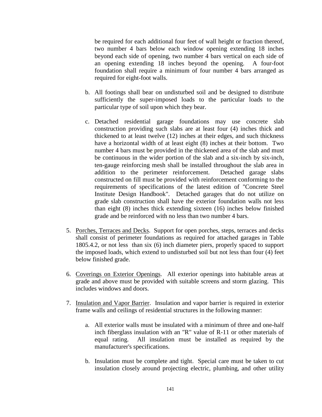be required for each additional four feet of wall height or fraction thereof, two number 4 bars below each window opening extending 18 inches beyond each side of opening, two number 4 bars vertical on each side of an opening extending 18 inches beyond the opening. A four-foot foundation shall require a minimum of four number 4 bars arranged as required for eight-foot walls.

- b. All footings shall bear on undisturbed soil and be designed to distribute sufficiently the super-imposed loads to the particular loads to the particular type of soil upon which they bear.
- c. Detached residential garage foundations may use concrete slab construction providing such slabs are at least four (4) inches thick and thickened to at least twelve (12) inches at their edges, and such thickness have a horizontal width of at least eight (8) inches at their bottom. Two number 4 bars must be provided in the thickened area of the slab and must be continuous in the wider portion of the slab and a six-inch by six-inch, ten-gauge reinforcing mesh shall be installed throughout the slab area in addition to the perimeter reinforcement. Detached garage slabs constructed on fill must be provided with reinforcement conforming to the requirements of specifications of the latest edition of "Concrete Steel Institute Design Handbook". Detached garages that do not utilize on grade slab construction shall have the exterior foundation walls not less than eight (8) inches thick extending sixteen (16) inches below finished grade and be reinforced with no less than two number 4 bars.
- 5. Porches, Terraces and Decks. Support for open porches, steps, terraces and decks shall consist of perimeter foundations as required for attached garages in Table 1805.4.2, or not less than six (6) inch diameter piers, properly spaced to support the imposed loads, which extend to undisturbed soil but not less than four (4) feet below finished grade.
- 6. Coverings on Exterior Openings. All exterior openings into habitable areas at grade and above must be provided with suitable screens and storm glazing. This includes windows and doors.
- 7. Insulation and Vapor Barrier. Insulation and vapor barrier is required in exterior frame walls and ceilings of residential structures in the following manner:
	- a. All exterior walls must be insulated with a minimum of three and one-half inch fiberglass insulation with an "R" value of R-11 or other materials of equal rating. All insulation must be installed as required by the manufacturer's specifications.
	- b. Insulation must be complete and tight. Special care must be taken to cut insulation closely around projecting electric, plumbing, and other utility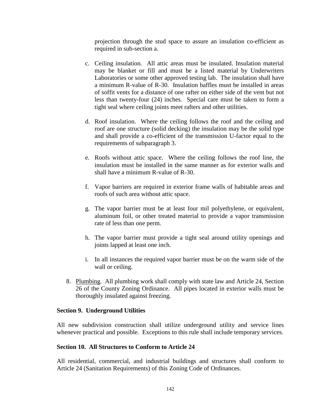projection through the stud space to assure an insulation co-efficient as required in sub-section a.

- c. Ceiling insulation. All attic areas must be insulated. Insulation material may be blanket or fill and must be a listed material by Underwriters Laboratories or some other approved testing lab. The insulation shall have a minimum R-value of R-30. Insulation baffles must be installed in areas of soffit vents for a distance of one rafter on either side of the vent but not less than twenty-four (24) inches. Special care must be taken to form a tight seal where ceiling joints meet rafters and other utilities.
- d. Roof insulation. Where the ceiling follows the roof and the ceiling and roof are one structure (solid decking) the insulation may be the solid type and shall provide a co-efficient of the transmission U-factor equal to the requirements of subparagraph 3.
- e. Roofs without attic space. Where the ceiling follows the roof line, the insulation must be installed in the same manner as for exterior walls and shall have a minimum R-value of R-30.
- f. Vapor barriers are required in exterior frame walls of habitable areas and roofs of such area without attic space.
- g. The vapor barrier must be at least four mil polyethylene, or equivalent, aluminum foil, or other treated material to provide a vapor transmission rate of less than one perm.
- h. The vapor barrier must provide a tight seal around utility openings and joints lapped at least one inch.
- i. In all instances the required vapor barrier must be on the warm side of the wall or ceiling.
- 8. Plumbing. All plumbing work shall comply with state law and Article 24, Section 26 of the County Zoning Ordinance. All pipes located in exterior walls must be thoroughly insulated against freezing.

### **Section 9. Underground Utilities**

All new subdivision construction shall utilize underground utility and service lines whenever practical and possible. Exceptions to this rule shall include temporary services.

### **Section 10. All Structures to Conform to Article 24**

All residential, commercial, and industrial buildings and structures shall conform to Article 24 (Sanitation Requirements) of this Zoning Code of Ordinances.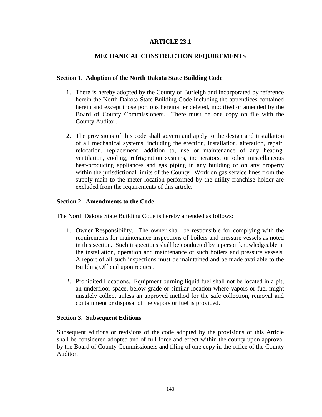## **ARTICLE 23.1**

## **MECHANICAL CONSTRUCTION REQUIREMENTS**

#### **Section 1. Adoption of the North Dakota State Building Code**

- 1. There is hereby adopted by the County of Burleigh and incorporated by reference herein the North Dakota State Building Code including the appendices contained herein and except those portions hereinafter deleted, modified or amended by the Board of County Commissioners. There must be one copy on file with the County Auditor.
- 2. The provisions of this code shall govern and apply to the design and installation of all mechanical systems, including the erection, installation, alteration, repair, relocation, replacement, addition to, use or maintenance of any heating, ventilation, cooling, refrigeration systems, incinerators, or other miscellaneous heat-producing appliances and gas piping in any building or on any property within the jurisdictional limits of the County. Work on gas service lines from the supply main to the meter location performed by the utility franchise holder are excluded from the requirements of this article.

#### **Section 2. Amendments to the Code**

The North Dakota State Building Code is hereby amended as follows:

- 1. Owner Responsibility. The owner shall be responsible for complying with the requirements for maintenance inspections of boilers and pressure vessels as noted in this section. Such inspections shall be conducted by a person knowledgeable in the installation, operation and maintenance of such boilers and pressure vessels. A report of all such inspections must be maintained and be made available to the Building Official upon request.
- 2. Prohibited Locations. Equipment burning liquid fuel shall not be located in a pit, an underfloor space, below grade or similar location where vapors or fuel might unsafely collect unless an approved method for the safe collection, removal and containment or disposal of the vapors or fuel is provided.

#### **Section 3. Subsequent Editions**

Subsequent editions or revisions of the code adopted by the provisions of this Article shall be considered adopted and of full force and effect within the county upon approval by the Board of County Commissioners and filing of one copy in the office of the County Auditor.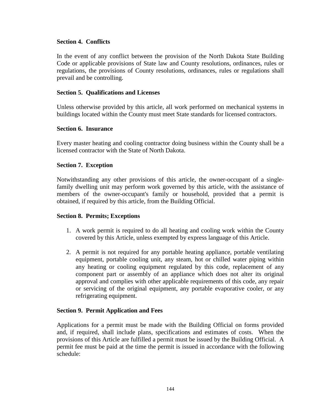### **Section 4. Conflicts**

In the event of any conflict between the provision of the North Dakota State Building Code or applicable provisions of State law and County resolutions, ordinances, rules or regulations, the provisions of County resolutions, ordinances, rules or regulations shall prevail and be controlling.

#### **Section 5. Qualifications and Licenses**

Unless otherwise provided by this article, all work performed on mechanical systems in buildings located within the County must meet State standards for licensed contractors.

#### **Section 6. Insurance**

Every master heating and cooling contractor doing business within the County shall be a licensed contractor with the State of North Dakota.

#### **Section 7. Exception**

Notwithstanding any other provisions of this article, the owner-occupant of a singlefamily dwelling unit may perform work governed by this article, with the assistance of members of the owner-occupant's family or household, provided that a permit is obtained, if required by this article, from the Building Official.

### **Section 8. Permits; Exceptions**

- 1. A work permit is required to do all heating and cooling work within the County covered by this Article, unless exempted by express language of this Article.
- 2. A permit is not required for any portable heating appliance, portable ventilating equipment, portable cooling unit, any steam, hot or chilled water piping within any heating or cooling equipment regulated by this code, replacement of any component part or assembly of an appliance which does not alter its original approval and complies with other applicable requirements of this code, any repair or servicing of the original equipment, any portable evaporative cooler, or any refrigerating equipment.

### **Section 9. Permit Application and Fees**

Applications for a permit must be made with the Building Official on forms provided and, if required, shall include plans, specifications and estimates of costs. When the provisions of this Article are fulfilled a permit must be issued by the Building Official. A permit fee must be paid at the time the permit is issued in accordance with the following schedule: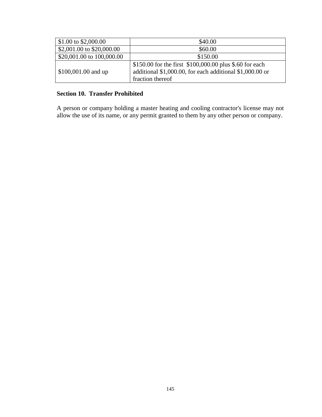| \$1.00 to \$2,000.00      | \$40.00                                                                                                                                 |
|---------------------------|-----------------------------------------------------------------------------------------------------------------------------------------|
| \$2,001.00 to \$20,000.00 | \$60.00                                                                                                                                 |
| \$20,001.00 to 100,000.00 | \$150.00                                                                                                                                |
| \$100,001.00 and up       | \$150.00 for the first \$100,000.00 plus \$.60 for each<br>additional \$1,000.00, for each additional \$1,000.00 or<br>fraction thereof |

## **Section 10. Transfer Prohibited**

A person or company holding a master heating and cooling contractor's license may not allow the use of its name, or any permit granted to them by any other person or company.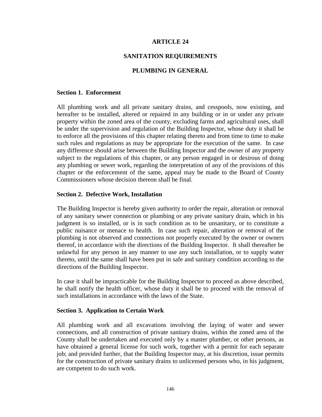#### **SANITATION REQUIREMENTS**

#### **PLUMBING IN GENERAL**

#### **Section 1. Enforcement**

All plumbing work and all private sanitary drains, and cesspools, now existing, and hereafter to be installed, altered or repaired in any building or in or under any private property within the zoned area of the county, excluding farms and agricultural uses, shall be under the supervision and regulation of the Building Inspector, whose duty it shall be to enforce all the provisions of this chapter relating thereto and from time to time to make such rules and regulations as may be appropriate for the execution of the same. In case any difference should arise between the Building Inspector and the owner of any property subject to the regulations of this chapter, or any person engaged in or desirous of doing any plumbing or sewer work, regarding the interpretation of any of the provisions of this chapter or the enforcement of the same, appeal may be made to the Board of County Commissioners whose decision thereon shall be final.

#### **Section 2. Defective Work, Installation**

The Building Inspector is hereby given authority to order the repair, alteration or removal of any sanitary sewer connection or plumbing or any private sanitary drain, which in his judgment is so installed, or is in such condition as to be unsanitary, or to constitute a public nuisance or menace to health. In case such repair, alteration or removal of the plumbing is not observed and connections not properly executed by the owner or owners thereof, in accordance with the directions of the Building Inspector. It shall thereafter be unlawful for any person in any manner to use any such installation, or to supply water thereto, until the same shall have been put in safe and sanitary condition according to the directions of the Building Inspector.

In case it shall be impracticable for the Building Inspector to proceed as above described, he shall notify the health officer, whose duty it shall be to proceed with the removal of such installations in accordance with the laws of the State.

#### **Section 3. Application to Certain Work**

All plumbing work and all excavations involving the laying of water and sewer connections, and all construction of private sanitary drains, within the zoned area of the County shall be undertaken and executed only by a master plumber, or other persons, as have obtained a general license for such work, together with a permit for each separate job; and provided further, that the Building Inspector may, at his discretion, issue permits for the construction of private sanitary drains to unlicensed persons who, in his judgment, are competent to do such work.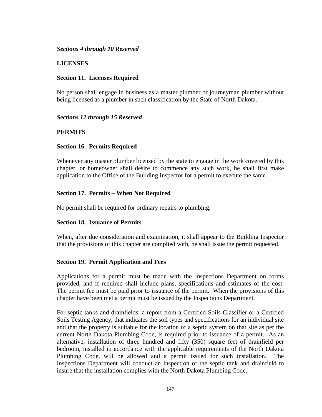#### *Sections 4 through 10 Reserved*

### **LICENSES**

### **Section 11. Licenses Required**

No person shall engage in business as a master plumber or journeyman plumber without being licensed as a plumber in such classification by the State of North Dakota.

### *Sections 12 through 15 Reserved*

## **PERMITS**

## **Section 16. Permits Required**

Whenever any master plumber licensed by the state to engage in the work covered by this chapter, or homeowner shall desire to commence any such work, he shall first make application to the Office of the Building Inspector for a permit to execute the same.

## **Section 17. Permits – When Not Required**

No permit shall be required for ordinary repairs to plumbing.

### **Section 18. Issuance of Permits**

When, after due consideration and examination, it shall appear to the Building Inspector that the provisions of this chapter are complied with, he shall issue the permit requested.

### **Section 19. Permit Application and Fees**

Applications for a permit must be made with the Inspections Department on forms provided, and if required shall include plans, specifications and estimates of the cost. The permit fee must be paid prior to issuance of the permit. When the provisions of this chapter have been met a permit must be issued by the Inspections Department.

For septic tanks and drainfields, a report from a Certified Soils Classifier or a Certified Soils Testing Agency, that indicates the soil types and specifications for an individual site and that the property is suitable for the location of a septic system on that site as per the current North Dakota Plumbing Code, is required prior to issuance of a permit. As an alternative, installation of three hundred and fifty (350) square feet of drainfield per bedroom, installed in accordance with the applicable requirements of the North Dakota Plumbing Code, will be allowed and a permit issued for such installation. The Inspections Department will conduct an inspection of the septic tank and drainfield to insure that the installation complies with the North Dakota Plumbing Code.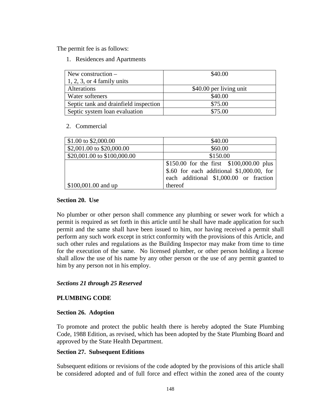The permit fee is as follows:

1. Residences and Apartments

| New construction $-$                  | \$40.00                 |
|---------------------------------------|-------------------------|
| $1, 2, 3$ , or 4 family units         |                         |
| Alterations                           | \$40.00 per living unit |
| Water softeners                       | \$40.00                 |
| Septic tank and drainfield inspection | \$75.00                 |
| Septic system loan evaluation         | \$75.00                 |

#### 2. Commercial

| \$1.00 to \$2,000.00        | \$40.00                                                                                                                            |
|-----------------------------|------------------------------------------------------------------------------------------------------------------------------------|
| \$2,001.00 to \$20,000.00   | \$60.00                                                                                                                            |
| \$20,001.00 to \$100,000.00 | \$150.00                                                                                                                           |
|                             | \$150.00 for the first \$100,000.00 plus<br>$$.60$ for each additional $$1,000.00$ , for<br>each additional \$1,000.00 or fraction |
| \$100,001.00 and up         | thereof                                                                                                                            |

#### **Section 20. Use**

No plumber or other person shall commence any plumbing or sewer work for which a permit is required as set forth in this article until he shall have made application for such permit and the same shall have been issued to him, nor having received a permit shall perform any such work except in strict conformity with the provisions of this Article, and such other rules and regulations as the Building Inspector may make from time to time for the execution of the same. No licensed plumber, or other person holding a license shall allow the use of his name by any other person or the use of any permit granted to him by any person not in his employ.

### *Sections 21 through 25 Reserved*

### **PLUMBING CODE**

### **Section 26. Adoption**

To promote and protect the public health there is hereby adopted the State Plumbing Code, 1988 Edition, as revised, which has been adopted by the State Plumbing Board and approved by the State Health Department.

### **Section 27. Subsequent Editions**

Subsequent editions or revisions of the code adopted by the provisions of this article shall be considered adopted and of full force and effect within the zoned area of the county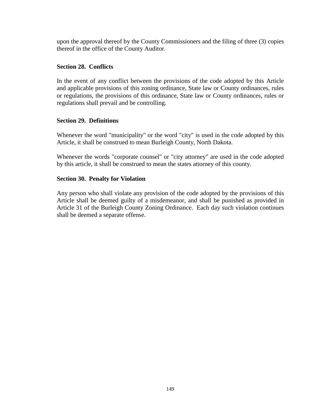upon the approval thereof by the County Commissioners and the filing of three (3) copies thereof in the office of the County Auditor.

## **Section 28. Conflicts**

In the event of any conflict between the provisions of the code adopted by this Article and applicable provisions of this zoning ordinance, State law or County ordinances, rules or regulations, the provisions of this ordinance, State law or County ordinances, rules or regulations shall prevail and be controlling.

## **Section 29. Definitions**

Whenever the word "municipality" or the word "city" is used in the code adopted by this Article, it shall be construed to mean Burleigh County, North Dakota.

Whenever the words "corporate counsel" or "city attorney" are used in the code adopted by this article, it shall be construed to mean the states attorney of this county.

## **Section 30. Penalty for Violation**

Any person who shall violate any provision of the code adopted by the provisions of this Article shall be deemed guilty of a misdemeanor, and shall be punished as provided in Article 31 of the Burleigh County Zoning Ordinance. Each day such violation continues shall be deemed a separate offense.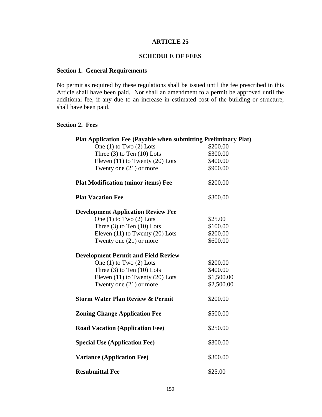## **SCHEDULE OF FEES**

## **Section 1. General Requirements**

No permit as required by these regulations shall be issued until the fee prescribed in this Article shall have been paid. Nor shall an amendment to a permit be approved until the additional fee, if any due to an increase in estimated cost of the building or structure, shall have been paid.

#### **Section 2. Fees**

| <b>Plat Application Fee (Payable when submitting Preliminary Plat)</b> |            |
|------------------------------------------------------------------------|------------|
| One $(1)$ to Two $(2)$ Lots                                            | \$200.00   |
| Three $(3)$ to Ten $(10)$ Lots                                         | \$300.00   |
| Eleven $(11)$ to Twenty $(20)$ Lots                                    | \$400.00   |
| Twenty one $(21)$ or more                                              | \$900.00   |
| <b>Plat Modification (minor items) Fee</b>                             | \$200.00   |
| <b>Plat Vacation Fee</b>                                               | \$300.00   |
| <b>Development Application Review Fee</b>                              |            |
| One $(1)$ to Two $(2)$ Lots                                            | \$25.00    |
| Three $(3)$ to Ten $(10)$ Lots                                         | \$100.00   |
| Eleven $(11)$ to Twenty $(20)$ Lots                                    | \$200.00   |
| Twenty one $(21)$ or more                                              | \$600.00   |
| <b>Development Permit and Field Review</b>                             |            |
| One $(1)$ to Two $(2)$ Lots                                            | \$200.00   |
| Three $(3)$ to Ten $(10)$ Lots                                         | \$400.00   |
| Eleven $(11)$ to Twenty $(20)$ Lots                                    | \$1,500.00 |
| Twenty one $(21)$ or more                                              | \$2,500.00 |
| <b>Storm Water Plan Review &amp; Permit</b>                            | \$200.00   |
| <b>Zoning Change Application Fee</b>                                   | \$500.00   |
| <b>Road Vacation (Application Fee)</b>                                 | \$250.00   |
| <b>Special Use (Application Fee)</b>                                   | \$300.00   |
| <b>Variance (Application Fee)</b>                                      | \$300.00   |
| <b>Resubmittal Fee</b>                                                 | \$25.00    |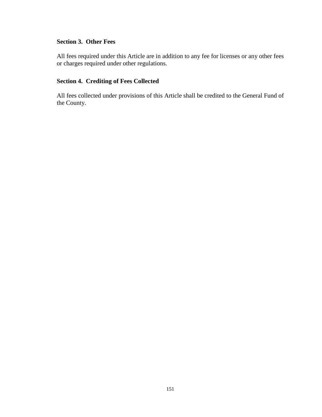# **Section 3. Other Fees**

All fees required under this Article are in addition to any fee for licenses or any other fees or charges required under other regulations.

## **Section 4. Crediting of Fees Collected**

All fees collected under provisions of this Article shall be credited to the General Fund of the County.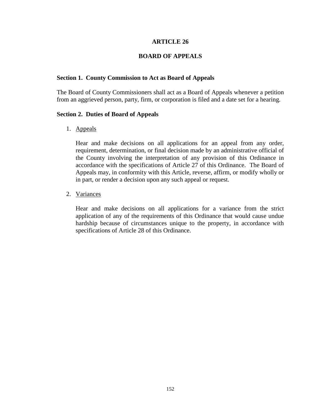### **BOARD OF APPEALS**

#### **Section 1. County Commission to Act as Board of Appeals**

The Board of County Commissioners shall act as a Board of Appeals whenever a petition from an aggrieved person, party, firm, or corporation is filed and a date set for a hearing.

#### **Section 2. Duties of Board of Appeals**

1. Appeals

Hear and make decisions on all applications for an appeal from any order, requirement, determination, or final decision made by an administrative official of the County involving the interpretation of any provision of this Ordinance in accordance with the specifications of Article 27 of this Ordinance. The Board of Appeals may, in conformity with this Article, reverse, affirm, or modify wholly or in part, or render a decision upon any such appeal or request.

2. Variances

Hear and make decisions on all applications for a variance from the strict application of any of the requirements of this Ordinance that would cause undue hardship because of circumstances unique to the property, in accordance with specifications of Article 28 of this Ordinance.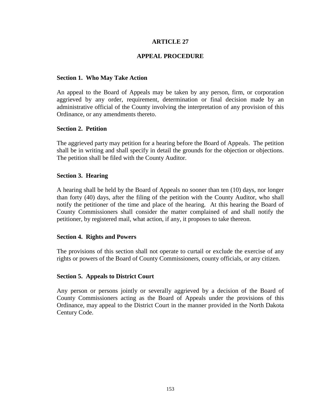### **APPEAL PROCEDURE**

#### **Section 1. Who May Take Action**

An appeal to the Board of Appeals may be taken by any person, firm, or corporation aggrieved by any order, requirement, determination or final decision made by an administrative official of the County involving the interpretation of any provision of this Ordinance, or any amendments thereto.

#### **Section 2. Petition**

The aggrieved party may petition for a hearing before the Board of Appeals. The petition shall be in writing and shall specify in detail the grounds for the objection or objections. The petition shall be filed with the County Auditor.

#### **Section 3. Hearing**

A hearing shall be held by the Board of Appeals no sooner than ten (10) days, nor longer than forty (40) days, after the filing of the petition with the County Auditor, who shall notify the petitioner of the time and place of the hearing. At this hearing the Board of County Commissioners shall consider the matter complained of and shall notify the petitioner, by registered mail, what action, if any, it proposes to take thereon.

#### **Section 4. Rights and Powers**

The provisions of this section shall not operate to curtail or exclude the exercise of any rights or powers of the Board of County Commissioners, county officials, or any citizen.

### **Section 5. Appeals to District Court**

Any person or persons jointly or severally aggrieved by a decision of the Board of County Commissioners acting as the Board of Appeals under the provisions of this Ordinance, may appeal to the District Court in the manner provided in the North Dakota Century Code.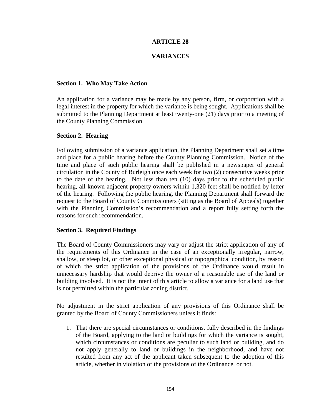## **VARIANCES**

#### **Section 1. Who May Take Action**

An application for a variance may be made by any person, firm, or corporation with a legal interest in the property for which the variance is being sought. Applications shall be submitted to the Planning Department at least twenty-one (21) days prior to a meeting of the County Planning Commission.

#### **Section 2. Hearing**

Following submission of a variance application, the Planning Department shall set a time and place for a public hearing before the County Planning Commission. Notice of the time and place of such public hearing shall be published in a newspaper of general circulation in the County of Burleigh once each week for two (2) consecutive weeks prior to the date of the hearing. Not less than ten (10) days prior to the scheduled public hearing, all known adjacent property owners within 1,320 feet shall be notified by letter of the hearing. Following the public hearing, the Planning Department shall forward the request to the Board of County Commissioners (sitting as the Board of Appeals) together with the Planning Commission's recommendation and a report fully setting forth the reasons for such recommendation.

### **Section 3. Required Findings**

The Board of County Commissioners may vary or adjust the strict application of any of the requirements of this Ordinance in the case of an exceptionally irregular, narrow, shallow, or steep lot, or other exceptional physical or topographical condition, by reason of which the strict application of the provisions of the Ordinance would result in unnecessary hardship that would deprive the owner of a reasonable use of the land or building involved. It is not the intent of this article to allow a variance for a land use that is not permitted within the particular zoning district.

No adjustment in the strict application of any provisions of this Ordinance shall be granted by the Board of County Commissioners unless it finds:

1. That there are special circumstances or conditions, fully described in the findings of the Board, applying to the land or buildings for which the variance is sought, which circumstances or conditions are peculiar to such land or building, and do not apply generally to land or buildings in the neighborhood, and have not resulted from any act of the applicant taken subsequent to the adoption of this article, whether in violation of the provisions of the Ordinance, or not.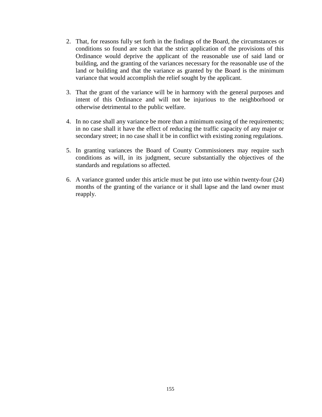- 2. That, for reasons fully set forth in the findings of the Board, the circumstances or conditions so found are such that the strict application of the provisions of this Ordinance would deprive the applicant of the reasonable use of said land or building, and the granting of the variances necessary for the reasonable use of the land or building and that the variance as granted by the Board is the minimum variance that would accomplish the relief sought by the applicant.
- 3. That the grant of the variance will be in harmony with the general purposes and intent of this Ordinance and will not be injurious to the neighborhood or otherwise detrimental to the public welfare.
- 4. In no case shall any variance be more than a minimum easing of the requirements; in no case shall it have the effect of reducing the traffic capacity of any major or secondary street; in no case shall it be in conflict with existing zoning regulations.
- 5. In granting variances the Board of County Commissioners may require such conditions as will, in its judgment, secure substantially the objectives of the standards and regulations so affected.
- 6. A variance granted under this article must be put into use within twenty-four (24) months of the granting of the variance or it shall lapse and the land owner must reapply.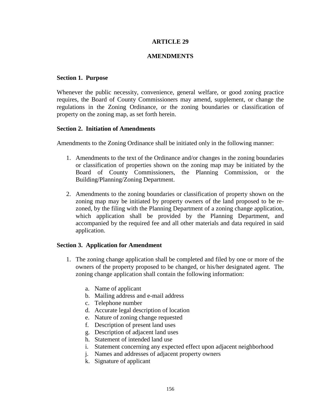### **AMENDMENTS**

#### **Section 1. Purpose**

Whenever the public necessity, convenience, general welfare, or good zoning practice requires, the Board of County Commissioners may amend, supplement, or change the regulations in the Zoning Ordinance, or the zoning boundaries or classification of property on the zoning map, as set forth herein.

#### **Section 2. Initiation of Amendments**

Amendments to the Zoning Ordinance shall be initiated only in the following manner:

- 1. Amendments to the text of the Ordinance and/or changes in the zoning boundaries or classification of properties shown on the zoning map may be initiated by the Board of County Commissioners, the Planning Commission, or the Building/Planning/Zoning Department.
- 2. Amendments to the zoning boundaries or classification of property shown on the zoning map may be initiated by property owners of the land proposed to be rezoned, by the filing with the Planning Department of a zoning change application, which application shall be provided by the Planning Department, and accompanied by the required fee and all other materials and data required in said application.

### **Section 3. Application for Amendment**

- 1. The zoning change application shall be completed and filed by one or more of the owners of the property proposed to be changed, or his/her designated agent. The zoning change application shall contain the following information:
	- a. Name of applicant
	- b. Mailing address and e-mail address
	- c. Telephone number
	- d. Accurate legal description of location
	- e. Nature of zoning change requested
	- f. Description of present land uses
	- g. Description of adjacent land uses
	- h. Statement of intended land use
	- i. Statement concerning any expected effect upon adjacent neighborhood
	- j. Names and addresses of adjacent property owners
	- k. Signature of applicant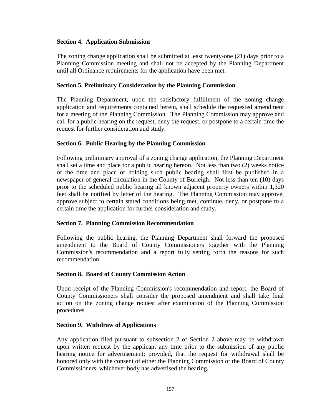## **Section 4. Application Submission**

The zoning change application shall be submitted at least twenty-one (21) days prior to a Planning Commission meeting and shall not be accepted by the Planning Department until all Ordinance requirements for the application have been met.

## **Section 5. Preliminary Consideration by the Planning Commission**

The Planning Department, upon the satisfactory fulfillment of the zoning change application and requirements contained herein, shall schedule the requested amendment for a meeting of the Planning Commission. The Planning Commission may approve and call for a public hearing on the request, deny the request, or postpone to a certain time the request for further consideration and study.

## **Section 6. Public Hearing by the Planning Commission**

Following preliminary approval of a zoning change application, the Planning Department shall set a time and place for a public hearing hereon. Not less than two (2) weeks notice of the time and place of holding such public hearing shall first be published in a newspaper of general circulation in the County of Burleigh. Not less than ten (10) days prior to the scheduled public hearing all known adjacent property owners within 1,320 feet shall be notified by letter of the hearing. The Planning Commission may approve, approve subject to certain stated conditions being met, continue, deny, or postpone to a certain time the application for further consideration and study.

### **Section 7. Planning Commission Recommendation**

Following the public hearing, the Planning Department shall forward the proposed amendment to the Board of County Commissioners together with the Planning Commission's recommendation and a report fully setting forth the reasons for such recommendation.

### **Section 8. Board of County Commission Action**

Upon receipt of the Planning Commission's recommendation and report, the Board of County Commissioners shall consider the proposed amendment and shall take final action on the zoning change request after examination of the Planning Commission procedures.

### **Section 9. Withdraw of Applications**

Any application filed pursuant to subsection 2 of Section 2 above may be withdrawn upon written request by the applicant any time prior to the submission of any public hearing notice for advertisement; provided, that the request for withdrawal shall be honored only with the consent of either the Planning Commission or the Board of County Commissioners, whichever body has advertised the hearing.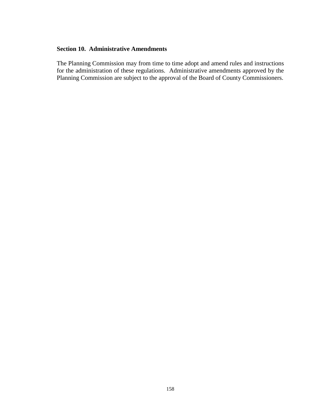#### **Section 10. Administrative Amendments**

The Planning Commission may from time to time adopt and amend rules and instructions for the administration of these regulations. Administrative amendments approved by the Planning Commission are subject to the approval of the Board of County Commissioners.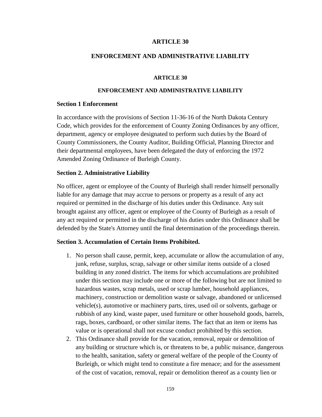#### **ENFORCEMENT AND ADMINISTRATIVE LIABILITY**

#### **ARTICLE 30**

#### **ENFORCEMENT AND ADMINISTRATIVE LIABILITY**

#### **Section 1 Enforcement**

In accordance with the provisions of Section 11-36-16 of the North Dakota Century Code, which provides for the enforcement of County Zoning Ordinances by any officer, department, agency or employee designated to perform such duties by the Board of County Commissioners, the County Auditor, Building Official, Planning Director and their departmental employees, have been delegated the duty of enforcing the 1972 Amended Zoning Ordinance of Burleigh County.

#### **Section 2. Administrative Liability**

No officer, agent or employee of the County of Burleigh shall render himself personally liable for any damage that may accrue to persons or property as a result of any act required or permitted in the discharge of his duties under this Ordinance. Any suit brought against any officer, agent or employee of the County of Burleigh as a result of any act required or permitted in the discharge of his duties under this Ordinance shall be defended by the State's Attorney until the final determination of the proceedings therein.

#### **Section 3. Accumulation of Certain Items Prohibited.**

- 1. No person shall cause, permit, keep, accumulate or allow the accumulation of any, junk, refuse, surplus, scrap, salvage or other similar items outside of a closed building in any zoned district. The items for which accumulations are prohibited under this section may include one or more of the following but are not limited to hazardous wastes, scrap metals, used or scrap lumber, household appliances, machinery, construction or demolition waste or salvage, abandoned or unlicensed vehicle(s), automotive or machinery parts, tires, used oil or solvents, garbage or rubbish of any kind, waste paper, used furniture or other household goods, barrels, rags, boxes, cardboard, or other similar items. The fact that an item or items has value or is operational shall not excuse conduct prohibited by this section.
- 2. This Ordinance shall provide for the vacation, removal, repair or demolition of any building or structure which is, or threatens to be, a public nuisance, dangerous to the health, sanitation, safety or general welfare of the people of the County of Burleigh, or which might tend to constitute a fire menace; and for the assessment of the cost of vacation, removal, repair or demolition thereof as a county lien or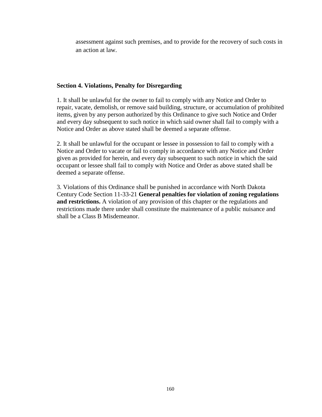assessment against such premises, and to provide for the recovery of such costs in an action at law.

## **Section 4. Violations, Penalty for Disregarding**

1. It shall be unlawful for the owner to fail to comply with any Notice and Order to repair, vacate, demolish, or remove said building, structure, or accumulation of prohibited items, given by any person authorized by this Ordinance to give such Notice and Order and every day subsequent to such notice in which said owner shall fail to comply with a Notice and Order as above stated shall be deemed a separate offense.

2. It shall be unlawful for the occupant or lessee in possession to fail to comply with a Notice and Order to vacate or fail to comply in accordance with any Notice and Order given as provided for herein, and every day subsequent to such notice in which the said occupant or lessee shall fail to comply with Notice and Order as above stated shall be deemed a separate offense.

3. Violations of this Ordinance shall be punished in accordance with North Dakota Century Code Section 11-33-21 **General penalties for violation of zoning regulations and restrictions.** A violation of any provision of this chapter or the regulations and restrictions made there under shall constitute the maintenance of a public nuisance and shall be a Class B Misdemeanor.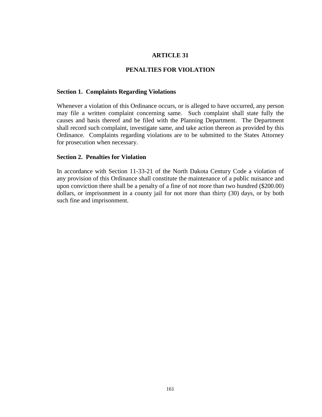#### **PENALTIES FOR VIOLATION**

#### **Section 1. Complaints Regarding Violations**

Whenever a violation of this Ordinance occurs, or is alleged to have occurred, any person may file a written complaint concerning same. Such complaint shall state fully the causes and basis thereof and be filed with the Planning Department. The Department shall record such complaint, investigate same, and take action thereon as provided by this Ordinance. Complaints regarding violations are to be submitted to the States Attorney for prosecution when necessary.

#### **Section 2. Penalties for Violation**

In accordance with Section 11-33-21 of the North Dakota Century Code a violation of any provision of this Ordinance shall constitute the maintenance of a public nuisance and upon conviction there shall be a penalty of a fine of not more than two hundred (\$200.00) dollars, or imprisonment in a county jail for not more than thirty (30) days, or by both such fine and imprisonment.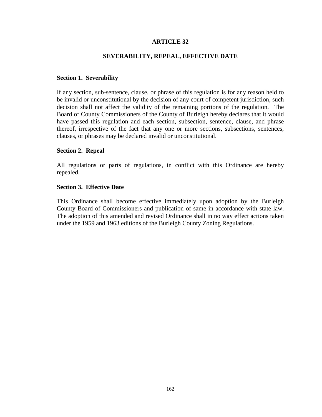## **SEVERABILITY, REPEAL, EFFECTIVE DATE**

#### **Section 1. Severability**

If any section, sub-sentence, clause, or phrase of this regulation is for any reason held to be invalid or unconstitutional by the decision of any court of competent jurisdiction, such decision shall not affect the validity of the remaining portions of the regulation. The Board of County Commissioners of the County of Burleigh hereby declares that it would have passed this regulation and each section, subsection, sentence, clause, and phrase thereof, irrespective of the fact that any one or more sections, subsections, sentences, clauses, or phrases may be declared invalid or unconstitutional.

#### **Section 2. Repeal**

All regulations or parts of regulations, in conflict with this Ordinance are hereby repealed.

#### **Section 3. Effective Date**

This Ordinance shall become effective immediately upon adoption by the Burleigh County Board of Commissioners and publication of same in accordance with state law. The adoption of this amended and revised Ordinance shall in no way effect actions taken under the 1959 and 1963 editions of the Burleigh County Zoning Regulations.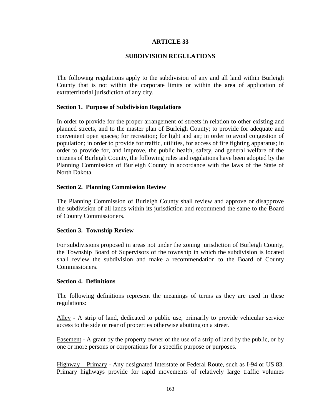### **SUBDIVISION REGULATIONS**

The following regulations apply to the subdivision of any and all land within Burleigh County that is not within the corporate limits or within the area of application of extraterritorial jurisdiction of any city.

#### **Section 1. Purpose of Subdivision Regulations**

In order to provide for the proper arrangement of streets in relation to other existing and planned streets, and to the master plan of Burleigh County; to provide for adequate and convenient open spaces; for recreation; for light and air; in order to avoid congestion of population; in order to provide for traffic, utilities, for access of fire fighting apparatus; in order to provide for, and improve, the public health, safety, and general welfare of the citizens of Burleigh County, the following rules and regulations have been adopted by the Planning Commission of Burleigh County in accordance with the laws of the State of North Dakota.

#### **Section 2. Planning Commission Review**

The Planning Commission of Burleigh County shall review and approve or disapprove the subdivision of all lands within its jurisdiction and recommend the same to the Board of County Commissioners.

### **Section 3. Township Review**

For subdivisions proposed in areas not under the zoning jurisdiction of Burleigh County, the Township Board of Supervisors of the township in which the subdivision is located shall review the subdivision and make a recommendation to the Board of County Commissioners.

### **Section 4. Definitions**

The following definitions represent the meanings of terms as they are used in these regulations:

Alley - A strip of land, dedicated to public use, primarily to provide vehicular service access to the side or rear of properties otherwise abutting on a street.

Easement - A grant by the property owner of the use of a strip of land by the public, or by one or more persons or corporations for a specific purpose or purposes.

Highway – Primary - Any designated Interstate or Federal Route, such as I-94 or US 83. Primary highways provide for rapid movements of relatively large traffic volumes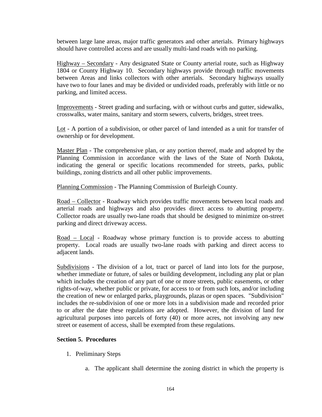between large lane areas, major traffic generators and other arterials. Primary highways should have controlled access and are usually multi-land roads with no parking.

Highway – Secondary - Any designated State or County arterial route, such as Highway 1804 or County Highway 10. Secondary highways provide through traffic movements between Areas and links collectors with other arterials. Secondary highways usually have two to four lanes and may be divided or undivided roads, preferably with little or no parking, and limited access.

Improvements - Street grading and surfacing, with or without curbs and gutter, sidewalks, crosswalks, water mains, sanitary and storm sewers, culverts, bridges, street trees.

Lot - A portion of a subdivision, or other parcel of land intended as a unit for transfer of ownership or for development.

Master Plan - The comprehensive plan, or any portion thereof, made and adopted by the Planning Commission in accordance with the laws of the State of North Dakota, indicating the general or specific locations recommended for streets, parks, public buildings, zoning districts and all other public improvements.

Planning Commission - The Planning Commission of Burleigh County.

Road – Collector - Roadway which provides traffic movements between local roads and arterial roads and highways and also provides direct access to abutting property. Collector roads are usually two-lane roads that should be designed to minimize on-street parking and direct driveway access.

Road – Local - Roadway whose primary function is to provide access to abutting property. Local roads are usually two-lane roads with parking and direct access to adjacent lands.

Subdivisions - The division of a lot, tract or parcel of land into lots for the purpose, whether immediate or future, of sales or building development, including any plat or plan which includes the creation of any part of one or more streets, public easements, or other rights-of-way, whether public or private, for access to or from such lots, and/or including the creation of new or enlarged parks, playgrounds, plazas or open spaces. "Subdivision" includes the re-subdivision of one or more lots in a subdivision made and recorded prior to or after the date these regulations are adopted. However, the division of land for agricultural purposes into parcels of forty (40) or more acres, not involving any new street or easement of access, shall be exempted from these regulations.

### **Section 5. Procedures**

- 1. Preliminary Steps
	- a. The applicant shall determine the zoning district in which the property is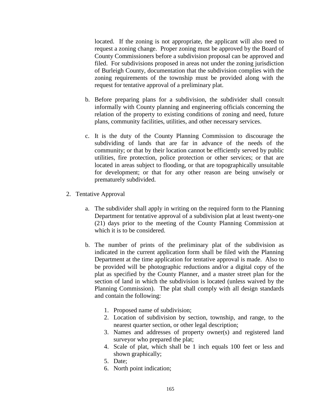located. If the zoning is not appropriate, the applicant will also need to request a zoning change. Proper zoning must be approved by the Board of County Commissioners before a subdivision proposal can be approved and filed. For subdivisions proposed in areas not under the zoning jurisdiction of Burleigh County, documentation that the subdivision complies with the zoning requirements of the township must be provided along with the request for tentative approval of a preliminary plat.

- b. Before preparing plans for a subdivision, the subdivider shall consult informally with County planning and engineering officials concerning the relation of the property to existing conditions of zoning and need, future plans, community facilities, utilities, and other necessary services.
- c. It is the duty of the County Planning Commission to discourage the subdividing of lands that are far in advance of the needs of the community; or that by their location cannot be efficiently served by public utilities, fire protection, police protection or other services; or that are located in areas subject to flooding, or that are topographically unsuitable for development; or that for any other reason are being unwisely or prematurely subdivided.
- 2. Tentative Approval
	- a. The subdivider shall apply in writing on the required form to the Planning Department for tentative approval of a subdivision plat at least twenty-one (21) days prior to the meeting of the County Planning Commission at which it is to be considered.
	- b. The number of prints of the preliminary plat of the subdivision as indicated in the current application form shall be filed with the Planning Department at the time application for tentative approval is made. Also to be provided will be photographic reductions and/or a digital copy of the plat as specified by the County Planner, and a master street plan for the section of land in which the subdivision is located (unless waived by the Planning Commission). The plat shall comply with all design standards and contain the following:
		- 1. Proposed name of subdivision;
		- 2. Location of subdivision by section, township, and range, to the nearest quarter section, or other legal description;
		- 3. Names and addresses of property owner(s) and registered land surveyor who prepared the plat;
		- 4. Scale of plat, which shall be 1 inch equals 100 feet or less and shown graphically;
		- 5. Date;
		- 6. North point indication;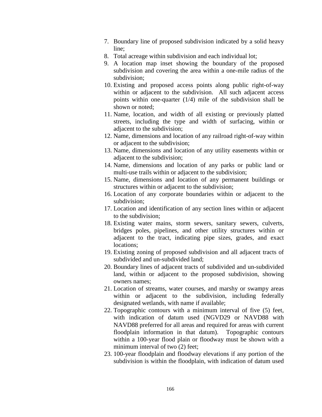- 7. Boundary line of proposed subdivision indicated by a solid heavy line;
- 8. Total acreage within subdivision and each individual lot;
- 9. A location map inset showing the boundary of the proposed subdivision and covering the area within a one-mile radius of the subdivision;
- 10. Existing and proposed access points along public right-of-way within or adjacent to the subdivision. All such adjacent access points within one-quarter (1/4) mile of the subdivision shall be shown or noted;
- 11. Name, location, and width of all existing or previously platted streets, including the type and width of surfacing, within or adjacent to the subdivision;
- 12. Name, dimensions and location of any railroad right-of-way within or adjacent to the subdivision;
- 13. Name, dimensions and location of any utility easements within or adjacent to the subdivision;
- 14. Name, dimensions and location of any parks or public land or multi-use trails within or adjacent to the subdivision;
- 15. Name, dimensions and location of any permanent buildings or structures within or adjacent to the subdivision;
- 16. Location of any corporate boundaries within or adjacent to the subdivision;
- 17. Location and identification of any section lines within or adjacent to the subdivision;
- 18. Existing water mains, storm sewers, sanitary sewers, culverts, bridges poles, pipelines, and other utility structures within or adjacent to the tract, indicating pipe sizes, grades, and exact locations;
- 19. Existing zoning of proposed subdivision and all adjacent tracts of subdivided and un-subdivided land;
- 20. Boundary lines of adjacent tracts of subdivided and un-subdivided land, within or adjacent to the proposed subdivision, showing owners names;
- 21. Location of streams, water courses, and marshy or swampy areas within or adjacent to the subdivision, including federally designated wetlands, with name if available;
- 22. Topographic contours with a minimum interval of five (5) feet, with indication of datum used (NGVD29 or NAVD88 with NAVD88 preferred for all areas and required for areas with current floodplain information in that datum). Topographic contours within a 100-year flood plain or floodway must be shown with a minimum interval of two  $(2)$  feet;
- 23. 100-year floodplain and floodway elevations if any portion of the subdivision is within the floodplain, with indication of datum used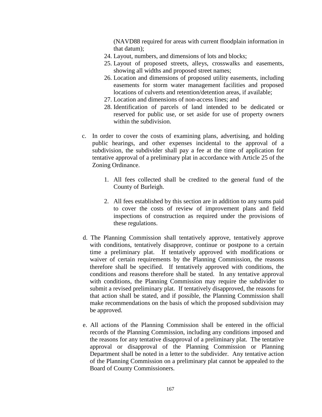(NAVD88 required for areas with current floodplain information in that datum);

- 24. Layout, numbers, and dimensions of lots and blocks;
- 25. Layout of proposed streets, alleys, crosswalks and easements, showing all widths and proposed street names;
- 26. Location and dimensions of proposed utility easements, including easements for storm water management facilities and proposed locations of culverts and retention/detention areas, if available;
- 27. Location and dimensions of non-access lines; and
- 28. Identification of parcels of land intended to be dedicated or reserved for public use, or set aside for use of property owners within the subdivision.
- c. In order to cover the costs of examining plans, advertising, and holding public hearings, and other expenses incidental to the approval of a subdivision, the subdivider shall pay a fee at the time of application for tentative approval of a preliminary plat in accordance with Article 25 of the Zoning Ordinance.
	- 1. All fees collected shall be credited to the general fund of the County of Burleigh.
	- 2. All fees established by this section are in addition to any sums paid to cover the costs of review of improvement plans and field inspections of construction as required under the provisions of these regulations.
- d. The Planning Commission shall tentatively approve, tentatively approve with conditions, tentatively disapprove, continue or postpone to a certain time a preliminary plat. If tentatively approved with modifications or waiver of certain requirements by the Planning Commission, the reasons therefore shall be specified. If tentatively approved with conditions, the conditions and reasons therefore shall be stated. In any tentative approval with conditions, the Planning Commission may require the subdivider to submit a revised preliminary plat. If tentatively disapproved, the reasons for that action shall be stated, and if possible, the Planning Commission shall make recommendations on the basis of which the proposed subdivision may be approved.
- e. All actions of the Planning Commission shall be entered in the official records of the Planning Commission, including any conditions imposed and the reasons for any tentative disapproval of a preliminary plat. The tentative approval or disapproval of the Planning Commission or Planning Department shall be noted in a letter to the subdivider. Any tentative action of the Planning Commission on a preliminary plat cannot be appealed to the Board of County Commissioners.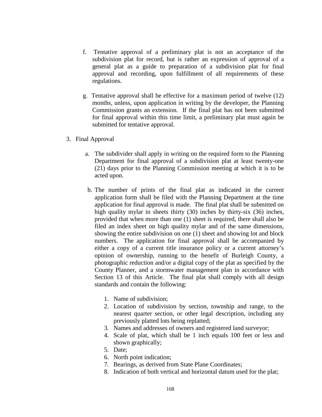- f. Tentative approval of a preliminary plat is not an acceptance of the subdivision plat for record, but is rather an expression of approval of a general plat as a guide to preparation of a subdivision plat for final approval and recording, upon fulfillment of all requirements of these regulations.
- g. Tentative approval shall be effective for a maximum period of twelve (12) months, unless, upon application in writing by the developer, the Planning Commission grants an extension. If the final plat has not been submitted for final approval within this time limit, a preliminary plat must again be submitted for tentative approval.
- 3. Final Approval
	- a. The subdivider shall apply in writing on the required form to the Planning Department for final approval of a subdivision plat at least twenty-one (21) days prior to the Planning Commission meeting at which it is to be acted upon.
	- b. The number of prints of the final plat as indicated in the current application form shall be filed with the Planning Department at the time application for final approval is made. The final plat shall be submitted on high quality mylar in sheets thirty (30) inches by thirty-six (36) inches, provided that when more than one (1) sheet is required, there shall also be filed an index sheet on high quality mylar and of the same dimensions, showing the entire subdivision on one (1) sheet and showing lot and block numbers. The application for final approval shall be accompanied by either a copy of a current title insurance policy or a current attorney's opinion of ownership, running to the benefit of Burleigh County, a photographic reduction and/or a digital copy of the plat as specified by the County Planner, and a stormwater management plan in accordance with Section 13 of this Article. The final plat shall comply with all design standards and contain the following:
		- 1. Name of subdivision;
		- 2. Location of subdivision by section, township and range, to the nearest quarter section, or other legal description, including any previously platted lots being replatted;
		- 3. Names and addresses of owners and registered land surveyor;
		- 4. Scale of plat, which shall be 1 inch equals 100 feet or less and shown graphically;
		- 5. Date;
		- 6. North point indication;
		- 7. Bearings, as derived from State Plane Coordinates;
		- 8. Indication of both vertical and horizontal datum used for the plat;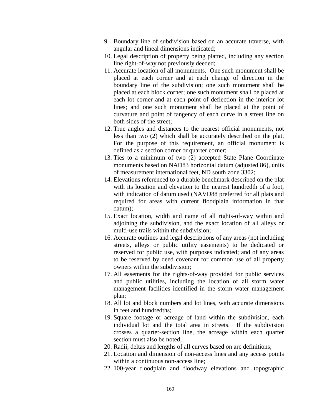- 9. Boundary line of subdivision based on an accurate traverse, with angular and lineal dimensions indicated;
- 10. Legal description of property being platted, including any section line right-of-way not previously deeded;
- 11. Accurate location of all monuments. One such monument shall be placed at each corner and at each change of direction in the boundary line of the subdivision; one such monument shall be placed at each block corner; one such monument shall be placed at each lot corner and at each point of deflection in the interior lot lines; and one such monument shall be placed at the point of curvature and point of tangency of each curve in a street line on both sides of the street;
- 12. True angles and distances to the nearest official monuments, not less than two (2) which shall be accurately described on the plat. For the purpose of this requirement, an official monument is defined as a section corner or quarter corner;
- 13. Ties to a minimum of two (2) accepted State Plane Coordinate monuments based on NAD83 horizontal datum (adjusted 86), units of measurement international feet, ND south zone 3302;
- 14. Elevations referenced to a durable benchmark described on the plat with its location and elevation to the nearest hundredth of a foot, with indication of datum used (NAVD88 preferred for all plats and required for areas with current floodplain information in that datum);
- 15. Exact location, width and name of all rights-of-way within and adjoining the subdivision, and the exact location of all alleys or multi-use trails within the subdivision;
- 16. Accurate outlines and legal descriptions of any areas (not including streets, alleys or public utility easements) to be dedicated or reserved for public use, with purposes indicated; and of any areas to be reserved by deed covenant for common use of all property owners within the subdivision;
- 17. All easements for the rights-of-way provided for public services and public utilities, including the location of all storm water management facilities identified in the storm water management plan;
- 18. All lot and block numbers and lot lines, with accurate dimensions in feet and hundredths;
- 19. Square footage or acreage of land within the subdivision, each individual lot and the total area in streets. If the subdivision crosses a quarter-section line, the acreage within each quarter section must also be noted;
- 20. Radii, deltas and lengths of all curves based on arc definitions;
- 21. Location and dimension of non-access lines and any access points within a continuous non-access line;
- 22. 100-year floodplain and floodway elevations and topographic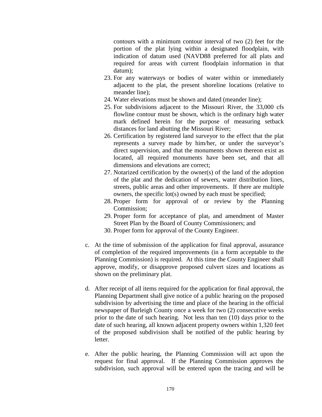contours with a minimum contour interval of two (2) feet for the portion of the plat lying within a designated floodplain, with indication of datum used (NAVD88 preferred for all plats and required for areas with current floodplain information in that datum);

- 23. For any waterways or bodies of water within or immediately adjacent to the plat, the present shoreline locations (relative to meander line);
- 24. Water elevations must be shown and dated (meander line);
- 25. For subdivisions adjacent to the Missouri River, the 33,000 cfs flowline contour must be shown, which is the ordinary high water mark defined herein for the purpose of measuring setback distances for land abutting the Missouri River;
- 26. Certification by registered land surveyor to the effect that the plat represents a survey made by him/her, or under the surveyor's direct supervision, and that the monuments shown thereon exist as located, all required monuments have been set, and that all dimensions and elevations are correct;
- 27. Notarized certification by the owner(s) of the land of the adoption of the plat and the dedication of sewers, water distribution lines, streets, public areas and other improvements. If there are multiple owners, the specific lot(s) owned by each must be specified;
- 28. Proper form for approval of or review by the Planning Commission;
- 29. Proper form for acceptance of plat, and amendment of Master Street Plan by the Board of County Commissioners; and
- 30. Proper form for approval of the County Engineer.
- c. At the time of submission of the application for final approval, assurance of completion of the required improvements (in a form acceptable to the Planning Commission) is required. At this time the County Engineer shall approve, modify, or disapprove proposed culvert sizes and locations as shown on the preliminary plat.
- d. After receipt of all items required for the application for final approval, the Planning Department shall give notice of a public hearing on the proposed subdivision by advertising the time and place of the hearing in the official newspaper of Burleigh County once a week for two (2) consecutive weeks prior to the date of such hearing. Not less than ten (10) days prior to the date of such hearing, all known adjacent property owners within 1,320 feet of the proposed subdivision shall be notified of the public hearing by letter.
- e. After the public hearing, the Planning Commission will act upon the request for final approval. If the Planning Commission approves the subdivision, such approval will be entered upon the tracing and will be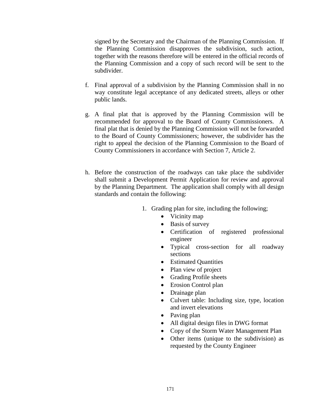signed by the Secretary and the Chairman of the Planning Commission. If the Planning Commission disapproves the subdivision, such action, together with the reasons therefore will be entered in the official records of the Planning Commission and a copy of such record will be sent to the subdivider.

- f. Final approval of a subdivision by the Planning Commission shall in no way constitute legal acceptance of any dedicated streets, alleys or other public lands.
- g. A final plat that is approved by the Planning Commission will be recommended for approval to the Board of County Commissioners. A final plat that is denied by the Planning Commission will not be forwarded to the Board of County Commissioners; however, the subdivider has the right to appeal the decision of the Planning Commission to the Board of County Commissioners in accordance with Section 7, Article 2.
- h. Before the construction of the roadways can take place the subdivider shall submit a Development Permit Application for review and approval by the Planning Department. The application shall comply with all design standards and contain the following:
	- 1. Grading plan for site, including the following;
		- Vicinity map
		- Basis of survey
		- Certification of registered professional engineer
		- Typical cross-section for all roadway sections
		- Estimated Quantities
		- Plan view of project
		- Grading Profile sheets
		- Erosion Control plan
		- Drainage plan
		- Culvert table: Including size, type, location and invert elevations
		- Paving plan
		- All digital design files in DWG format
		- Copy of the Storm Water Management Plan
		- Other items (unique to the subdivision) as requested by the County Engineer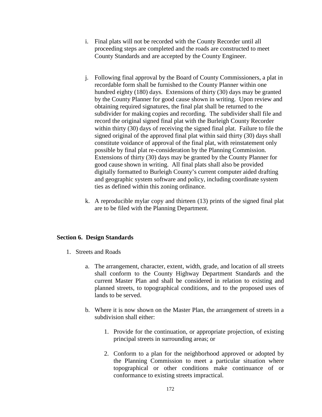- i. Final plats will not be recorded with the County Recorder until all proceeding steps are completed and the roads are constructed to meet County Standards and are accepted by the County Engineer.
- j. Following final approval by the Board of County Commissioners, a plat in recordable form shall be furnished to the County Planner within one hundred eighty (180) days. Extensions of thirty (30) days may be granted by the County Planner for good cause shown in writing. Upon review and obtaining required signatures, the final plat shall be returned to the subdivider for making copies and recording. The subdivider shall file and record the original signed final plat with the Burleigh County Recorder within thirty (30) days of receiving the signed final plat. Failure to file the signed original of the approved final plat within said thirty (30) days shall constitute voidance of approval of the final plat, with reinstatement only possible by final plat re-consideration by the Planning Commission. Extensions of thirty (30) days may be granted by the County Planner for good cause shown in writing. All final plats shall also be provided digitally formatted to Burleigh County's current computer aided drafting and geographic system software and policy, including coordinate system ties as defined within this zoning ordinance.
- k. A reproducible mylar copy and thirteen (13) prints of the signed final plat are to be filed with the Planning Department.

## **Section 6. Design Standards**

- 1. Streets and Roads
	- a. The arrangement, character, extent, width, grade, and location of all streets shall conform to the County Highway Department Standards and the current Master Plan and shall be considered in relation to existing and planned streets, to topographical conditions, and to the proposed uses of lands to be served.
	- b. Where it is now shown on the Master Plan, the arrangement of streets in a subdivision shall either:
		- 1. Provide for the continuation, or appropriate projection, of existing principal streets in surrounding areas; or
		- 2. Conform to a plan for the neighborhood approved or adopted by the Planning Commission to meet a particular situation where topographical or other conditions make continuance of or conformance to existing streets impractical.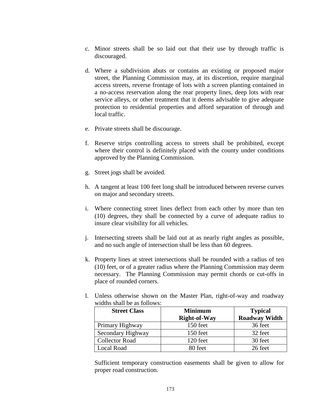- c. Minor streets shall be so laid out that their use by through traffic is discouraged.
- d. Where a subdivision abuts or contains an existing or proposed major street, the Planning Commission may, at its discretion, require marginal access streets, reverse frontage of lots with a screen planting contained in a no-access reservation along the rear property lines, deep lots with rear service alleys, or other treatment that it deems advisable to give adequate protection to residential properties and afford separation of through and local traffic.
- e. Private streets shall be discourage.
- f. Reserve strips controlling access to streets shall be prohibited, except where their control is definitely placed with the county under conditions approved by the Planning Commission.
- g. Street jogs shall be avoided.
- h. A tangent at least 100 feet long shall be introduced between reverse curves on major and secondary streets.
- i. Where connecting street lines deflect from each other by more than ten (10) degrees, they shall be connected by a curve of adequate radius to insure clear visibility for all vehicles.
- j. Intersecting streets shall be laid out at as nearly right angles as possible, and no such angle of intersection shall be less than 60 degrees.
- k. Property lines at street intersections shall be rounded with a radius of ten (10) feet, or of a greater radius where the Planning Commission may deem necessary. The Planning Commission may permit chords or cut-offs in place of rounded corners.

| widths shall be as follows: |                     |                      |
|-----------------------------|---------------------|----------------------|
| <b>Street Class</b>         | <b>Minimum</b>      | <b>Typical</b>       |
|                             | <b>Right-of-Way</b> | <b>Roadway Width</b> |
| Primary Highway             | 150 feet            | 36 feet              |
| Secondary Highway           | 150 feet            | 32 feet              |
| <b>Collector Road</b>       | 120 feet            | 30 feet              |
| Local Road                  | 80 feet             | 26 feet              |

l. Unless otherwise shown on the Master Plan, right-of-way and roadway widths shall be as follows:

Sufficient temporary construction easements shall be given to allow for proper road construction.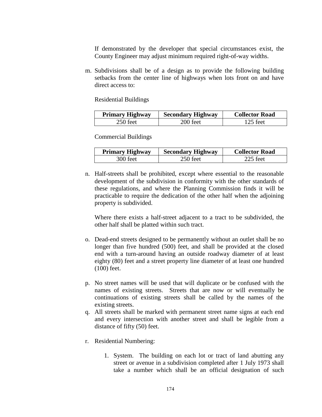If demonstrated by the developer that special circumstances exist, the County Engineer may adjust minimum required right-of-way widths.

m. Subdivisions shall be of a design as to provide the following building setbacks from the center line of highways when lots front on and have direct access to:

Residential Buildings

| <b>Primary Highway</b> | <b>Secondary Highway</b> | <b>Collector Road</b> |
|------------------------|--------------------------|-----------------------|
| 250 feet               | 200 feet                 | 125 feet              |

Commercial Buildings

| <b>Primary Highway</b> | <b>Secondary Highway</b> | <b>Collector Road</b> |
|------------------------|--------------------------|-----------------------|
| 300 feet               | 250 feet                 | 225 feet              |

n. Half-streets shall be prohibited, except where essential to the reasonable development of the subdivision in conformity with the other standards of these regulations, and where the Planning Commission finds it will be practicable to require the dedication of the other half when the adjoining property is subdivided.

Where there exists a half-street adjacent to a tract to be subdivided, the other half shall be platted within such tract.

- o. Dead-end streets designed to be permanently without an outlet shall be no longer than five hundred (500) feet, and shall be provided at the closed end with a turn-around having an outside roadway diameter of at least eighty (80) feet and a street property line diameter of at least one hundred (100) feet.
- p. No street names will be used that will duplicate or be confused with the names of existing streets. Streets that are now or will eventually be continuations of existing streets shall be called by the names of the existing streets.
- q. All streets shall be marked with permanent street name signs at each end and every intersection with another street and shall be legible from a distance of fifty (50) feet.
- r. Residential Numbering:
	- 1. System. The building on each lot or tract of land abutting any street or avenue in a subdivision completed after 1 July 1973 shall take a number which shall be an official designation of such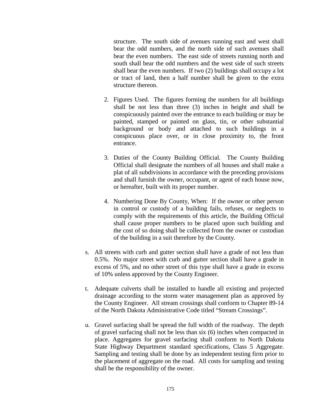structure. The south side of avenues running east and west shall bear the odd numbers, and the north side of such avenues shall bear the even numbers. The east side of streets running north and south shall bear the odd numbers and the west side of such streets shall bear the even numbers. If two (2) buildings shall occupy a lot or tract of land, then a half number shall be given to the extra structure thereon.

- 2. Figures Used. The figures forming the numbers for all buildings shall be not less than three (3) inches in height and shall be conspicuously painted over the entrance to each building or may be painted, stamped or painted on glass, tin, or other substantial background or body and attached to such buildings in a conspicuous place over, or in close proximity to, the front entrance.
- 3. Duties of the County Building Official. The County Building Official shall designate the numbers of all houses and shall make a plat of all subdivisions in accordance with the preceding provisions and shall furnish the owner, occupant, or agent of each house now, or hereafter, built with its proper number.
- 4. Numbering Done By County, When: If the owner or other person in control or custody of a building fails, refuses, or neglects to comply with the requirements of this article, the Building Official shall cause proper numbers to be placed upon such building and the cost of so doing shall be collected from the owner or custodian of the building in a suit therefore by the County.
- s. All streets with curb and gutter section shall have a grade of not less than 0.5%. No major street with curb and gutter section shall have a grade in excess of 5%, and no other street of this type shall have a grade in excess of 10% unless approved by the County Engineer.
- t. Adequate culverts shall be installed to handle all existing and projected drainage according to the storm water management plan as approved by the County Engineer. All stream crossings shall conform to Chapter 89-14 of the North Dakota Administrative Code titled "Stream Crossings".
- u. Gravel surfacing shall be spread the full width of the roadway. The depth of gravel surfacing shall not be less than six (6) inches when compacted in place. Aggregates for gravel surfacing shall conform to North Dakota State Highway Department standard specifications, Class 5 Aggregate. Sampling and testing shall be done by an independent testing firm prior to the placement of aggregate on the road. All costs for sampling and testing shall be the responsibility of the owner.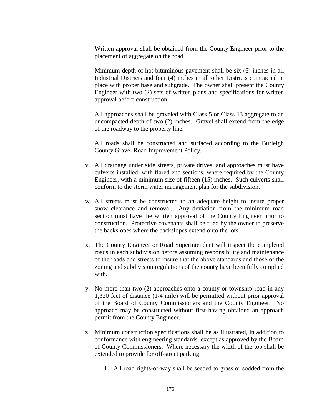Written approval shall be obtained from the County Engineer prior to the placement of aggregate on the road.

Minimum depth of hot bituminous pavement shall be six (6) inches in all Industrial Districts and four (4) inches in all other Districts compacted in place with proper base and subgrade. The owner shall present the County Engineer with two (2) sets of written plans and specifications for written approval before construction.

All approaches shall be graveled with Class 5 or Class 13 aggregate to an uncompacted depth of two (2) inches. Gravel shall extend from the edge of the roadway to the property line.

All roads shall be constructed and surfaced according to the Burleigh County Gravel Road Improvement Policy.

- v. All drainage under side streets, private drives, and approaches must have culverts installed, with flared end sections, where required by the County Engineer, with a minimum size of fifteen (15) inches. Such culverts shall conform to the storm water management plan for the subdivision.
- w. All streets must be constructed to an adequate height to insure proper snow clearance and removal. Any deviation from the minimum road section must have the written approval of the County Engineer prior to construction. Protective covenants shall be filed by the owner to preserve the backslopes where the backslopes extend onto the lots.
- x. The County Engineer or Road Superintendent will inspect the completed roads in each subdivision before assuming responsibility and maintenance of the roads and streets to insure that the above standards and those of the zoning and subdivision regulations of the county have been fully complied with.
- y. No more than two (2) approaches onto a county or township road in any 1,320 feet of distance (1/4 mile) will be permitted without prior approval of the Board of County Commissioners and the County Engineer. No approach may be constructed without first having obtained an approach permit from the County Engineer.
- z. Minimum construction specifications shall be as illustrated, in addition to conformance with engineering standards, except as approved by the Board of County Commissioners. Where necessary the width of the top shall be extended to provide for off-street parking.
	- 1. All road rights-of-way shall be seeded to grass or sodded from the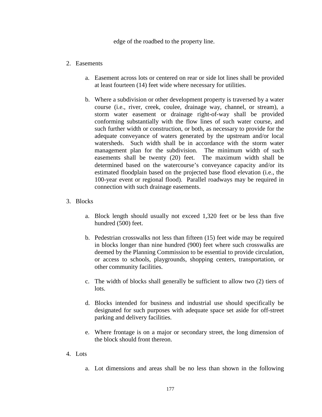edge of the roadbed to the property line.

## 2. Easements

- a. Easement across lots or centered on rear or side lot lines shall be provided at least fourteen (14) feet wide where necessary for utilities.
- b. Where a subdivision or other development property is traversed by a water course (i.e., river, creek, coulee, drainage way, channel, or stream), a storm water easement or drainage right-of-way shall be provided conforming substantially with the flow lines of such water course, and such further width or construction, or both, as necessary to provide for the adequate conveyance of waters generated by the upstream and/or local watersheds. Such width shall be in accordance with the storm water management plan for the subdivision. The minimum width of such easements shall be twenty (20) feet. The maximum width shall be determined based on the watercourse's conveyance capacity and/or its estimated floodplain based on the projected base flood elevation (i.e., the 100-year event or regional flood). Parallel roadways may be required in connection with such drainage easements.

## 3. Blocks

- a. Block length should usually not exceed 1,320 feet or be less than five hundred (500) feet.
- b. Pedestrian crosswalks not less than fifteen (15) feet wide may be required in blocks longer than nine hundred (900) feet where such crosswalks are deemed by the Planning Commission to be essential to provide circulation, or access to schools, playgrounds, shopping centers, transportation, or other community facilities.
- c. The width of blocks shall generally be sufficient to allow two (2) tiers of lots.
- d. Blocks intended for business and industrial use should specifically be designated for such purposes with adequate space set aside for off-street parking and delivery facilities.
- e. Where frontage is on a major or secondary street, the long dimension of the block should front thereon.
- 4. Lots
	- a. Lot dimensions and areas shall be no less than shown in the following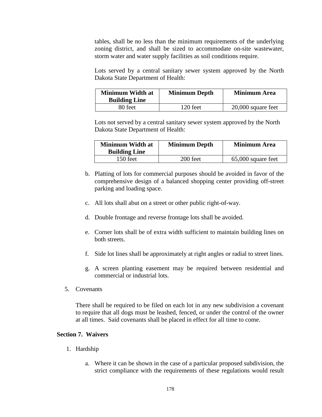tables, shall be no less than the minimum requirements of the underlying zoning district, and shall be sized to accommodate on-site wastewater, storm water and water supply facilities as soil conditions require.

Lots served by a central sanitary sewer system approved by the North Dakota State Department of Health:

| <b>Minimum Width at</b><br><b>Building Line</b> | <b>Minimum Depth</b> | <b>Minimum Area</b>  |
|-------------------------------------------------|----------------------|----------------------|
| 80 feet                                         | 120 feet             | $20,000$ square feet |

Lots not served by a central sanitary sewer system approved by the North Dakota State Department of Health:

| <b>Minimum Width at</b><br><b>Building Line</b> | <b>Minimum Depth</b> | <b>Minimum Area</b> |
|-------------------------------------------------|----------------------|---------------------|
| 150 feet                                        | 200 feet             | 65,000 square feet  |

- b. Platting of lots for commercial purposes should be avoided in favor of the comprehensive design of a balanced shopping center providing off-street parking and loading space.
- c. All lots shall abut on a street or other public right-of-way.
- d. Double frontage and reverse frontage lots shall be avoided.
- e. Corner lots shall be of extra width sufficient to maintain building lines on both streets.
- f. Side lot lines shall be approximately at right angles or radial to street lines.
- g. A screen planting easement may be required between residential and commercial or industrial lots.
- 5. Covenants

There shall be required to be filed on each lot in any new subdivision a covenant to require that all dogs must be leashed, fenced, or under the control of the owner at all times. Said covenants shall be placed in effect for all time to come.

### **Section 7. Waivers**

- 1. Hardship
	- a. Where it can be shown in the case of a particular proposed subdivision, the strict compliance with the requirements of these regulations would result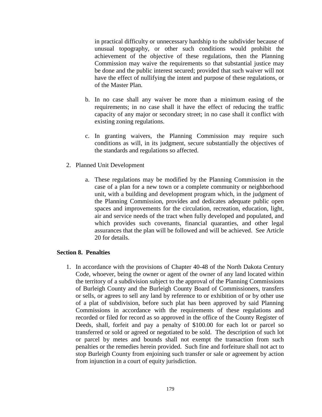in practical difficulty or unnecessary hardship to the subdivider because of unusual topography, or other such conditions would prohibit the achievement of the objective of these regulations, then the Planning Commission may waive the requirements so that substantial justice may be done and the public interest secured; provided that such waiver will not have the effect of nullifying the intent and purpose of these regulations, or of the Master Plan.

- b. In no case shall any waiver be more than a minimum easing of the requirements; in no case shall it have the effect of reducing the traffic capacity of any major or secondary street; in no case shall it conflict with existing zoning regulations.
- c. In granting waivers, the Planning Commission may require such conditions as will, in its judgment, secure substantially the objectives of the standards and regulations so affected.
- 2. Planned Unit Development
	- a. These regulations may be modified by the Planning Commission in the case of a plan for a new town or a complete community or neighborhood unit, with a building and development program which, in the judgment of the Planning Commission, provides and dedicates adequate public open spaces and improvements for the circulation, recreation, education, light, air and service needs of the tract when fully developed and populated, and which provides such covenants, financial quaranties, and other legal assurances that the plan will be followed and will be achieved. See Article 20 for details.

#### **Section 8. Penalties**

1. In accordance with the provisions of Chapter 40-48 of the North Dakota Century Code, whoever, being the owner or agent of the owner of any land located within the territory of a subdivision subject to the approval of the Planning Commissions of Burleigh County and the Burleigh County Board of Commissioners, transfers or sells, or agrees to sell any land by reference to or exhibition of or by other use of a plat of subdivision, before such plat has been approved by said Planning Commissions in accordance with the requirements of these regulations and recorded or filed for record as so approved in the office of the County Register of Deeds, shall, forfeit and pay a penalty of \$100.00 for each lot or parcel so transferred or sold or agreed or negotiated to be sold. The description of such lot or parcel by metes and bounds shall not exempt the transaction from such penalties or the remedies herein provided. Such fine and forfeiture shall not act to stop Burleigh County from enjoining such transfer or sale or agreement by action from injunction in a court of equity jurisdiction.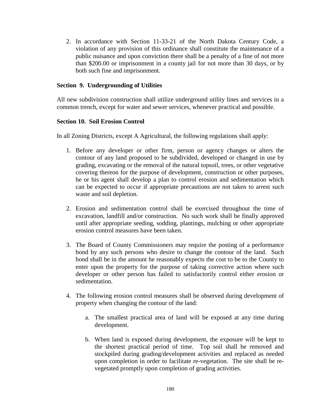2. In accordance with Section 11-33-21 of the North Dakota Century Code, a violation of any provision of this ordinance shall constitute the maintenance of a public nuisance and upon conviction there shall be a penalty of a fine of not more than \$200.00 or imprisonment in a county jail for not more than 30 days, or by both such fine and imprisonment.

# **Section 9. Undergrounding of Utilities**

All new subdivision construction shall utilize underground utility lines and services in a common trench, except for water and sewer services, whenever practical and possible.

## **Section 10. Soil Erosion Control**

In all Zoning Districts, except A Agricultural, the following regulations shall apply:

- 1. Before any developer or other firm, person or agency changes or alters the contour of any land proposed to be subdivided, developed or changed in use by grading, excavating or the removal of the natural topsoil, trees, or other vegetative covering thereon for the purpose of development, construction or other purposes, he or his agent shall develop a plan to control erosion and sedimentation which can be expected to occur if appropriate precautions are not taken to arrest such waste and soil depletion.
- 2. Erosion and sedimentation control shall be exercised throughout the time of excavation, landfill and/or construction. No such work shall be finally approved until after appropriate seeding, sodding, plantings, mulching or other appropriate erosion control measures have been taken.
- 3. The Board of County Commissioners may require the posting of a performance bond by any such persons who desire to change the contour of the land. Such bond shall be in the amount he reasonably expects the cost to be to the County to enter upon the property for the purpose of taking corrective action where such developer or other person has failed to satisfactorily control either erosion or sedimentation.
- 4. The following erosion control measures shall be observed during development of property when changing the contour of the land:
	- a. The smallest practical area of land will be exposed at any time during development.
	- b. When land is exposed during development, the exposure will be kept to the shortest practical period of time. Top soil shall be removed and stockpiled during grading/development activities and replaced as needed upon completion in order to facilitate re-vegetation. The site shall be revegetated promptly upon completion of grading activities.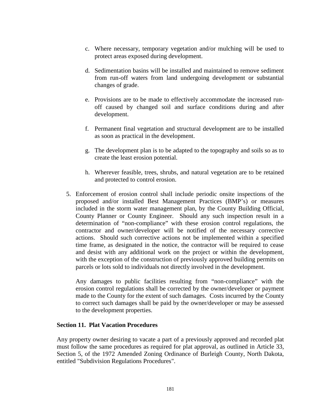- c. Where necessary, temporary vegetation and/or mulching will be used to protect areas exposed during development.
- d. Sedimentation basins will be installed and maintained to remove sediment from run-off waters from land undergoing development or substantial changes of grade.
- e. Provisions are to be made to effectively accommodate the increased runoff caused by changed soil and surface conditions during and after development.
- f. Permanent final vegetation and structural development are to be installed as soon as practical in the development.
- g. The development plan is to be adapted to the topography and soils so as to create the least erosion potential.
- h. Wherever feasible, trees, shrubs, and natural vegetation are to be retained and protected to control erosion.
- 5. Enforcement of erosion control shall include periodic onsite inspections of the proposed and/or installed Best Management Practices (BMP's) or measures included in the storm water management plan, by the County Building Official, County Planner or County Engineer. Should any such inspection result in a determination of "non-compliance" with these erosion control regulations, the contractor and owner/developer will be notified of the necessary corrective actions. Should such corrective actions not be implemented within a specified time frame, as designated in the notice, the contractor will be required to cease and desist with any additional work on the project or within the development, with the exception of the construction of previously approved building permits on parcels or lots sold to individuals not directly involved in the development.

Any damages to public facilities resulting from "non-compliance" with the erosion control regulations shall be corrected by the owner/developer or payment made to the County for the extent of such damages. Costs incurred by the County to correct such damages shall be paid by the owner/developer or may be assessed to the development properties.

# **Section 11. Plat Vacation Procedures**

Any property owner desiring to vacate a part of a previously approved and recorded plat must follow the same procedures as required for plat approval, as outlined in Article 33, Section 5, of the 1972 Amended Zoning Ordinance of Burleigh County, North Dakota, entitled "Subdivision Regulations Procedures".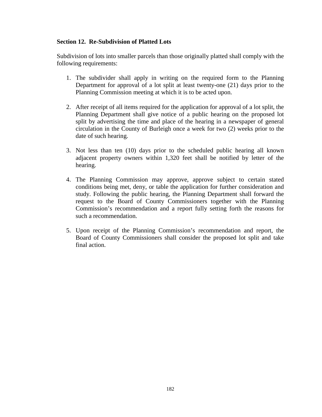# **Section 12. Re-Subdivision of Platted Lots**

Subdivision of lots into smaller parcels than those originally platted shall comply with the following requirements:

- 1. The subdivider shall apply in writing on the required form to the Planning Department for approval of a lot split at least twenty-one (21) days prior to the Planning Commission meeting at which it is to be acted upon.
- 2. After receipt of all items required for the application for approval of a lot split, the Planning Department shall give notice of a public hearing on the proposed lot split by advertising the time and place of the hearing in a newspaper of general circulation in the County of Burleigh once a week for two (2) weeks prior to the date of such hearing.
- 3. Not less than ten (10) days prior to the scheduled public hearing all known adjacent property owners within 1,320 feet shall be notified by letter of the hearing.
- 4. The Planning Commission may approve, approve subject to certain stated conditions being met, deny, or table the application for further consideration and study. Following the public hearing, the Planning Department shall forward the request to the Board of County Commissioners together with the Planning Commission's recommendation and a report fully setting forth the reasons for such a recommendation.
- 5. Upon receipt of the Planning Commission's recommendation and report, the Board of County Commissioners shall consider the proposed lot split and take final action.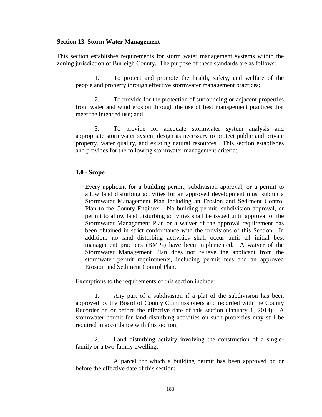#### **Section 13. Storm Water Management**

This section establishes requirements for storm water management systems within the zoning jurisdiction of Burleigh County. The purpose of these standards are as follows:

1. To protect and promote the health, safety, and welfare of the people and property through effective stormwater management practices;

2. To provide for the protection of surrounding or adjacent properties from water and wind erosion through the use of best management practices that meet the intended use; and

3. To provide for adequate stormwater system analysis and appropriate stormwater system design as necessary to protect public and private property, water quality, and existing natural resources. This section establishes and provides for the following stormwater management criteria:

#### **1.0 - Scope**

Every applicant for a building permit, subdivision approval, or a permit to allow land disturbing activities for an approved development must submit a Stormwater Management Plan including an Erosion and Sediment Control Plan to the County Engineer. No building permit, subdivision approval, or permit to allow land disturbing activities shall be issued until approval of the Stormwater Management Plan or a waiver of the approval requirement has been obtained in strict conformance with the provisions of this Section. In addition, no land disturbing activities shall occur until all initial best management practices (BMPs) have been implemented. A waiver of the Stormwater Management Plan does not relieve the applicant from the stormwater permit requirements, including permit fees and an approved Erosion and Sediment Control Plan.

Exemptions to the requirements of this section include:

1. Any part of a subdivision if a plat of the subdivision has been approved by the Board of County Commissioners and recorded with the County Recorder on or before the effective date of this section (January 1, 2014). A stormwater permit for land disturbing activities on such properties may still be required in accordance with this section;

2. Land disturbing activity involving the construction of a singlefamily or a two-family dwelling;

3. A parcel for which a building permit has been approved on or before the effective date of this section;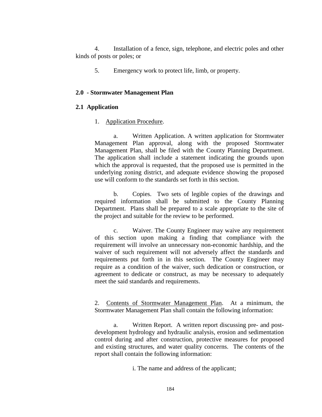4. Installation of a fence, sign, telephone, and electric poles and other kinds of posts or poles; or

5. Emergency work to protect life, limb, or property.

#### **2.0 - Stormwater Management Plan**

### **2.1 Application**

1. Application Procedure.

a. Written Application. A written application for Stormwater Management Plan approval, along with the proposed Stormwater Management Plan, shall be filed with the County Planning Department. The application shall include a statement indicating the grounds upon which the approval is requested, that the proposed use is permitted in the underlying zoning district, and adequate evidence showing the proposed use will conform to the standards set forth in this section.

b. Copies. Two sets of legible copies of the drawings and required information shall be submitted to the County Planning Department. Plans shall be prepared to a scale appropriate to the site of the project and suitable for the review to be performed.

c. Waiver. The County Engineer may waive any requirement of this section upon making a finding that compliance with the requirement will involve an unnecessary non-economic hardship, and the waiver of such requirement will not adversely affect the standards and requirements put forth in in this section. The County Engineer may require as a condition of the waiver, such dedication or construction, or agreement to dedicate or construct, as may be necessary to adequately meet the said standards and requirements.

2. Contents of Stormwater Management Plan. At a minimum, the Stormwater Management Plan shall contain the following information:

a. Written Report. A written report discussing pre- and postdevelopment hydrology and hydraulic analysis, erosion and sedimentation control during and after construction, protective measures for proposed and existing structures, and water quality concerns. The contents of the report shall contain the following information:

i. The name and address of the applicant;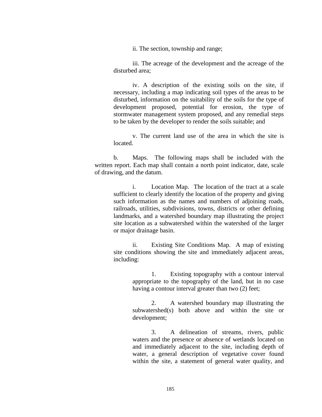ii. The section, township and range;

iii. The acreage of the development and the acreage of the disturbed area;

iv. A description of the existing soils on the site, if necessary, including a map indicating soil types of the areas to be disturbed, information on the suitability of the soils for the type of development proposed, potential for erosion, the type of stormwater management system proposed, and any remedial steps to be taken by the developer to render the soils suitable; and

v. The current land use of the area in which the site is located.

b. Maps. The following maps shall be included with the written report. Each map shall contain a north point indicator, date, scale of drawing, and the datum.

i. Location Map. The location of the tract at a scale sufficient to clearly identify the location of the property and giving such information as the names and numbers of adjoining roads, railroads, utilities, subdivisions, towns, districts or other defining landmarks, and a watershed boundary map illustrating the project site location as a subwatershed within the watershed of the larger or major drainage basin.

ii. Existing Site Conditions Map. A map of existing site conditions showing the site and immediately adjacent areas, including:

> 1. Existing topography with a contour interval appropriate to the topography of the land, but in no case having a contour interval greater than two (2) feet;

> 2. A watershed boundary map illustrating the subwatershed(s) both above and within the site or development;

> 3. A delineation of streams, rivers, public waters and the presence or absence of wetlands located on and immediately adjacent to the site, including depth of water, a general description of vegetative cover found within the site, a statement of general water quality, and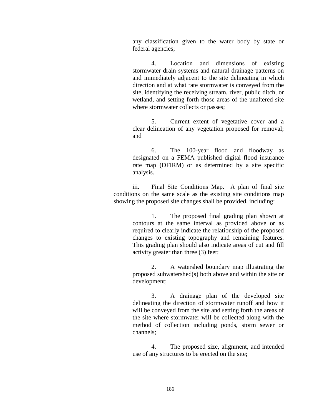any classification given to the water body by state or federal agencies;

4. Location and dimensions of existing stormwater drain systems and natural drainage patterns on and immediately adjacent to the site delineating in which direction and at what rate stormwater is conveyed from the site, identifying the receiving stream, river, public ditch, or wetland, and setting forth those areas of the unaltered site where stormwater collects or passes;

5. Current extent of vegetative cover and a clear delineation of any vegetation proposed for removal; and

6. The 100-year flood and floodway as designated on a FEMA published digital flood insurance rate map (DFIRM) or as determined by a site specific analysis.

iii. Final Site Conditions Map. A plan of final site conditions on the same scale as the existing site conditions map showing the proposed site changes shall be provided, including:

> 1. The proposed final grading plan shown at contours at the same interval as provided above or as required to clearly indicate the relationship of the proposed changes to existing topography and remaining features. This grading plan should also indicate areas of cut and fill activity greater than three (3) feet;

> 2. A watershed boundary map illustrating the proposed subwatershed(s) both above and within the site or development;

> 3. A drainage plan of the developed site delineating the direction of stormwater runoff and how it will be conveyed from the site and setting forth the areas of the site where stormwater will be collected along with the method of collection including ponds, storm sewer or channels;

> 4. The proposed size, alignment, and intended use of any structures to be erected on the site;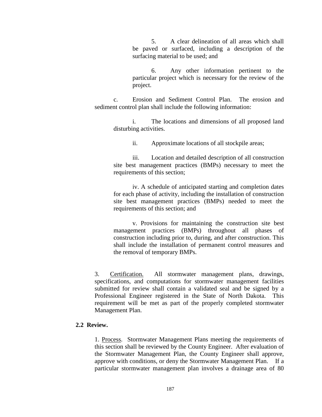5. A clear delineation of all areas which shall be paved or surfaced, including a description of the surfacing material to be used; and

6. Any other information pertinent to the particular project which is necessary for the review of the project.

c. Erosion and Sediment Control Plan. The erosion and sediment control plan shall include the following information:

> i. The locations and dimensions of all proposed land disturbing activities.

> > ii. Approximate locations of all stockpile areas;

iii. Location and detailed description of all construction site best management practices (BMPs) necessary to meet the requirements of this section;

iv. A schedule of anticipated starting and completion dates for each phase of activity, including the installation of construction site best management practices (BMPs) needed to meet the requirements of this section; and

v. Provisions for maintaining the construction site best management practices (BMPs) throughout all phases of construction including prior to, during, and after construction. This shall include the installation of permanent control measures and the removal of temporary BMPs.

3. Certification. All stormwater management plans, drawings, specifications, and computations for stormwater management facilities submitted for review shall contain a validated seal and be signed by a Professional Engineer registered in the State of North Dakota. This requirement will be met as part of the properly completed stormwater Management Plan.

# **2.2 Review.**

1. Process. Stormwater Management Plans meeting the requirements of this section shall be reviewed by the County Engineer. After evaluation of the Stormwater Management Plan, the County Engineer shall approve, approve with conditions, or deny the Stormwater Management Plan. If a particular stormwater management plan involves a drainage area of 80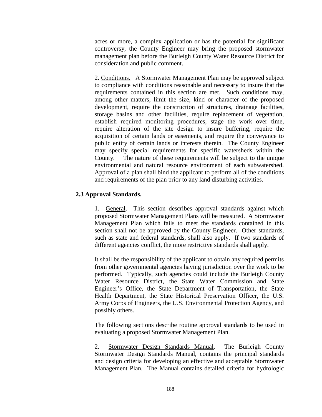acres or more, a complex application or has the potential for significant controversy, the County Engineer may bring the proposed stormwater management plan before the Burleigh County Water Resource District for consideration and public comment.

2. Conditions. A Stormwater Management Plan may be approved subject to compliance with conditions reasonable and necessary to insure that the requirements contained in this section are met. Such conditions may, among other matters, limit the size, kind or character of the proposed development, require the construction of structures, drainage facilities, storage basins and other facilities, require replacement of vegetation, establish required monitoring procedures, stage the work over time, require alteration of the site design to insure buffering, require the acquisition of certain lands or easements, and require the conveyance to public entity of certain lands or interests therein. The County Engineer may specify special requirements for specific watersheds within the County. The nature of these requirements will be subject to the unique environmental and natural resource environment of each subwatershed. Approval of a plan shall bind the applicant to perform all of the conditions and requirements of the plan prior to any land disturbing activities.

### **2.3 Approval Standards.**

1. General. This section describes approval standards against which proposed Stormwater Management Plans will be measured. A Stormwater Management Plan which fails to meet the standards contained in this section shall not be approved by the County Engineer. Other standards, such as state and federal standards, shall also apply. If two standards of different agencies conflict, the more restrictive standards shall apply.

It shall be the responsibility of the applicant to obtain any required permits from other governmental agencies having jurisdiction over the work to be performed. Typically, such agencies could include the Burleigh County Water Resource District, the State Water Commission and State Engineer's Office, the State Department of Transportation, the State Health Department, the State Historical Preservation Officer, the U.S. Army Corps of Engineers, the U.S. Environmental Protection Agency, and possibly others.

The following sections describe routine approval standards to be used in evaluating a proposed Stormwater Management Plan.

2. Stormwater Design Standards Manual. The Burleigh County Stormwater Design Standards Manual, contains the principal standards and design criteria for developing an effective and acceptable Stormwater Management Plan. The Manual contains detailed criteria for hydrologic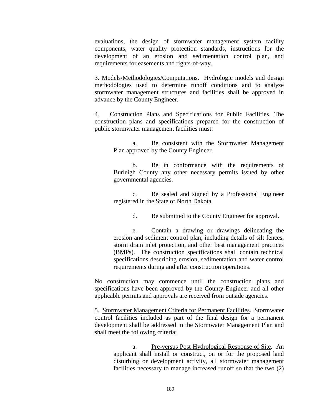evaluations, the design of stormwater management system facility components, water quality protection standards, instructions for the development of an erosion and sedimentation control plan, and requirements for easements and rights-of-way.

3. Models/Methodologies/Computations. Hydrologic models and design methodologies used to determine runoff conditions and to analyze stormwater management structures and facilities shall be approved in advance by the County Engineer.

4. Construction Plans and Specifications for Public Facilities. The construction plans and specifications prepared for the construction of public stormwater management facilities must:

a. Be consistent with the Stormwater Management Plan approved by the County Engineer.

b. Be in conformance with the requirements of Burleigh County any other necessary permits issued by other governmental agencies.

c. Be sealed and signed by a Professional Engineer registered in the State of North Dakota.

d. Be submitted to the County Engineer for approval.

e. Contain a drawing or drawings delineating the erosion and sediment control plan, including details of silt fences, storm drain inlet protection, and other best management practices (BMPs). The construction specifications shall contain technical specifications describing erosion, sedimentation and water control requirements during and after construction operations.

No construction may commence until the construction plans and specifications have been approved by the County Engineer and all other applicable permits and approvals are received from outside agencies.

5. Stormwater Management Criteria for Permanent Facilities. Stormwater control facilities included as part of the final design for a permanent development shall be addressed in the Stormwater Management Plan and shall meet the following criteria:

> a. Pre-versus Post Hydrological Response of Site. An applicant shall install or construct, on or for the proposed land disturbing or development activity, all stormwater management facilities necessary to manage increased runoff so that the two (2)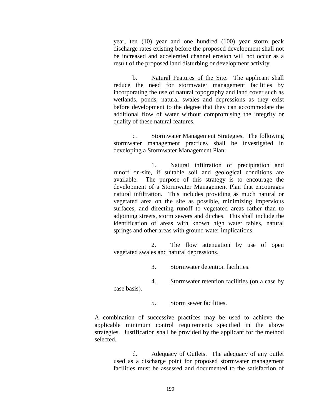year, ten (10) year and one hundred (100) year storm peak discharge rates existing before the proposed development shall not be increased and accelerated channel erosion will not occur as a result of the proposed land disturbing or development activity.

b. Natural Features of the Site. The applicant shall reduce the need for stormwater management facilities by incorporating the use of natural topography and land cover such as wetlands, ponds, natural swales and depressions as they exist before development to the degree that they can accommodate the additional flow of water without compromising the integrity or quality of these natural features.

c. Stormwater Management Strategies. The following stormwater management practices shall be investigated in developing a Stormwater Management Plan:

1. Natural infiltration of precipitation and runoff on-site, if suitable soil and geological conditions are available. The purpose of this strategy is to encourage the development of a Stormwater Management Plan that encourages natural infiltration. This includes providing as much natural or vegetated area on the site as possible, minimizing impervious surfaces, and directing runoff to vegetated areas rather than to adjoining streets, storm sewers and ditches. This shall include the identification of areas with known high water tables, natural springs and other areas with ground water implications.

2. The flow attenuation by use of open vegetated swales and natural depressions.

3. Stormwater detention facilities.

4. Stormwater retention facilities (on a case by case basis).

5. Storm sewer facilities.

A combination of successive practices may be used to achieve the applicable minimum control requirements specified in the above strategies. Justification shall be provided by the applicant for the method selected.

> d. Adequacy of Outlets. The adequacy of any outlet used as a discharge point for proposed stormwater management facilities must be assessed and documented to the satisfaction of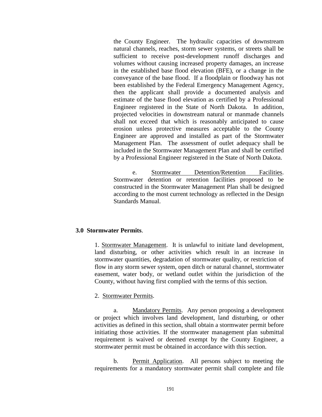the County Engineer. The hydraulic capacities of downstream natural channels, reaches, storm sewer systems, or streets shall be sufficient to receive post-development runoff discharges and volumes without causing increased property damages, an increase in the established base flood elevation (BFE), or a change in the conveyance of the base flood. If a floodplain or floodway has not been established by the Federal Emergency Management Agency, then the applicant shall provide a documented analysis and estimate of the base flood elevation as certified by a Professional Engineer registered in the State of North Dakota. In addition, projected velocities in downstream natural or manmade channels shall not exceed that which is reasonably anticipated to cause erosion unless protective measures acceptable to the County Engineer are approved and installed as part of the Stormwater Management Plan. The assessment of outlet adequacy shall be included in the Stormwater Management Plan and shall be certified by a Professional Engineer registered in the State of North Dakota.

e. Stormwater Detention/Retention Facilities. Stormwater detention or retention facilities proposed to be constructed in the Stormwater Management Plan shall be designed according to the most current technology as reflected in the Design Standards Manual.

#### **3.0 Stormwater Permits**.

1. Stormwater Management. It is unlawful to initiate land development, land disturbing, or other activities which result in an increase in stormwater quantities, degradation of stormwater quality, or restriction of flow in any storm sewer system, open ditch or natural channel, stormwater easement, water body, or wetland outlet within the jurisdiction of the County, without having first complied with the terms of this section.

#### 2. Stormwater Permits.

a. Mandatory Permits. Any person proposing a development or project which involves land development, land disturbing, or other activities as defined in this section, shall obtain a stormwater permit before initiating those activities. If the stormwater management plan submittal requirement is waived or deemed exempt by the County Engineer, a stormwater permit must be obtained in accordance with this section.

b. Permit Application. All persons subject to meeting the requirements for a mandatory stormwater permit shall complete and file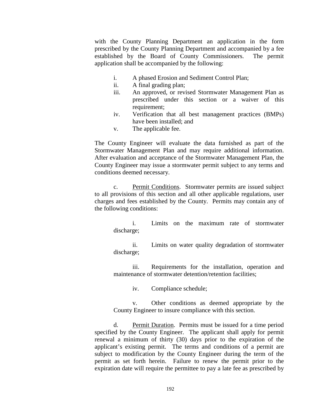with the County Planning Department an application in the form prescribed by the County Planning Department and accompanied by a fee established by the Board of County Commissioners. The permit application shall be accompanied by the following:

- i. A phased Erosion and Sediment Control Plan;
- ii. A final grading plan;
- iii. An approved, or revised Stormwater Management Plan as prescribed under this section or a waiver of this requirement;
- iv. Verification that all best management practices (BMPs) have been installed; and
- v. The applicable fee.

The County Engineer will evaluate the data furnished as part of the Stormwater Management Plan and may require additional information. After evaluation and acceptance of the Stormwater Management Plan, the County Engineer may issue a stormwater permit subject to any terms and conditions deemed necessary.

c. Permit Conditions. Stormwater permits are issued subject to all provisions of this section and all other applicable regulations, user charges and fees established by the County. Permits may contain any of the following conditions:

i. Limits on the maximum rate of stormwater discharge;

ii. Limits on water quality degradation of stormwater discharge;

iii. Requirements for the installation, operation and maintenance of stormwater detention/retention facilities;

iv. Compliance schedule;

v. Other conditions as deemed appropriate by the County Engineer to insure compliance with this section.

d. Permit Duration. Permits must be issued for a time period specified by the County Engineer. The applicant shall apply for permit renewal a minimum of thirty (30) days prior to the expiration of the applicant's existing permit. The terms and conditions of a permit are subject to modification by the County Engineer during the term of the permit as set forth herein. Failure to renew the permit prior to the expiration date will require the permittee to pay a late fee as prescribed by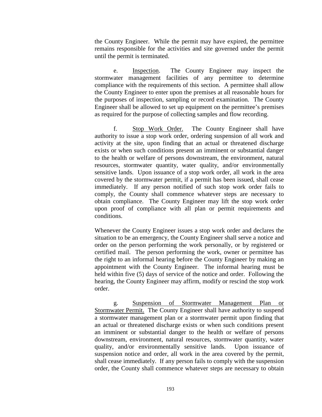the County Engineer. While the permit may have expired, the permittee remains responsible for the activities and site governed under the permit until the permit is terminated.

e. Inspection. The County Engineer may inspect the stormwater management facilities of any permittee to determine compliance with the requirements of this section. A permittee shall allow the County Engineer to enter upon the premises at all reasonable hours for the purposes of inspection, sampling or record examination. The County Engineer shall be allowed to set up equipment on the permittee's premises as required for the purpose of collecting samples and flow recording.

f. Stop Work Order. The County Engineer shall have authority to issue a stop work order, ordering suspension of all work and activity at the site, upon finding that an actual or threatened discharge exists or when such conditions present an imminent or substantial danger to the health or welfare of persons downstream, the environment, natural resources, stormwater quantity, water quality, and/or environmentally sensitive lands. Upon issuance of a stop work order, all work in the area covered by the stormwater permit, if a permit has been issued, shall cease immediately. If any person notified of such stop work order fails to comply, the County shall commence whatever steps are necessary to obtain compliance. The County Engineer may lift the stop work order upon proof of compliance with all plan or permit requirements and conditions.

Whenever the County Engineer issues a stop work order and declares the situation to be an emergency, the County Engineer shall serve a notice and order on the person performing the work personally, or by registered or certified mail. The person performing the work, owner or permittee has the right to an informal hearing before the County Engineer by making an appointment with the County Engineer. The informal hearing must be held within five (5) days of service of the notice and order. Following the hearing, the County Engineer may affirm, modify or rescind the stop work order.

g. Suspension of Stormwater Management Plan or Stormwater Permit. The County Engineer shall have authority to suspend a stormwater management plan or a stormwater permit upon finding that an actual or threatened discharge exists or when such conditions present an imminent or substantial danger to the health or welfare of persons downstream, environment, natural resources, stormwater quantity, water quality, and/or environmentally sensitive lands. Upon issuance of suspension notice and order, all work in the area covered by the permit, shall cease immediately. If any person fails to comply with the suspension order, the County shall commence whatever steps are necessary to obtain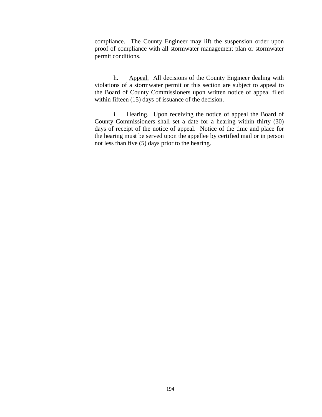compliance. The County Engineer may lift the suspension order upon proof of compliance with all stormwater management plan or stormwater permit conditions.

h. Appeal. All decisions of the County Engineer dealing with violations of a stormwater permit or this section are subject to appeal to the Board of County Commissioners upon written notice of appeal filed within fifteen (15) days of issuance of the decision.

i. Hearing. Upon receiving the notice of appeal the Board of County Commissioners shall set a date for a hearing within thirty (30) days of receipt of the notice of appeal. Notice of the time and place for the hearing must be served upon the appellee by certified mail or in person not less than five (5) days prior to the hearing.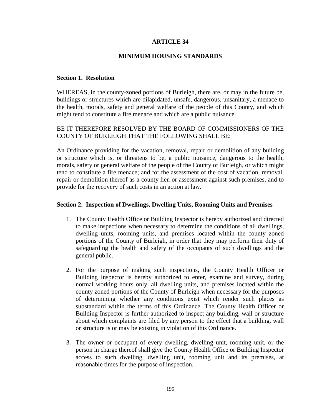# **ARTICLE 34**

## **MINIMUM HOUSING STANDARDS**

#### **Section 1. Resolution**

WHEREAS, in the county-zoned portions of Burleigh, there are, or may in the future be, buildings or structures which are dilapidated, unsafe, dangerous, unsanitary, a menace to the health, morals, safety and general welfare of the people of this County, and which might tend to constitute a fire menace and which are a public nuisance.

# BE IT THEREFORE RESOLVED BY THE BOARD OF COMMISSIONERS OF THE COUNTY OF BURLEIGH THAT THE FOLLOWING SHALL BE:

An Ordinance providing for the vacation, removal, repair or demolition of any building or structure which is, or threatens to be, a public nuisance, dangerous to the health, morals, safety or general welfare of the people of the County of Burleigh, or which might tend to constitute a fire menace; and for the assessment of the cost of vacation, removal, repair or demolition thereof as a county lien or assessment against such premises, and to provide for the recovery of such costs in an action at law.

#### **Section 2. Inspection of Dwellings, Dwelling Units, Rooming Units and Premises**

- 1. The County Health Office or Building Inspector is hereby authorized and directed to make inspections when necessary to determine the conditions of all dwellings, dwelling units, rooming units, and premises located within the county zoned portions of the County of Burleigh, in order that they may perform their duty of safeguarding the health and safety of the occupants of such dwellings and the general public.
- 2. For the purpose of making such inspections, the County Health Officer or Building Inspector is hereby authorized to enter, examine and survey, during normal working hours only, all dwelling units, and premises located within the county zoned portions of the County of Burleigh when necessary for the purposes of determining whether any conditions exist which render such places as substandard within the terms of this Ordinance. The County Health Officer or Building Inspector is further authorized to inspect any building, wall or structure about which complaints are filed by any person to the effect that a building, wall or structure is or may be existing in violation of this Ordinance.
- 3. The owner or occupant of every dwelling, dwelling unit, rooming unit, or the person in charge thereof shall give the County Health Office or Building Inspector access to such dwelling, dwelling unit, rooming unit and its premises, at reasonable times for the purpose of inspection.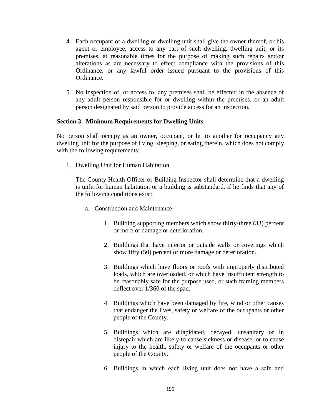- 4. Each occupant of a dwelling or dwelling unit shall give the owner thereof, or his agent or employee, access to any part of such dwelling, dwelling unit, or its premises, at reasonable times for the purpose of making such repairs and/or alterations as are necessary to effect compliance with the provisions of this Ordinance, or any lawful order issued pursuant to the provisions of this Ordinance.
- 5. No inspection of, or access to, any premises shall be effected in the absence of any adult person responsible for or dwelling within the premises, or an adult person designated by said person to provide access for an inspection.

## **Section 3. Minimum Requirements for Dwelling Units**

No person shall occupy as an owner, occupant, or let to another for occupancy any dwelling unit for the purpose of living, sleeping, or eating therein, which does not comply with the following requirements:

1. Dwelling Unit for Human Habitation

The County Health Officer or Building Inspector shall determine that a dwelling is unfit for human habitation or a building is substandard, if he finds that any of the following conditions exist:

- a. Construction and Maintenance
	- 1. Building supporting members which show thirty-three (33) percent or more of damage or deterioration.
	- 2. Buildings that have interior or outside walls or coverings which show fifty (50) percent or more damage or deterioration.
	- 3. Buildings which have floors or roofs with improperly distributed loads, which are overloaded, or which have insufficient strength to be reasonably safe for the purpose used, or such framing members deflect over 1/360 of the span.
	- 4. Buildings which have been damaged by fire, wind or other causes that endanger the lives, safety or welfare of the occupants or other people of the County.
	- 5. Buildings which are dilapidated, decayed, unsanitary or in disrepair which are likely to cause sickness or disease, or to cause injury to the health, safety or welfare of the occupants or other people of the County.
	- 6. Buildings in which each living unit does not have a safe and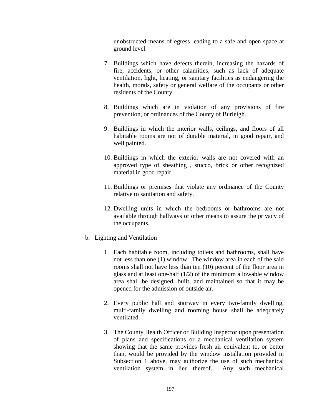unobstructed means of egress leading to a safe and open space at ground level.

- 7. Buildings which have defects therein, increasing the hazards of fire, accidents, or other calamities, such as lack of adequate ventilation, light, heating, or sanitary facilities as endangering the health, morals, safety or general welfare of the occupants or other residents of the County.
- 8. Buildings which are in violation of any provisions of fire prevention, or ordinances of the County of Burleigh.
- 9. Buildings in which the interior walls, ceilings, and floors of all habitable rooms are not of durable material, in good repair, and well painted.
- 10. Buildings in which the exterior walls are not covered with an approved type of sheathing , stucco, brick or other recognized material in good repair.
- 11. Buildings or premises that violate any ordinance of the County relative to sanitation and safety.
- 12. Dwelling units in which the bedrooms or bathrooms are not available through hallways or other means to assure the privacy of the occupants.
- b. Lighting and Ventilation
	- 1. Each habitable room, including toilets and bathrooms, shall have not less than one (1) window. The window area in each of the said rooms shall not have less than ten (10) percent of the floor area in glass and at least one-half (1/2) of the minimum allowable window area shall be designed, built, and maintained so that it may be opened for the admission of outside air.
	- 2. Every public hall and stairway in every two-family dwelling, multi-family dwelling and rooming house shall be adequately ventilated.
	- 3. The County Health Officer or Building Inspector upon presentation of plans and specifications or a mechanical ventilation system showing that the same provides fresh air equivalent to, or better than, would be provided by the window installation provided in Subsection 1 above, may authorize the use of such mechanical ventilation system in lieu thereof. Any such mechanical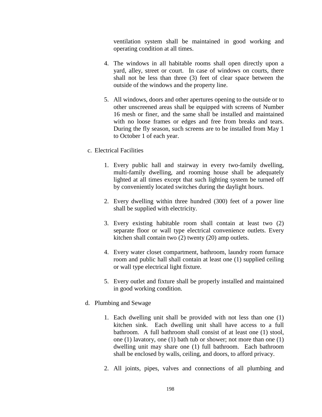ventilation system shall be maintained in good working and operating condition at all times.

- 4. The windows in all habitable rooms shall open directly upon a yard, alley, street or court. In case of windows on courts, there shall not be less than three (3) feet of clear space between the outside of the windows and the property line.
- 5. All windows, doors and other apertures opening to the outside or to other unscreened areas shall be equipped with screens of Number 16 mesh or finer, and the same shall be installed and maintained with no loose frames or edges and free from breaks and tears. During the fly season, such screens are to be installed from May 1 to October 1 of each year.
- c. Electrical Facilities
	- 1. Every public hall and stairway in every two-family dwelling, multi-family dwelling, and rooming house shall be adequately lighted at all times except that such lighting system be turned off by conveniently located switches during the daylight hours.
	- 2. Every dwelling within three hundred (300) feet of a power line shall be supplied with electricity.
	- 3. Every existing habitable room shall contain at least two (2) separate floor or wall type electrical convenience outlets. Every kitchen shall contain two (2) twenty (20) amp outlets.
	- 4. Every water closet compartment, bathroom, laundry room furnace room and public hall shall contain at least one (1) supplied ceiling or wall type electrical light fixture.
	- 5. Every outlet and fixture shall be properly installed and maintained in good working condition.
- d. Plumbing and Sewage
	- 1. Each dwelling unit shall be provided with not less than one (1) kitchen sink. Each dwelling unit shall have access to a full bathroom. A full bathroom shall consist of at least one (1) stool, one (1) lavatory, one (1) bath tub or shower; not more than one (1) dwelling unit may share one (1) full bathroom. Each bathroom shall be enclosed by walls, ceiling, and doors, to afford privacy.
	- 2. All joints, pipes, valves and connections of all plumbing and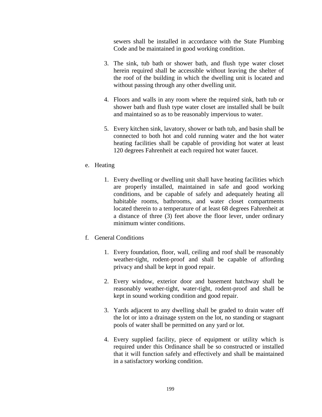sewers shall be installed in accordance with the State Plumbing Code and be maintained in good working condition.

- 3. The sink, tub bath or shower bath, and flush type water closet herein required shall be accessible without leaving the shelter of the roof of the building in which the dwelling unit is located and without passing through any other dwelling unit.
- 4. Floors and walls in any room where the required sink, bath tub or shower bath and flush type water closet are installed shall be built and maintained so as to be reasonably impervious to water.
- 5. Every kitchen sink, lavatory, shower or bath tub, and basin shall be connected to both hot and cold running water and the hot water heating facilities shall be capable of providing hot water at least 120 degrees Fahrenheit at each required hot water faucet.
- e. Heating
	- 1. Every dwelling or dwelling unit shall have heating facilities which are properly installed, maintained in safe and good working conditions, and be capable of safely and adequately heating all habitable rooms, bathrooms, and water closet compartments located therein to a temperature of at least 68 degrees Fahrenheit at a distance of three (3) feet above the floor lever, under ordinary minimum winter conditions.
- f. General Conditions
	- 1. Every foundation, floor, wall, ceiling and roof shall be reasonably weather-tight, rodent-proof and shall be capable of affording privacy and shall be kept in good repair.
	- 2. Every window, exterior door and basement hatchway shall be reasonably weather-tight, water-tight, rodent-proof and shall be kept in sound working condition and good repair.
	- 3. Yards adjacent to any dwelling shall be graded to drain water off the lot or into a drainage system on the lot, no standing or stagnant pools of water shall be permitted on any yard or lot.
	- 4. Every supplied facility, piece of equipment or utility which is required under this Ordinance shall be so constructed or installed that it will function safely and effectively and shall be maintained in a satisfactory working condition.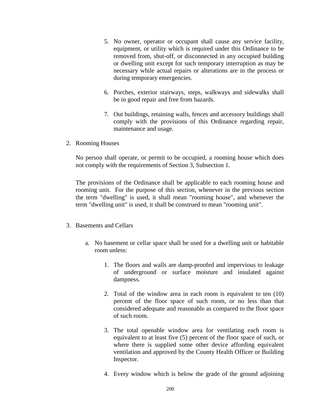- 5. No owner, operator or occupant shall cause any service facility, equipment, or utility which is required under this Ordinance to be removed from, shut-off, or disconnected in any occupied building or dwelling unit except for such temporary interruption as may be necessary while actual repairs or alterations are in the process or during temporary emergencies.
- 6. Porches, exterior stairways, steps, walkways and sidewalks shall be in good repair and free from hazards.
- 7. Out buildings, retaining walls, fences and accessory buildings shall comply with the provisions of this Ordinance regarding repair, maintenance and usage.
- 2. Rooming Houses

No person shall operate, or permit to be occupied, a rooming house which does not comply with the requirements of Section 3, Subsection 1.

The provisions of the Ordinance shall be applicable to each rooming house and rooming unit. For the purpose of this section, whenever in the previous section the term "dwelling" is used, it shall mean "rooming house", and whenever the term "dwelling unit" is used, it shall be construed to mean "rooming unit".

#### 3. Basements and Cellars

- a. No basement or cellar space shall be used for a dwelling unit or habitable room unless:
	- 1. The floors and walls are damp-proofed and impervious to leakage of underground or surface moisture and insulated against dampness.
	- 2. Total of the window area in each room is equivalent to ten (10) percent of the floor space of such room, or no less than that considered adequate and reasonable as compared to the floor space of such room.
	- 3. The total openable window area for ventilating each room is equivalent to at least five (5) percent of the floor space of such, or where there is supplied some other device affording equivalent ventilation and approved by the County Health Officer or Building Inspector.
	- 4. Every window which is below the grade of the ground adjoining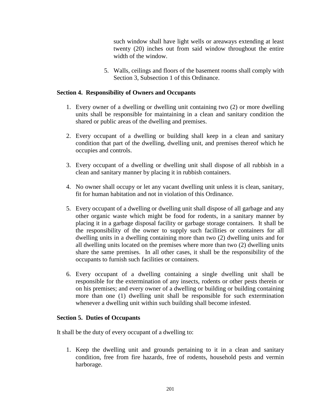such window shall have light wells or areaways extending at least twenty (20) inches out from said window throughout the entire width of the window.

5. Walls, ceilings and floors of the basement rooms shall comply with Section 3, Subsection 1 of this Ordinance.

# **Section 4. Responsibility of Owners and Occupants**

- 1. Every owner of a dwelling or dwelling unit containing two (2) or more dwelling units shall be responsible for maintaining in a clean and sanitary condition the shared or public areas of the dwelling and premises.
- 2. Every occupant of a dwelling or building shall keep in a clean and sanitary condition that part of the dwelling, dwelling unit, and premises thereof which he occupies and controls.
- 3. Every occupant of a dwelling or dwelling unit shall dispose of all rubbish in a clean and sanitary manner by placing it in rubbish containers.
- 4. No owner shall occupy or let any vacant dwelling unit unless it is clean, sanitary, fit for human habitation and not in violation of this Ordinance.
- 5. Every occupant of a dwelling or dwelling unit shall dispose of all garbage and any other organic waste which might be food for rodents, in a sanitary manner by placing it in a garbage disposal facility or garbage storage containers. It shall be the responsibility of the owner to supply such facilities or containers for all dwelling units in a dwelling containing more than two (2) dwelling units and for all dwelling units located on the premises where more than two (2) dwelling units share the same premises. In all other cases, it shall be the responsibility of the occupants to furnish such facilities or containers.
- 6. Every occupant of a dwelling containing a single dwelling unit shall be responsible for the extermination of any insects, rodents or other pests therein or on his premises; and every owner of a dwelling or building or building containing more than one (1) dwelling unit shall be responsible for such extermination whenever a dwelling unit within such building shall become infested.

## **Section 5. Duties of Occupants**

It shall be the duty of every occupant of a dwelling to:

1. Keep the dwelling unit and grounds pertaining to it in a clean and sanitary condition, free from fire hazards, free of rodents, household pests and vermin harborage.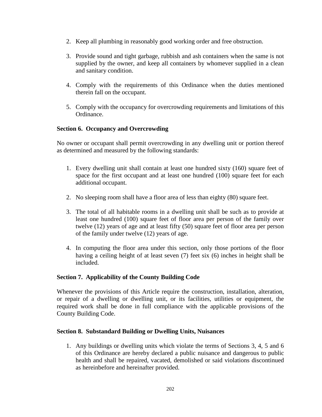- 2. Keep all plumbing in reasonably good working order and free obstruction.
- 3. Provide sound and tight garbage, rubbish and ash containers when the same is not supplied by the owner, and keep all containers by whomever supplied in a clean and sanitary condition.
- 4. Comply with the requirements of this Ordinance when the duties mentioned therein fall on the occupant.
- 5. Comply with the occupancy for overcrowding requirements and limitations of this Ordinance.

# **Section 6. Occupancy and Overcrowding**

No owner or occupant shall permit overcrowding in any dwelling unit or portion thereof as determined and measured by the following standards:

- 1. Every dwelling unit shall contain at least one hundred sixty (160) square feet of space for the first occupant and at least one hundred (100) square feet for each additional occupant.
- 2. No sleeping room shall have a floor area of less than eighty (80) square feet.
- 3. The total of all habitable rooms in a dwelling unit shall be such as to provide at least one hundred (100) square feet of floor area per person of the family over twelve (12) years of age and at least fifty (50) square feet of floor area per person of the family under twelve (12) years of age.
- 4. In computing the floor area under this section, only those portions of the floor having a ceiling height of at least seven (7) feet six (6) inches in height shall be included.

## **Section 7. Applicability of the County Building Code**

Whenever the provisions of this Article require the construction, installation, alteration, or repair of a dwelling or dwelling unit, or its facilities, utilities or equipment, the required work shall be done in full compliance with the applicable provisions of the County Building Code.

## **Section 8. Substandard Building or Dwelling Units, Nuisances**

1. Any buildings or dwelling units which violate the terms of Sections 3, 4, 5 and 6 of this Ordinance are hereby declared a public nuisance and dangerous to public health and shall be repaired, vacated, demolished or said violations discontinued as hereinbefore and hereinafter provided.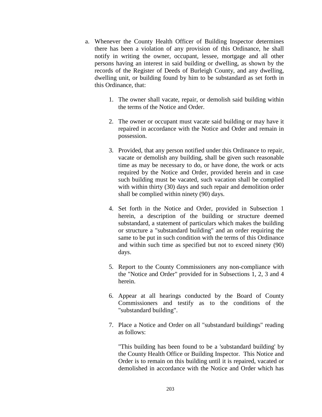- a. Whenever the County Health Officer of Building Inspector determines there has been a violation of any provision of this Ordinance, he shall notify in writing the owner, occupant, lessee, mortgage and all other persons having an interest in said building or dwelling, as shown by the records of the Register of Deeds of Burleigh County, and any dwelling, dwelling unit, or building found by him to be substandard as set forth in this Ordinance, that:
	- 1. The owner shall vacate, repair, or demolish said building within the terms of the Notice and Order.
	- 2. The owner or occupant must vacate said building or may have it repaired in accordance with the Notice and Order and remain in possession.
	- 3. Provided, that any person notified under this Ordinance to repair, vacate or demolish any building, shall be given such reasonable time as may be necessary to do, or have done, the work or acts required by the Notice and Order, provided herein and in case such building must be vacated, such vacation shall be complied with within thirty (30) days and such repair and demolition order shall be complied within ninety (90) days.
	- 4. Set forth in the Notice and Order, provided in Subsection 1 herein, a description of the building or structure deemed substandard, a statement of particulars which makes the building or structure a "substandard building" and an order requiring the same to be put in such condition with the terms of this Ordinance and within such time as specified but not to exceed ninety (90) days.
	- 5. Report to the County Commissioners any non-compliance with the "Notice and Order" provided for in Subsections 1, 2, 3 and 4 herein.
	- 6. Appear at all hearings conducted by the Board of County Commissioners and testify as to the conditions of the "substandard building".
	- 7. Place a Notice and Order on all "substandard buildings" reading as follows:

"This building has been found to be a 'substandard building' by the County Health Office or Building Inspector. This Notice and Order is to remain on this building until it is repaired, vacated or demolished in accordance with the Notice and Order which has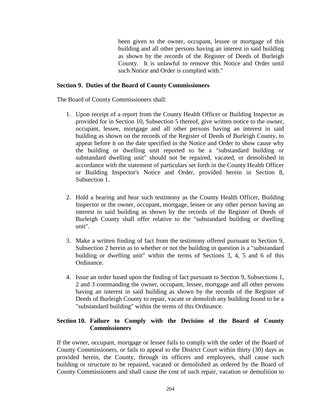been given to the owner, occupant, lessee or mortgage of this building and all other persons having an interest in said building as shown by the records of the Register of Deeds of Burleigh County. It is unlawful to remove this Notice and Order until such Notice and Order is complied with."

## **Section 9. Duties of the Board of County Commissioners**

The Board of County Commissioners shall:

- 1. Upon receipt of a report from the County Health Officer or Building Inspector as provided for in Section 10, Subsection 5 thereof, give written notice to the owner, occupant, lessee, mortgage and all other persons having an interest in said building as shown on the records of the Register of Deeds of Burleigh County, to appear before it on the date specified in the Notice and Order to show cause why the building or dwelling unit reported to be a "substandard building or substandard dwelling unit" should not be repaired, vacated, or demolished in accordance with the statement of particulars set forth in the County Health Officer or Building Inspector's Notice and Order, provided herein in Section 8, Subsection 1.
- 2. Hold a hearing and hear such testimony as the County Health Officer, Building Inspector or the owner, occupant, mortgage, lessee or any other person having an interest in said building as shown by the records of the Register of Deeds of Burleigh County shall offer relative to the "substandard building or dwelling unit".
- 3. Make a written finding of fact from the testimony offered pursuant to Section 9, Subsection 2 herein as to whether or not the building in question is a "substandard building or dwelling unit" within the terms of Sections 3, 4, 5 and 6 of this Ordinance.
- 4. Issue an order based upon the finding of fact pursuant to Section 9, Subsections 1, 2 and 3 commanding the owner, occupant, lessee, mortgage and all other persons having an interest in said building as shown by the records of the Register of Deeds of Burleigh County to repair, vacate or demolish any building found to be a "substandard building" within the terms of this Ordinance.

## **Section 10. Failure to Comply with the Decision of the Board of County Commissioners**

If the owner, occupant, mortgage or lessee fails to comply with the order of the Board of County Commissioners, or fails to appeal to the District Court within thirty (30) days as provided herein, the County, through its officers and employees, shall cause such building or structure to be repaired, vacated or demolished as ordered by the Board of County Commissioners and shall cause the cost of such repair, vacation or demolition to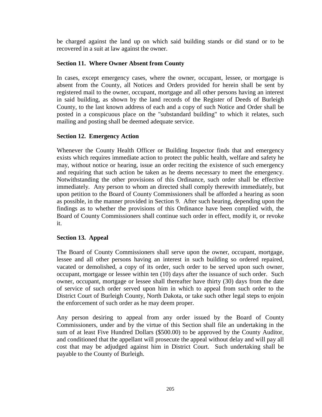be charged against the land up on which said building stands or did stand or to be recovered in a suit at law against the owner.

# **Section 11. Where Owner Absent from County**

In cases, except emergency cases, where the owner, occupant, lessee, or mortgage is absent from the County, all Notices and Orders provided for herein shall be sent by registered mail to the owner, occupant, mortgage and all other persons having an interest in said building, as shown by the land records of the Register of Deeds of Burleigh County, to the last known address of each and a copy of such Notice and Order shall be posted in a conspicuous place on the "substandard building" to which it relates, such mailing and posting shall be deemed adequate service.

# **Section 12. Emergency Action**

Whenever the County Health Officer or Building Inspector finds that and emergency exists which requires immediate action to protect the public health, welfare and safety he may, without notice or hearing, issue an order reciting the existence of such emergency and requiring that such action be taken as he deems necessary to meet the emergency. Notwithstanding the other provisions of this Ordinance, such order shall be effective immediately. Any person to whom an directed shall comply therewith immediately, but upon petition to the Board of County Commissioners shall be afforded a hearing as soon as possible, in the manner provided in Section 9. After such hearing, depending upon the findings as to whether the provisions of this Ordinance have been complied with, the Board of County Commissioners shall continue such order in effect, modify it, or revoke it.

# **Section 13. Appeal**

The Board of County Commissioners shall serve upon the owner, occupant, mortgage, lessee and all other persons having an interest in such building so ordered repaired, vacated or demolished, a copy of its order, such order to be served upon such owner, occupant, mortgage or lessee within ten (10) days after the issuance of such order. Such owner, occupant, mortgage or lessee shall thereafter have thirty (30) days from the date of service of such order served upon him in which to appeal from such order to the District Court of Burleigh County, North Dakota, or take such other legal steps to enjoin the enforcement of such order as he may deem proper.

Any person desiring to appeal from any order issued by the Board of County Commissioners, under and by the virtue of this Section shall file an undertaking in the sum of at least Five Hundred Dollars (\$500.00) to be approved by the County Auditor, and conditioned that the appellant will prosecute the appeal without delay and will pay all cost that may be adjudged against him in District Court. Such undertaking shall be payable to the County of Burleigh.